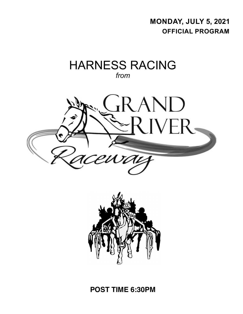**monday, july 5, 2021 Official program**

# HARNESS RACING *from*





**POST TIME 6:30PM**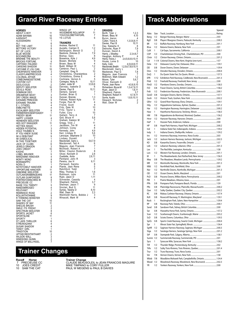# **Grand River Raceway Entries**

**HORSES** ABOUT A BOY 11 ADAM BAYAMA 10 AJKNIGHT 10 ALESSANDRA 1 ALI 6 BET THE LIMIT<br>BETTORS VICTORY 5<br>BIT OF LUCK 6 BETTORS VICTORY 8 BIT OF LUCK 6 BLUE MOOSE 6 BOCHNEEZBA 2 BRIENNE THE BEAUTY 9 BROCKS FORTUNE 6 CAPITANO ITALIANO 11 CARSONS SHADOW 11 CATCHME IF LOU CAN 10<br>CHEAPSKATE HANOVER 3<br>CLASSYLANEPRECIOUS 4 CHEAPSKATE HANOVER 3 CLASSYLANEPRECIOUS 4 COLONIAL AFFAIR 1 COMEONANDGETSOME CUSTOM CUT
B<br>
DEOLICIOUS
2 DEOLICIOUS<br>
DEOLICIOUS 2<br>
DEPUTY SEELSTER 10<br>
DEVILS PEAK 8<br>
DOMINUM DEO 7 DEPUTY SEELSTER 10 DEVILS PEAK 8 DOMINUM DEO 7 DREAMFAIR MOXY 3 DRY CREEK IMAGE 9 EATAAMS PRINCESS 9 EATAAMS TRAUMA 9 E L CITADEL 4 EMBLYNETTE<br>EXCALIBER SEELSTER 4<br>EARMERWHOSEMYDADDY 1 EXCALIBER SEELSTER 8 FARMERWHOSEMYDADDY 1 FREDDY BEAR 11<br>HAPPY LOOKER 14<br>HEINEKEN SEELSTER 17 HAPPY LOOKER 4 HEINEKEN SEELSTER 7 HES GOT SWAGGER 11 HETTIES MAGIC<br>HIDDEN POTENTIAL 3 HIDDEN POTENTIAL 3 HOLD THUMBS N 5 IF YOU KNEW SUSIE 9 IM A DEBUTANT 9 IM DIABOLICAL<br>
IN THIS TOGETHER<br>
JACK OF CLUBS<br>
JEWELS DRAGON 3 IN THIS TOGETHER 2 JACK OF CLUBS 6 JEWELS DRAGON 3<br>JOES CREDIT 10<br>KASHE 7 **JOES CREDIT** KASHE 7<br>IOBEL BRUISER 5 LOBEL BRUISER 5 MARZANNK HANOVER 4 MONTY MONO 8 MORAMAPPO 9<br>NORA D 1 NORA D 1 NOTETOSELF HANOVER 8 OPPORTUNE HANOVER<br>
OSBORNE SEELSTER

00TLAWGRABBINGEARS

11 OSBORNE SEELSTER 6 OUTLAWGRABBINGEARS 11 OUTLAW GUNPOWDER 8<br>
PORTRSTOWNCHRIS IR
8<br>
PRECIEUSE CC
7 PORTRSTOWNCHRIS IR PRECIEUSE CC 7<br>RAISE YOU TWENTY 5 PRAISE YOU TWENTY<br>
RAISE YOU TWENTY 5<br>
RELEVANT 7 **RANDOMIROGEO** RELEVANT 7 REMINISCE ROAD 2 ROLLWITHITANNIE 9 R THINKING MONSTER 5 SAM THE CAT 10 SHADES OF BAY 11 SHEILAS BRUSH 2 SMILE ITS FRIDAY 2 SPECTRUM SEELSTER 8 SPORTS JACKET 6 SPORTSLINE 11 SPORTY 1 ST LADS THRILLER 6 STREAKAZANA 4<br>SUGAR SHADOW 4 SUGAR SHADOW TANDY GIRL 1 TRADITION 10<br>
UPTHECREDITWITHART 2<br>
WILSON WALL 3 UPTHECREDITWITHART 2 WILSON WALL 3 WINDSONG QUINN<br>WINGS OF BALLYKEEL 7 WINGS OF BALLYKEEL

# WINGS UP 7 WOODMERE ROLLNPOP 11 YOUCOULDBETHATGIRL 7 YS LOTUS 6 **TRAINERS** Andrew, Rachel E 11 Auciello, Carmen E 1,2 Baillargeon, Benoit O 2 Basilone, Dolores D 7,9 Bishop, Gary (8)<br>Bossence, Kyle J (4,9)<br>Bowen, Michele (9) Bossence, Kyle J 4,9 Bowen, Michele 9 Brown, Beau M 4 Budd, William W 1,2 Cameron, Paul L 2 Campbell, Greg N 10 Christoforou, Charalambos 2 Christoforou, Emma E 4 Cochrane, Vernon A 5 Comegna, Nicky A 10,11 Cullen, Jodie M 3,5,6,8 Darveau, Isabelle D 6 Davies, Paul B 10,11 Demers, Gerard 7 Dunbar, Brian G 1 Duncan, Brenda 1,3 Fellows, Robert Kyle 11 Forgie, Pam M 4 Friend, Scott 9 Fritz, Dale W 10<br>Fritz, Taylor L 6 Fritz, Taylor L<br>Fuller, Cory 10 Fuller, Cory 10 Gallant, Terry A 7 Goit, Bruce H 5,8 Graham, Katelyn M 7 Gregg, Vicki J 11 Jacobson, Tim W<br>Johnson, Corey 8<br>Kennedy, John 4.9 Johnson, Corey 8 Kennedy, John 4,9 Kerr, Lindsey R 5,6<br>Larocque, Stephane D 10 Larocque, Stephane D 10 Lindsey, Donald 7 Macdonald, Garry L 5,6,7,9 Macdonnell, Ted A 6 Maguire, Jean Francois 7 Mcintosh, Robert A 1 Miller, Clayton Roderick 8 Oliver, Kenneth D 2,8 Ouellette, Anita 2,6,11<br>
Pentland, John R 3<br>
Pereira, Joe H 9,11 Pentland, John R 3 Pereira, Joe H 9,11 Perreault, Sandra<br>
Plante, Jean Rene 5<br>
Ratchford Todd 7 Plante, Jean Rene Ratchford, Todd 7 Riley, Thomas G 1,6 Robinson, Julie 11 Ryan, Jason D 1,11 Schneider, Cassidy (4)<br>Shepherd, Patrick (3,7)<br>Sherman, Jason T (9) Shepherd, Patrick 3,7 Sherman, Jason T 9 Sinclair, Bud S<br>
Sinclair, Bud S<br>
Symes, Teesha D<br>
6,10<br>
Wall, Dean W<br>
2,3 Symes, Teesha D 6,10 Wall, Dean W 2,3 Weinholdt Harris, Bobbie J 3<br>Winacott. Mark W 4 Winacott, Mark W

| <b>DRIVERS</b>         |                     |
|------------------------|---------------------|
| Borth, Tyler J         | 1,2,3               |
| Brown, Beau M          | 4.10                |
|                        |                     |
| Byron, Aaron           | 4                   |
| Cullen, Travis A       | 1,3,5,6,8,11        |
| Davies, Paul B         | 10,11               |
| Day, Natasha K         | 8                   |
| Desroche, Ryan P       | $7,9$<br>3          |
| Duncan, David A        |                     |
| Harris, J Bradley      | 2,3,4,6,7           |
| Haughan, Anthony P     |                     |
| Henry, Travis J        | 2,4,5,6,8,9,10,11   |
| House, Lorne S         | 10                  |
| Kelly, Colin           | 4,5,6,8,9,11        |
|                        |                     |
| Macdonald, BrettA      | 1,2,5,6,7,8,9,10,11 |
| Macdonald, Garry L     | 9                   |
| Mackenzie, Paul G      | 7,8                 |
| Maguire, Jean Francois |                     |
| Mckinnon, Mark Edward  | 1,2                 |
| Moore, Tyler           | 5,6,7               |
| Oliver, Kenneth D      |                     |
| Plante, Jean Rene      | 4,5,6,9,10          |
| Richardson, Bruce M    | 1,3,4,7,9,11        |
| Ryan, Jason D          | 1,6,11              |
| Shepherd, Patrick      | 3.7                 |
| Shepherd, Robert H     | 6,7,8,11            |
| Sorrie, Austin         | 1,8,9,10,11         |
|                        |                     |
| Steward, Nicholas      |                     |
| Wall, Dean W           |                     |
|                        |                     |

# **Track Abbrievations**

|                    |            |                                                           | Speed |
|--------------------|------------|-----------------------------------------------------------|-------|
| Abbr.              | Size       |                                                           |       |
| Bang               | 1/2        |                                                           |       |
| BqD                | 5/8        | Players' Bluegrass Downs, Paducah, Kentucky  2:00.3       |       |
| ΒR                 | 1/2        |                                                           |       |
| Btva               | 1/2        |                                                           |       |
| CalX               | 1          |                                                           |       |
| <b>CDP</b>         | 1/2        | Charlottetown Driving Park, Charlottetown, PEI  2:00      |       |
| Clntn              | 1/2        |                                                           |       |
| Col                | $1 - 1/4$  | Colonial Downs, New Kent, Virginia (one turn) 1:57        |       |
| Dela<br>DD.        | 1/2<br>5/8 |                                                           |       |
|                    |            |                                                           |       |
| Dres               | 1/2<br>1   |                                                           |       |
| DuQ<br><b>EPR</b>  | 1/12       | Exhibition Park Raceway, Coldbrook, New Brunswick  2:01.3 |       |
| Fhld               | 1/2        |                                                           |       |
| FlmD               | 1/2        |                                                           |       |
| FrD                | 5/8        |                                                           |       |
| Frdt               | 1/2        | Fredericton Raceway, Fredericton, New Brunswick  2:00.1   |       |
| GeoD               | 5/8        |                                                           |       |
| Gosh               | 1/2        |                                                           |       |
| GRvr               | 1/2        |                                                           |       |
| HAy                | 1/2        |                                                           |       |
| Har                | 1/2        |                                                           |       |
| Haw                | 1          |                                                           |       |
| HМ                 | 7/8        | Hippodrome de Montreal, Montreal, Quebec 1:56.2           |       |
| Hnvr               | 1/2        |                                                           |       |
| HoP                | 1          |                                                           |       |
| HP                 | 5/8        |                                                           |       |
| Ind                | 1          |                                                           |       |
| Indy               | 1          |                                                           |       |
| Inv                | 1/2        |                                                           |       |
| Jack               | 1/2        | Jackson Harness Raceway, Jackson, Michigan  2:02.3        |       |
| KD                 | 5/8        |                                                           |       |
| Leb                | 1/2        |                                                           |       |
| Lex                | 1          |                                                           |       |
| Lon                | 1/2        |                                                           |       |
| M                  | 1          | The Meadowlands, East Rutherford, New Jersey  1:56.3      |       |
| Mea                | 5/8        | The Meadows, Meadow Lands, Pennsylvania  1:59.2           |       |
| <b>MR</b>          | 1/2        |                                                           |       |
| Nfld               | 1/2        |                                                           |       |
| Nor                | 1/2        |                                                           |       |
| OD                 | 1/2        |                                                           |       |
| PcD                | 5/8        |                                                           |       |
| PM                 | 1          |                                                           |       |
| <b>PPK</b>         | 5/8        |                                                           |       |
| PRc                | 5/8        | Plainridge Racecourse, Plainville, Massachusetts  2:00.2  |       |
| Que                | 1/2        |                                                           |       |
| RC                 | 5/8        |                                                           |       |
| <b>RcR</b>         | 5/8        | Rosecroft Raceway, Ft. Washington, Maryland  1:59.1       |       |
| Rock               | 1          |                                                           |       |
| <b>RP</b>          | 5/8        |                                                           |       |
| Sand               | 5/8        |                                                           |       |
| Sar                | 5/8        |                                                           |       |
| Scar               | 1/2        |                                                           |       |
| ScD                | 5/8        |                                                           |       |
| SpCk               | 5/8        | Sports Creek Raceway, Swartz Creek, Michigan  2:00.4      |       |
| Spr                | 1          |                                                           |       |
| SgHR               | 1/2        | Saginaw Harness Raceway, Saginaw, Michigan  2:00.3        |       |
| Stga<br>StP        | 1/2<br>5/8 | Saratoga Harness, Saratoga Springs, New York  2:01.2      |       |
|                    | 1/2        |                                                           |       |
| Summ               | 1          |                                                           |       |
| Sycs<br><b>TrR</b> | 1/2        |                                                           |       |
| TrRv               | 1/2        |                                                           |       |
| Trur               | 1/2        |                                                           |       |
| Ver                | 7/8        |                                                           |       |
| Wbsb               |            | Woodbine Mohawk Park, Campbellville, Ontario  1:54.4      |       |
| Wood               | 7/8<br>1/2 | Woodstock Raceway, Woodstock, New Brunswick  2:02.3       |       |
| <b>YR</b>          | 1/2        | Yonkers Raceway, Yonkers, New York                        | 2.00  |

**Trainer Changes**

**Race# Horse Trainer Change**

T PRECIEUSE CC CLAUDE BEAUSOLEIL to JEAN FRANCOIS MAGUIRE<br>10 JOES CREDIT MIKE TIMPANO to CORY FULLER<br>10 SAM THE CAT PAUL WIEGENS to PAUL B DAVIES 10 JOES CREDIT MIKE TIMPANO to CORY FULLER 10 SAM THE CAT PAUL W MEGENS to PAUL B DAVIES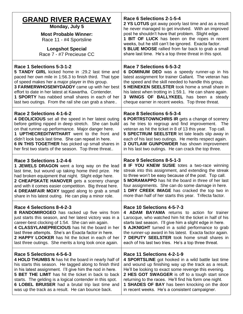| <b>GRAND RIVER RACEWAY</b><br>Monday, July 5<br><b>Most Probable Winner:</b><br>Race 11 - #4 Sportsline<br><b>Longshot Special</b><br>Race 7 - #7 Precieuse CC | Race 6 Selections 2-1-5-4<br>2 YS LOTUS got away poorly last time and as a result<br>he never managed to get involved. With an improved<br>post he shouldn't have that problem. Slight edge.<br><b>1 BIT OF LUCK</b> has been on the ropes in recent<br>weeks, but he still can't be ignored. Exacta factor.<br>5 BLUE MOOSE rallied from far back to grab a small<br>share last time. He's a top three threat in this spot. |
|----------------------------------------------------------------------------------------------------------------------------------------------------------------|------------------------------------------------------------------------------------------------------------------------------------------------------------------------------------------------------------------------------------------------------------------------------------------------------------------------------------------------------------------------------------------------------------------------------|
| Race 1 Selections 5-3-1-2                                                                                                                                      | Race 7 Selections 6-5-3-2                                                                                                                                                                                                                                                                                                                                                                                                    |
| 5 TANDY GIRL kicked home in :29.2 last time and                                                                                                                | 6 DOMINUM DEO was a speedy runner-up in his                                                                                                                                                                                                                                                                                                                                                                                  |
| paced her own mile in 1:56.3 to finish third. That type                                                                                                        | latest assignment for trainer Gallant. The veteran has                                                                                                                                                                                                                                                                                                                                                                       |
| of speed makes her a major player in this group.                                                                                                               | the speed and the skill needed to handle this group.                                                                                                                                                                                                                                                                                                                                                                         |
| 3 FARMERWHOSEMYDADDY came up with her best                                                                                                                     | <b>5 HEINEKEN SEELSTER took home a small share in</b>                                                                                                                                                                                                                                                                                                                                                                        |
| effort to date in her latest at Kawartha. Contender.                                                                                                           | his latest when trotting in 1:59.1. He can share again.                                                                                                                                                                                                                                                                                                                                                                      |
| 1 SPORTY has nabbed small shares in each of her                                                                                                                | 3 WINGS OF BALLYKEEL has been a steady                                                                                                                                                                                                                                                                                                                                                                                       |
| last two outings. From the rail she can grab a share                                                                                                           | cheque earner in recent weeks. Top three threat.                                                                                                                                                                                                                                                                                                                                                                             |
| Race 2 Selections 4-1-6-2                                                                                                                                      | Race 8 Selections 6-5-3-4                                                                                                                                                                                                                                                                                                                                                                                                    |
| 4 DEOLICIOUS set all the speed in her latest outing                                                                                                            | 6 PORTRSTOWNCHRIS IR gets a change of scenery                                                                                                                                                                                                                                                                                                                                                                                |
| before getting nipped in deep stretch. She can build                                                                                                           | as he tries to regroup and find improvement. The                                                                                                                                                                                                                                                                                                                                                                             |
| on that runner-up performance. Major danger here.                                                                                                              | veteran as hit the ticket in 8 of 13 this year. Top call.                                                                                                                                                                                                                                                                                                                                                                    |
| 1 UPTHECREDITWITHART went to the front and                                                                                                                     | 5 SPECTRUM SEELSTER let late leads slip away in                                                                                                                                                                                                                                                                                                                                                                              |
| didn't look back last time. She can repeat in here.                                                                                                            | each of his last two outings. He merits respect again.                                                                                                                                                                                                                                                                                                                                                                       |
| 6 IN THIS TOGETHER has picked up small shares in                                                                                                               | 3 OUTLAW GUNPOWDER has shown improvement                                                                                                                                                                                                                                                                                                                                                                                     |
| her first two starts of the season. Top three threat                                                                                                           | in his last two outings. He can crack the top three.                                                                                                                                                                                                                                                                                                                                                                         |
| Race 3 Selections 1-2-4-6                                                                                                                                      | Race 9 Selections 8-5-1-3                                                                                                                                                                                                                                                                                                                                                                                                    |
| 1 JEWELS DRAGON went a long way on the lead                                                                                                                    | 8 IF YOU KNEW SUSIE totes a two-race winning                                                                                                                                                                                                                                                                                                                                                                                 |
| last time, but wound up taking home third prize. He                                                                                                            | streak into this assignment, and extending the streak                                                                                                                                                                                                                                                                                                                                                                        |
| had broken equipment that night. Slight edge here.                                                                                                             | to three won't be easy because of the post. Top call.                                                                                                                                                                                                                                                                                                                                                                        |
| 2 CHEAPSKATE HANOVER gets a scenery change                                                                                                                     | 5 MORAMAPPO has hit the board in three of her last                                                                                                                                                                                                                                                                                                                                                                           |
| and with it comes easier competition. Big threat here.                                                                                                         | four assignments. She can do some damage in here.                                                                                                                                                                                                                                                                                                                                                                            |
| 4 DREAMFAIR MOXY tagged along to grab a small                                                                                                                  | 1 DRY CREEK IMAGE has cracked the top two in                                                                                                                                                                                                                                                                                                                                                                                 |
| share in his latest outing. He can play a minor role.                                                                                                          | more than half of her starts this year. Trifecta factor.                                                                                                                                                                                                                                                                                                                                                                     |
| Race 4 Selections 8-4-2-3                                                                                                                                      | Race 10 Selections 4-5-7-3                                                                                                                                                                                                                                                                                                                                                                                                   |
| 8 RANDOMIROGEO has racked up five wins from                                                                                                                    | 4 ADAM BAYAMA returns to action for trainer                                                                                                                                                                                                                                                                                                                                                                                  |
| just starts this season, and her latest victory was in a                                                                                                       | Larocque, who watched him hit the ticket in half of his                                                                                                                                                                                                                                                                                                                                                                      |
| career-best clocking of 1:54. She can win again.                                                                                                               | starts last season. I'll give him a slight edge in here.                                                                                                                                                                                                                                                                                                                                                                     |
| 4 CLASSYLANEPRECIOUS has hit the board in her                                                                                                                  | 5 AJKNIGHT turned in a solid performance to grab                                                                                                                                                                                                                                                                                                                                                                             |
| last three attempts. She's an Exacta factor in here.                                                                                                           | the runner-up award in his latest. Exacta factor again.                                                                                                                                                                                                                                                                                                                                                                      |
| 2 HAPPY LOOKER has hit the ticket in each of her                                                                                                               | 7 DEPUTY SEELSTER took home small shares in                                                                                                                                                                                                                                                                                                                                                                                  |
| last three outings. She merits a long look once again.                                                                                                         | each of his last two tries. He's a top three threat.                                                                                                                                                                                                                                                                                                                                                                         |
| Race 5 Selections 4-5-6-3                                                                                                                                      | Race 11 Selections 4-2-1-9                                                                                                                                                                                                                                                                                                                                                                                                   |
| 4 HOLD THUMBS N has hit the board in nearly half of                                                                                                            | 4 SPORTSLINE got hooked in a wild battle last time                                                                                                                                                                                                                                                                                                                                                                           |
| his starts this season. He tagged along to finish third                                                                                                        | and wound up finishing way up the track as a result.                                                                                                                                                                                                                                                                                                                                                                         |
| in his latest assignment. I'll give him the nod in here.                                                                                                       | He'll be looking to exact some revenge this evening.                                                                                                                                                                                                                                                                                                                                                                         |
| <b>5 BET THE LIMIT</b> has hit the ticket in back to back                                                                                                      | 2 HES GOT SWAGGER is off to a tough start since                                                                                                                                                                                                                                                                                                                                                                              |
| starts. The gelding is a logical contender in this spot.                                                                                                       | returning to the races. He'll find his form one night.                                                                                                                                                                                                                                                                                                                                                                       |
| <b>6 LOBEL BRUISER</b> had a brutal trip last time and                                                                                                         | 1 SHADES OF BAY has been knocking on the door                                                                                                                                                                                                                                                                                                                                                                                |
| was up the track as a result. He can bounce back.                                                                                                              | in recent weeks. He's a consistent campaigner.                                                                                                                                                                                                                                                                                                                                                                               |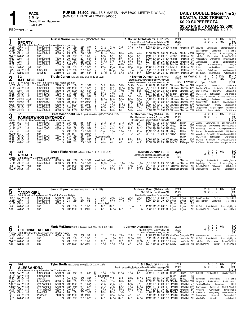**PACE** 

1 Mile

5-JUL-21

**Grand River Raceway** 

DAILY DOUBLE (Races 1 & 2) EXACTA, \$0.20 TRIFECTA \$0.20 SUPERFECTA \$0.20 PICK 5 (GUAR. \$2,500)<br>PROBABLE FAVOURITES: 5-2-3-1

|                                                                                                            |                                                                                                                                          | <b>RED WARM-UP PAD</b>                                                                            |                                                                                                                                                                                                                                 |                                                                                                                                                                           |                                                                         |                            |                                                                                                                                                                                                                                                                               |                                    |                                                                                                             |                                                                                                       |                                                                                                               |                                                                                                              |                                                                                                          |                                                                                                                                                                                                                                                                                                                                                                                                                                                                                                                                                                                                                                                                                                                                                                                                                                                                                                                                                                                                                                                                          |                      |                                                                                               |                    | PROBABLE FAVOURITES: 5-2-3-1                                                                                               |                                                           |                                                                                                                                                        |             |                                                                                                                                                                                                                |
|------------------------------------------------------------------------------------------------------------|------------------------------------------------------------------------------------------------------------------------------------------|---------------------------------------------------------------------------------------------------|---------------------------------------------------------------------------------------------------------------------------------------------------------------------------------------------------------------------------------|---------------------------------------------------------------------------------------------------------------------------------------------------------------------------|-------------------------------------------------------------------------|----------------------------|-------------------------------------------------------------------------------------------------------------------------------------------------------------------------------------------------------------------------------------------------------------------------------|------------------------------------|-------------------------------------------------------------------------------------------------------------|-------------------------------------------------------------------------------------------------------|---------------------------------------------------------------------------------------------------------------|--------------------------------------------------------------------------------------------------------------|----------------------------------------------------------------------------------------------------------|--------------------------------------------------------------------------------------------------------------------------------------------------------------------------------------------------------------------------------------------------------------------------------------------------------------------------------------------------------------------------------------------------------------------------------------------------------------------------------------------------------------------------------------------------------------------------------------------------------------------------------------------------------------------------------------------------------------------------------------------------------------------------------------------------------------------------------------------------------------------------------------------------------------------------------------------------------------------------------------------------------------------------------------------------------------------------|----------------------|-----------------------------------------------------------------------------------------------|--------------------|----------------------------------------------------------------------------------------------------------------------------|-----------------------------------------------------------|--------------------------------------------------------------------------------------------------------------------------------------------------------|-------------|----------------------------------------------------------------------------------------------------------------------------------------------------------------------------------------------------------------|
|                                                                                                            |                                                                                                                                          |                                                                                                   |                                                                                                                                                                                                                                 |                                                                                                                                                                           |                                                                         |                            |                                                                                                                                                                                                                                                                               |                                    |                                                                                                             |                                                                                                       |                                                                                                               |                                                                                                              |                                                                                                          |                                                                                                                                                                                                                                                                                                                                                                                                                                                                                                                                                                                                                                                                                                                                                                                                                                                                                                                                                                                                                                                                          |                      |                                                                                               |                    |                                                                                                                            |                                                           |                                                                                                                                                        |             |                                                                                                                                                                                                                |
| 1                                                                                                          | $4 - 1$                                                                                                                                  | <b>SPORTY</b>                                                                                     |                                                                                                                                                                                                                                 | <b>Austin Sorrie</b> 163 A Blue-Yellow (373-59-62-42 .288)                                                                                                                |                                                                         |                            |                                                                                                                                                                                                                                                                               |                                    |                                                                                                             |                                                                                                       |                                                                                                               |                                                                                                              |                                                                                                          | Tr. Robert McIntosh (75-16-11-7 .325)<br>Robert McIntosh Stables Inc, Windsor, ON                                                                                                                                                                                                                                                                                                                                                                                                                                                                                                                                                                                                                                                                                                                                                                                                                                                                                                                                                                                        | 2021<br>2020<br>Life |                                                                                               |                    | 3                                                                                                                          | 5<br>$0\quad 0$<br>0<br>$\Omega$                          | $\mathbf{0}$                                                                                                                                           | $0\%$<br>0% | \$2,315<br>\$00<br>\$2,315                                                                                                                                                                                     |
| Red<br>Jn281<br>Jn21 <sup>1</sup><br>Jn141<br>Mv271<br>Mr19 <sup>1</sup><br>Mr121                          | 2GRvr 25 ft<br>$2$ GRvr 15ft<br>1GRvr 20 ft<br>9Wbsb 15ft<br>2Lon<br>3Lon                                                                | 5ft<br>-1 ft1                                                                                     | B f 3, Sportswriter-Everybreathutake-Western Hanover<br>f-nw5000lcd<br>f-bw5000lcd<br>f-nw5000lcd<br>qua<br>f-nw5000lcd<br>f-nw5000lcd                                                                                          | 6500 m<br>6500 m<br>6500 m<br>m<br>7500 m<br>7500 m                                                                                                                       | :29<br>:28<br>:291<br>:291<br>:291<br>:274                              | :594 1:29<br>$1:00^2$ 1:29 | :593 1:283 1:573<br>:583 1:274 1:58<br>1:004 1:293 1:581<br>1:58<br>1:591<br>:572 1:283 2:002                                                                                                                                                                                 | 2<br>2                             | $2^{11/2}$<br>judges scratch<br>5 6111/4<br>563/4<br>$6^{81/2}$<br>8191/4                                   | $2^{13/4}$<br>$54\frac{1}{4}$<br>56<br>653/4<br>820                                                   | o <sub>2hd</sub><br>$64\frac{1}{4}$<br>56<br>0.55<br>06101/2                                                  | $3^{21}/4$<br>433/4<br>$54\frac{1}{2}$<br>$67^{1/2}$<br>661/4                                                | 461/4<br>461/2<br>56<br>6 <sup>8</sup><br>$55^{1}/4$                                                     | Breeder: Robert Mcintosh Stables Inc,ON<br>1:584 291 304 283 301 ASorrie<br>1:592 312 301 284 29 ASorrie<br>1:591 303 302 291 29 MSaftic<br>2:004 304 304 282 304 ASorrie<br>2:012 313 294 291 304 SCoulter RMcIntsh                                                                                                                                                                                                                                                                                                                                                                                                                                                                                                                                                                                                                                                                                                                                                                                                                                                     |                      | RMcIntsh 630 SeaOfHp<br>RMcIntsh 2085 KatysDelght<br>RMcIntsh NB LadvWrtr<br>RMcIntsh         |                    | Upthecrdtwthrt<br>9 <sup>90</sup> PricelssShdw<br>335 EarlybirdSpeck                                                       | CarsonsGod<br>MarvelosKss                                 | CenturHvn<br>Deolicios<br>CharmbStrm<br>KdRss                                                                                                          |             | StonebridgCrsh &<br>InThsTgthr 9<br>SomeLuckyMagc 8<br>TurningTheTbl 10<br>BrydownLlbt 6<br>BrydownLilbt 8                                                                                                     |
| Mr5 <sup>1</sup><br>Fb <sub>221</sub><br>Jv200<br>Jy100                                                    | 3Lon<br>3Wbsb<br><sub>1</sub> GRvr 22 ft<br>4Wbsb 28ft                                                                                   | -3 ft<br>1 ad <sup>1</sup>                                                                        | f-nw5000lcd<br>qua<br>f-nw5000l<br>OnSS-rs                                                                                                                                                                                      | 7500 m<br>m<br>6500 m<br>23150 m                                                                                                                                          | :30 <sup>1</sup><br>:274<br>:281                                        |                            | :302 1:013 1:303 2:003<br>:594 1:29 1:571<br>$:58$ 1:264 1:563<br>:561 1:262 1:562                                                                                                                                                                                            | 8                                  | 47<br>$2^{21/4}$<br>710<br>8123/4                                                                           | 45<br>$2^{11/2}$<br>$067\frac{1}{4}$<br>8171/4                                                        | $•43\frac{3}{4}$<br>$3^{11/2}$<br>791/2<br>861/2                                                              | 441/2<br>$3^{21}/2$<br>7171/4<br>861/4                                                                       | $32\frac{1}{2}$<br>$3^{73/4}$<br>7271/2<br>916                                                           | 2:01 314 304 284 293 SCoulter<br>1:584 303 292 291 293 JMacDld RMcIntsh NB DrJoe<br>2:02 294 293 291 332 CKelly<br>1:593 304 284 28 32 TreHenry RMcIntsh 2645 CISprtsxtrm                                                                                                                                                                                                                                                                                                                                                                                                                                                                                                                                                                                                                                                                                                                                                                                                                                                                                                |                      | RMcIntsh *175 Drogon<br>RMcIntsh 6310 PLNelly                                                 |                    |                                                                                                                            | TwinBLush                                                 | CharmboStormy<br>MarlbankRoad<br>ALaModSIstr                                                                                                           |             | Sporty 5<br>Sporty 3<br>MachingMary 9<br>WatchngCss 9                                                                                                                                                          |
| $\overline{2}$                                                                                             | $5 - 2$                                                                                                                                  |                                                                                                   |                                                                                                                                                                                                                                 | Travis Cullen 151 A Blue-Grey (269-41-22-25 .228)                                                                                                                         |                                                                         |                            |                                                                                                                                                                                                                                                                               |                                    |                                                                                                             |                                                                                                       |                                                                                                               |                                                                                                              |                                                                                                          | Tr. Brenda Duncan (22-1-1-0 .070)                                                                                                                                                                                                                                                                                                                                                                                                                                                                                                                                                                                                                                                                                                                                                                                                                                                                                                                                                                                                                                        | 2021<br>2020         |                                                                                               | $1:57^2$ H FlmD ft | 8<br>4                                                                                                                     | $\Omega$<br>$\Omega$<br>0                                 | $\Omega$                                                                                                                                               | 0.13%<br>0% | \$5,410<br>\$520                                                                                                                                                                                               |
| Blue<br>Jn28<br>Jn141<br>Ap11<br>Mr251<br>Mr181<br>Mr11 <sup>1</sup><br>Mr41<br>Fb251<br>Dc10 <sup>0</sup> | 8GRvr 25ft<br>4GRvr 20ft<br>8Lon<br>8FlmD<br>5FlmD<br><sub>1</sub> FlmD<br>8FlmD<br>1FlmD<br>Dc17 <sup>0</sup> 2FlmD<br>6FlmD<br>$3 - 1$ | -2 ft<br>14 ft<br>3 ft1<br>$14$ gd <sup>1</sup><br>-7 ft<br>$-3$ gd <sup>4</sup><br>-3 ft<br>2 ft | <b>IM DIABOLICAL</b><br>Br m 5, Up The Credit-Ima Tootsie Roll-Matts Scooter<br>f-nw15000l<br>f-nw15000l<br>f-nw15000l<br>f-nw1r5000l<br>f-nw1r5800l<br>f-nw1r5000l<br>f-nw1r5000l<br>f-nw5000lcd<br>f-nw5000lcd<br>f-nw5000lcd | 7400 m<br>7400 m<br>8600 m<br>7500 m<br>7500 m<br>7500 m<br>7500 m<br>6500 m<br>6500 m<br>6500 m<br><b>Brett Macdonald</b> 135 A Burgundy-White-Black (499-57-58-56 .216) | :27<br>:28 <sup>4</sup><br>:283<br>:28<br>:29                           |                            | :564 1:25 1:534<br>:293 1:003 1:282 1:571<br>:30 <sup>2</sup> 1:00 <sup>4</sup> 1:30 <sup>2</sup> 1:59 <sup>2</sup><br>:583 1:271 1:572<br>:581 1:282 1:593<br>:592 1:291 2:00<br>1:00 1:284 2:001<br>:312 1:034 1:341 2:05<br>:294 1:02 1:314 2:021<br>:30 1:012 1:321 2:021 | 3<br>8<br>ſ9<br>2<br>6             | 510<br>915<br>710<br>571/2<br>58<br>6131/2<br>7111/4<br>$45\frac{1}{4}$<br>$6^{73}/4$<br>661/2              | 663/4<br>910<br>7121/4<br>0433/4<br>681/4<br>$6^{73/4}$<br>791/4<br>$46^{1}/4$<br>$8^{71/2}$<br>663/4 | 583/4<br>9131/2<br>753/4<br>$01\frac{1}{4}$<br>663/4<br>$55\frac{1}{2}$<br>79<br>5101/4<br>$08^{53/4}$<br>i65 | 5123/4<br>9193/4<br>7133/<br>1 <sub>hd</sub><br>56<br>$65\frac{1}{4}$<br>763/4<br>517<br>$8^{53/4}$<br>563/4 | 5151/2<br>9211/2<br>$1\frac{3}{4}$<br>$54\frac{1}{4}$<br>$5^{31/2}$<br>751/4<br>5201/2<br>751/2<br>461/4 | Brenda & David Duncan, Stoney Creek, ON<br>Breeder: Brenda Duncan-David A Duncan, ON<br>1:564 29 291 283 30 DDuncan BDuncan 3260 JmSportsfan<br>2:012 323 30 282 302 DDuncan BDuncan 4260 SaulsbrookOlymp<br>5dh <sup>121</sup> / <sub>2</sub> 2:01 <sup>4</sup> 32 <sup>2</sup> 30 <sup>4</sup> 28 <sup>2</sup> 30 <sup>1</sup> JPlante<br>1:572 301 291 274 301 TCullen BDuncan 2565 ImDiabolical<br>2:00 <sup>2</sup> 30 <sup>1</sup> 29 <sup>3</sup> 30 30 <sup>3</sup> DDuncan BDuncan 59 <sup>95</sup> ImChiara OneForDeo<br>2:003 303 302 291 302 DDuncan BDuncan 5660 RoselslandAggi<br>2:011 311 303 284 303 DDuncan BDuncan 5425 RacngFrthMrk<br>2:09 32 <sup>2</sup> 32 <sup>3</sup> 31 <sup>1</sup> 32 <sup>4</sup> DDuncan BDuncan 49 <sup>80</sup> Pacingdownadrm<br>2:03 <sup>1</sup> 31 <sup>2</sup> 32 29 <sup>3</sup> 30 <sup>1</sup> DDuncan BDuncan 18 <sup>15</sup> ScrappyLINbd<br>2:03 <sup>2</sup> 31 <sup>1</sup> 31 <sup>3</sup> 30 <sup>2</sup> 30 <sup>1</sup> DDuncan BDuncan 33 <sup>60</sup> SoFiaLlt<br>Tr. Thomas Riley (39-4-4-0 .159) | 2021                 | Life $1:57^2$ H FlmD<br>BDuncan 2945 ShareTheMmnt                                             |                    | 5y <sub>0</sub><br>4                                                                                                       | $\Omega$                                                  | l wins<br>Vannascam<br>JmSprtsfn<br>CherieAmr<br>KatvsDelight<br>Bochneezb<br>ShisBrsh<br>PerfectM<br>Keepitnprspctv<br>Farmerstriksfm<br>$\mathbf{0}$ | 0%          | \$5,930<br>LetsRoar &<br>KayliesRI <sub>9</sub><br>Littleberct 8<br>OneForDeo 8<br>CarwinsLuckyLuna 8<br>LyonsQuen 8<br>RosisindAgg 9<br>SheilsBrsh 6<br>TJMchsM 8<br>CardCllctr 9<br>\$1,340                  |
| 3                                                                                                          |                                                                                                                                          |                                                                                                   | <b>FARMERWHOSEMYDADDY</b>                                                                                                                                                                                                       |                                                                                                                                                                           |                                                                         |                            |                                                                                                                                                                                                                                                                               |                                    |                                                                                                             |                                                                                                       |                                                                                                               |                                                                                                              |                                                                                                          | Mark Nelson-Vickie Nelson. Baltimore. ON                                                                                                                                                                                                                                                                                                                                                                                                                                                                                                                                                                                                                                                                                                                                                                                                                                                                                                                                                                                                                                 | 2020                 |                                                                                               |                    | 0                                                                                                                          | $\mathbf 0$                                               | $0\quad 0$                                                                                                                                             |             | \$00                                                                                                                                                                                                           |
| White<br>Jn261<br>Jn191<br>Jn121<br>Jn5 <sup>1</sup><br>Mv291<br>Mr25 <sup>1</sup><br>Mr181<br>Mr111       | 6KD<br>7KD<br>8KD<br>8KD<br>7KD<br>8FlmD<br>5FlmD<br>6Wbsb                                                                               | 25 ft<br>25 ft<br>25 ft<br>28 ft<br>15 ft<br>14 ft<br>3 ft1<br>14 ft <sup>1</sup>                 | Br f 3, Up The Credit-Holy Creek-Rustler Hanover<br>f-nw1r5000l<br>f-nw1r5000l<br>f-nw1r5000l<br>qua<br>qua<br>$f$ -nw1r5000 $f$<br>f-nw1r5800l<br>qua                                                                          | 4400 m<br>4800 m<br>4800 m<br>m<br>m<br>7500 m<br>7500 m<br>m                                                                                                             | :284<br>:28 <sup>2</sup><br>:283<br>:294<br>:30<br>:284<br>:283<br>:282 | $1:01$ $1:31$              | :581 1:263 1:554<br>:573 1:264 1:56<br>$:58$ 1:26 <sup>3</sup> 1:56 <sup>2</sup><br>:583 1:283 1:592<br>2:00 <sup>4</sup><br>:583 1:271 1:572<br>:581 1:282 1:593<br>:574 1:26 <sup>2</sup> 1:554                                                                             | 6<br>5<br>6<br>8<br>$\overline{2}$ | $2^{11/2}$<br>$2^{11/2}$<br>$45\frac{1}{2}$<br>$01\frac{1}{2}$<br>14<br>judges scratch<br>814<br>$45^{1}/4$ | $2^{11/2}$<br>$2^{11/2}$<br>451/2<br>141/2<br>12<br>812<br>46                                         | $31\frac{1}{2}$<br>$2^{11/2}$<br>510<br>$12\frac{1}{2}$<br>$11\frac{1}{2}$<br>810<br>49                       | $2^{13/4}$<br>$2^{21/2}$<br>612<br>12<br>111/2<br>881/2<br>414                                               | 24<br>$5^{51/2}$<br>9171/2<br>$21\frac{1}{4}$<br>33<br>$86\frac{1}{2}$<br>418                            | Breeder: Mark Nelson-Vickie L Nelson, ON<br>1:563 29 292 282 294 NBovd<br>1:57 283 291 291 30 NBoyd<br>1:594 293 292 293 311 NBoyd<br>1:593 294 284 30 31 NBoyd<br>2:01 <sup>2</sup> 30 31 30 30 <sup>2</sup> NBoyd<br>2:004 312 291 294 302 BMacDld<br>1:592 292 293 291 311 JMacDld                                                                                                                                                                                                                                                                                                                                                                                                                                                                                                                                                                                                                                                                                                                                                                                    | Life                 | TRilev<br>TRilev<br>TRiley<br>TRiley<br>TRiley<br>TRiley<br>TRiley<br>TGillespie NB Stat0fMnd |                    | 750 MonHn<br>5735 WindsunGag<br>3 <sup>10</sup> WindsunGq<br>NB BVansh<br><b>ImDiabolical</b><br>10 <sup>40</sup> ImChiara | Farmerwhsmddd<br>ImChir<br>Farmerwhosemydadd<br>OneForDeo | KatysDelight                                                                                                                                           |             | \$1,340<br>Nothingcmprst 9<br>ZebsWatchng MarvelousKss 9<br>Nothingcomparest 9<br>LillyUnitd 6<br>NB MoneyHon SurrealHp Farmerwhosemyddd 6<br>OneForDeo 8<br>CarwinsLuckyLuna 8<br>GameOfShdws Alwaysabeachd 8 |

| 4                   | 12-1<br><b>NORAD</b>                                                                   |                            | <b>Bruce Richardson</b> A Green-Yellow (114-12-13-18 .221) |     |                                                                  |  |                                 |                  |        |             |                      | Tr. Brian Dunbar $(6-0-0-0)$<br>Eighth Line Investments, Linwood, ON | 2021<br>2020                                                                                                    |          | $0\quad 0\quad 0$<br>$0\quad 0\quad 0\quad 0$ |                      | 0%                                | \$00<br>\$00 |
|---------------------|----------------------------------------------------------------------------------------|----------------------------|------------------------------------------------------------|-----|------------------------------------------------------------------|--|---------------------------------|------------------|--------|-------------|----------------------|----------------------------------------------------------------------|-----------------------------------------------------------------------------------------------------------------|----------|-----------------------------------------------|----------------------|-----------------------------------|--------------|
| Jn141               | Green B f 3, Big Jim-Dreamfair Zoya-Camluck<br>$Jn211$ $6$ GRvr $15$ ft<br>1GRvr 20 ft | f-nw5000lcd<br>f-nw5000lcd | 6500 m<br>6500 m                                           | :28 | :592 1:29 1:584<br>:291 1:004 1:293 1:581                        |  | scratched - vet(sick)<br>R143/4 | $711\frac{1}{4}$ | 7121/4 | 7131/4      | 7181/2               | Breeder: Seelster Farms Inc.ON                                       | Life<br>BDunbar<br>2:014 321 304 29 294 BcRchdsn BDunbar 11665 KatysDelght                                      | KtsDlaht | BrydownBttrB<br>Deolicios                     |                      | StonbrdgCrsh &<br>SomeLuckyMagc & | \$00         |
| Jn31<br>Mv291 sHnvr | 1GRvr 17 ad <sup>1</sup><br>12 ft                                                      | qua<br>qua                 |                                                            |     | m :293 1:003 1:31 <sup>2</sup> 2:001<br>m :323 1:051 1:351 2:051 |  | 461/4                           | 461/2<br>551/2   | 515    | 463/<br>515 | $4^{71/4}$<br>5201/4 |                                                                      | 2:013 31 304 303 291 BcRchdsn BDunbar NB ComeRollWithM<br>2:091 334 322 32 31 BcRchdsn BDunbar NB ShesABeatClrk |          |                                               | WheresNon<br>JustDas | GibbsRuls 6<br>Bettorbefin 5      |              |

|                   |                                                      |             | <b>Jason Ryan</b> 170 A Green-White $(93-11-10-18.242)$ |      |                                                             |                               |      |            |                 |                 |            |            | Tr. Jason Ryan (52-8-9-9 .307)                                             | 2021 |       | 200                 | 0%                       | \$780          |
|-------------------|------------------------------------------------------|-------------|---------------------------------------------------------|------|-------------------------------------------------------------|-------------------------------|------|------------|-----------------|-----------------|------------|------------|----------------------------------------------------------------------------|------|-------|---------------------|--------------------------|----------------|
| ე                 | <b>TANDY GIRL</b>                                    |             |                                                         |      |                                                             |                               |      |            |                 |                 |            |            | 1187422 Ontario Inc, Ottawa, ON                                            | 2020 |       |                     | $0\quad 0\quad 0\quad 0$ | \$00           |
| <b>Black</b>      | B f 3. Shadow Play-Tempest Blue Chip-Bettors Delight |             |                                                         |      |                                                             |                               |      |            |                 |                 |            |            | Breeder: Hanover Shoe Farms Inc.PA                                         | Life |       |                     |                          | \$780          |
| Jn28 <sup>1</sup> | $1$ GRvr 25 ft                                       | f-nw5000lcd | 6500 m :28                                              |      |                                                             | $57^3$ 1:26 <sup>2</sup> 1:56 |      | $3^{31/2}$ | $3^{3/4}$       | $44\frac{1}{4}$ | $3^{31/2}$ | $3^{31/2}$ | 1:563 283 294 284 292 JRyan                                                |      | JRvan | 1640 ShesABeautClrk | Deolicios                | TandvGrl 9     |
| Jn211             | $2$ GRvr 15ft                                        | f-bw5000lcd | 6500 m                                                  | :28  |                                                             | :583 1:274 1:58               |      |            | $68\frac{1}{4}$ | 771/4           |            |            | 1:59 <sup>2</sup> 29 <sup>4</sup> 30 <sup>2</sup> 29 30 <sup>1</sup> JRyan |      | JRvan | 3260 Upthecrdtwthrt | CenturHvn                | InThsTgthr 9   |
| Jn141             | 3GRvr 20ft                                           | f-nw5000lcd | 6500 m                                                  |      |                                                             |                               |      | no contest |                 |                 |            |            |                                                                            |      | JRvan | RE                  |                          |                |
| Jn4 <sup>1</sup>  | 9Wbsb 23ft                                           | qua         |                                                         | :291 |                                                             | :584 1:28                     | 1:57 | 813        | $\circ$ 813     |                 | 7111/2     | 713        | 1:593 314 293 284 292 JRvan                                                |      | JRvan | NB.<br>BrioBch      | ScottishChddr            | SomeLuckyMgc 9 |
| Ab1 <sup>1</sup>  | 4Wbsb -2ft                                           | qua         |                                                         |      | m :30 <sup>3</sup> 1:00 <sup>3</sup> 1:30 <sup>2</sup> 2:01 |                               |      | <b>68</b>  | 6101/2          | 610             | 78         | 7113/4     | 2:03 <sup>2</sup> 32 <sup>1</sup> 30 <sup>2</sup> 29 <sup>4</sup> 31 JRyan |      | JRvan | NB ComeRollWthM     | RocktGrl                 | ColonialAffr 8 |

| ◠             | 8-                                                     |             | Mark McKinnon 219 B Burgundy-Black-White (20-3-0-2 .183) |      |                                                             |        |                 |                 |                  |                 | Tr. Carmen Auciello (597-70-68-89 .230)                         | 2021         |                       |                                    | 0000%                    | \$00             |
|---------------|--------------------------------------------------------|-------------|----------------------------------------------------------|------|-------------------------------------------------------------|--------|-----------------|-----------------|------------------|-----------------|-----------------------------------------------------------------|--------------|-----------------------|------------------------------------|--------------------------|------------------|
|               | <b>COLONIAL AFFAIR</b>                                 |             |                                                          |      |                                                             |        |                 |                 |                  |                 | Robert Burgess, Cedar Valley, ON                                | 2020<br>Life |                       |                                    | $0\quad 0\quad 0\quad 0$ | \$00<br>\$00     |
|               | Yellow B f 3, Sportswriter-Ten Pound Puff-Dexter Nukes |             |                                                          |      |                                                             |        |                 |                 |                  |                 | Breeder: Robert W Burgess, ON                                   |              |                       |                                    |                          |                  |
|               | Jn28 <sup>1</sup> $1$ GRvr $25$ ft                     | f-nw5000lcd | 6500 m :28                                               |      | $:573$ 1:26 <sup>2</sup> 1:56                               |        | 7101/4          | 781/4           | 7101/2           | 712             | 1:582 301 292 282 302 MMcKinn CAuciello 7510 ShesABeautClrk     |              |                       |                                    | Deolicios                | TandvGrl 9       |
| Jn41          | 9Wbsb 23ft                                             | aua         | m                                                        | :291 | $:584$ 1:28 1:57                                            | 7111/2 | 7121/2          | 914             | $915\frac{1}{2}$ | 926             | 2:021 312 294 293 312 JDrury                                    |              |                       | CAuciello NB BrioBch ScottishChddr |                          | SomeLuckyMgc 9   |
| My271<br>Ap11 | 9Wbsb 15ft                                             | qua         | m                                                        | :291 | $:59^4$ 1:29 1:58                                           | Q13    | Q <sub>12</sub> | Q <sub>13</sub> | Q <sub>13</sub>  | 9143/4          | 2:01 314 30 <sup>2</sup> 29 <sup>2</sup> 29 <sup>2</sup> JDrury |              | CAuciello NB LadvWrtr |                                    | MarvelosKss              | TurningTheTbl 10 |
|               | 4Wbsb -2ft                                             | qua         |                                                          |      | m :30 <sup>3</sup> 1:00 <sup>3</sup> 1:30 <sup>2</sup> 2:01 | 441/2  | 461/2           | 0.451/4         | 3 <sup>3</sup>   | $33\frac{1}{2}$ | 2:013 312 302 293 301 JDrury                                    |              |                       | CAuciello NB ComeRollWthM          | RocktGrl                 | ColonialAffr 8   |

|                   | 10-1                                              |              | Tyler Borth 180 A Orange-Brown (232-25-32-30 .227) |                  |                                         |    |                 |                     |                  |                 |                  | Tr. Bill Budd (27-7-1-3 .316)                                                          |        | 2021   |              |           |                                                                                                              |    |                     | 0%         | \$325          |
|-------------------|---------------------------------------------------|--------------|----------------------------------------------------|------------------|-----------------------------------------|----|-----------------|---------------------|------------------|-----------------|------------------|----------------------------------------------------------------------------------------|--------|--------|--------------|-----------|--------------------------------------------------------------------------------------------------------------|----|---------------------|------------|----------------|
|                   | <b>ALESSANDRA</b>                                 |              |                                                    |                  |                                         |    |                 |                     |                  |                 |                  | Frank Lamacchia, St George-Tony Miceli, Mississauga, ON                                |        | 2020   |              |           |                                                                                                              | 60 | 0<br>$\overline{0}$ | 0%         | \$893          |
| Pink              | B f 3. Bettors Delight-Gussies Girl-The Panderosa |              |                                                    |                  |                                         |    |                 |                     |                  |                 |                  | Breeder: Synerco Ventures Inc,ON                                                       |        | Life   |              |           |                                                                                                              |    |                     |            | \$1,218        |
| Jn21 <sup>1</sup> | $6$ GRvr 15ft                                     | f-nw5000lcd  | 6500 m                                             | :28              | :59 <sup>2</sup> 1:29 1:58 <sup>4</sup> | 19 | $45^{1/4}$      | $4^{43}/4$          | 0.431/4          | $4^{4^{1}/4}$   | 59               | 2:00 <sup>3</sup> 29 31 <sup>2</sup> 29 <sup>1</sup> 31                                | TBorth |        | <b>BBudd</b> | 5240      | KtsDlaht                                                                                                     |    | BrydownBttrB        |            | StonbrdgCrsh 8 |
| Jn14 <sup>1</sup> | 3GRvr 20ft                                        | f-nw5000lcd  | 6500 m                                             |                  |                                         |    | no contest      |                     |                  |                 |                  |                                                                                        |        | TBorth | <b>BBudd</b> | <b>RE</b> |                                                                                                              |    |                     |            |                |
| Mr271             | 1FlmD<br>- 9 H                                    | aua-t&p      |                                                    |                  | :301 1:002 1:302 1:593                  |    | 7101分 o713      |                     | 610              | 693/4           | 6121/4           | 2:02 321 304 292 293 CKelly                                                            |        |        | <b>BBudd</b> |           | NB ButtrflKsss                                                                                               |    | TreasursPrt         |            | InThsTathr 8   |
|                   | Ag24 <sup>0</sup> $1$ GRvr 27 ft                  | 2vf-nw5000l  | 6500 m                                             | :284             | :59 1:281 1:571                         |    | $55\frac{3}{4}$ | 771/2               | $065\frac{3}{4}$ | 69              | 7131/4           | 1:594 30 30 <sup>2</sup> 29 30 <sup>2</sup> BMacDld RMacDld 36 <sup>50</sup> JmSprtsfn |        |        |              |           |                                                                                                              |    | PaulasBtHnvr        |            | FiveMorMnts 7  |
|                   | Ag17 <sup>0</sup> 1GRvr 20 ft                     | 2v-f-nw5000l | 6500 m                                             |                  | :294 1:00 <sup>2</sup> 1:29 1:593       |    | $2^{13/4}$      | $2^{13/4}$          |                  | $5^{43}/4$      | 75               |                                                                                        |        |        |              |           | $2:00^3$ 30 <sup>1</sup> 30 <sup>3</sup> 29 30 <sup>4</sup> BMacDld RMacDld 27 <sup>10</sup> FiveMoreMinutes |    |                     | Havartiwon | LiliGI 8       |
|                   | $A\alpha$ 10 <sup>0</sup> $3$ GRvr 28 ft          | 2v-f-nw5000l | 6500 m                                             |                  | :284 :584 1:281 1:572                   |    | 211/2           | $3^{23}/4$          | $56\frac{1}{2}$  | 491/4           | $510\frac{1}{4}$ | 1:592 29 302 30 30 BMacDld RMacDld 1520 SharThMmnt                                     |        |        |              |           |                                                                                                              |    | Prettncind          |            | ShsInThMmnt 8  |
| Jv31º             | 5GRvr 24 ft                                       | 2v-f-nw5000l | 6500 m                                             |                  | :294 1:01 1:304 2:01                    |    | $3^{31/4}$      | 331/2               | $54\frac{1}{2}$  | $54\frac{1}{2}$ | $6^{23/4}$       | $2:013$ 30 <sup>2</sup> 31 <sup>1</sup> 30 30 BMacDld RMacDld $805$ Prettncind         |        |        |              |           |                                                                                                              |    | ALaModSIstr         |            | SmileFrMSr 9   |
| Jv270             | <sub>1</sub> GRvr 26ft                            | f-nw5000l    | 6500 m                                             | :281             | :58 1:28 <sup>1</sup> 1:574             |    | $89\frac{1}{2}$ | $0.87\frac{1}{4}$   | $0.75\%$         | 711             | 7141/2           | 2:003 30 29 <sup>2</sup> 30 31 <sup>1</sup> BMacDld RMacDld 4 <sup>40</sup> MaidensCv  |        |        |              |           |                                                                                                              |    | CenturyGeorg        |            | TwinBDremGrl 8 |
| Jv150             | 7GRvr 27 ft                                       | Prospect     | 7100 m                                             | :303             | 1:003 1:311 2:00                        |    | 33              | $3^{31/4}$          | 0431/4           | 43              | 43               |                                                                                        |        |        |              |           | 2:003 311 30 303 284 BMacDld RMacDld 360 CenturyHavn                                                         |    | Reinsprd            |            | Prettyinclnd 5 |
| Jv70              | 7Wbsb 30ft                                        | aua          |                                                    | :29 <sup>4</sup> | :594 1:284 1:574                        |    | G <sub>10</sub> | $6^{15\frac{1}{2}}$ | o612             | 612             | $6^{101/2}$      | 1:594 314 31 28 <sup>2</sup> 28 <sup>3</sup> BMacDld RMacDld NB MissKatiClr            |        |        |              |           |                                                                                                              |    | CarnvlHrt           |            | LincolnBlvrd 8 |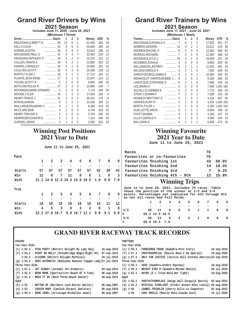# **Grand River Drivers by Wins**

**2021 Season Includes June 11, 2020 - June 25, 2021**

| (Minimum 1 Drive)        |                               |                |                |                |        |            |                |  |  |  |  |  |
|--------------------------|-------------------------------|----------------|----------------|----------------|--------|------------|----------------|--|--|--|--|--|
|                          |                               | 1              | 2              | 3              | Money  | <b>UDR</b> | %              |  |  |  |  |  |
| MACDONALD, BRETT A       | 46                            | 13             | 6              | 1              | 62.455 | .362       | 28             |  |  |  |  |  |
| <b>KELLY.COLIN</b>       | 53                            | 9              | 8              | 5              | 59.689 | .285       | 16             |  |  |  |  |  |
| SORRIE, AUSTIN           | .<br>36                       | 5              | 9              | $\overline{2}$ | 33,910 | .296       | 13             |  |  |  |  |  |
| MACKENZIE.PAUL G         | 41<br>.                       | 5              | 3              | $\overline{1}$ | 32.483 | .220       | 12             |  |  |  |  |  |
| HAUGHAN, ANTHONY P       | 19<br>1.1.1.1.1.1             | 4              | $\overline{2}$ | 3              | 22,232 | .322       | 21             |  |  |  |  |  |
| <b>CULLEN, TRAVIS A</b>  | 18<br>.                       | 4              | $\overline{2}$ | 1              | 22,860 | .302       | 22             |  |  |  |  |  |
| <b>HARRIS, J BRADLEY</b> | 26<br>.                       | 4              | $\overline{2}$ | 5              | 24.560 | .261       | 15             |  |  |  |  |  |
| COULTER, SCOTT           | 32<br>.                       | 4              | 3              | 6              | 25,408 | .239       | 12             |  |  |  |  |  |
| <b>BORTH, TYLER J</b>    | 25<br>.                       | 3              | 1              | 3              | 17.712 | .182       | 12             |  |  |  |  |  |
| PLANTE, JEAN RENE        | 27<br>.                       | 3              | $\overline{2}$ | 5              | 21,647 | .214       | 11             |  |  |  |  |  |
| YOUNG.SCOTT R            | 5<br>.                        | 2              | 0              | $\Omega$       | 8,060  | .400       | 40             |  |  |  |  |  |
| <b>BOYD, NICHOLAS R</b>  | 27<br>.                       | $\overline{2}$ | $\overline{2}$ | $\overline{2}$ | 13,885 | .140       | $\overline{7}$ |  |  |  |  |  |
| MCKINNON,MARK EDWARD     | 5<br>$\ddotsc$                | $\overline{2}$ | $\Omega$       | $\Omega$       | 7.710  | .400       | 40             |  |  |  |  |  |
| MOORE, TYLER             | 24<br>.                       | $\overline{2}$ | 3              | 3              | 17.043 | .194       | 8              |  |  |  |  |  |
| <b>HENRY, TRAVIS J</b>   | 31<br>.                       | $\mathfrak{D}$ | 5              | $\overline{2}$ | 20,431 | .176       | 6              |  |  |  |  |  |
| BYRON, AARON             | .<br>8                        | 1              | $\mathfrak{D}$ | 1              | 10,336 | .305       | 12             |  |  |  |  |  |
| BAILLARGEON, MARIO J     | 3<br>.                        | 1              | 1              | $\Omega$       | 6,260  | .518       | 33             |  |  |  |  |  |
| MCCLURE.BOB              | 3<br>.                        | 1              | 0              | 0              | 4.740  | .333       | 33             |  |  |  |  |  |
| <b>HENRY.TREVOR S</b>    | $\mathfrak{D}$<br>.           | 1              | 0              | 0              | 5.750  | .500       | 50             |  |  |  |  |  |
| HENRIKSEN, DAGFIN E      | 5<br>$\overline{\phantom{a}}$ | 1              | $\overline{2}$ | 1              | 7.114  | .489       | 20             |  |  |  |  |  |
| <b>GUERIEL, DENIS</b>    | 3<br>.                        | 1              | $\Omega$       | $\Omega$       | 3,250  | .333       | 33             |  |  |  |  |  |

# **Winning Post Positions 2021 Year to Date**

# **June 11 to June 25, 2021**

| Pace   |    |                |                               |    |    |    |     |     |     |
|--------|----|----------------|-------------------------------|----|----|----|-----|-----|-----|
|        | 1  | $\overline{2}$ | 3                             | 4  | 5  | 6  | 7   | 8   | 9   |
|        |    |                |                               |    |    |    |     |     |     |
| Starts | 57 | 57             | 57                            | 57 | 57 | 57 | 52  | 39  | 43  |
| Win    | 12 | 8              | 7                             | 11 | 9  | 6  | 1   | 0   | 3   |
| Win%   |    |                | 21.1 14.0 12.3 19.3 15.8 10.5 |    |    |    | 1.9 | 0.0 | 7.0 |
|        |    |                |                               |    |    |    |     |     |     |
| Trot   |    |                |                               |    |    |    |     |     |     |
|        | 1  | $\overline{2}$ | 3                             | 4  | 5  | 6  | 7   | 8   | 9   |
|        |    |                |                               |    |    |    |     |     |     |
| Starts | 18 | 18             | 18                            | 18 | 18 | 18 | 15  | 11  | 12  |
| Win    | 4  | 5              | 3                             | 0  | 3  | 2  | 0   | 1   | 0   |

# **Grand River Trainers by Wins 2021 Season Includes June 11, 2021 - June 25, 2021**

**(Minimum 1 Start)**

| $\frac{1}{2}$                                   |                |                |                |          |        |                 |    |
|-------------------------------------------------|----------------|----------------|----------------|----------|--------|-----------------|----|
|                                                 |                | 1              | $\overline{2}$ | 3        | Money  | <b>UTR</b>      | %  |
| MACDONALD, RONALD A<br>$\overline{\phantom{a}}$ | 7              | 4              | 1              | $\Omega$ | 17.605 | .651            | 57 |
| DEMERS, GERARD                                  |                | 4              | 2              | 1        | 19,321 | .419            | 30 |
| ANDREW, RACHEL E<br>.                           | 5              | 3              | $\mathbf{0}$   | $\Omega$ | 12,600 | .600            | 60 |
| MOREAU, RICHARD<br>.                            | $\overline{7}$ | 3              | 1              | $\Omega$ | 12,360 | .508            | 42 |
| <b>BOSSENCE, KYLE J</b>                         |                | 3              | $\overline{2}$ | $\Omega$ | 19,509 | .257            | 18 |
| MCKIBBIN, JOSHUA<br>.                           | 4              | $\overline{2}$ | $\mathbf{0}$   | $\Omega$ | 8,800  | .500            | 50 |
| WILLIAMSON, JEFFREY<br>.                        | 6              | $\mathfrak{p}$ | 1              | 1        | 11.465 | .481            | 33 |
| <b>WILSON, HAROLD K</b><br>.                    | 4              | $\overline{2}$ | 1              | 0        | 7.500  | .639            | 50 |
| CHRISTOFOROU, EMMA E<br>$\cdots$                | 4              | $\overline{2}$ | $\mathbf{0}$   | 1        | 10,560 | .583            | 50 |
| WEINHOLDT HARRIS, BOBBIE J                      | 6              | $\mathfrak{D}$ | 0              | 1        | 6.186  | .389            | 33 |
| LAROCQUE.STEPHANE D<br>1.1.1.1                  | 6              | $\mathfrak{D}$ | 1              | $\Omega$ | 7.666  | .426            | 33 |
| <b>LEE.BRIAN K</b>                              | $\overline{2}$ | $\overline{2}$ | $\mathbf{0}$   | $\Omega$ |        | 7,400 1.000 100 |    |
| AUCIELLO, CARMEN E<br>$\cdots$                  | 5              | $\mathfrak{D}$ | 0              | $\theta$ | 7.710  | .400            | 40 |
| STEACY, SHAWN F<br>$\ldots \ldots \ldots$       | $\overline{7}$ | $\mathfrak{D}$ | 0              | 1        | 7.280  | .333            | 28 |
| <b>KENNEDY, BRITTANY E</b><br>$\cdots$          | $\overline{2}$ | 1              | 0              | 1        | 4.216  | .667            | 50 |
| <b>HARPER KURT R</b><br>.                       | 1              | 1              | 0              | $\theta$ | 3.250  | 1.000 100       |    |
| <b>BORTH, TYLER J</b><br>.                      | 1              | 1              | $\Omega$       | $\Omega$ |        | 3.250 1.000 100 |    |
| OUELLETTE, ANITA                                | 5              | 1              | $\overline{2}$ | 1        | 8.855  | .489            | 20 |
| <b>HYATT.SHAWN</b><br>.                         | 6              | 1              | $\Omega$       | $\Omega$ | 3.260  | .167            | 16 |
| LILLEY, GERALD K<br>.                           | 3              | 1              | $\mathbf{0}$   | 1        | 4,090  | .444            | 33 |
| <b>BAX, JOHN G</b><br>.                         | 4              | 1              | 1              | 1        | 6,609  | .472            | 25 |

# **Winning Favourite 2021 Year to Date**

**June 11 to June 25, 2021**

| Races                          |  | 76 |          |
|--------------------------------|--|----|----------|
| Favourites or co-favourites    |  | 76 |          |
| Favourites finishing 1st       |  | 43 | 56.6%    |
| Favourites finishing 2nd       |  |    | 14 18.4% |
| Favourites finishing 3rd       |  | 7  | 9.2%     |
| Favourites finishing 4th - 9th |  |    | 12 15.8% |

# **Winning Trips**

**June 11 to June 25, 2021. Includes 76 races. Table shows the position of the winner at 1/2 and 3/4 points. Percentages not indicated for 4th through 9th as not all races had full fields.**

|     |                |  | 1 2 3 4 5 6 7 8   |  |  | 9                       |
|-----|----------------|--|-------------------|--|--|-------------------------|
|     |                |  | -                 |  |  |                         |
| 1/2 |                |  | 45 11 8 6 3 1 1 0 |  |  | $\overline{\mathbf{0}}$ |
| ℁   | 59.2 14.5 10.5 |  |                   |  |  |                         |
| 3/4 |                |  | 50 14 6 2 2 1 0 0 |  |  | 0                       |
| ℁   | 65.8 18.4 7.9  |  |                   |  |  |                         |
|     |                |  |                   |  |  |                         |

# **GRAND RIVER RACEWAY TRACK RECORDS**

| <b>PACERS</b>                                                                  | <b>TROTTERS</b>                                                              |
|--------------------------------------------------------------------------------|------------------------------------------------------------------------------|
| Two-Year-Olds                                                                  | Two-Year-Olds                                                                |
| (c) 1:52.3 - STAG PARTY (Bettors Delight-My Lady Day)<br>$15 - aug - 2018$     | (c) 1:56.4 - FORBIDDEN TRADE (Kadabra-Pure Ivory)<br>24-sep-2018             |
| (f) 1:54.2 - RIGHT ON MOLLY (Stonebridge Regal-Right On)<br>$07 -$ sep $-2012$ | (f) 1:57.3 - IMEXTRASPECIAL (Muscle Mass-I Am Special)<br>19-aug-2020        |
| 29-jul-2019<br>1:54.2 - ALICORN (Bettors Delight-Mythical)                     | $(q)$ 1:57.3 - ONLY FOR JUSTICE (Justice Hall-Intense America)24-sep-2018    |
| (g) 1:53.4 - SEMI AUTOMATIC (Badlands Hanover-Topgun Lady)27-jul-2015          | Three-Year-Olds                                                              |
| Three-Year-Olds                                                                | $10 - aug - 2016$<br>(c) 1:56.3 - SASS (Kadabra-Armbro Equinox)              |
| (c) 1:51.1 - JET AIRWAY (Jeremes Jet-Aromatic)<br>$04 - auq - 2014$            | (f) 1:55.4 - BRIGHT EYES M (Kadabra-Motown Muscle)<br>$03 - ju1 - 2019$      |
| (f) 1:52.4 - NEON MOON (Sportswriter-Beach Of A Time)<br>$06 - aug - 2018$     | $(g)$ 1:53.3 - HAYEK (E L Titan-Hold Her Tight)<br>19-aug-2020               |
| (q) 1:51.4 - MACH IT SO (Mach Three-Beach Dancer)<br>$28 - a u - 2013$         | Aged                                                                         |
| Aged                                                                           | (h) 1:55.2 - PARTYATYOURPLACE (Amigo Hall-Zorgwijk Davita)<br>03-aug-2012    |
| (h) 1:52<br>- BUTTON UP (Northern Luck-Better Butter)<br>$06 - auq - 2007$     | (m) 1:54.2 - MYSTICAL STARLIGHT (Credit Winner-Miss Lovely) 02-aug-2010      |
| $(m)$ 1:53<br>- COUSIN MARY (Camluck-Chianti Seelster)<br>$06 - auq - 2018$    | - CANBEC FRIDOLIN (Cherry Hills-La Coquette)<br>$01$ -aug-2012<br>$(q)$ 1:56 |
| (q) 1:50.4 - RARE JEWEL (Artiscape-Michelles Jewel)<br>$06 - auq - 2007$       | 15-jul-2020<br>- COOL MUSCLE (Muscle Mass-Canada Cool)<br>1:56               |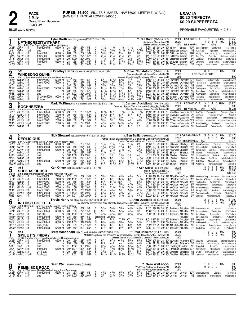# **EXACTA** \$0.20 TRIFECTA \$0.20 SUPERFECTA

BLUE WARM-UP PAD

**PACE** 

1 Mile

5-JUL-21

**Grand River Raceway** 

# PROBABLE FAVOURITES: 4-2-6-1

|                                                                                                         | 4-1<br>Tyler Borth 180 A Orange-Brown (232-25-32-30 .227)<br><b>UPTHECREDITWITHART</b>                                                                                                                                                                                                                                                                                                                                                                                                                                                                                                                                                                                                                                                                                                                                                                                                                                                                                                                |                                                                                                                                | Tr. Bill Budd (27-7-1-3 .316)<br>Jim Wilson.Melancthon.ON<br>Breeder: James A Wilson, ON                                                                                                                                                                                                                                                                                                                                                                                                                                                             | 2021<br>1:58 H GRvr ft<br>2020<br>Life $1:58$ H GRvr $4$ yo               | $1\quad1$<br>4 0 1 1<br>1 wins                                                                                                                                                                                                                                       | \$3,250<br>0 0 100%<br>\$1.830<br>0%<br>\$5,080                                                                                                               |
|---------------------------------------------------------------------------------------------------------|-------------------------------------------------------------------------------------------------------------------------------------------------------------------------------------------------------------------------------------------------------------------------------------------------------------------------------------------------------------------------------------------------------------------------------------------------------------------------------------------------------------------------------------------------------------------------------------------------------------------------------------------------------------------------------------------------------------------------------------------------------------------------------------------------------------------------------------------------------------------------------------------------------------------------------------------------------------------------------------------------------|--------------------------------------------------------------------------------------------------------------------------------|------------------------------------------------------------------------------------------------------------------------------------------------------------------------------------------------------------------------------------------------------------------------------------------------------------------------------------------------------------------------------------------------------------------------------------------------------------------------------------------------------------------------------------------------------|---------------------------------------------------------------------------|----------------------------------------------------------------------------------------------------------------------------------------------------------------------------------------------------------------------------------------------------------------------|---------------------------------------------------------------------------------------------------------------------------------------------------------------|
| Red<br>Jn21<br>Jn31<br>Ag <sub>50</sub><br>Jy270<br>Jv180<br>Jy60<br>Jn250                              | Br m 4, Up The Credit-Living With Art-Artsplace<br>111/2<br>113/4<br>$11\frac{1}{4}$<br>:583 1:274 1:58<br>2GRvr 15ft<br>f-bw5000lcd<br>6500 m<br>:28<br>341/4<br>353/4<br>:581 1:271 1:58<br>:291<br>4GRvr 17 ad1<br>m<br>qua<br>563/4<br>$02\frac{1}{2}$<br>$02\frac{1}{2}$<br>:594 1:282 1:583<br>2GRvr 20 ft<br>f-nw5000l<br>:282<br>6500 m<br>211/2<br>:282<br>:581 1:274 1:571<br>211/2<br>$21\frac{1}{2}$<br>f-nw5000l<br>6500 m<br>5GRvr 26ft<br>$1^{21/4}$<br>113/4<br>:292 1:004 1:294 2:00<br>2ns<br>$2Hnvr$ 28 ft<br>f-nw3000lcd<br>4200 m<br>6<br>816<br>817<br>f-nw5000l<br>:281<br>:58 1:272 1:562<br>5GRvr<br>28 ft<br>6500 m<br>213/4<br>213/4<br>21<br>4GRvr 24 ft<br>:29<br>:593 1:30 2:001<br>4<br>m<br>qua                                                                                                                                                                                                                                                                       | $11\frac{1}{2}$<br>$3^{113/4}$<br>$3^{151/2}$<br>68<br>2 <sup>2</sup><br>$2\frac{1}{2}$<br>8181/4<br>$8^{221}/2$<br>$2^{21/2}$ | 1:58 28 30 <sup>3</sup> 29 <sup>1</sup> 30 <sup>1</sup> TBorth<br>$11\frac{1}{2}$<br>$3^{233/4}$<br>2:024 30 29 <sup>2</sup> 30 <sup>1</sup> 33 <sup>1</sup> BcRchdsn JWilson<br>68<br>2:001 294 30 283 314 BcRchdsn JMurray<br>33<br>1:574 283 294 293 294 BcRchdsn JMurray<br>24<br>2:004 29 <sup>2</sup> 31 <sup>2</sup> 29 31 BcRchdsn JMurray<br>8331/4<br>2:03 312 30 293 32 SCoulter JMurray<br>$34\frac{1}{2}$<br>2:01                                                                                                                       | <b>BBudd</b><br>292 303 301 304 DThiessenJMurray                          | 10 <sup>60</sup> Upthecrdtwthrt<br>CenturHvn<br>NB ALMdSIstr<br>Toghsnfbch<br>$17^{20}$ BirdDg<br>Classylaneprecios<br>2490 CountTThr<br>PerfctRm<br>840 MaidnsCv<br>Upthecredtwthrt<br>2165 MthWtrng<br>SmilBThBch<br>NB YsBgGrl<br>WaveThtBnnr                     | InThsTgthr 9<br>Upthcrdtwthrt 3<br>MaidensCov 8<br>Upthecredtwthrt &<br>CenturGg &<br>Acefortyfridd 9<br>Upthecredtwthrt 7                                    |
| $\boldsymbol{2}$                                                                                        | $5 - 2$<br>J Bradley Harris 151 A Wh-Grn-Blk (112-12-10-16 .204)                                                                                                                                                                                                                                                                                                                                                                                                                                                                                                                                                                                                                                                                                                                                                                                                                                                                                                                                      |                                                                                                                                | Tr. Char. Christoforou (17-1-1-1 .111)                                                                                                                                                                                                                                                                                                                                                                                                                                                                                                               | 2021                                                                      | 3000                                                                                                                                                                                                                                                                 | \$00<br>$0\%$                                                                                                                                                 |
| Blue                                                                                                    | <b>WINDSONG QUINN</b><br>B m 4, Sportswriter-Bunny Dearest-Precious Bunny                                                                                                                                                                                                                                                                                                                                                                                                                                                                                                                                                                                                                                                                                                                                                                                                                                                                                                                             |                                                                                                                                | Charalambos Christoforou, Campbellville, ON<br>Breeder: Charalambos Christoforou-William H Loyens, ON                                                                                                                                                                                                                                                                                                                                                                                                                                                | 2020<br>Life                                                              | Last raced in 2019                                                                                                                                                                                                                                                   | \$00                                                                                                                                                          |
| Jn241<br>Jn15 <sup>1</sup><br>Jn71<br>Mr291<br>Mr251<br>Mr18 <sup>1</sup><br>Sp169<br>Sp10 <sup>9</sup> | 693/4<br>69<br>$610\frac{1}{2}$<br>7Wbsb 25ft<br>f-nw1r7000l<br>15000 m :274<br>:562 1:242 1:52<br>10 <sup>123</sup> / <sub>4</sub> i10 <sup>13</sup><br>5<br>$9^{7^{1/2}}$<br>:57 <sup>2</sup> 1:27 <sup>2</sup> 1:56<br>7Wbsb 19ft<br>f-nw1r7000l<br>15000 m<br>:27<br>$\frac{2}{7}$<br>$3^{3/4}$<br>$3^{31}/4$<br>$\frac{0.321}{271/2}$<br>:28 <sup>3</sup><br>:584 1:292 1:583<br>$1$ Wbsb 25 ft <sup>1</sup><br>m<br>qua<br>8103/4<br>8111/2<br>:281<br>:58<br>1:263 1:552<br>f-nw1r7000l<br>15000 m<br>зWbsb<br>- 4 ft<br>6113/4<br>$6^{101/2}$<br>56<br>6<br>:28 <sup>4</sup><br>:58 <sup>1</sup> 1:27 <sup>3</sup> 1:57<br>6Wbsb 13ft<br>m<br>qua<br>8101/2<br>1:02 <sup>2</sup> 1:324 2:00 <sup>2</sup><br>$8^{111}/4$<br>:30<br>3Wbsb 3ft <sup>1</sup><br>m<br>qua<br>2<br>812<br>08121/4<br>On2yfnw5000l<br>9000 m<br>:281<br>:573 1:273 1:573<br>зGRvr 16ft<br>$39^{1/4}$<br>$3^{43}/4$<br>$046\frac{1}{2}$<br>1i<br>1:004 1:294 1:574<br>2Wbsb 18 ft <sup>1</sup><br>:31<br>2vr-gua<br>m | 715<br>$8^{71/2}$<br>2 <sup>2</sup><br>$8^{81/2}$<br>55<br>8101/2<br>813<br>8143/4<br>9121/4<br>4183/4                         | 718<br>76<br>1:571 293 302 284 282 DMcNair CChristof 1960 TurnngThTbl<br>$2^{23/4}$<br>1:591 292 30 302 292 CChristof CChristof NB Deolicis<br>763/4<br>1:564 302 294 274 284 CChristof CChristof 6475 TheKingsQn<br>563/4<br>1:582 311 29 283 293 CChristof CChristof NB ShezaGamr<br>814<br>2:031 32 323 301 282 JMacDld CChristof NB WantABeach<br>7261/4<br>2:024 303 292 30 324 TCullen  CChristof 7735 FaithfulsNI<br>422<br>2:021 324 29 291 311 CChristof CChristof NB StLadsBeatIt                                                          | 1:553 293 284 28 291 CChristof CChristof 6710 Voluptus                    | SpittinChcklts<br>SpttnChcklts<br>WindsongQnn<br>WildcatVictr<br>SeaOfHop<br>SportsCorp<br><b>FastNReIntIss</b><br>PerfectStorm                                                                                                                                      | ArdyneGrays 9<br>ShesACmdn 10<br>PassionNPrls &<br>MiamiSIstr 9<br>HoLaBelleSmile 8<br>AlwaysBeDeo 9<br>SheThNrth 9<br>Libspeak 4                             |
| 3                                                                                                       | 8-1<br>Mark McKinnon 219 B Burgundy-Black-White (20-3-0-2 .183)<br><b>BOCHNEEZBA</b>                                                                                                                                                                                                                                                                                                                                                                                                                                                                                                                                                                                                                                                                                                                                                                                                                                                                                                                  |                                                                                                                                | Tr. Carmen Auciello (597-70-68-89 .230)<br>Denarben Stables, Thornhill-Auciello Stables, Stouffville, ON                                                                                                                                                                                                                                                                                                                                                                                                                                             | 2021 1:57 <sup>3</sup> H FlmD ft<br>2020                                  | 5<br>$0\quad 0$<br>0<br>0                                                                                                                                                                                                                                            | \$6.225<br>$1 \t0 \t20%$<br>\$00                                                                                                                              |
| White<br>Jn281<br>Jn191<br>Mr251<br>Mr181<br>Mr111<br>Mr81                                              | B f 3. Sunshine Beach-Jasper Avenue-Village Jasper<br>8103/4<br>810<br>2GRvr 25ft<br>f-nw5000lcd<br>6500 m 29<br>:593 1:283 1:573<br>9131/2<br>916<br>819<br>7500 m :291<br>:591 1:271 1:553<br>9<br>1GeoD <sub>24</sub> ft<br>f-nw1r5200l<br>$2^{21/4}$<br>$2^{11/2}$<br>:281<br>:583 1:284 1:573<br>2<br>o2 <sub>ns</sub><br>5FlmD 14ft<br>f-nw1r5000l<br>7500 m<br>34<br>$03^{3}/4$<br>341/2<br>:283<br>5FlmD<br>f-nw1r5800l<br>:581 1:282 1:593<br>3 ft1<br>7500 m<br>443/4<br>$044\frac{3}{4}$<br>481/2<br>:28<br>:592 1:291 2:00<br>1 <b>FlmD</b><br>f-nw1r5000l<br>7500 m<br>14 gd <sup>1</sup><br>681/4<br>56<br>58<br>:30<br>1:01 1:30 1:591<br>4<br>$5Wbsb - 2ft$<br>m<br>qua                                                                                                                                                                                                                                                                                                               | 7103/4<br>7113/4<br>819<br>111/2<br>44<br>$43^{1}/4$<br>510                                                                    | Breeder: Denarben Stables-Auciello Stables, ON<br>7103/4<br>1:594 311 302 291 29 MMcKinn CAuciello 3210 Sea0fHp<br>819<br>1:592 314 303 283 282 MMcKinn CAuciello 765 ImChiara<br>$1^{21/4}$<br>1:573 283 301 30 284 DThiessenCAuciello 420 Bchnzb<br>433/4<br>2:002 292 293 301 311 DThiessenCAuciello *110 ImChiara<br>2 <sup>1</sup><br>2:001 293 304 294 30 DThiessenCAuciello 435 RoselslandAggi<br>49<br>2:01 313 303 292 292 MMcKinn CAuciello NB CaptainsMaid                                                                                | Life $1:573$ H FlmD                                                       | 1 wins<br>Зγо<br>CarsonsGod<br>TweeterHanover<br>StormBchgrl<br>OneForDeo<br>ZipperSweater                                                                                                                                                                           | \$6,225<br>StonebridgCrsh &<br>AliceB 9<br>Aintnhllbckgrl 9<br>CarwinsLuckyLuna &<br>Bochneezb<br>LyonsQuen &<br>ImChiara &                                   |
| 4                                                                                                       | $2 - 1$<br>Nick Steward 165 A Blue-White (165-12-27-24 .212)                                                                                                                                                                                                                                                                                                                                                                                                                                                                                                                                                                                                                                                                                                                                                                                                                                                                                                                                          |                                                                                                                                | Tr. Ben Baillargeon (132-26-14-17 .298)                                                                                                                                                                                                                                                                                                                                                                                                                                                                                                              | 2021 Q1:58 <sup>3</sup> S Wbsb ft<br>2020                                 | 3<br>020<br>$\Omega$<br>$\Omega$<br>$\mathbf{1}$<br>$\overline{0}$                                                                                                                                                                                                   | \$3.770<br>$0\%$<br>0%<br>\$00                                                                                                                                |
| Green<br>Jn281<br>Jn211<br>Jn141<br>Jn71<br>Ap11<br>Mr251<br>Jn9º<br>My290                              | <b>DEOLICIOUS</b><br>B m 4, Mach Three-World Of Her Own-Western Ideal<br>113/4<br>113/4<br>:573 1:262 1:56<br>113/4<br>$1$ GRvr 25 ft<br>f-nw5000lcd<br>6500 m<br>:28<br>6<br>$45^{1}/4$<br>$043^{1/4}$<br>2<br>6500 m :28<br>:583 1:274 1:58<br>2GRvr 15ft<br>f-bw5000lcd<br>2 <sup>2</sup><br>$3^{21/4}$<br>3<br>:291 1:004 1:293 1:581<br>1GRvr 20 ft<br>f-nw5000lcd<br>6500 m<br>$2^{13/4}$<br>$2^{11/2}$<br>2 <sup>1</sup><br>:584 1:292 1:583<br>$:28^3$<br>4<br>$1$ Wbsb 25 ft <sup>1</sup><br>m<br>qua<br>13<br>13<br>$4Wbsb - 2ft$<br>$:30^3$ 1:00 <sup>3</sup> 1:30 <sup>2</sup> 2:01<br>qua<br>m<br>593/4<br>59<br>6Wbsb 13ft<br>:284<br>:581 1:273 1:57<br>m<br>qua<br>891/2<br>681/2<br>79<br>5<br>$:28^2$<br>:591 1:274 1:554<br>2GeoD 27 ft<br>f-nw5000lcd<br>6500 m<br>$\overline{2}$<br>613<br>$6^{131}/4$ $06^{12}$<br>3Wbsb 23ft<br>:291<br>:584 1:273 1:561<br>m<br>qua                                                                                                           | $1^{13}/4$<br>431/4<br>54<br>32<br>313/4<br>1 <sup>2</sup><br>131/2<br>12<br>79<br>$78\frac{1}{2}$<br>610<br>5133/4            | Thomas Rankin-Elizabeth Rankin.St Catharines-Glen Rankin.Ottawa.ON<br>Breeder: Deo Volente Farms LLC, NJ-Louis A Willinger, KY<br>2 <sup>2</sup><br>1:56 <sup>2</sup> 28 29 <sup>3</sup> 28 <sup>4</sup> 30 NSteward BBaillrgn<br>45<br>1:59 29 301 291 303 NSteward BBaillrgn<br>$23^{1/4}$<br>1:584 293 313 284 284 NSteward BBaillrgn<br>123/4<br>1:583 29 30 303 29 SFilion<br>44<br>2:014 303 30 294 312 SWeber<br>7161/4<br>2:001 304 291 291 31 SWeber<br>$7^{121/2}$<br>1:581 301 304 282 284 CKelly<br>615<br>1:591 314 293 283 291 SFilion | Life $Q1:58^3S$ Wbsb<br>BBaillrgn<br>SWeber<br>SWeber<br>SWeber<br>SWeber | 4νο<br>450 ShesABeautClrk<br>*100 Upthecrdtwthrt<br>CenturHvn<br>430 KatysDelght<br>Deolicios<br>NB Deolicis<br>WindsongQnn<br>NB ComeRollWthM<br>RocktGrl<br>NB ShezaGamr<br>SeaOfHop<br>8 <sup>50</sup> BellinSIstr<br>MachMOnmr<br>NB WatchfulE<br>TemagamiSelstr | \$3,770<br>TandyGrl 9<br>Deolicios<br>InThsTgthr 9<br>SomeLuckyMagc &<br>PassionNPrls &<br>ColonialAffr 8<br>HoLaBelleSmile 8<br>Patwrsthpnts 9<br>LittleMr 8 |
| 5                                                                                                       | $10 - 1$<br>Ken Oliver 160 B Blue-White-Yellow (7-0-1-2 .174)<br><b>SHEILAS BRUSH</b>                                                                                                                                                                                                                                                                                                                                                                                                                                                                                                                                                                                                                                                                                                                                                                                                                                                                                                                 |                                                                                                                                | Tr. Ken Oliver (38-4-4-9 .242)<br>Milton Young, Paradise, NL                                                                                                                                                                                                                                                                                                                                                                                                                                                                                         | 2021<br>2020                                                              | 8<br>$\mathbf{0}$<br>$\overline{2}$<br>-1<br>12 0<br>4<br>-1                                                                                                                                                                                                         | \$5,045<br>$0\%$<br>\$9,900<br>0%                                                                                                                             |
| Black<br>Jn211<br>Jn141                                                                                 | B f 3, Betterthancheddar-Bachata Hanover-Art Major<br>$3^{31/2}$<br>$3^{31/2}$<br>$4^{43}/4$<br>7400 m :27 <sup>4</sup> :57 <sup>3</sup> 1:26 <sup>2</sup> 1:55 <sup>3</sup><br>5<br>4GRvr 15ft<br>f-nw15000l<br>69<br>66<br>0673/4<br>7400 m : 293 1:003 1:282 1:571<br>5<br>f-nw15000l<br>4GRvr 20ft                                                                                                                                                                                                                                                                                                                                                                                                                                                                                                                                                                                                                                                                                                | $49^{1}/4$<br>69                                                                                                               | Breeder: Milton C Young, NL<br>515<br>1:583 282 294 291 311 PMacKnz KnOliver 11920 SaulsbrokOlmp JmSprtsfn DimndsOrTwn 8<br>7103/4<br>1:592 312 302 281 292 PMacKnz KnOliver 3190 SaulsbrookOlymp                                                                                                                                                                                                                                                                                                                                                    | Life                                                                      |                                                                                                                                                                                                                                                                      | \$14,945<br>JmSprtsfn<br>KavliesRI 9                                                                                                                          |

| Jn141                  | $4$ GRvr 20 ft |                      | f-nw15000l                                               | 7400 m                                                                |      |                | :293 1:003 1:282 1:571                                                                                                                                                                                                                                                                                              |                 | 66                    | 0673/4                  | 69              | 7103/4          | 1:592 312 302 281 292 PMacKnz KnOliver 3190 SaulsbrookOlvmp                                                |      |           |                                |                | JmSprtsfn                          | KayliesRI 9       |
|------------------------|----------------|----------------------|----------------------------------------------------------|-----------------------------------------------------------------------|------|----------------|---------------------------------------------------------------------------------------------------------------------------------------------------------------------------------------------------------------------------------------------------------------------------------------------------------------------|-----------------|-----------------------|-------------------------|-----------------|-----------------|------------------------------------------------------------------------------------------------------------|------|-----------|--------------------------------|----------------|------------------------------------|-------------------|
| Mr291                  | 3Wbsb 4ft      |                      | f-nw1r7000l                                              | 15000 m                                                               |      |                | $:281 \t .58 \t 1:263 \t 1:552$                                                                                                                                                                                                                                                                                     | 913             | $912\frac{1}{4}$      | ∘89                     | 78              | $65\frac{1}{2}$ | 1:562 304 293 28 28 BMcClure KnOliver 4455                                                                 |      |           | TheKingsQn                     |                | WildcatVictr                       | MiamiSIstr 9      |
| $Mr181$ $_3F$ ImD      |                | -3 ft                | f-nw1r5800l                                              | 7500 m                                                                |      |                | $:29^3$ 1:00 1:29 <sup>4</sup> 2:01                                                                                                                                                                                                                                                                                 | $43^{1/4}$      | 45                    | $5^{31}/2$              | $4^{23/4}$      | $3^{41/2}$      | 2:014 301 304 292 312 KnOliver KnOliver                                                                    |      |           | 8 <sup>50</sup> Pacingdwndrm   |                | EarlybrdSpcl                       | ShisBrsh 8        |
| Mr111                  | 1FlmD          | 14 gd <sup>1</sup>   | f-nw1r5000l                                              | 7500 m                                                                | :28  |                | :592 1:291 2:00                                                                                                                                                                                                                                                                                                     | 23              | $2^{13/4}$            | 313/4                   | $3^{13/4}$      | 423/4           | 2:003 283 311 294 31 KnOliver KnOliver                                                                     |      |           | 3 <sup>20</sup> RoselslandAggi |                | Bochneezb                          | LyonsQuen &       |
| Mr41                   | 8FlmD          | -7 ff                | f-nw1r5000l                                              | 7500 m                                                                |      |                | :29 1:00 1:284 2:001                                                                                                                                                                                                                                                                                                | $21\frac{1}{2}$ | 431/4                 |                         | 523/4           | $2^{13/4}$      | 2:003 291 312 284 311 KnOliver KnOliver                                                                    |      |           | 475 RacngFrthMrk               |                | ShisBrsh                           | RosisindAgg 9     |
| Fb251                  | 1FlmD          | $-3$ ad <sup>4</sup> | f-nw5000lcd                                              |                                                                       |      |                | 6500 m :31 <sup>2</sup> 1:03 <sup>4</sup> 1:34 <sup>1</sup> 2:05                                                                                                                                                                                                                                                    | $6^{81}/4$      | $69\frac{1}{2}$       | $3^{3/4}$               |                 | $3^{101/2}$     | 2:07 33 32 <sup>3</sup> 29 <sup>2</sup> 32 KnOliver KnOliver                                               |      |           | 585 Pacingdownadrm             |                | PerfectM                           | SheilsBrsh 6      |
| Fb191                  | 1Lon           | -7 ft1               | f-nw5000lcd                                              | 6500 m                                                                |      |                |                                                                                                                                                                                                                                                                                                                     | $2^{11/2}$      | $2^{13/4}$            | $3^{13/4}$              | $2^{11/2}$      | $49\frac{1}{2}$ | 2:023 301 311 292 314 KnOliver KnOliver                                                                    |      |           | 3 <sup>90</sup> CenturGI       |                | MoonshinrsCrdt                     | 6 TreasurdLv      |
|                        | $3 - 1$        |                      |                                                          | Travis Henry 170 A Light Blue-White (424-60-55-69 .267)               |      |                |                                                                                                                                                                                                                                                                                                                     |                 |                       |                         |                 |                 | Tr. Anita Ouellette (39-8-5-10 .361)                                                                       | 2021 |           |                                | 2 0            | $0\%$<br>$\Omega$                  | \$1,300           |
| 6                      |                |                      | <b>IN THIS TOGETHER</b>                                  |                                                                       |      |                |                                                                                                                                                                                                                                                                                                                     |                 |                       |                         |                 |                 | Luc Ouellette Incorporated-Anita Ouellette, Campbellville, ON-Gilles Lachance, Saint-Colomban, QC          | 2020 |           |                                | 30             | <b>0%</b><br>$\overline{0}$<br>- 0 | \$325             |
| Yellow                 |                |                      | B f 3, Badlands Hanover-Beauty Delight-Bettors Delight   |                                                                       |      |                |                                                                                                                                                                                                                                                                                                                     |                 |                       |                         |                 |                 | Breeder: Luc R Ouellette.ON-Paul Bernard.QC                                                                | Life |           |                                |                |                                    | \$1,625           |
| Jn281                  | $1$ GRvr 25 ft |                      | f-nw5000lcd                                              | 6500 m :28                                                            |      |                | :573 1:262 1:56                                                                                                                                                                                                                                                                                                     | $57\frac{1}{4}$ | $0.55\frac{3}{4}$     | $0.33\frac{1}{4}$       | $4^{43}/4$      | $4^{43}/_{4}$   | 1:57 292 292 281 30 TraHenry AOuelltte 155 ShesABeautClrk                                                  |      |           |                                |                | Deolicios                          | TandyGrl 9        |
| Jn211                  | 2GRvr          | -15 ft               | f-bw5000lcd                                              | 6500 m                                                                | :28  |                | :583 1:274 1:58                                                                                                                                                                                                                                                                                                     |                 | $5^{51}/4$            | $5^{41/4}$              | $4^{31}/2$      | 33              | 1:58 <sup>3</sup> 29 <sup>2</sup> 30 <sup>1</sup> 29 30 TraHenry AOuelltte 61 <sup>95</sup> Upthecrdtwthrt |      |           |                                |                | CenturHvn                          | InThsTgthr 9      |
| Mr271                  | 1FlmD          | -9 ff                | qua-t&p                                                  |                                                                       |      |                | m :30 <sup>1</sup> 1:00 <sup>2</sup> 1:30 <sup>2</sup> 1:59 <sup>3</sup>                                                                                                                                                                                                                                            | $43\frac{3}{4}$ | $46^{1}/_{4}$         | 034                     | $34\frac{1}{2}$ | $36\frac{1}{4}$ | 2:004 31 303 293 293 TraHenry AOuelltte NB ButtrflKsss                                                     |      |           |                                |                | TreasursPrt                        | InThsTgthr 8      |
| Nv190 4FlmD            |                | - 12 H               | f-nw6000lcd                                              | 6600 m                                                                | :282 |                | :592 1:284 1:59                                                                                                                                                                                                                                                                                                     |                 | scratched - vet(sick) |                         |                 |                 |                                                                                                            |      | AOuelltte | DarlinDallcktrh                |                | SheilsBrsh                         | PerfectM 8        |
| $Nv12^0$ sFlmD         |                | -3 ft                | f-nw5000lcd                                              | 6500 m                                                                |      | :294 1:00 1:29 | - 1:584                                                                                                                                                                                                                                                                                                             | 914             | 914                   | 7103/ <sub>4</sub> x711 |                 | 7141/4          | 2:013 323 301 282 302 TraHenry AOuelltte 990                                                               |      |           | <b>JmSprtsfn</b>               |                | PassionNPrls                       | CardCollctr 9     |
| Nv50                   | 1FlmD          | -14 ff               | f-nw5500lcd                                              | 6500 m                                                                |      |                | :293 1:013 1:312 2:002                                                                                                                                                                                                                                                                                              | $68\frac{1}{4}$ | $043\frac{3}{4}$      | $03^{21/2}$             | 543/4           | $54\frac{3}{4}$ | 2:012 311 311 292 293 TraHenry AOuelltte 6815 MsMeaghnSprkl                                                |      |           |                                |                | AIcB                               | Aintnohllbckgrl 9 |
| $Oc310$ $1$ FlmD       |                | - 7 H                | qua-(h&d)                                                | m                                                                     | :29  |                | :591 1:283 1:581                                                                                                                                                                                                                                                                                                    | $68\frac{3}{4}$ | 67                    | 614                     | 620             | 522             | 2:023 304 294 304 311 AQuellette AQuelltte NB Dontbruscrr                                                  |      |           |                                |                | EatmsSprtsbb                       | AmzngPrch 6       |
| $Oc22^0$ 3 Flm D 10 ft |                |                      | f-nw5000lcd                                              | 6500 m                                                                | :293 |                | :593 1:293 1:591                                                                                                                                                                                                                                                                                                    | 812             | x921                  | .923                    | 925             | 929             | 2:05 32 314 30 <sup>2</sup> 30 <sup>4</sup> TraHenry AOuelltte 3 <sup>20</sup> Catchafwrs                  |      |           |                                |                | ImacutelIdII                       | ELVintagCd 9      |
|                        | 12-1           |                      |                                                          | <b>Brett Macdonald</b> 135 A Burgundy-White-Black (499-57-58-56 .216) |      |                |                                                                                                                                                                                                                                                                                                                     |                 |                       |                         |                 |                 | Tr. Paul Cameron (15-4-2-1 .362)                                                                           | 2021 |           |                                |                | <b>0%</b>                          | \$00              |
|                        |                |                      | <b>SMILE ITS FRIDAY</b>                                  |                                                                       |      |                |                                                                                                                                                                                                                                                                                                                     |                 |                       |                         |                 |                 | M&S Racing Stable Inc, Rockwood-William MacKay, Grimsby-David Serwatuk, Hamilton, ON                       | 2020 |           |                                | $\overline{0}$ | $\Omega$<br>0<br><b>0%</b>         | \$00              |
| Pink                   |                |                      | Br f 3, Sportswriter-Smileallthewayhome-Grinfromeartoear |                                                                       |      |                |                                                                                                                                                                                                                                                                                                                     |                 |                       |                         |                 |                 | Breeder: William A Mackay-David V Serwatuk-Robin L Watts, ON                                               | Life |           |                                |                |                                    | \$00              |
|                        |                |                      |                                                          |                                                                       |      |                | $\frac{1}{2}$ $\frac{1}{2}$ $\frac{1}{2}$ $\frac{1}{2}$ $\frac{1}{2}$ $\frac{1}{2}$ $\frac{1}{2}$ $\frac{1}{2}$ $\frac{1}{2}$ $\frac{1}{2}$ $\frac{1}{2}$ $\frac{1}{2}$ $\frac{1}{2}$ $\frac{1}{2}$ $\frac{1}{2}$ $\frac{1}{2}$ $\frac{1}{2}$ $\frac{1}{2}$ $\frac{1}{2}$ $\frac{1}{2}$ $\frac{1}{2}$ $\frac{1}{2}$ |                 |                       |                         |                 |                 |                                                                                                            |      |           |                                |                |                                    |                   |

| Jn28 <sup>1</sup> 2GRvr 25 ft                 | f-nw5000lcd     |  | 6500 m :29 :593 1:283 1:573                                                   | 67         | $067\frac{1}{4}$ $043\frac{1}{2}$ |                                 | $54\frac{1}{4}$ | $69\frac{1}{4}$ | 1:592 302 303 281 301 JB. Harris PCamern $37^{50}$ Sea0fHp CarsonsGod     |  |              | StonebridgCrsh 8  |
|-----------------------------------------------|-----------------|--|-------------------------------------------------------------------------------|------------|-----------------------------------|---------------------------------|-----------------|-----------------|---------------------------------------------------------------------------|--|--------------|-------------------|
| $Jn161$ 6GRvr 18ft                            | qua             |  | m :293 :592 1:292 1:583                                                       | <b>612</b> | 0.413                             |                                 | 463/4           | 463/4           | 2:00 32 30 28 <sup>2</sup> 29 <sup>3</sup> JB.Harris PCamern NB QuickTour |  | ManhattanJoe | BlinkAndGone 6    |
| Ap1 <sup>1</sup> $3$ Lon $-2$ ft <sup>1</sup> | qua             |  | m :311 1:024 1:331 2:05                                                       | $3^{31/4}$ | 431/4                             | $55\frac{1}{2}$                 | $58\frac{1}{2}$ | 515             | 2:08 314 313 304 334 GMcKnghtGMcKht NB RosiesBch ToonieTn                 |  |              | Justalittlebttr 6 |
| $Jv60$ $3$ GRvr 28 ft                         | $f$ -nw5000 $f$ |  | 6500 m :30 <sup>3</sup> 1:01 <sup>3</sup> 1:30 <sup>4</sup> 1:58 <sup>4</sup> | 713        | 793/4                             | 0593/4                          | 5133/4          | 720             | 2:024 331 302 291 30 PMacKnz BMacItsh 3710 RosRnVgInt Ptwrsthpnts         |  |              | SalsbrkFlsh 9     |
| $Jn19^0$ 7Wbsb 25 ft                          | 2yr-f-qua       |  | m :29 :584 1:273 1:544                                                        |            | $3^{51/2}$ $3^5$ $3^7$            |                                 | 58              | 514             | 1:573 30 294 291 283 DMcNair BMacItsh NB GrcHII                           |  | DiamndsOrTwn | Steelmeatresr 6   |
| $Jn120$ 12Wbsb 14 gd <sup>2</sup>             | 2yr-f-gua       |  | m :31 1:02 1:31 1:594                                                         |            |                                   | 6111/4 6113/4 6133/4 6171/2 724 |                 |                 | 2:043 331 311 292 304 DMcNair BMacItsh NB LadyArthr FrenchShakr           |  |              | CaptainsMad 7     |
|                                               |                 |  |                                                                               |            |                                   |                                 |                 |                 |                                                                           |  |              |                   |

|               | 6-1                                       | <b>Dean Wall</b> A Red-White-Grey (1-0-0-0-)                 |                 |                 |                 |                 |                 | Tr. Dean Wall $(9-0-0-0)$         | 2021 |        |                                        | 0 0 0 0%                      | \$00        |
|---------------|-------------------------------------------|--------------------------------------------------------------|-----------------|-----------------|-----------------|-----------------|-----------------|-----------------------------------|------|--------|----------------------------------------|-------------------------------|-------------|
| O             | <b>REMINISCE ROAD</b>                     |                                                              |                 |                 |                 |                 |                 | Wall Tyme Stables Inc, Komoka, ON | 2020 |        |                                        | $0\quad 0\quad 0\quad 0\quad$ | \$00        |
|               |                                           | B m 4, Warrawee Needy-Borderlinegorgious-Rambaran            |                 |                 |                 |                 |                 | Breeder: Wall Tyme Stables Inc,ON |      | Life   |                                        |                               | \$00        |
| Gray<br>Jn281 | $1$ GRvr $\frac{25}{1}$ ft<br>f-nw5000lcd | 6500 m :28 :573 1:262 1:56                                   | $45\frac{1}{2}$ | $45\frac{3}{4}$ | $66\frac{1}{4}$ | $67\frac{1}{2}$ |                 | 671/2 1:572 29 294 284 294 DeWall |      |        | DeWall 82 <sup>50</sup> ShesABeautClrk | Deolicios                     | TandvGrl 9  |
|               | $Jn1911$ Sar<br>26 ft <sup>1</sup><br>qua | m :304 1:02 <sup>2</sup> 1:32 <sup>3</sup> 2:01 <sup>2</sup> | - 22            | 213/4           | $32\frac{1}{4}$ | $3^{3/4}$       | $25\frac{1}{4}$ | 2:022 311 313 301 292 DeWall      |      | DeWall | NB ThatliBeSprt                        | ReminisceRd                   | EvasBestB 5 |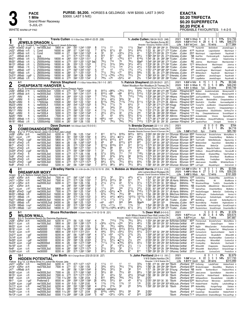$\lceil$ 

PACE<br>1 Mile<br>Grand I<br>5-JUL-<br>WHITE WARM-UP PAD

**1 Mile**

5-JUL-21

Grand River Raceway

PROBABLE FAVOURITES: 1-4-2-5 **EXACTA \$0.20 TRIFECTA \$0.20 SUPERFECTA \$0.20 PICK 4**

ı

٦٢

| Red                                                             | 7-5                              |                               | JEWELS DRAGON L<br><b>JEWELS DINAWORK L</b><br>Br g 5, Custard The Dragon-Whitesand Jewel-Artiscape<br>Fig 5, Custard L. mud 5000 m m 1964 1:264 1:262 1:552 |                                          |                          |                        | Travis Cullen 151 A Blue-Grey (269-41-22-25 .228)                                                                                                         |                                                  |                                        |                                      |                                                         |                                                                    |                                     | Tr. Jodie Cullen (168-24-18-23 .248)<br>Paul Sanders, Surrey, BC<br>Breeder: Seaspray Stables Ltd, BC                                                                  | 2021<br>Life            |                                                             | $1:55^1S$ Wbsb ft<br>$1:51$ <sup>1</sup> MCnml | 9<br>2020 1:53 <sup>2</sup> H FlmD ft 28<br>Зуо            | $0 \t11\%$<br>-1<br>4 6 5 14%<br>16 wins                                      | \$14,756<br>\$48,370<br>\$177,984                                      |
|-----------------------------------------------------------------|----------------------------------|-------------------------------|--------------------------------------------------------------------------------------------------------------------------------------------------------------|------------------------------------------|--------------------------|------------------------|-----------------------------------------------------------------------------------------------------------------------------------------------------------|--------------------------------------------------|----------------------------------------|--------------------------------------|---------------------------------------------------------|--------------------------------------------------------------------|-------------------------------------|------------------------------------------------------------------------------------------------------------------------------------------------------------------------|-------------------------|-------------------------------------------------------------|------------------------------------------------|------------------------------------------------------------|-------------------------------------------------------------------------------|------------------------------------------------------------------------|
| Jn291<br>Jn221                                                  | 8Wbsb 14ft                       |                               | 10GeōD 26.gd1 L nw1500L3cd<br>L<br>Cond                                                                                                                      | 16000 m :28 <sup>2</sup>                 |                          |                        | $:57$ 1:24 <sup>3</sup> 1:52                                                                                                                              |                                                  | $11\frac{1}{2}$<br>$6^{73/4}$          | 11<br>$67\frac{1}{2}$                | $1\frac{3}{4}$<br>6 <sup>5</sup>                        | $11\frac{1}{2}$<br>$5^{41/2}$                                      | 3be <sup>-</sup><br>643/4           | 1:553 264 282 292 31 EHensley JCullen<br>30 28 <sup>2</sup> 27 <sup>1</sup> 27 <sup>2</sup> TCullen<br>1:53                                                            |                         | JCullen                                                     |                                                | *75 HunterHill<br>4195 RaysKredt                           | <b>BetOnBrett</b><br>LegionSeelstr                                            | JewelsDragon 8<br>MachImpct 7                                          |
| Jn151                                                           | 9Wbsb 19ft                       |                               | Cond<br>L.                                                                                                                                                   | 16000 m                                  | :27                      |                        | :563 1:243 1:522                                                                                                                                          | 4                                                | 33                                     | 33                                   | $0.33\frac{1}{4}$                                       | $2^{13/4}$                                                         | 41                                  | 1:523 273 293 28 272 TCullen                                                                                                                                           |                         | JCullen                                                     |                                                | 2505 MachImpct                                             | LegionSeelstr                                                                 | RaysKredt 7                                                            |
| Jn71<br>Mr271                                                   | 5Wbsb 25ft<br>8Wbsb              | -8 ft                         | qua<br>25000clmhp<br>L.                                                                                                                                      | m<br>18000 m                             | :271<br>$:26^3$          |                        | :574 1:273 1:55<br>:553 1:233 1:511                                                                                                                       |                                                  | 913<br>67                              | 911                                  | 0.97<br>0791/2                                          | 8101/2<br>$6^{13}$                                                 | 891/4<br>6143/4                     | 1:564 294 301 29 274 EHensley JCullen<br>1:541 28 29 28 <sup>2</sup> 28 <sup>4</sup> TCullen                                                                           |                         | JCullen                                                     | 730                                            | NB KwkTlkn<br>MachImpact                                   | PembrookLgcN<br>Julerica                                                      | CapitanoItaln 9<br>KeepComing 9                                        |
| Mr201<br>Mr131                                                  | 6Wbsb<br>3Wbsb                   | -5 ft<br>- 2 ft               | L<br>25000clmhp<br>L<br>25000clmhp                                                                                                                           | 18000 m<br>18000 m                       | :273<br>:28              | :554 1:23              | $:55^3$ 1:251 1:523<br>1:522                                                                                                                              | be2                                              | 791/2<br>$21\frac{1}{2}$               | 716<br>$3^{13}/4$                    | 79<br>33%                                               | 781/4<br>$34\frac{1}{4}$                                           | 6be <sup>9</sup><br>$45\frac{1}{2}$ | 1:542 292 292 281 272 TCullen<br>1:53 <sup>2</sup> 28 <sup>1</sup> 28 27 <sup>3</sup> 29 <sup>3</sup> TCullen                                                          |                         | <b>JCullen</b><br><b>JCullen</b>                            | RE                                             | Julerica<br>12 <sup>10</sup> MilitarySecret                | MachImpact<br>MachImpact                                                      | MachalJordan 7<br>Julerica 6                                           |
| Mr61                                                            | 7Wbsb                            | -7 ft                         | 27000clmhp<br>L.                                                                                                                                             | 18000 m                                  | :26 <sup>4</sup>         |                        | :56 1:244 1:524                                                                                                                                           |                                                  | 113/4<br>12                            | $11\frac{1}{2}$<br>12                | 1 <sub>nk</sub><br>$12\frac{1}{4}$                      | $2^{11/2}$                                                         | 441/2<br>$12^{1/4}$                 | 1:533 264 291 284 284 TCullen                                                                                                                                          |                         | JCullen                                                     |                                                | 440 MilitarySecret                                         | LegalBettor                                                                   | Julerica 9                                                             |
| Mr11<br>Fb201                                                   | 8Wbsb<br>1Wbsb                   | -9 ft1<br>-6 ft               | 25000clmhp<br>L<br>L<br>28000clmhp                                                                                                                           | 18000 m<br>18000 m                       | :274<br>:283             |                        | :563 1:252 1:551<br>:571 1:251 1:531                                                                                                                      |                                                  | 771/2                                  | 791/2                                | 077                                                     | $13\frac{1}{2}$<br>$55^{1}/4$                                      | 583/4                               | 1:551 274 284 284 294 TCullen<br>1:55 30 29 273 282 EHensley JCullen                                                                                                   |                         | JCullen                                                     |                                                | 585 JewelsDragon<br>450 MilitarySecrt                      | MachImpact<br>RaysKredt                                                       | RaysKredit &<br>MachImpct 7                                            |
| Dc210<br>Dc140                                                  | 2Wbsb<br>зWbsb                   | $3$ gd <sup>3</sup><br>-5 ft  | L.<br>25000clmhp<br>L<br>25000clmhp                                                                                                                          | 18000 m<br>18000 m                       | :28 <sup>3</sup><br>:272 | $:58^4$ 1:28           | 1:562<br>:562 1:251 1:541                                                                                                                                 | 5<br>$\overline{c}$                              | 7111/2<br>793/4                        | o793/4<br>$\circ 76$                 | 0761/2<br>$0.53\frac{1}{4}$                             | 741/4<br>42                                                        | 2ns<br>$2\frac{3}{4}$               | 1:56 <sup>2</sup> 30 <sup>4</sup> 30 28 <sup>2</sup> 27 <sup>1</sup> EHensley JCullen<br>1:542 292 281 281 283 TCullen                                                 |                         | JCullen                                                     |                                                | 3 <sup>15</sup> LegalBettor<br>3 <sup>25</sup> LegalBettor | JewelsDragon<br>JewelsDragon                                                  | RaysKredit 7<br>RaysKredit 9                                           |
| $\boldsymbol{2}$                                                | 4-1                              |                               |                                                                                                                                                              |                                          |                          |                        | Patrick Shepherd 171 A Blue-Yellow-White (16-1-1-0 .097)                                                                                                  |                                                  |                                        |                                      |                                                         |                                                                    |                                     | Tr. Patrick Shepherd (225-28-29-21 .227)                                                                                                                               | 2021<br>2020            |                                                             |                                                | 1:53 <sup>1</sup> HNfld ft 15<br><b>1:51</b> S Wbsb ft 15  | -1<br>3<br>-1.<br>3 5 0 20%                                                   | \$9,346<br>7%<br>\$46,230                                              |
| Blue                                                            |                                  |                               | <b>CHEAPSKATE HANOVER L</b><br>B a 8. Somebeachsomewhere-Carousel Frame-Dragon Again                                                                         |                                          |                          |                        |                                                                                                                                                           |                                                  |                                        |                                      |                                                         |                                                                    |                                     | Robert Woodburn-Ron Woodburn, St Thomas, ON<br>Breeder: Hanover Shoe Farms Inc, PA                                                                                     |                         |                                                             |                                                | Life 1:51 S Wbsb 7yo 22 wins                               |                                                                               | \$190,749                                                              |
| Jn261<br>Jn191                                                  | 9Wbsb 27ft<br>6Wbsb 20ft         |                               | L nw3000L5cd<br>nw3000L5cd                                                                                                                                   | 12000 m :27 <sup>2</sup><br>12000 m :274 |                          |                        | :57 1:244 1:532<br>$:56^3$ 1:24 <sup>1</sup> 1:51 <sup>3</sup>                                                                                            | 6                                                | $8^{101}/2$                            | 9121/2 0963/4<br>∘88                 | $076\frac{1}{2}$<br>∘89                                 | $54\frac{1}{2}$<br>$8^{121/4}$                                     | 543/4<br>$5^{101/2}$                | 1:542 294 283 273 282 TCullen<br>1:533 294 28 <sup>2</sup> 274 273 TCullen                                                                                             |                         | PShephrd 2235 BigBull                                       |                                                |                                                            | ArukidinmeCabbi<br>PShephrd 830 Whitecookie HomeyJoe                          | MoneymanHII 9<br>MoneymanHill 9                                        |
| Jn131<br>Jn61                                                   | 1Nfld<br>13Nfld                  | ft<br>ft                      | nw5500L4<br>L<br>nw4000L4<br>L                                                                                                                               | 10500 m :264<br>8400 m                   | :27                      | :554 1:23<br>:551 1:23 | 1:504<br>1:513                                                                                                                                            |                                                  | 7101/4<br>$33\frac{1}{4}$              | 763/4<br>431/2                       | 79<br>$3^{23/4}$                                        | 7121/2<br>32                                                       | 7123/4<br>31                        | 1:53 <sup>2</sup> 284 28 <sup>2</sup> 273 283 HMyers<br>1:514 273 281 274 281 CLems                                                                                    |                         | PShephrd 1390 MsclsArt                                      |                                                |                                                            | MedoIndBrts                                                                   | PShephrd 5900 JustToyinWithYa Fourboltmane MGKid 8<br>CheapskateHnvr 9 |
| $My301$ 13 Nfld                                                 |                                  | ft                            | 17500clop<br>L                                                                                                                                               | 10500 m                                  | :26 <sup>3</sup>         | :543 1:22              | 1:501                                                                                                                                                     |                                                  | $6^{113}/4$                            | 793/4                                | 7113/4                                                  | 7131/2                                                             | $6^{111}/2$                         | 1:52 <sup>2</sup> 29 27 <sup>3</sup> 27 <sup>4</sup> 28 AMrrmn                                                                                                         |                         | PShephrd 1800 StanfrdCrt                                    |                                                |                                                            | ChorMstr                                                                      | GunrneedbgrbtA 9                                                       |
| My231 <sub>14</sub> Nfld<br>My16 <sup>1</sup> <sub>3</sub> Nfld |                                  | ft<br>ft                      | L<br>nw5500L4<br>nw4000L4<br>L                                                                                                                               | 10500 m<br>8400 m                        | :262<br>:271             |                        | :542 1:222 1:523<br>$:55$ 1:22 <sup>3</sup> 1:51                                                                                                          |                                                  | 791/4<br>33                            | 771/2<br>343/4                       | 75<br>33                                                | 631/2<br>$3^{3/4}$                                                 | 31<br>34                            | 1:524 281 273 273 292 KSugg<br>1:514 274 281 271 283 THall                                                                                                             |                         | PShephrd 450 BullyPlpt                                      |                                                | PShephrd 12 <sup>20</sup> TrumpTht JustBookm               | DancinFvr                                                                     | CheapskateHanovr 9<br>CheapskateHanvr 6                                |
| My11 <sup>1</sup> 7Nfld<br>My41                                 | 15Nfld                           | ft<br>ft                      | nw1500L4<br>nw1500L4                                                                                                                                         | 5000 m<br>5000 m                         | :27 <sup>4</sup><br>:273 | :564 1:25              | 1:53'<br>:561 1:244 1:544                                                                                                                                 |                                                  | $11\frac{1}{2}$<br>$2^{21/2}$          | 113/4<br>$2^{21/4}$                  | $11\frac{1}{4}$<br>3 <sup>2</sup>                       | $1^{21/4}$<br>213/4                                                | 113/4<br>2nk                        | 1:53 <sup>1</sup> 27 <sup>4</sup> 29 28 <sup>1</sup> 28 <sup>1</sup> AMrrmn<br>1:544 28 283 283 293 RStahl                                                             |                         |                                                             |                                                |                                                            | PShephrd *20 CheapskatHnvr DGsShllwdnc<br>PShephrd *150 Rhp CheapskateHanover | SirHwsZTm 9<br>ScoutsReport 8                                          |
| Ap251<br>Mr251                                                  | 7Nfld                            |                               | L<br>nw4000L4                                                                                                                                                | 7500 m                                   | :272<br>:26 <sup>2</sup> |                        | :561 1:243 1:54<br>:551 1:251 1:54                                                                                                                        |                                                  | 33<br>$069\frac{1}{2}$                 | 43<br>$\circ$ 44                     | 423/4<br>$02^{11/2}$                                    | $52\frac{1}{2}$<br>$7^{71/2}$                                      | 613/4<br>918                        | 1:542 28 284 282 291 AMrrmn<br>1:573 281 274 292 321 JJamiesn PShephrd 28 <sup>20</sup> MontyMono AlwaysNTheMoney Uncaged 10                                           |                         |                                                             |                                                | PShephrd 1970 AndaleAndale                                 | Vinovio                                                                       | SpecialSauce 9                                                         |
| Mr181                                                           | <sub>5</sub> Wbsb<br>1Wbsb       | 11 ft<br>- 2 ft               | 12000clmhp<br>L<br>L<br>12000clmhp                                                                                                                           | 10000 m<br>10000 m                       | :261                     | $:56^2$ 1:26           | 1:55                                                                                                                                                      |                                                  | 710                                    | 791/4                                | 763/4                                                   | 781/2                                                              | 7121/2                              | 1:572 281 30 291 30 JJamiesn PShephrd 340 JaydensPlace                                                                                                                 |                         |                                                             |                                                |                                                            | Uncaged                                                                       | Veneno &                                                               |
| 3                                                               | 15-1                             |                               | <b>COMEONANDGETSOME</b>                                                                                                                                      |                                          |                          |                        | Dave Duncan 144 A Brown-Gold (15-0-0-0-)                                                                                                                  |                                                  |                                        |                                      |                                                         |                                                                    |                                     | Tr. <b>Brenda Duncan</b> (22-1-1-0 .070)<br>Brenda & David Duncan, Stoney Creek, ON                                                                                    | 2021<br>2020            |                                                             |                                                | 6<br>29                                                    | 0<br>0<br>0<br>$\Omega$<br>1 1                                                | \$764<br>0%<br>\$4,716<br>0%                                           |
| White                                                           |                                  |                               | B g 12, P Forty Seven-Jelee On A Roll-Jate Lobell                                                                                                            |                                          |                          |                        |                                                                                                                                                           |                                                  | 811                                    | $917\frac{1}{4}$                     | $918\frac{3}{4}$                                        | 9231/4                                                             | $932\frac{1}{2}$                    | Breeder: Brenda Duncan-David A Duncan, ON<br>2:003 294 293 292 314 DDuncan BDuncan 6565 PremierJoyA                                                                    |                         | Life $1:58^2$ H FlmD                                        |                                                | 6yo                                                        | 3 wins                                                                        | \$85.780                                                               |
| Jn281<br>Ap11                                                   | 3GRvr 25ft<br>10LON              | -2 ft                         | nw2000L3cd<br>nw1500L3cd                                                                                                                                     | 6200 m :273<br>5800 m :30 <sup>1</sup>   |                          | :56                    | 1:25<br>1:541<br>:593 1:291 1:591                                                                                                                         |                                                  | 441/4                                  | 431/2                                | $•41\frac{1}{2}$                                        | 441/4                                                              | 483/4                               | 2:01 31 291 291 313 JPlante BDuncan 38 <sup>90</sup> SabinePass                                                                                                        |                         |                                                             |                                                |                                                            | <b>BrocksFortune</b><br>DreamfairMoxy                                         | MontyMono 9<br>MoBettor 5                                              |
| Mr281<br>Mr141                                                  | 1FlmD<br>6FlmD                   | $3$ gd <sup>1</sup><br>-2 ft  | nw1500L3cd<br>nw1500L3cd                                                                                                                                     | 5800 m<br>5800 m                         | :273<br>:28              |                        | :573 1:263 1:572<br>:58 1:263 1:554                                                                                                                       |                                                  | 8101/4<br>69                           | 8101/4<br>69                         | 813<br>8101/2                                           | 820<br>816                                                         | 8223/4<br>827                       | 2:02 293 30 293 324 DDuncan BDuncan 3810 TootTootN<br>2:011 294 30 284 323 DDuncan BDuncan 60 <sup>90</sup> MillenimSlstr                                              |                         |                                                             |                                                |                                                            | <b>BetterBeGouda</b><br>HeavnISnd                                             | BigJourney 9<br>BetterBGd 8                                            |
| Mr71<br>Fb211                                                   | 9FlmD<br>6FlmD                   | -7 ft<br>-6 ft                | nw1500L3cd<br>nw1500L3cd                                                                                                                                     | 5800 m<br>6000 m                         | :28<br>:28               |                        | $:57^3$ 1:25 <sup>2</sup> 1:54 <sup>2</sup><br>:583 1:271 1:551                                                                                           | 3                                                | 8111/2<br>793/4                        | 8103/4<br>88                         | 813<br>69                                               | 917<br>i716                                                        | 9171/2<br>5161/4                    | 1:574 301 293 281 294 DDuncan BDuncan 5405 BlueMoose<br>1:58 <sup>2</sup> 30 30 <sup>1</sup> 28 <sup>4</sup> 29 <sup>2</sup> DDuncan BDuncan 57 <sup>60</sup> FreddyBr |                         |                                                             |                                                |                                                            | <b>BettorCat</b><br>MajorOnTheBch                                             | LyonsMusic 9<br>HeavenlySnd 8                                          |
| Dc20 <sup>0</sup>                                               | 8FlmD                            | $-2$ gd <sup>1</sup>          | nw100L5s                                                                                                                                                     | 5200 m :273                              |                          |                        | :591 1:284 1:591                                                                                                                                          |                                                  | 33<br>$5^{71/2}$                       | 33<br>553/4                          | $53\frac{1}{4}$<br>711                                  | 43<br>712                                                          | 42<br>7183/4                        | 1:593 281 313 293 301 JPlante BDuncan 2990 OldBuck                                                                                                                     |                         |                                                             |                                                |                                                            | AlwaysNTheMoney                                                               | HerculeJM 8                                                            |
| Dc13 <sup>0</sup><br>Dc6 <sup>0</sup>                           | 7FlmD<br>5FlmD                   | ft<br>-4 ft                   | nw1500L3cd<br>nw1500L3cd                                                                                                                                     | 5000 m :273<br>5000 m                    | :281                     |                        | :57 <sup>2</sup> 1:26 1:56<br>:574 1:263 1:551                                                                                                            | $\frac{6}{7}$                                    | 912                                    | 973/4                                | 973/4                                                   | 99                                                                 | 9123/4                              | 1:594 29 293 293 313 DDuncan BDuncan 6485 SilverBeast<br>1:574 303 284 284 293 ASorrie BDuncan 4600 RevolverN                                                          |                         |                                                             |                                                |                                                            | ShadesOfBay<br>SilverBeast                                                    | TakeTheDeal 8<br>BlueMoose 9                                           |
| Nv290<br>Nv22 <sup>0</sup>                                      | 3FlmD<br>6FlmD                   | 6 ft<br>1 $gd2$               | nw1500L3cd<br>nw1500L3cd                                                                                                                                     | 5000 m<br>5000 m :273                    | :28 <sup>2</sup>         |                        | :582 1:263 1:552<br>:573 1:272 1:574                                                                                                                      | <sup>[9</sup> 2                                  | 561⁄2<br>$68\frac{1}{4}$               | $6^{73}/4$                           | $0.54\frac{1}{4}$<br>$75\frac{1}{2}$                    | 79<br>$65\frac{1}{2}$                                              | 7121/4<br>$65\frac{3}{4}$           | 1:574 293 293 281 302 ASorrie BDuncan 3940 AboutABoy<br>1:59<br>291 30 291 303 ASorrie BDuncan 9165 JakeLoewen                                                         |                         |                                                             |                                                |                                                            | FreddyBear<br>RockNBo                                                         | HpPatriote 7<br>WhiteHairRocks 7                                       |
| Nv80                                                            | 9FlmD                            | -11 ft                        | nw1000cd                                                                                                                                                     | 5200 m                                   | :281                     |                        | $:58$ 1:264 1:562                                                                                                                                         |                                                  | 9121/2                                 | 981/2                                | 881/2                                                   | 781/2                                                              | 891/4                               | 1:581 303 29 284 294 DDuncan BDuncan 5890 LdrTnght                                                                                                                     |                         |                                                             |                                                |                                                            | Ateyatefngrsl                                                                 | OnCrsCntrl 9                                                           |
|                                                                 |                                  |                               |                                                                                                                                                              |                                          |                          |                        |                                                                                                                                                           |                                                  |                                        |                                      |                                                         |                                                                    |                                     |                                                                                                                                                                        |                         |                                                             |                                                |                                                            |                                                                               |                                                                        |
| 4                                                               | 2-1                              |                               | <b>DREAMFAIR MOXY</b>                                                                                                                                        |                                          |                          |                        |                                                                                                                                                           |                                                  |                                        |                                      |                                                         |                                                                    |                                     | (16). 3-5-3-7. Bradley Harris 151 A Wh-Gm-Blk (112-12-10-16) 204) Tr. Bobbie Jo Weinholdt Harris (37-5-3-4 (16<br>John Lamers, Mount Brydges, ON                       |                         | 2021 Q1:58 <sup>1</sup> H GRvr ft 9                         |                                                | 2020 1:49 <sup>3</sup> S Wbsb ft 27                        | 0<br>$\mathbf{1}$<br>$\mathbf{1}$<br>3 3 3 11%                                | \$3,594<br>\$39,235                                                    |
| Green<br>Jn281                                                  | 6GRvr 25ft                       |                               | Br g 5, Bettors Delight-Swirly-Western Hanover<br>nw3750L3cd                                                                                                 | 7500 m :271                              |                          |                        | :562 1:242 1:541                                                                                                                                          | 4                                                | $2^{11/2}$                             | 32                                   | $3^{11/2}$                                              | 423/4                                                              | 411/2                               | Breeder: David Goodrow Stable, ON<br>1:542 272 292 274 294 NBoyd                                                                                                       |                         | Life $1:49^3S$ Wbsb<br>BWhtHrs 10 <sup>35</sup> ExitSmiling |                                                | 4yo                                                        | 12 wins<br>ShadesOfBay                                                        | \$161,926<br>JackOfClubs 9                                             |
| Jn211                                                           | 11 GRvr 15 ft                    |                               | nw3750L3cd                                                                                                                                                   | 7500 m                                   | :271                     | :57º 1:26              | $1:55^{\circ}$                                                                                                                                            | $\overline{7}$<br>3                              | 9151/2                                 | 9101/4<br>$2^{11/2}$                 | 98<br>43                                                | <b>Q11</b>                                                         | 79<br>$3^{71/4}$                    | 1:57 30 <sup>1</sup> 29 <sup>1</sup> 28 <sup>1</sup> 29 <sup>2</sup> JB. Harris BWhtHrs 42 <sup>30</sup> AboutABoy                                                     |                         |                                                             |                                                |                                                            | Ali                                                                           | BlueMoose 9                                                            |
| Jn21                                                            | Jn141 11GRvr 20ft<br>8GRvr       | 20 ft                         | nw2000L3cd<br>qua                                                                                                                                            | 6200 m :271<br>m                         | :292                     | :562 1:26              | 1:56<br>:591 1:284 1:581                                                                                                                                  |                                                  | 211/2<br>12                            | 12                                   | 113/4                                                   | $57\frac{1}{2}$<br>12                                              | $12^{1/4}$                          | 1:572 272 291 30 304 NBoyd<br>1:581 292 294 293 292 NBoyd                                                                                                              |                         | <b>BWhtHrs</b><br><b>BWhtHrs</b>                            |                                                | *60 WoodmerRilnpp<br>NB DreamfarMx                         | TwilitZn<br>ABlackDmnd                                                        | DreamfarMx 9<br>MarzannkHnvr 7                                         |
| Ap11<br>Mr281                                                   | 10LON<br>8FlmD                   | -2 ft <sup>1</sup><br>$3$ gd  | nw1500L3cd<br>nw3300L3cd                                                                                                                                     | 5800 m<br>7500 m                         | :30 <sup>1</sup><br>:274 | :564 1:25              | :593 1:291 1:591<br>1:541                                                                                                                                 | $\overline{c}$<br>5                              | $11\frac{1}{2}$<br>$03^{31/4}$         | 2 <sup>nk</sup><br>$0.53\frac{1}{2}$ | 2nk<br>•78                                              | $2^{11/2}$<br>8153/4                                               | 241/2<br>7181/4                     | 2:00<br>301 292 293 304 NBoyd<br>1:574 282 29 291 311 JB. Harris BWhtHrs                                                                                               |                         | <b>BWhtHrs</b>                                              | *35                                            | SabinePass<br>375 HesGotSwagger                            | DreamfairMoxy<br>BettorCat                                                    | MoBettor 5<br>ExitSmiling 9                                            |
| Mr131                                                           | $Mr201_{11}Wbsb$<br>1Wbsb        | 5 ft<br>2 ft                  | nw8000L5cd<br>nw8000L5cd                                                                                                                                     | 16000 m :264<br>16000 m                  | :281                     | $:55^2$ 1:24           | 1:52<br>:573 1:252 1:531                                                                                                                                  |                                                  | 673/4<br>441/2                         | $76\frac{1}{2}$<br>$4^{41/2}$        | $75\frac{1}{4}$<br>$•54\%$                              | 98<br>$10^{12\frac{1}{2}}$                                         | 8101/2<br>10113/4                   | 1:54 282 281 282 29 BMcClure BWhtHrs<br>1:553 29 29 <sup>2</sup> 274 29 <sup>2</sup> PhHudon BWhtHrs                                                                   |                         |                                                             |                                                | 3310 IdealPercptn<br>59 <sup>95</sup> Pontmgrnsn           | OutlawAcefspds<br>OutlwAcfspds                                                | HomeJ 10<br>IdelProptn 10                                              |
|                                                                 | Fb271 10Wbsb                     | $2$ gd <sup>1</sup>           | nw8400L5cd                                                                                                                                                   | 16000 m                                  | :274                     |                        | :571 1:253 1:531                                                                                                                                          |                                                  | $11\frac{1}{2}$<br>044                 | $11\frac{1}{2}$<br>0.913             | $11\frac{1}{2}$<br>933                                  | 34<br><b>9dis</b>                                                  | 571/4                               | 1:543 274 292 282 29 TCullen JCullen                                                                                                                                   |                         |                                                             |                                                | 880 BettrBGng                                              | JknrLktll                                                                     | ButterBayHnvr 10                                                       |
| Fb201                                                           | 5Wbsb<br>$Dc23^0$ 7Wbsb          | -6 ft<br>$5 sy^2$             | nw16000L5cd<br>nw5200L5cd                                                                                                                                    | 24000 m<br>14000 m                       | :28<br>:28 <sup>1</sup>  | $:56^2$ 1:25           | 1:524<br>:57 <sup>2</sup> 1:26 <sup>2</sup> 1:54 <sup>2</sup>                                                                                             |                                                  | $2^{13/4}$                             | $01^{11/4}$                          | 11                                                      | 113/4                                                              | 9bedis<br>1 <sup>2</sup>            | 284 301 323<br>1:54 <sup>2</sup> 28 <sup>3</sup> 28 <sup>4</sup> 29 28 EHensley JCullen                                                                                | <b>EHensley JCullen</b> |                                                             |                                                | 6430 NoctrnIBIchp<br>*1 <sup>90</sup> DreamfairMx          | PntsNrth<br>AmericanVrgn                                                      | HighIndbchlvr 9<br>SmsAChmpA 10                                        |
|                                                                 | Dc19 <sup>0</sup> 11 Wbsb<br>8-1 | 1 sn1                         | nw5200L5cd                                                                                                                                                   | 18000 m                                  | :27                      |                        | :552 1:234 1:521<br>Bruce Richardson A Green-Yellow (114-12-13-18 .221)                                                                                   |                                                  |                                        |                                      | $10^{113/4}$ o $10^{83/4}$ $\bullet$ $10^{91/2}$        | $67\frac{1}{2}$                                                    | $35\frac{1}{2}$                     | 1:531 292 274 282 273 TCullen JCullen                                                                                                                                  | 2021                    |                                                             |                                                | 12 <sup>95</sup> RockinInHevn                              | SmsAChmpA<br>$0\quad 0$<br>50                                                 | DreamfairMx 10<br>\$1,978<br>$0\%$                                     |
| ე                                                               |                                  |                               | <b>WILSON WALL</b>                                                                                                                                           |                                          |                          |                        |                                                                                                                                                           |                                                  |                                        |                                      |                                                         |                                                                    |                                     | <b>Tr. Dean Wall <math>(9-0-0-0)</math></b><br>Keith Wilson, Kerwood-Dean Wall, London, ON<br>Breeder: Melvin F Wilson-Keith D Wilson-Dean W Wall,ON                   |                         | Life $1:57^3$ H Lon                                         |                                                | 2020 1:57 <sup>3</sup> HLon ft 26<br>4yo                   | 3 8 4 12%<br>7 wins                                                           | \$30,674<br>\$47,687                                                   |
| <b>Black</b><br>Jn281                                           | 3GRvr 25ft                       |                               | B h 5, Sunshine Beach-So Rammie-Rambaran<br>nw2000L3cd                                                                                                       | 6200 m :273                              |                          |                        | :56 1:25 1:541                                                                                                                                            |                                                  | 79                                     | $710\frac{1}{2}$                     | 773/4                                                   | 781/4                                                              | $58\frac{1}{2}$                     | 1:554 292 283 283 291 BcRchdsn DeWall                                                                                                                                  |                         |                                                             |                                                | 4505 PremierJoyA                                           | BrocksFortune                                                                 | MontyMono 9                                                            |
| Mr31 <sup>1</sup><br>Mr231                                      | <sub>5</sub> Lon<br>5Lon         | -6 ft<br>14 ft                | nw1500L3cd<br>nw50000l                                                                                                                                       | 5800 m :281<br>10000 m :28               |                          |                        | :591 1:284 1:574<br>:573 1:261 1:55                                                                                                                       | 3<br>$\bar{2}$                                   | $03^{23/4}$<br>$\overline{5}6$         | $\frac{0.313}{781/2}$                | $\circ$ 2nk<br>$065\frac{3}{4}$                         | $3^{21/4}$<br>553/4                                                | 461/2<br>583/4                      | 1:59 284 304 291 301 BcRchdsn DeWall<br>1:564 291 30 281 292 BcRchdsn DeWall                                                                                           |                         |                                                             | 34 <sup>75</sup> BigSir                        | 465 LifelsBetter                                           | CaseysDragon<br>MikeyCamden                                                   | Idolize 7<br>PodiumSeelster &                                          |
| Mr161 11Lon<br>Fb16 <sup>1</sup> sLon                           |                                  | 4 ft<br>-10 ft <sup>1</sup>   | nw50000l<br>nw50000l                                                                                                                                         | 11000 11/16:283                          |                          |                        | :582 1:28 2:043                                                                                                                                           | 5x<br>4                                          | 8121/4<br>$4^{43}/4$                   | 8101/4<br>$5^{51}/4$                 | 8101/2<br>$0.54\frac{1}{2}$                             | 8121/2<br>$5^{31/2}$                                               | 8101/2p72:063<br>$4^{21}/4$         | 2:01 <sup>2</sup> 30 <sup>2</sup> 32 29 <sup>4</sup> 29 <sup>1</sup> BcRchdsn DeWall                                                                                   | <b>BcRchdsn DeWall</b>  |                                                             |                                                | 30 <sup>15</sup> CrankysBoy<br>2435 CuriousCortz           | ShadowTail<br>SpectrumSeelstr                                                 | MikeyCamden 8<br>HarrG 5                                               |
| Dc21 <sup>0</sup> sLon                                          |                                  | $1$ gd <sup>1</sup>           | nw30000l                                                                                                                                                     |                                          |                          |                        | 8800 m : 29 <sup>2</sup> 1:01 <sup>2</sup> 1:31 <sup>2</sup> 2:01<br>8200 m : 28 <sup>1</sup> : 58 1:28 <sup>3</sup> 1:59 <sup>2</sup><br>:58 1:283 1:592 | 4                                                | $5^{7^{1/2}}$                          | ∘54                                  | $02^{13/4}$                                             | $2^{13}/4$                                                         | $3\frac{3}{4}$                      | 1:593 293 291 301 303 BcRchdsn DeWall                                                                                                                                  |                         |                                                             |                                                | 880 CuriousCortz                                           | StLadsBetIt                                                                   | WilsonWll 8                                                            |
| $Dc140$ $2Lon$<br>Nv30 <sup>0</sup> 2Lon                        |                                  | -3 ft1<br>$1$ gd <sup>2</sup> | nw30000l<br>nw30000l                                                                                                                                         | 8200 m :281<br>8200 m :291               |                          |                        | :582 1:28 1:583                                                                                                                                           | $\overline{c}$                                   | 22                                     | $2^{21/2}$                           | 2 <sup>2</sup>                                          | 25                                                                 | 431/2<br>2nk                        | 1:591 283 301 293 304 BcRchdsn DeWall<br>2:003 292 30 294 312 BcRchdsn DeWall                                                                                          |                         |                                                             |                                                | 230 NeedArocket<br>490 CrankysBoy                          | HezaHandyMan<br>WilsonWall                                                    | CustomCut 6<br>CustomCut &                                             |
| Nv23 <sup>0</sup> 6Lon<br>Nv16 <sup>0</sup> 4Lon                |                                  | $2$ gd <sup>1</sup><br>1 ft   | nw28000lcd<br>nw25000l                                                                                                                                       | 8000 m :28<br>8000 m :274                |                          |                        | :584 1:29 2:003<br>:581 1:273 1:584<br>:581 1:271 1:584                                                                                                   | $\frac{2}{7}$                                    | $3^{11/2}$<br>7111/ <sub>4</sub><br>23 | $\frac{5^{31}}{7^{71/2}}$<br>32      | $\bullet 2^{11/2}$<br>$\bullet 7^{53/4}$<br>$03^{21/4}$ | $2\frac{1}{2}$<br>6 <sup>51</sup> / <sub>2</sub><br>$2\frac{1}{2}$ | 421/2<br>$1\frac{1}{2}$             | 1:591 301 292 291 302 BcRchdsn DeWall<br>1:584 282 301 29 311 BcRchdsn DeWall                                                                                          |                         |                                                             |                                                | 970 CrankysBoy<br>465 WilsonWll                            | Machaholic<br>Chappiesbo                                                      | DocFanelli 7<br>DeputySeelstr &                                        |
| $Nv6^0$ 2Lon<br>Oc260 10Lon                                     |                                  | 13 ft<br>6 ft                 | nw1500L3cd<br>nw30000l                                                                                                                                       | 5000 m :281<br>8200 m :281               |                          |                        | :58 <sup>2</sup> 1:27 <sup>2</sup> 1:57 <sup>3</sup><br>:573 1:263 1:563                                                                                  | ვ<br>ვ                                           | $2^{11/2}$<br>$66\frac{1}{2}$          | $3^{21/4}$<br>$65\frac{1}{2}$        | 3 <sup>2</sup><br>$0.54\frac{3}{4}$                     | $\frac{2^{i_{1}}}{6^{7}}$                                          | 11<br>611                           | 1:573 282 302 29 294 RHolliday DeWall<br>1:584 292 291 29 311 GRooney DeWall                                                                                           |                         |                                                             |                                                | 330 WilsonWll<br>2570 CrankysBo                            | BearlyASecrt<br>CuriousCortz                                                  | AmazonDragn 8<br>PrestoScor 8                                          |
|                                                                 | $10-1$                           |                               |                                                                                                                                                              |                                          |                          |                        | Tyler Borth 180 A Orange-Brown (232-25-32-30 .227)                                                                                                        |                                                  |                                        |                                      |                                                         |                                                                    |                                     | Tr. John Pentland (29-4-1-3 .191)                                                                                                                                      | 2021                    |                                                             |                                                | 6                                                          | 0<br>1 1                                                                      | \$2,879<br>$0\%$                                                       |
| 6                                                               |                                  |                               | <b>HIDDEN POTENTIAL</b>                                                                                                                                      |                                          |                          |                        |                                                                                                                                                           |                                                  |                                        |                                      |                                                         |                                                                    |                                     | V M B Stable, Hamilton, ON<br>Breeder: V M B Stable, ON                                                                                                                |                         | Life $1:51^4$ F GeoD $3$ vo                                 |                                                | 2020 1:58 <sup>1</sup> HLon ft 22                          | 3 3 3 14%<br>38 wins                                                          | \$17,733<br>\$315,999                                                  |
| Jn141                                                           | 9GRvr 20ft                       |                               | Yellow B g 12, Lis Mara-Shes A Looker-Bo Knows Jate<br>Jn211 10GRvr 15 ft mw2000L3cd 6200 m :27<br>nw3750L3cd                                                | 6200 m :273<br>7500 m :271               |                          |                        | :573 1:271 1:571<br>$:57$ 1:26 <sup>1</sup> 1:55                                                                                                          |                                                  | $11\frac{1}{2}$<br>$33\frac{1}{4}$     | 11.<br>431/2                         | 11<br>761/2                                             | $7^{73}/4$                                                         | $65\frac{3}{4}$                     | 1:58 273 30 293 304 TBorth<br>1:561 28 293 294 284 TBorth                                                                                                              |                         | JPentland 550 ExtSming                                      |                                                |                                                            | LetsGtPckld<br>JPentland 35 <sup>50</sup> BrodysScrapper AboutABoy            | HiddenPotntl 9<br>Weatherly 9                                          |
|                                                                 | Jn71 12Wbsb 25ft                 | зft                           | qua                                                                                                                                                          | m                                        | :281                     |                        | :58 1:264 1:543                                                                                                                                           | $\begin{array}{c}\n 2 \\  2 \\  8\n \end{array}$ | 33/4<br>$56\frac{1}{2}$                | $3^{31/2}$<br>66                     | 35<br>$75\frac{1}{4}$                                   | 38<br>65                                                           | 512<br>881/4                        | 1:57 29 293 291 291 SYoung                                                                                                                                             |                         | JPentland NB HntrHll                                        |                                                |                                                            | NorthernBccrt                                                                 | TheDevilYKnw 8                                                         |
| Mr291 10Lon<br>$Mr151$ sLon                                     |                                  | -3 ft                         | nw3000L3cd<br>nw3000L3cd                                                                                                                                     | 7000 m :28<br>7000 m :273                |                          |                        | :574 1:262 1:563<br>:573 1:272 1:572                                                                                                                      |                                                  | 33                                     | $4^{31}/4$                           | 5 <sup>3</sup>                                          | 441/2                                                              |                                     | 1:581 291 294 282 304 TBorth<br>323/4p2 1:58 281 30 294 30 TBorth                                                                                                      |                         |                                                             |                                                | JPentland 2300 JakeLoewen                                  | SportsNation<br>JPentland 465 ArtistcPck HiddenPotentl                        | AdoreHim 8<br>MrMachJmm 8                                              |
| $Mr81$ 10 Lon<br>Mr11                                           | 1Lon                             | 6 ft<br>$-7$ gd <sup>1</sup>  | nw3000L3cd<br>Preferred-3                                                                                                                                    | 7700 11/16:282<br>8500 m :284            |                          |                        | :59 1:281 2:04<br>:593 1:292 1:584                                                                                                                        | $\frac{2}{6}$                                    | 812<br>433/4                           | 893/4<br>$53\frac{1}{2}$             | 763/4<br>64                                             | 781/4<br>45                                                        | 56<br>$67\frac{1}{2}$               | 2:05 <sup>1</sup><br>2:001 293 303 30 30 TBorth                                                                                                                        | TBorth                  |                                                             |                                                | JPentland 1840 GASpeedSmm<br>JPentland 5265 MaximusPower   | BravadoSelstr<br>Mercenary                                                    | LifelsBttr 9<br>JackOfClubs 8                                          |
| Dc20 <sup>0</sup> 8Lon<br>Dc11 <sup>0</sup> sLon                |                                  | $2$ gd <sup>2</sup>           | nw1500L3cd<br>nw2750L3cd                                                                                                                                     | 6200 m :284                              |                          |                        | 5000 m :29 <sup>1</sup> 1:00 1:29 <sup>2</sup> 2:00<br>:591 1:284 1:582                                                                                   | $\begin{bmatrix} 8 \\ 4 \end{bmatrix}$<br>4      | $1^{13/4}$<br>213/4                    | $1^{13/4}$<br>$2^{13/4}$             | $1^{13/4}$<br>3 <sup>2</sup>                            | 1 <sup>2</sup><br>22                                               | 1 <sub>nk</sub><br>533/4            | 2:00 291 304 292 303 MStLouis JPentland *130 HiddenPotentl<br>1:591 291 302 293 30 TBorth                                                                              |                         | JPentland 955 WalterMitty                                   |                                                |                                                            | RoylShp<br>HungerPangs                                                        | LefsAndWngs &<br>Daliator 8                                            |
| Nv270 10Lon<br>Nv20 <sup>0</sup> 11 Lon                         |                                  | 10 ft<br>5 ft<br>11 ft        | nw3750L3cd<br>nw2500L3cd                                                                                                                                     | 7500 m :283<br>6600 11/16:281            |                          |                        | :584 1:274 1:582<br>$:58^2$ 1:27 2:04<br>:582 1:28 2:042                                                                                                  | $^{[9]}_5$                                       | scratched - vet(lame)                  | $8^{103/4}$ 0443/4                   | $55\frac{1}{2}$                                         | 58                                                                 | 38                                  | 2:05 <sup>3</sup>                                                                                                                                                      | TBorth                  | JPentland<br>JPentland 9 <sup>15</sup> CasesDrgn            |                                                | TheRegulatr                                                | BravadoSeelstr<br>BravadoSIstr                                                | AdoreHm 7<br>HiddenPotntl 9                                            |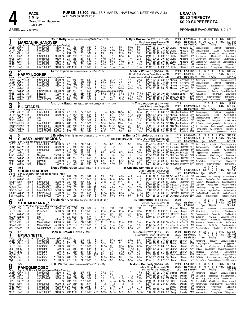

# **EXACTA** \$0.20 TRIFECTA \$0.20 SUPERFECTA

**GREEN WARM-UP PAD** 

# PROBABLE FAVOURITES: 8-2-4-7

| Red                                                                                                       | 6-1                                                                                                                                   |                                                     | <b>MARZANNK HANOVER</b><br>B m 4, Mach Three-Monte Carlo Madam-Camluck                                                                                            | Colin Kelly 164 A Orange-Black-White (386-76-59-45 .320)                                                                             |                                                                              |                          |                                                                                                                                                                                                                  |                                   |                                                                                                      |                                                                                                             |                                                                                                                       |                                                                                                           |                                                                                                      | Tr. Kyle Bossence (87-21-15-12 .383)<br>Darryl Newbigging, Komoka, ON<br>Breeder: Hanover Shoe Farms Inc, PA                                                                                                                                                                                                                                                                                                                                                                                                                              | 2021<br>2020<br>Life               | $1:574$ H Lon<br>$1:57^2$ H FlmD                                                                                                                          | ft<br>1:58 <sup>2</sup> HLon ft 20 2 2 4                                                                                                            | 8<br>2yo           | 3<br>$\mathbf{1}$<br>$\overline{1}$<br>7 wins                                                                                                   | 38%<br>10%    | \$18,910<br>\$21,66<br>\$56,82                                                                                             |
|-----------------------------------------------------------------------------------------------------------|---------------------------------------------------------------------------------------------------------------------------------------|-----------------------------------------------------|-------------------------------------------------------------------------------------------------------------------------------------------------------------------|--------------------------------------------------------------------------------------------------------------------------------------|------------------------------------------------------------------------------|--------------------------|------------------------------------------------------------------------------------------------------------------------------------------------------------------------------------------------------------------|-----------------------------------|------------------------------------------------------------------------------------------------------|-------------------------------------------------------------------------------------------------------------|-----------------------------------------------------------------------------------------------------------------------|-----------------------------------------------------------------------------------------------------------|------------------------------------------------------------------------------------------------------|-------------------------------------------------------------------------------------------------------------------------------------------------------------------------------------------------------------------------------------------------------------------------------------------------------------------------------------------------------------------------------------------------------------------------------------------------------------------------------------------------------------------------------------------|------------------------------------|-----------------------------------------------------------------------------------------------------------------------------------------------------------|-----------------------------------------------------------------------------------------------------------------------------------------------------|--------------------|-------------------------------------------------------------------------------------------------------------------------------------------------|---------------|----------------------------------------------------------------------------------------------------------------------------|
| Jn211<br>Jn14'<br>Jn21<br>Ap <sub>21</sub><br>Mr261<br>Mr191<br>Mr121<br>Mr5 <sup>1</sup>                 | 1GRvr 15ft<br>2GRvr 20ft<br>8GRvr<br>9Lon<br>6Lon<br>1Lon<br>9Lon<br><sub>5</sub> Lon                                                 | 20 ft<br>1 ft<br>5 ft<br>5 ft<br>-1 ft1<br>-3 ft    | f-nw50000l<br>f-nw50000l<br>qua<br>f-nw45500l<br>f-nw45000l<br>f-nw40000l<br>f-nw30000lcd<br>f-nw25000lcd                                                         | 8800 m :271<br>8800 m :27 <sup>3</sup><br>m<br>9800 m<br>9800 m<br>9800 m<br>9800 m :28<br>9400 m                                    | :292<br>:283<br>:281<br>:273                                                 |                          | :581 1:272 1:561<br>:574 1:261 1:562<br>:591 1:284 1:581<br>:592 1:291 1:58<br>:581 1:27 <sup>3</sup> 1:58<br>:574 1:272 1:574<br>:564 1:264 1:581<br>:293 1:00 <sup>2</sup> 1:30 <sup>1</sup> 1:59 <sup>2</sup> | 2<br>6<br>4<br>6<br>4             | $34\frac{1}{2}$<br>443/4<br>22<br>57<br>$4^{53}/_{4}$<br>$56\frac{1}{2}$<br>491/4<br>$11\frac{1}{2}$ | 433/4<br>2 <sup>2</sup><br>76<br>$03^{31}/4$<br>$054\frac{1}{2}$<br>48<br>$11\frac{1}{2}$                   | 561/4<br>$2^{13/4}$<br>$85\frac{1}{2}$<br>$\circ 2^1$<br>$043\frac{3}{4}$<br>441/2<br>$11\frac{1}{2}$                 | 553⁄<br>$5^{81/2}$<br>22<br>67<br>1ns<br>$2^{11/2}$<br>$21\frac{1}{2}$<br>11                              | 56<br>59<br>33<br>$65\frac{1}{4}$<br>$2\frac{1}{2}$<br>113/4<br>$14^{1}/_{4}$<br>$1^{13/4}$          | 1:572 28 31 291 291 CKelly<br>1:581 283 30 284 304 CKelly<br>1:584 294 294 293 293 TraHenry KBossnc NB DreamfarMx ABlackDmnd<br>1:59 30 30 <sup>3</sup> 29 <sup>3</sup> 28 <sup>4</sup> CKelly<br>292 292 29 301 CKelly<br>1:58<br>1:574 284 294 293 293 CKelly<br>1:581 294 283 291 303 DThiessenKBossnc<br>1:592 293 304 294 291 CKelly                                                                                                                                                                                                 |                                    | KBossnc 22 <sup>15</sup> Classylaneprecis<br>KBossnc<br>KBossnc 4 <sup>45</sup> Ubettimagdn<br>KBossnc<br>KBossnc<br>KBossnc                              | 370 Classylaneprecs<br>*1 <sup>10</sup> Mywishlistfr<br>860 MarznnkHnvr<br>420 MarzannkHnvr<br>2 <sup>25</sup> MarzannkHnvr                         |                    | Emblyntt<br>ELCtdl<br>Mywishlistfr<br>MarznnkHnvr<br>SouthwindB<br>WildctDlght<br>ComingYorW                                                    |               | HappyLokr<br>WildctDlght<br>MarzannkHnvr<br>GoldnLdr<br>SouthwindB<br>GreystonNtlO<br><b>DazzlinRs</b><br>MdnghtSrf        |
| $\boldsymbol{2}$<br>Blue                                                                                  | 2-1                                                                                                                                   |                                                     | <b>HAPPY LOOKER</b><br>B m 4, Hes Watching-Machbethslady-Mach Three                                                                                               | Aaron Byron 177 A Green-White-Yellow (47-4-9-7 .241)                                                                                 |                                                                              |                          |                                                                                                                                                                                                                  |                                   |                                                                                                      |                                                                                                             |                                                                                                                       |                                                                                                           |                                                                                                      | Tr. Mark Winacott (41-5-6-6 .252)<br>Donald Smith-Donna Parker, Hampton, ON<br>Breeder: Donald L Smith-Donna E Parker, ON                                                                                                                                                                                                                                                                                                                                                                                                                 | 2021                               | 2020 1:56 <sup>2</sup> F KD<br>Life $1:56$ H GRvr                                                                                                         | 1:56 H GRvr ft                                                                                                                                      | -6<br>ft 21<br>4yo | $\mathbf{1}$<br>-1<br>$3\;\;5\;\;3\;\;14\%$<br>4 wins                                                                                           | 2 17%         | \$10,75<br>\$33,373<br>\$44,489                                                                                            |
| Jn281<br>Jn211<br>Jn14 <sup>1</sup><br>Jn71<br>Mr261<br>Mr18 <sup>1</sup>                                 | 4GRvr 25ft<br>$1$ GRvr $15$ ft<br>5GRvr 20ft<br>9Wbsb 25ft<br>8Wbsb<br>5Wbsb                                                          | - 4 ft<br>-2 ft                                     | f-nw50000l<br>f-nw50000l<br>f-nw25000l<br>qua<br>f-nw3r51000l<br>Blizzard                                                                                         | 8800 m :27<br>8800 m :271<br>8200 m :273<br>m<br>20000 m<br>17000 m                                                                  | :284<br>$:28^2$<br>:27                                                       | :572 1:26<br>:563        | :561 1:242 1:54<br>:58 <sup>1</sup> 1:27 <sup>2</sup> 1:561<br>:57 <sup>2</sup> 1:25 <sup>4</sup> 1:56<br>:57º 1:26 <sup>1</sup> 1:55 <sup>4</sup><br>1:264 1:551                                                | 5<br>1:552                        | $69^{1/4}$<br>$4^{5^{1}/2}$<br>$56\frac{1}{2}$<br>$5^{41}/2$                                         | $2^{11/2}$<br>$0.55\frac{1}{4}$<br>45<br>57<br>judges_scratch(stable error)<br>$55\frac{1}{2}$              | 43<br>∘43<br>$2^{11/2}$<br>$04^{41}/4$<br>$8^{81}/2$                                                                  | 44<br>$2^{11/2}$<br>441/2<br>$8^{131/4}$                                                                  | 231/4<br>33<br>$1\frac{3}{4}$<br>313/4<br>$7^{101}/_4$                                               | 1:543 272 29 283 293 AByron<br>1:564 29 301 284 284 AByron<br>1:56<br>283 294 273 30 AByron<br>1:554 30 284 28 29 AByron<br>1:571 274 294 304 284 RShephrd BBird                                                                                                                                                                                                                                                                                                                                                                          |                                    | MWinactt<br>MWinactt<br>MWinactt<br>MWinactt NB TablesBigSecrt<br>MWinactt                                                                                | 5 <sup>25</sup> Randomirg<br>480 Classylaneprecis<br>500 HappyLooker<br>7605 RubyOnRails                                                            | Tuggingoncredt     | HappyLkr<br>Emblyntt<br>ShareTheMoment<br>BigMyrtl<br>Kounns<br>FilterHanover                                                                   |               | Classylaneprecs<br>HappyLokr<br>FlossieN<br>HappyLookr<br>GameOfShadws<br>BigMyrtle 1                                      |
| Mr111<br>Mr41                                                                                             | 6Wbsb<br>5Wbsb                                                                                                                        | 9 gd <sup>2</sup><br>-9 ft                          | <b>Blizzard</b><br>f-nw2r25500l                                                                                                                                   | 17000 m<br>17000 m                                                                                                                   | :28 <sup>2</sup><br>:28                                                      |                          | :573 1:261 1:553<br>:572 1:264 1:571                                                                                                                                                                             | 2                                 | $01\frac{1}{2}$<br>45                                                                                | $2^{13/4}$<br>44                                                                                            | $21\frac{1}{2}$<br>$3^{13}/4$                                                                                         | $3^{21}/2$<br>$2^{21/2}$                                                                                  | 443/4<br>341⁄2                                                                                       | 1:563 282 293 282 301 BMcClure BBird<br>1:58 29 291 29 304 DMcNair BBird                                                                                                                                                                                                                                                                                                                                                                                                                                                                  |                                    |                                                                                                                                                           | 31 <sup>55</sup> BigMyrtl<br>29 <sup>10</sup> NiceKittyHnvr                                                                                         |                    | NiceKittyHanovr<br>PowerdBMch                                                                                                                   |               | PatriciaMa<br>HappyLkr 1                                                                                                   |
| 3<br>White                                                                                                | $8 - 1$                                                                                                                               | <b>E L CITADEL</b>                                  | Br m 5, Big Jim-E L Miss Barracuda-Camluck                                                                                                                        | Anthony Haughan 185 A Green-White-Gold (94-18-11-14 .306)                                                                            |                                                                              |                          |                                                                                                                                                                                                                  |                                   |                                                                                                      |                                                                                                             |                                                                                                                       |                                                                                                           |                                                                                                      | Tr. Tim Jacobson (6-0-1-0 .092)<br>James Edward Lewis, Angus, ON<br>Breeder: James Edward Lewis, ON                                                                                                                                                                                                                                                                                                                                                                                                                                       | 2021<br>2020<br>Life               | <b>1:53</b> 3S Wbsb                                                                                                                                       | <b>1:53</b> <sup>3</sup> S Wbsb ft 15                                                                                                               | 4yo                | $\mathbf{0}$<br>N<br>2 2 33%<br>5<br>7 wins                                                                                                     | 0%            | \$2,200<br>\$31,660<br>\$42,76                                                                                             |
| Jn211<br>Jn141<br>Jn31<br>Mr251<br>Dc170 <sub>11</sub> FlmD                                               | 1GRvr 15ft<br>2GRvr 20 ft<br>3GRvr 17 gd <sup>1</sup><br>9Wbsb<br>Dc10 <sup>0</sup> 10FlmD<br>Nv270 4Wbsb<br>Nv13 <sup>0</sup> 10Wbsb | 13 ft<br>-3 It<br>2 ft<br>-6 ft<br>-4 ft            | f-nw50000l<br>f-nw50000l<br>qua<br>qua<br>f-nw30000lcd<br>f-nw30000l<br>f-nw3r50000l<br>f-nw3r58500l                                                              | 8800 m :271<br>8800 m<br>m<br>m<br>8400 m<br>8400 m<br>20000 m<br>20000 m                                                            | :273<br>:281<br>:293<br>:28 <sup>3</sup><br>:28 <sup>2</sup><br>:272<br>:272 | :594<br>:58<br>:584      | :581 1:272 1:561<br>:574 1:261 1:562<br>1:284 1:573<br>:584 1:271 1:554<br>1:282 1:573<br>1:284 1:593<br>:562 1:244 1:524<br>:57 1:244 1:541                                                                     | 5<br>5<br>8<br>3<br>4             | 7111/4<br>69<br>45<br>8101/2<br>$54\frac{1}{4}$<br>$06^{43}/4$<br>441/2<br>610                       | $66\frac{3}{4}$<br>67<br>443/4<br>9133/4<br>$04^{21}/4$<br>$04^{21}/2$<br>443/4<br>77                       | $065\frac{1}{4}$<br>$044\frac{1}{2}$<br>02 <sup>1</sup><br>9131/2<br>$•3\frac{1}{2}$<br>$02^{21/4}$<br>753/4<br>99    | 67<br>421/2<br>2 <sup>2</sup><br>814<br>$1\frac{1}{2}$<br>2 <sup>1</sup><br>76<br>89                      | 671⁄2<br>2¾<br>$2^{31/2}$<br>715<br>$1\frac{1}{2}$<br>53<br>7101/4<br>761/4                          | 1:573 292 301 284 291 RShephrd TJacbsn<br>1:563 292 294 274 293 AByron TJacbsn<br>1:58 <sup>1</sup> 29 <sup>1</sup> 31 <sup>3</sup> 28 <sup>1</sup> 29 <sup>1</sup> TJacbsn TJacbsn<br>1:584 313 30 281 29 BMcClure TJacbsn<br>1:573 292 29 30 291 AHaughn TJacbsn<br>2:001 292 294 30 31 AHaughn TJacbsn<br>1:544 281 291 283 284 SFilion<br>1:55 <sup>2</sup> 29 <sup>2</sup> 29 28 <sup>1</sup> 28 <sup>4</sup> JRyan                                                                                                                  |                                    | TJacbsn<br>TJacbsn                                                                                                                                        | 1065 Classylaneprecis<br>2685 Classylaneprecs<br>NB SaulsbrookOlymp<br>NB LovelyDonna<br>835 TownDelngnt<br>16 <sup>55</sup> LyonsGirlhanover       |                    | Emblyntt<br><b>ELCtdl</b><br>ELCitdl<br>SunnyBo<br>250 ELCitadel ComingYourWay<br>775 Ubettimagoodn ComingYourW<br>WinadinaHnvr                 | AlleyesonmeAs | HappyLokr<br>WildctDlght<br>MaddysCrdt<br>CoteDazur<br>SecretsLady<br>HappyLokr<br>TipperrHll<br>Kat                       |
| 4                                                                                                         | 3-1                                                                                                                                   |                                                     | <b>CLASSYLANEPRECIOUS</b><br>B m 4. Big Jim-Paula Seelster-Camluck                                                                                                | J Bradley Harris 151 A Wh-Grn-Blk (112-12-10-16 .204)                                                                                |                                                                              |                          |                                                                                                                                                                                                                  |                                   |                                                                                                      |                                                                                                             |                                                                                                                       |                                                                                                           |                                                                                                      | Tr. Emma Christoforou (14-3-1-2 .301)<br>High Stakes Inc, Moffat--Rocky & Tony Tangreda, Kettleby, ON<br>Breeder: High Stakes Inc,ON                                                                                                                                                                                                                                                                                                                                                                                                      | 2021                               | 2020 1:55 <sup>2</sup> S Wbsb ft 21<br>Life $1:55^2S$ Wbsb                                                                                                | 1:56 <sup>1</sup> H GRvr ft                                                                                                                         | - 9<br>Зνо         | 2<br>-1<br>3 4 4 14%<br>5 wins                                                                                                                  | $22\%$        | \$16,996<br>\$34,10<br>\$51,103                                                                                            |
| Green<br>Jn281<br>Jn211<br>Jn141<br>Jn71<br>Ap <sub>21</sub><br>Mr261<br>Mr18 <sup>1</sup><br>Mr111       | 4GRvr 25ft<br>$1$ GRvr $15$ ft<br>2GRvr 20ft<br>7Wbsb 25ft<br>6Wbsb<br>8Wbsb<br>5Wbsb<br>6Wbsb                                        | 2 ft<br>- 4 ft<br>2 ft<br>9 gd <sup>2</sup>         | f-nw50000l<br>f-nw50000l<br>f-nw50000l<br>qua<br>Niagara<br>f-nw3r51000l<br>Blizzard<br>Blizzard                                                                  | 8800 m :27<br>8800 m<br>8800 m :273<br>m<br>35000 m<br>20000 m<br>17000 m<br>17000 m                                                 | :271<br>$:28^4$<br>:28<br>:282<br>:27<br>:28 <sup>2</sup>                    | :583 1:28                | :561 1:24 <sup>2</sup> 1:54<br>:581 1:272 1:561<br>:574 1:261 1:562<br>1:56<br>:573 1:262 1:542<br>:572 1:261 1:554<br>:56 <sup>3</sup> 1:26 <sup>4</sup> 1:551<br>:573 1:261 1:553                              | 3<br>6<br>4<br>[10<br>3           | 7123/4<br>$11\frac{1}{2}$<br>$11\frac{1}{2}$<br>68<br>811<br>681/4<br>89<br>433/4                    | $\circ 6^9$<br>$11\frac{1}{2}$<br>$11\frac{1}{2}$<br>$6^{73/4}$<br>763/4<br>$67\frac{3}{4}$<br>810<br>443/4 | 054<br>11<br>11<br>$67\frac{1}{2}$<br>$74\frac{1}{2}$<br>75<br>$05^{41}/2$<br>55                                      | 55<br>$11\frac{1}{4}$<br>$11\frac{1}{2}$<br>$65\frac{1}{4}$<br>75<br>64<br>$6^{101/4}$<br>$55\frac{1}{2}$ | 113/4<br>$1\frac{3}{4}$<br>$55^{1/4}$<br>771/2<br>$64\frac{1}{4}$<br>10 <sup>12</sup><br>$5^{71/2}$  | 1:543 293 282 271 292 JB. Harris EChristof<br>1:561 271 31 291 284 JB.Harris EChristof *170 Classylaneprecis<br>1:562 273 301 282 301 JB. Harris EChristof 580 Classylaneprecs<br>1:57<br>30 <sup>2</sup> 29 <sup>4</sup> 29 <sup>1</sup> 27 <sup>3</sup> PhHudon EChristof NB Tuggingoncrdt<br>1:554 301 284 281 283 PhHudon EChristof13465 RoseRunVctr<br>1:563 30 29 281 292 PhHudon EChristof 3535 Tuggingoncredt<br>1:573 284 294 29 30 PhHudon EChristof 5565 RubyOnRails<br>1:57<br>291 292 283 294 PhHudon JMoisyev 1125 BigMyrtl |                                    |                                                                                                                                                           | 500 Randomirg                                                                                                                                       |                    | HappyLkr<br>Emblyntt<br>ELCtdl<br>SecretsLd<br>ManDontfrgtM<br>Kounns GameOfShadws<br>FilterHanover<br>NiceKittyHanovr                          |               | Classylaneprecs<br>HappyLokr<br>WildctDlght<br>OneMorGrl<br>FilterHnvr 1<br>BigMyrtle 1<br>PatriciaMa                      |
| 5                                                                                                         | $10 - 1$                                                                                                                              |                                                     | <b>SUGAR SHADOW</b>                                                                                                                                               | Bruce Richardson A Green-Yellow (114-12-13-18 .221)                                                                                  |                                                                              |                          |                                                                                                                                                                                                                  |                                   |                                                                                                      |                                                                                                             |                                                                                                                       |                                                                                                           |                                                                                                      | Tr. Cassidy Schneider (57-6-4-6 .179)<br>Colonel Schneider Jr, Arthur, ON<br>Breeder: Robert B Chapple, ON                                                                                                                                                                                                                                                                                                                                                                                                                                | 2021                               | 2020 1:54 <sup>3</sup> S Wbsb ft 20<br>Life $1:543$ S Wbsb                                                                                                |                                                                                                                                                     | 4yo                | $\Omega$<br>$\Omega$<br>$\mathbf{0}$<br>3 2 1<br>3 wins                                                                                         | 15%           | \$0(<br>\$27,365<br>\$41,94                                                                                                |
| Black<br>Jn171<br>Jn101<br>Nv250<br>Nv4 <sup>0</sup><br>Oc28 <sup>0</sup> sLon<br>Oc21 <sup>0</sup> 10Lon | 5Wbsb 18ft<br>7Wbsb 20 ft<br>4Lon<br>3Lon<br>Sp25 <sup>0</sup> 4Wbsb 17ft<br>Sp110 13Wbsb 14 ft                                       | $6$ gd <sup>2</sup><br>14 ft<br>9 ft<br>14 ft       | B m 5, Shadow Play-Canadette-Mach Three<br>qua<br>qua<br>f-nw30000l<br>f-nw35000lcd<br>f-nw35000lcd<br>f-nw1500L3cd<br>f-nw2r33500l<br>f-nw3r31000l               | m<br>m<br>8200 m<br>8300 m<br>8300 m<br>5000 m<br>17000 m<br>17000 m                                                                 | :283<br>:272<br>:281<br>:283<br>:273<br>:282<br>:271<br>:271                 | 593<br>:594<br>:58º 1:27 | 1:26 <sup>4</sup><br>1:283 1:553<br>:581 1:274 1:58<br>1:563<br>:574 1:271 1:581<br>:584 1:282 1:591<br>:561 1:242 1:513<br>:561 1:244 1:522                                                                     | 1:544<br>4<br>з<br>18<br>[§<br>8  | 663/4<br>213/4<br>$11\frac{1}{2}$<br>583/4<br>57<br>8131/4<br>$3^{3/4}$                              | 32<br>673/4<br>$31\frac{1}{2}$<br>113/4<br>0431/4<br>$02^{11/2}$<br>883/4<br>$55\frac{1}{2}$                | 493/4<br>693/4<br>o43<br>113/4<br>$02\frac{1}{2}$<br>79<br>881/4<br>$65\frac{1}{4}$                                   | 413<br>613<br>611<br>111/4<br>$3\frac{1}{2}$<br>67<br>7101/4<br>98                                        | 416<br>716<br>617<br>1 <sub>nk</sub><br>$2^{23/4}$<br>681/4<br>7121/4<br>9101/2                      | 1:58 29 31 284 291 CChristof CSchdrJr NB PedroHanovr<br>1:584 284 323 291 281 CChristof CSchdrJr NB CousnMr<br>2:012 283 294 30 33 CKelly<br>1:56 <sup>3</sup> 28 <sup>3</sup> 29 <sup>4</sup> 28 <sup>3</sup> 29 <sup>3</sup> MStLouis CSchdrJr 3 <sup>90</sup> SugrShdw<br>1:584 292 29 284 313 MStLouis CSchdrJr 1265 TownDelnqnt<br>2:004 294 291 311 303 SYoung CSchdrJr 740 Robinthetm AlphabetQuen<br>1:54 294 281 28 28 CChristof CSchdrJr 8285 TheBanditQunN MajorBttl<br>1:542 28 291 283 283 CChristof CSchdrJr 6540 MiaClp    |                                    | CSchdrJr 195 LarjonLh                                                                                                                                     |                                                                                                                                                     |                    | QuanBlueChp<br>CasimrSwmpGrl<br>MarzannkHanvr<br>WildctDlght<br>SugrShdw<br>TheBanditQunN                                                       |               | OhareHanovr<br>SomewhrNrth<br>LandOfParads<br>MarzannkHnvr<br>MargieValntn<br>ByeByeDadd<br>MouthWatrng<br>Hallsglensmvs 1 |
| 6                                                                                                         | 12-1                                                                                                                                  |                                                     | STREAKAZANA(L)                                                                                                                                                    | Travis Henry 170 A Light Blue-White (424-60-55-69 .267)                                                                              |                                                                              |                          |                                                                                                                                                                                                                  |                                   |                                                                                                      |                                                                                                             |                                                                                                                       |                                                                                                           |                                                                                                      | Tr. Pam Forgie (35-4-4-8 .253)<br>Dr Steve Taylor, Kitchener, ON<br>Breeder: Raymond Primeau, QC                                                                                                                                                                                                                                                                                                                                                                                                                                          | 2021<br>Life                       | 2020 1:54 <sup>1</sup> H Chrt ft<br>$1:54^{\circ}$ H Chrt                                                                                                 |                                                                                                                                                     | 2<br>16<br>3yo     | $\Omega$<br>0<br>743<br>8 wins                                                                                                                  | $0\%$<br>44%  | \$69<br>\$50,964<br>\$67,26                                                                                                |
| Yellow<br>Jn13 <sup>1</sup><br>Jn71<br>Nv8 <sup>0</sup>                                                   | $Jn201$ 2Clnt 28 ft<br>5Clnt 26ft<br>7Wbsb 25ft<br>My291 7Wbsb 10ft1<br>5Trur                                                         | 8 ft                                                | B m 4, Western Paradise-Stonebridge Madona-Artsplace<br>Preferred-3<br>Preferred-3<br>qua<br>qua<br>Turner                                                        | 5800 m :29<br>5800 m<br>m<br>m<br>14710 m                                                                                            | :28 <sup>4</sup><br>:28<br>:28 <sup>3</sup>                                  | :581 1:26                | $:583$ 1:28 <sup>2</sup> 1:573<br>:301 1:004 1:303 1:59<br>:583 1:28 1:56<br>1:001 1:301 1:574                                                                                                                   | 4х<br>1:543                       | $721\frac{1}{2}$<br>$2^{13/4}_{3^{31/4}}$<br>610                                                     | 7dis<br>$\frac{2^{11/2}}{3^3}$<br>781/4                                                                     | 7dis<br>$\frac{2^{11/2}}{3^3}$<br>076                                                                                 | 7dis<br>$2^{11/2}$<br>44<br>79                                                                            | 7dis<br>$3^{3/4}$<br>$66\frac{3}{4}$<br>7101/4                                                       | 331<br>:594 303 302 294 29 JB.Harris PForgie<br>1:572 292 294 292 284 RDesrche PForgie<br>1:594 30 314 293 282 LRoy                                                                                                                                                                                                                                                                                                                                                                                                                       | JB.Harris PForgie                  | PForgie<br>MCmpbll                                                                                                                                        | 585 AdoreHm<br>$2^{85}$ StLadsBetIt<br>NB Tuggingoncrdt<br>NB QuesoRlln                                                                             |                    | LarjonLuck<br>LifelsBettr<br>SecretsLd<br>KiwFcsN<br>WoodmerSkrllr WtchMDnc Ashestdmnds                                                         |               | NotetoselfHanovr<br>Streakazan<br>OneMorGrI<br>MisstwinkInsjns                                                             |
| Oc31 <sup>0</sup> sChrt<br>Oc240 sChrt<br>Oc11 <sup>0</sup> 10Chrt                                        |                                                                                                                                       | 4 ft<br>L.<br>12 ft<br>L.<br>9 ft <sup>1</sup><br>L | Maritimebrdr<br>Maritimebrdr<br>Atss-brcrown                                                                                                                      | 23000 m<br>4000 m :27 <sup>3</sup><br>21000 m :28 <sup>2</sup>                                                                       | :264                                                                         |                          | :543 1:242 1:541<br>:572 1:282 1:564<br>:571 1:263 1:563                                                                                                                                                         | 5<br>8                            | judges scratch<br>5 o21<br>$11\frac{1}{4}$<br>$5^{73/4}$                                             | $2^{13/4}$<br>$11\frac{1}{4}$<br>$56\frac{1}{4}$                                                            | $2^{11/4}$<br>$1\frac{1}{4}$<br>$07^{51/2}$                                                                           | 2hd<br>$1\frac{1}{4}$<br>$5^{51}/4$                                                                       | $1\frac{1}{2}$<br>1 <sub>nk</sub><br>2 <sup>4</sup>                                                  | 1:541 27 28 293 293 MCmpbll MCmpbll<br>1:564 273 294 31 282 MCmpbll MCmpbll<br>1:572 30 282 291 294 MCmpbll MCmpbll 2680 WoodmereSkrllr                                                                                                                                                                                                                                                                                                                                                                                                   |                                    |                                                                                                                                                           | 1 <sup>80</sup> Streakazn<br>1 <sup>65</sup> Streakazan                                                                                             |                    | WoodmereSkyrllr<br>RedDirtStr<br>Streakzn                                                                                                       |               | RedDrtStr<br>GottaLoveCabt<br>WatchMDnc                                                                                    |
|                                                                                                           | $4 - 1$                                                                                                                               | <b>EMBLYNETTE</b>                                   |                                                                                                                                                                   | Beau M Brown B (52-5-3-4 .153)                                                                                                       |                                                                              |                          |                                                                                                                                                                                                                  |                                   |                                                                                                      |                                                                                                             |                                                                                                                       |                                                                                                           |                                                                                                      | <b>Tr. Beau Brown</b> (43-3-5-1 .142)<br>(lessee) Beau Brown, Ostrander, OH                                                                                                                                                                                                                                                                                                                                                                                                                                                               |                                    | 2021 1:53 <sup>3</sup> F Mvr<br>2020 1:55 <sup>1</sup> H Nfld                                                                                             |                                                                                                                                                     | ft 22              | 3 2 2 14%<br>ft 17 3 2 6 18%                                                                                                                    |               | \$20.62<br>\$14,468                                                                                                        |
| Pink<br>Jn281<br>Jn211<br>Jn101<br>Jn31<br>My271 8ScD<br>$My201$ $6SCD$<br>My13110ScD<br>My6 <sup>1</sup> | 4GRvr 25ft<br>1GRvr 15ft<br>5ScD<br>13SCD<br>5ScD                                                                                     | Ħ<br>ft<br>ft<br>ft<br>ft<br>ft                     | B m 4, Pet Rock-Ag N Au Bluegrass-Whitefish Falls<br>f-nw50000l<br>f-nw50000l<br>f-nw4pmrlt<br>f-nw4pmrlt<br>f-nw4pmrlt<br>f-nw4pmrlt<br>f-nw4pmrlt<br>f-nw4pmrlt | 8800 m :27<br>8800 m :271<br>11000 m :264<br>11000 m :281<br>11000 m :27 <sup>2</sup><br>11000 m :27<br>11000 m :284<br>11000 m :271 |                                                                              |                          | :561 1:242 1:54<br>:581 1:272 1:561<br>:57 1:251 1:533<br>$:58^3$ 1:26 1:532<br>:564 1:241 1:521<br>:562 1:234 1:522<br>$:583$ 1:27 1:54 <sup>3</sup><br>:563 1:241 1:532                                        | 5<br>4<br>8<br>8<br>3<br>[10<br>8 | 611<br>$5^{71/4}$<br>8101/2<br>811<br>33<br>67<br>8101/2<br>$5^{41}/2$                               | $0.57\frac{1}{4}$<br>$\circ$ 33<br>ğ7<br>077<br>33<br>66<br>$8^{81}/2$<br>53                                | •65<br>∘21<br>$96\frac{1}{4}$<br>763/4<br>$3^{31/4}$<br>$5^{33/4}$<br>86<br>$5^{31/2}$                                | 663⁄4<br>$2^{11/4}$<br>633/4<br>7101/2<br>$3^{73/4}$<br>52<br>741/2<br>$5^{31/2}$                         | 66<br>$2^{13/4}$<br>643/4<br>611<br>36<br>43<br>$65\frac{1}{4}$<br>$4^{31/2}$                        | Breeder: Dave M Yoder, KY<br>1:551 291 282 274 294 BBrown<br>1:563 283 301 284 29 BBrown<br>1:543 284 293 28 281 BBrown<br>1:553 302 293 272 281 BBrown<br>1:53 <sup>2</sup> 28 29 <sup>2</sup> 27 <sup>2</sup> 28 <sup>3</sup> BBrown BBrown<br>1:53 28 <sup>2</sup> 29 <sup>1</sup> 27 28 <sup>2</sup> CMcCownBBrown<br>1:553 304 292 28 272 BBrown BBrown 12170 FreThnkr Treasurethschps<br>1:54 28 291 273 291 BBrown                                                                                                                 |                                    | Life $1:53^3$ F Mvr<br>BBrown 12 <sup>15</sup> Randomirg<br>BBrown 10 <sup>90</sup> Classylaneprecis Emblyntt<br>BBrown 6290 DancnAnn<br>BBrown<br>BBrown | 19 <sup>50</sup> HotGossip<br>2170 DisaronnoHII                                                                                                     | 4yo                | 8 wins<br>HappyLkr<br>WigglingJnn<br>7340 HtGssp WiggIngJnn Douwantobldsnmn<br>WallSaid<br>BabsJansn<br>730 PomptsOfLv Douwntbldsnmn PalOMnHnvr |               | \$47,108<br>Classylaneprecs<br>HappyLokr<br>TrafficCitatn<br>Emblynette<br>WigglingJenn 1<br>MrgnOfErrr                    |
| 8                                                                                                         | $8-5$                                                                                                                                 |                                                     | <b>RANDOMIROGEO</b><br>B m 4, Ok Boromir-Mirmattculous-Matts Scooter                                                                                              | J. R. Plante A Blue-Yellow-White (187-48-37-23 .407)                                                                                 |                                                                              |                          |                                                                                                                                                                                                                  |                                   |                                                                                                      |                                                                                                             |                                                                                                                       |                                                                                                           |                                                                                                      | Tr. John Kennedy (31-7-6-6 .397)<br>Valerie Phillips, Lions Head, ON<br>Breeder: Valerie L Phillips, ON                                                                                                                                                                                                                                                                                                                                                                                                                                   |                                    | 2021 1:54 HGRvr ft<br>2020 1:57 <sup>1</sup> HLon ft 10<br>Life $1:54$ H GRvr $4$ yo                                                                      |                                                                                                                                                     | - 8                | 5 1<br>4 1 4 4 0 %<br>9 wins                                                                                                                    | 0.63%         | \$23,58<br>\$18,989<br>\$42,57                                                                                             |
| Gray<br>Jn28 <sup>1</sup><br>Jn211<br>Jn12 <sup>1</sup><br>Jn21<br>Mr261<br>Mr19 <sup>1</sup> 11 Lon      | 4GRvr 25 ft<br>9GRvr 15ft<br>7Hnvr 26ft<br>8GRvr 20 ft<br>4Lon<br>Mr12 <sup>1</sup> sLon                                              | 5 ft<br>5 ft<br>-1 ft1                              | f-nw50000l<br>f-nw25000l<br>nw18000lcd<br>qua<br>f-nw20000l<br>f-nw20500l<br>f-nw30000lcd                                                                         | 8800 m :27<br>8200 m :273<br>5200 m :28 <sup>3</sup><br>9000 m :283<br>9900 11/16:29<br>9800 m :28                                   | m :292                                                                       | 1:00                     | :561 1:242 1:54<br>:564 1:254 1:554<br>:58 <sup>2</sup> 1:27 <sup>2</sup> 1:55 <sup>3</sup><br>:591 1:284 1:581<br>:584 1:273 1:573<br>1:29 2:05<br>:564 1:264 1:581                                             | 4<br>6<br>2<br>3<br>5<br>6        | $3^{31/2}$<br>o45<br>1 <sup>3</sup><br>58<br>111/2<br>4 <sup>5</sup><br>$02^{11/4}$<br>5233/         | 032<br>0 <sup>33</sup><br>113/4<br>4111/2<br>$11\frac{1}{2}$<br>$03^{23/4}$<br>$02^{11/2}$                  | o11<br>$1\frac{1}{2}$<br>$1^{13/4}$<br>6123/4<br>$11\frac{1}{2}$<br>$01\frac{1}{2}$<br>∘21<br>$517\frac{1}{4}$<br>513 | 12<br>$11\frac{1}{2}$<br>$1^{13/4}$<br>$59\frac{1}{2}$<br>$11\frac{1}{2}$<br>$11\frac{1}{2}$<br>42<br>516 | $13\frac{1}{4}$<br>2nk<br>$1^{33/4}$<br>433/4<br>1nk<br>$11\frac{1}{2}$<br>$55\frac{1}{2}$<br>5173/4 | 1:54 273 29 274 293 JPlante<br>1:554 283 284 282 30 ASorrie<br>1:553 283 294 29 281 JPlante<br>1:59 31 30 <sup>2</sup> 30 273 DNeill<br>1:573 283 301 284 30 SWray<br>2:05<br>1:591 281 284 30 321 SWray                                                                                                                                                                                                                                                                                                                                  | SWray<br>2:03 342 292 29 301 SWray | JKnndy<br>JKnndy<br>JKnndy<br>JKnndy<br>JKnndy<br>JKnndy<br><b>JKnndy</b>                                                                                 | *85 Randomirg<br>590 CarnivalHrt<br>*70 Randomirg<br>NB DreamfarMx<br>*1 <sup>60</sup> Randomiroge<br>3 <sup>25</sup> Randomirg<br>265 MarzannkHnvr |                    | HappyLkr<br>Randomirog<br>HarprsHtTrck<br>ABlackDmnd<br>PrettyBlueAngl<br>PrettyBlAngl<br>WildctDlght                                           |               | Classylaneprecs<br>ShareTheMmnt<br>ChuckHeatnLv<br>MarzannkHnvr<br>Dandylde<br>Littlebrct<br>DazzlinRs                     |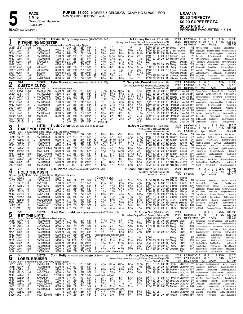**PURSE: \$6,000.** HORSES & GELDINGS - CLAIMING \$15000. - FOR N/W \$37500. LIFETIME (W-ALL)

PACE
<sup>1</sup> Mile
Grand **5**<br>
BLACK WISHERS

**1 Mile**

5-JUL-21

Grand River Raceway

**BLACK WARM-UP PAD** POUL-21<br>BLACK WARM-UP PAD PROBABLE FAVOURITES: 4-5-1-6 **EXACTA \$0.20 TRIFECTA \$0.20 SUPERFECTA**

| Red                                                                                                                                                                                                                  | 3-1                                                                                                                      |                                                                                                                                                                             | \$18750<br>R THINKING MONSTER<br>Br g 4, Thinking Out Loud-Outtathewheelhouse-Stonebridge Regal                                                                                                                                                                                                                  |                                                                                                                                                                                                                 |                                                                                                                                                   | Travis Henry 170 A Light Blue-White (424-60-55-69 .267)                                                                                                                                                                                                                                      |                                                                                |                                                                                                                                                                                                                             |                                                                                                                                                             |                                                                                                                                                                         |                                                                                                                                                                      |                                                                                                                                                                       | Tr. Lindsey Kerr (45-10-7-10 .382)<br>Lindsey Kerr, Ruscom Station-Ellie Mayhew, Windsor, ON<br>Breeder: Ralph E Pitt-Sandra J Pitt,ON                                                                                                                                                                                                                                                                                                                                                                                                                                                                                                                                                                           | 2021                     | Life $1:57$ <sup>1</sup> H Lon                                                                                                                               | $1:57^1$ H Lon<br>2020 1:59 <sup>2</sup> H Hnvr ft 29 4 7 4 14%                                                                                                                                                                                                                                                                          | ft 611<br>4yo                          | 6 wins                                                                                                                                                                 | 2 17%                                                                                                                                                                                                                                                  | \$6,998<br>\$25,930<br>\$39,798            |
|----------------------------------------------------------------------------------------------------------------------------------------------------------------------------------------------------------------------|--------------------------------------------------------------------------------------------------------------------------|-----------------------------------------------------------------------------------------------------------------------------------------------------------------------------|------------------------------------------------------------------------------------------------------------------------------------------------------------------------------------------------------------------------------------------------------------------------------------------------------------------|-----------------------------------------------------------------------------------------------------------------------------------------------------------------------------------------------------------------|---------------------------------------------------------------------------------------------------------------------------------------------------|----------------------------------------------------------------------------------------------------------------------------------------------------------------------------------------------------------------------------------------------------------------------------------------------|--------------------------------------------------------------------------------|-----------------------------------------------------------------------------------------------------------------------------------------------------------------------------------------------------------------------------|-------------------------------------------------------------------------------------------------------------------------------------------------------------|-------------------------------------------------------------------------------------------------------------------------------------------------------------------------|----------------------------------------------------------------------------------------------------------------------------------------------------------------------|-----------------------------------------------------------------------------------------------------------------------------------------------------------------------|------------------------------------------------------------------------------------------------------------------------------------------------------------------------------------------------------------------------------------------------------------------------------------------------------------------------------------------------------------------------------------------------------------------------------------------------------------------------------------------------------------------------------------------------------------------------------------------------------------------------------------------------------------------------------------------------------------------|--------------------------|--------------------------------------------------------------------------------------------------------------------------------------------------------------|------------------------------------------------------------------------------------------------------------------------------------------------------------------------------------------------------------------------------------------------------------------------------------------------------------------------------------------|----------------------------------------|------------------------------------------------------------------------------------------------------------------------------------------------------------------------|--------------------------------------------------------------------------------------------------------------------------------------------------------------------------------------------------------------------------------------------------------|--------------------------------------------|
| Jn261<br>Ap11.<br>Mr241 10Lon<br>Mr171 10Lon<br>Mr101<br>Mr11<br>Fb221<br>$Dc23^0$<br>Dc170<br>Dc7º<br>Nv30º sLon<br>Nv23º <sub>6</sub> Lon                                                                          | 2Sar<br>9Lon<br>зLon<br><sub>10</sub> Lon<br>6Lon<br>7Lon<br><sub>1</sub> FlmD<br><sub>11</sub> Lon                      | 24 gd <sup>1</sup><br>-2 ft <sup>1</sup><br>15 ft<br>4 ft<br>12 ft<br>$-7$ gd <sup>1</sup><br>ft<br>$5$ gd <sup>1</sup><br>-3 ft<br>-2 ft<br>1 $gd2$<br>$2$ gd <sup>1</sup> | qua<br>15000clmcd<br>15000clmcd<br>15000clmcd<br>15000clmcd<br>C7000clm<br>Cond<br>7000clm<br>7000clmcd<br>8500clm<br>8500clm<br>nw28000lcd                                                                                                                                                                      | m :283<br>7000 m<br>7000 m<br>7000 m<br>7000 m<br>5200 11/16:281<br>4700 m :283<br>4700 m<br>3700 m<br>5700 11/16:282<br>5200 m<br>8000 m                                                                       | :28<br>:264<br>:28 <sup>2</sup><br>:281<br>:28 <sup>3</sup><br>:281<br>$:28^3$<br>:28                                                             | :59 1:283 1:594<br>:583 1:273 1:58<br>:553 1:244 1:552<br>:59 1:281 1:584<br>:581 1:273 1:571<br>:581 1:274 2:061<br>1:01 1:30 <sup>2</sup> 2:01<br>:584 1:282 1:583<br>:584 1:284 1:582<br>:583 1:282 2:062<br>:592 1:294 2:021<br>:581 1:273 1:584                                         | $\frac{6}{2}$<br>1<br>7<br>3<br>4<br>5<br>3<br>[8<br>5                         | $11\frac{3}{4}$<br>$56\frac{1}{2}$<br>$03^{21/4}$<br>$45\frac{1}{4}$<br>$3^{3/4}$<br>443/4<br>441/2<br>$6^{83/4}$<br>$11\frac{1}{2}$<br>$02^{13/4}$<br>$3^{3/4}$<br>$69\frac{1}{2}$                                         | 12<br>553/4<br>433/4<br>$043\frac{1}{2}$<br>$3^{31/2}$<br>$02^{11/4}$<br>$44\frac{1}{2}$<br>∘69<br>$11\frac{1}{2}$<br>$0.31\frac{1}{2}$<br>$3^{31/2}$<br>66 | 12<br>$\circ 5^5$<br>$066\frac{1}{2}$<br>$03^{21/4}$<br>02 <sup>1</sup><br>$03^{21/2}$<br>o213/4<br>∘6 <sup>71⁄4</sup><br>$1\frac{3}{4}$<br>77<br>44<br>$65\frac{1}{4}$ | 1 <sub>hd</sub><br>563/4<br>6113/4<br>211/4<br>21<br>$3^{23/4}$<br>$3^{13/4}$<br>$56\frac{1}{2}$<br>$11\frac{1}{2}$<br>8i12<br>54<br>761/2                           | $1\frac{1}{2}$<br>$4^{81}/4$<br>$615\frac{3}{4}$<br>22<br>$11\frac{1}{2}$<br>$34\frac{1}{2}$<br>$3\frac{3}{4}$<br>$5^{111/4}$<br>$2\frac{3}{4}$<br>7191/2<br>32<br>74 | 1:594 283 302 293 311 SWray<br>1:593 291 303 284 31 DThiessenLKerr<br>1:583 271 291 293 323 TraHenry LKerr<br>1:591 292 301 29 303 TraHenry LKerr<br>1:571 29 294 29 292 TraHenry LKerr<br>2:07<br>2:011 292 322 29 302 SWray<br>2:004 30 <sup>2</sup> 30 <sup>1</sup> 29 <sup>1</sup> 31 SWray<br>1:583 281 303 30 294 JRyan<br>2:10 <sup>1</sup><br>2:023 292 303 303 32 NSteward JKnndy<br>1:593 294 293 291 31 NSteward JKnndy                                                                                                                                                                                                                                                                               | SWray<br>NSteward JKnndy | LKerr<br>JKnndy<br>JKnndy<br>JKnndy<br>JKnndy                                                                                                                | NB RThinkngMnstr<br>2630<br>*165 ModernWriter HezaHandyMan<br>*60<br>Sportslvr<br>4 <sup>45</sup> RThinkingMnstr<br>930<br>*1 <sup>15</sup> Amazing Qst<br>4 <sup>65</sup> ButeCorgN<br>190<br>Machpl<br>2105 MallPeenHammr<br>3200 RoughTrd<br>6870 CrankysBoy                                                                          |                                        | TukkRsp<br>RThinkingMnstr<br>Sportslvr<br>DebsNwMn<br>RedditHnvr<br>RThinkngMnstr<br>GritsNGrav<br>ArtsFrstLck<br>Machaholic                                           | JackrabbtJd 4<br>BlakesChip ThunderRomps HoldThumbsN 6<br>QuickNick 8<br>CalHanvr 7<br>OneMnArm 8<br>TomittaBm WindsongNpIn RThnkngMnstr 8<br>RThinkingMnstr 6<br>WindsongNapIn 8<br>ArsenalDChfr 8<br>ShippenOt 9<br>RThinkingMnstr 7<br>DocFanelli 7 |                                            |
| ŋ<br>∠                                                                                                                                                                                                               | $10-1$                                                                                                                   |                                                                                                                                                                             | \$15000<br><b>CUSTOM CUT (L)</b>                                                                                                                                                                                                                                                                                 |                                                                                                                                                                                                                 |                                                                                                                                                   | Tyler Moore 170 A Black-Blue-White (158-14-22-19 .206)                                                                                                                                                                                                                                       |                                                                                |                                                                                                                                                                                                                             |                                                                                                                                                             |                                                                                                                                                                         |                                                                                                                                                                      |                                                                                                                                                                       | Tr. Garry MacDonald (53-5-10-10 .262)<br>Christina Soundy-Garry MacDonald, Dundas, ON                                                                                                                                                                                                                                                                                                                                                                                                                                                                                                                                                                                                                            |                          | 2021 1:58 <sup>2</sup> H Clnt                                                                                                                                | ft<br>2020 1:53 <sup>3</sup> H GRvr ft 15 1                                                                                                                                                                                                                                                                                              | - 6<br>-1                              | $0 \t0 \t17%$<br>0 <sub>3</sub>                                                                                                                                        | 7%                                                                                                                                                                                                                                                     | \$3,660<br>\$7,176                         |
| Blue<br>Jn261<br>Jn201<br>Jn141<br>Mr311 sLon<br>Mr241 10Lon<br>Mr171 10Lon<br>Dc21 <sup>0</sup> sLon<br>Dc14 <sup>0</sup><br>Dc9º<br>Nv30º 2Lon<br>Nv210                                                            | B g 5,<br>7Hnvr<br>6Clnt<br>6GRvr 20 ft<br>2Lon<br>6Lon<br>1FlmD<br>Nv140 3FlmD                                          | $24$ gd <sup>1</sup><br>28 ft<br>6 ft<br>15 ft<br>4 ft<br>$1$ gd <sup>1</sup><br>-3 ft <sup>1</sup><br>2 ft<br>$1$ gd <sup>2</sup><br>4 ft<br>8 ft                          | Shadow Play-Love That Cut-Presidential Ball<br>nw3000L3cd<br>nw1500L3cd<br>L nw35000lcd<br>L nw1000L3cd<br>15000clmcd<br>L<br>L 15000clmcd<br>nw30000l<br>nw30000l<br>15000clmcd<br>nw30000l<br>qua<br>qua                                                                                                       | 5000 m<br>4300 m<br>6000 m<br>5000 m<br>7000 m<br>7000 m<br>8200 m<br>8200 m<br>6000 m<br>8200 m<br>m<br>m                                                                                                      | :283<br>:28 <sup>2</sup><br>:28<br>:272<br>:26 <sup>4</sup><br>:28 <sup>2</sup><br>:58<br>:281<br>:281<br>:28 <sup>2</sup><br>:291<br>:29<br>:283 | :591 1:281 1:584<br>:581 1:283 1:582<br>:574 1:261 1:553<br>:573 1:262 1:57<br>:553 1:244 1:552<br>:59 1:281 1:584<br>1:283 1:592<br>:58 <sup>2</sup> 1:28<br>1:583<br>:58 1:263 1:574<br>:584 1:29 2:003<br>:58 <sup>2</sup> 1:27 <sup>1</sup> 1:56 <sup>1</sup><br>:574 1:272 1:563        | 6<br>3<br>8<br>5<br>4<br>5<br>4<br>1<br>3<br>4<br>х4                           | 7133/4<br>33 <sub>3/4</sub><br>710<br>7123/4<br>1 <sup>2</sup><br>213/4<br>$2^{13/4}$<br>34<br>$3^{31/2}$<br>661/4<br>$2^{4^{1/2}}$<br>pulled up                                                                            | 8101/4<br>$5^{31/2}$<br>0793/4<br>791/2<br>$1^{13}/_4$<br>$32^{1/4}$<br>$3^{13/4}$<br>$3^{4^{1}/4}$<br>$\circ$ 2ns<br>65<br>23                              | $08^{81/4}$<br>$5^{31/2}$<br>$08^{101/2}$<br>$•78\frac{3}{4}$<br>$3^{43}/4$<br>$43^{1/4}$<br>313/4<br>$3^{31/2}$<br>$\circ$ 25<br>•53<br>$2^{31/2}$                     | 67<br>$3^{11/2}$<br>6101/4<br>$69^{1/4}$<br>8213/4<br>541/2<br>$3^{31}/4$<br>36<br>511<br>32<br>25                                                                   | 421/2<br>$1\frac{1}{2}$<br>5101/2<br>$59\frac{1}{2}$<br>834<br>451/2<br>$69^{1/4}$<br>$3^{11/4}$<br>7181/4<br>$31\frac{1}{4}$<br>$29\frac{1}{2}$<br>dnf               | Breeder: Winbak Farm, MD<br>1:591 312 294 283 292 TMoore GMacDld 980 PodiumSelstr<br>1:582 291 293 302 291 TMoore GMacDld 1505 CustmCt Sunshineinmypckt MrCheesmn 7<br>1:573 30 294 282 292 TMoore GMacDld 3815 Dontblymjstwtch<br>1:584 30 292 284 303 PMacKnz GMacDld 4135 ChampagnePhl<br>2:021 264 284 301 362 PMacKnz GMacDld 2185 ModernWriter<br>1:594 284 303 292 31 PMacKnz GMacDld 1550 Sportslyr<br>2:011 283 294 303 321 PMacKnz GMacDld 1120 CuriousCortz<br>1:584 29 301 292 301 PMacKnz GMacDld 805 NeedArocket<br>2:012 29 29 293 334 PMacKnz GMacDld 645 JulnIAm KevndanFradstrs<br>2:004 302 292 294 311 PMacKnz GMacDld 3685 CrankysBoy<br>1:58 294 291 284 301 TMoore GMacDld NB SlyEleanorN | TMoore                   | Life $1:53^3H$ GRvr                                                                                                                                          | GMacDld NB SlyEleanorN                                                                                                                                                                                                                                                                                                                   | 4yo                                    | 7 wins<br>ReleaseTheBb<br>ModrnWrtr<br>BetOnBrtt<br>HezaHandyMan<br>RThinkingMnstr<br>StLadsBetIt<br>HezaHandvMan<br>WilsonWall<br>CustomCut<br>Scorcher               | Kevmarvls 9<br>ForKevinsSak 8<br>QuickNick 8<br>CalHanvr 7<br>WilsonWll 8<br>CustomCut 6<br>HezaHandMn 8<br>CustomCut &<br>SoLongDarling 6<br>RustysFlying 7                                                                                           | \$37,261<br>EasyFir 8                      |
| 3                                                                                                                                                                                                                    | 6-1                                                                                                                      |                                                                                                                                                                             | \$18750<br><b>RAISE YOU TWENTY L</b>                                                                                                                                                                                                                                                                             |                                                                                                                                                                                                                 |                                                                                                                                                   | Travis Cullen 151 A Blue-Grey (269-41-22-25 .228)                                                                                                                                                                                                                                            |                                                                                |                                                                                                                                                                                                                             |                                                                                                                                                             |                                                                                                                                                                         |                                                                                                                                                                      |                                                                                                                                                                       | Tr. Jodie Cullen (168-24-18-23 .248)<br>Ron & Jodie Cullen.Dundas.ON                                                                                                                                                                                                                                                                                                                                                                                                                                                                                                                                                                                                                                             |                          |                                                                                                                                                              | 2021 1:56 <sup>2</sup> H FlmD ft 11<br>2020 1:58 H Lon ft 18                                                                                                                                                                                                                                                                             | 1                                      | - 1<br>$\overline{1}$<br>2 5 0 11%                                                                                                                                     | 9%                                                                                                                                                                                                                                                     | \$8,220<br>\$16,181                        |
| White<br>Jn281<br>Jn211<br>Jn171<br>Ap11<br>Mr251<br>Mr221<br>Mr141<br>Mr111<br>Mr41<br>Fb251<br>Fb171 11Lon<br>Dc21º sLon                                                                                           | 9GRvr 25ft<br>5GRvr 15ft<br>4Wbsb 20ft<br>$4Wbsb - 4ft^2$<br>9FlmD 14 ft<br>6Wbsb 9ft<br>1FlmD<br>9 <b>Wbsb</b><br>2Wbsb | -2 ft<br>$9$ gd <sup>2</sup><br>-9 ft<br>$1$ Wbsb $-1$ gd <sup>2</sup><br>-8 ft<br>$1$ gd <sup>1</sup>                                                                      | B g 4, Classic Card Shark-Royal Lady Les-Royal Mattjesty<br>9GRvr 25 ft L 15000clmcd 6000 m :27 <sup>3</sup> :571 1:272 1:561<br>15000clmcd<br>L<br>L 17500clmcd<br>15000clmcd<br>15000clmcd<br>nw2r19000lcd<br>nw2r15000l<br>nw2r17000lcd<br>C <sub>15000</sub> clmcd<br>15000clmcd<br>15000clmcd<br>nw12000lcd | 6000 m<br>10000 m<br>11000 m<br>6400 m<br>16000 m<br>8600 m<br>16000 m<br>11000 m<br>11000 m<br>5400 m<br>7200 m                                                                                                | :27 <sup>3</sup><br>:27<br>:274<br>:27 <sup>2</sup><br>:28<br>:28<br>:27 <sup>4</sup><br>:272<br>:281<br>:293                                     | :57 <sup>2</sup> 1:26 <sup>3</sup> 1:561<br>:561 1:242 1:524<br>:561 1:252 1:534<br>:564 1:271 1:562<br>:582 1:262 1:534<br>:583 1:273 1:574<br>:561 1:243 1:55<br>:554 1:251 1:552<br>:581 1:27<br>1:561<br>1:004 1:31 2:012<br>:31 1:013 1:303 2:011                                       | 5<br>3<br>x3<br>110<br>1<br>7<br>3<br>8<br>4<br>2<br>4                         | $68\frac{1}{2}$<br>461/4<br>9121/2<br>10113/4<br>$5^{53}/4$<br>$33\frac{1}{4}$<br>461/4<br>812<br>9103/4<br>$79^{1/4}$<br>6 <sup>7</sup><br>563/4                                                                           | $064\frac{1}{2}$<br>45<br>0.9103/4<br>$912\frac{1}{2}$<br>04 <sup>3</sup><br>43<br>461/4<br>812<br>912<br>77<br>$06^{31}/2$<br>$\circ$ 44                   | •54<br>04 <sup>3</sup><br>$0.89\frac{1}{4}$<br>99<br>$11\frac{1}{2}$<br>$53\frac{1}{4}$<br>$03^{43}/4$<br>$0.88\frac{1}{2}$<br>863/4<br>86<br>•76<br>$•43\frac{1}{2}$   | $67\frac{1}{4}$<br>$4^{51}/4$<br>717<br>9121/2<br>$1^{13/4}$<br>$63\frac{1}{2}$<br>$24\frac{1}{2}$<br>8101/2<br>953/4<br>$65\frac{1}{2}$<br>$75\frac{1}{2}$<br>663/4 | 68<br>4101/2<br>823p7<br>$713\frac{3}{4}$<br>$1\frac{3}{4}$<br>$53\frac{1}{2}$<br>25<br>613<br>761/4<br>$3^{21}/4$<br>$56\frac{1}{4}$<br>$66\frac{1}{2}$              | Breeder: Winbak Farm.MD<br>1:574 291 284 301 293 TCullen<br>1:581 284 293 284 31 TCullen<br>1:572 292 29 274 311 TCullen<br>1:563 301 282 283 292 JDrury<br>1:56 <sup>2</sup> 28 <sup>3</sup> 28 <sup>4</sup> 29 <sup>4</sup> 29 <sup>1</sup> TCullen<br>1:542 283 302 28 272 TCullen<br>1:584 291 303 284 301 TCullen<br>1:573 301 282 273 312 TCullen<br>1:563 293 283 282 30 AHaughn MCrone<br>1:563 30 293 283 282 LRoy<br>2:023 31 30 <sup>2</sup> 31 30 <sup>1</sup> AHaughn MCrone<br>2:02 <sup>2</sup> 32 <sup>2</sup> 30 28 <sup>4</sup> 31 <sup>1</sup> AHaughn MCrone                                                                                                                                 |                          | Life $1:56^2$ H FlmD<br>JCullen<br>JCullen<br>JCullen<br>JCullen<br>JCullen<br>JCullen<br>JCullen<br>JCullen<br>MCrone                                       | 5 <sup>15</sup> Kevmarvals<br>2 <sup>35</sup> LobelBrusr<br>945 GaudiKir<br>32 <sup>20</sup> ReadyToRumbleN SunnyBo<br>320<br>RaiseYoTwnt<br>6805 BettimAgain<br>985 FarrosReign<br>3185 LousDelght<br>1940 SalvadorsSun<br>2245 Sportsnst<br>680<br>JustRockHim<br>*55 RivrDI                                                           | 4yo                                    | 3 wins<br>SaulsbrookKasn<br>BetTheLmt<br>ChikMaguire<br>BlksChp<br>CardSwap<br>RaiseYouTwenty<br>SouthwindSandr<br>SunnyBo<br>JustaBandt<br>OneManArmy<br>DeputySistr  | BetTheLmt 7<br>SaulsbrookKasn &<br>FrontierCruise 9<br>JustaBandit 10<br>Sirjamesthgrt 6<br>BigChicMagnet 8<br>CardSwp 8<br>RaiseYouTwent 8<br>HokieDokie 7<br>Heresthatmangn 8                                                                        | \$24,401<br>SlateN <sub>S</sub><br>Riot 10 |
| 4<br>Green                                                                                                                                                                                                           | 2-1                                                                                                                      |                                                                                                                                                                             | \$15000<br><b>HOLD THUMBS N</b><br>B g 5, Mach Three-Twilight Beauty-Badlands Hanover                                                                                                                                                                                                                            |                                                                                                                                                                                                                 |                                                                                                                                                   | J. R. Plante A Blue-Yellow-White (187-48-37-23 .407)                                                                                                                                                                                                                                         |                                                                                |                                                                                                                                                                                                                             |                                                                                                                                                             |                                                                                                                                                                         |                                                                                                                                                                      |                                                                                                                                                                       | Tr. Jean Rene Plante (51-11-9-6 .352)<br>Jean Rene Plante, Burlington, ON<br>Breeder: A J Parker, NZ                                                                                                                                                                                                                                                                                                                                                                                                                                                                                                                                                                                                             | 2020                     | 2021 1:53 <sup>3</sup> MM<br>Life $1:533MM$                                                                                                                  | ft                                                                                                                                                                                                                                                                                                                                       | 12<br>3<br>12 1 0 0<br>5 <sub>VO</sub> | $0$ 2 25%<br>4 wins                                                                                                                                                    | 8%                                                                                                                                                                                                                                                     | \$12,408<br>\$4,462<br>\$17,513            |
| Jy31.<br>Jn261<br>Jn181<br>Jn151<br>Ap11<br>Mr251<br>Mr141<br>Mr111<br>Mr41<br>Fb61<br>Ja301<br>Ja151 13M                                                                                                            | 9GeoD<br>6GRvr 20 ft<br>9GeoD 17ft<br>9Lon<br>2FlmD<br>1FlmD<br>5FlmD<br>1Wbsb<br><sub>11</sub> Fhid<br>4M               | $3GeoD$ 24 gd <sup>1</sup><br>-2 ft1<br>14 ft<br>-2 ft<br>$14$ gd <sup>1</sup><br>-9 ft<br>ft1<br>ft <sup>1</sup><br>$SV^2$                                                 | 15000clmcd<br>15000clmcd<br>nw17500l<br>nw2r15946l<br>15000clmcd<br>15000clmcd<br>nw2r15000l<br>15000clmcd<br>nw2r20500lcd<br>nw2500L5cd<br>5uW2-nw4<br>5unw2cd                                                                                                                                                  | 8000 m<br>8000 m<br>7600 m<br>8600 m<br>7000 m<br>6000 m<br>8600 m<br>6400 m<br>16000 m<br>5000 m<br>15500 m<br>13500 m                                                                                         | :26 <sup>4</sup><br>:56<br>:272<br>:283<br>:28<br>:28<br>:28<br>:28<br>:58<br>:272<br>:283<br>:273<br>:273                                        | 1:251 1:552<br>:572 1:261 1:553<br>:58 1:263 1:562<br>:583 1:273 1:58<br>:58 1:273 1:564<br>:583 1:273 1:574<br>1:27 1:57<br>:571 1:274 1:561<br>:572 1:263 1:562<br>:554 1:241 1:524<br>:563 1:253 1:54                                                                                     | $\frac{2}{3}$<br>8<br>4<br>$\frac{3}{7}$<br>5<br>4<br>8<br>$\overline{2}$<br>3 | 4 Drawn in to start<br>33<br>211/2<br>33<br>45<br>$12^{1/4}$<br>$2^{23/4}$<br>$1^{13}/4$<br>$45\frac{1}{4}$<br>033<br>$4^{33}/4$<br>111/4                                                                                   | 33<br>32<br>$43^{1}/_{4}$<br>433/4<br>$1^{23/4}$<br>23<br>$11\frac{1}{2}$<br>543/4<br>$02^{11/4}$<br>44<br>311/4                                            | 42<br>$2^{21/2}$<br>$53\frac{1}{2}$<br>$•33\frac{1}{2}$<br>13<br>451/2<br>$1^{13/4}$<br>75<br>$0.55\%$<br>$\circ 5^4$<br>$31\frac{1}{2}$                                | $3^{11/2}$<br>$2^{21/2}$<br>$65\frac{1}{2}$<br>$3^{3/4}$<br>$11\frac{1}{2}$<br>511<br>113/4<br>753/4<br>$87^{1/4}$<br>$5^{41}/2$<br>$56\frac{1}{4}$                  | $3^{13/4}$<br>423/4<br>$8^{71/2}$<br>$3^{7^{1}/4}$<br>13/4<br>$6^{231}/2$<br>$1^{31/2}$<br>673/4<br>$8^{211}/4$<br>6 <sup>4</sup><br>791/4                            | 1:554 272 291 29 301 JPlante<br>1:561 273 301 284 293 JPlante<br>1:574 291 292 283 303 JPlante<br>1:59 <sup>2</sup> 29 30 <sup>2</sup> 28 <sup>4</sup> 31 <sup>1</sup> JPlante<br>1:564 28 30 293 291 JPlante<br>2:02 <sup>2</sup> 283 303 292 334 JPlante<br>1:57 28 30 29 30 JPlante<br>1:574 282 294 303 29 LRoy<br>2:003 291 282 301 324 VGinsburgKHarrisn<br>1:533 282 281 282 283 DDunn<br>1:554 273 291 29 30 DDunn                                                                                                                                                                                                                                                                                       | JPlante                  | JPlante<br>JPlante<br>JPlante<br>JPlante<br>JPlante<br>JPlante<br>JPlante<br>JPlante<br>JPlante                                                              | 765 JustaBandit<br>13 <sup>15</sup> Harpers Ht Trck<br>1345 WatchMvBeverg<br>*95 BlakesChip ThunderRomps<br>*20<br>HidThmbsN<br>*95 FarrosReign<br>*1 <sup>00</sup> HoldThmbsN<br>1730 BettorsDonttll<br>960<br>UltimatFlrN<br>KHarrisn 44 <sup>20</sup> Shvaiko<br>KHarrisn 1940 ImAGigIN                                               |                                        | FredsNight<br>FirstGlnc<br>PLOIvr<br>InitilCncpt<br>RaiseYouTwenty<br>FarrosRegn<br>NochTn<br>GivnUpTrrr<br>BigCityBud<br>QuagmireBluchp                               | HoldThumbsN 5<br>SaublAttck 9<br>HighFlyinJam 9<br>HoldThumbsN 6<br>Toughsonofbch 5<br>ShiftingViws 6<br>JimmyConnrB 9<br>RollnInNwYrk 8<br>WindsunAzar 9<br>MarvalosOn 9                                                                              | SlateN <sub>s</sub>                        |
| 5                                                                                                                                                                                                                    | $5 - 2$                                                                                                                  |                                                                                                                                                                             | \$18750<br><b>BET THE LIMIT</b>                                                                                                                                                                                                                                                                                  |                                                                                                                                                                                                                 |                                                                                                                                                   | Brett Macdonald 135 A Burgundy-White-Black (499-57-58-56 .216)                                                                                                                                                                                                                               |                                                                                |                                                                                                                                                                                                                             |                                                                                                                                                             |                                                                                                                                                                         |                                                                                                                                                                      |                                                                                                                                                                       | Tr. Bruce Goit (26-3-5-3 .260)<br>Ron Nobes, Fergus-Shawn Brisebois, Grimsby, ON                                                                                                                                                                                                                                                                                                                                                                                                                                                                                                                                                                                                                                 |                          |                                                                                                                                                              | 2021 8 2 2 2<br>2020 1:58 <sup>2</sup> HLon ft 19 1 3 4                                                                                                                                                                                                                                                                                  |                                        |                                                                                                                                                                        | 25%<br>5%                                                                                                                                                                                                                                              | \$10,998<br>\$12,161                       |
| Black<br>Jn281<br>Jn211<br>Jn141<br>Mr311 11 Lon<br>Mr241 1Lon<br>Mr171 11 Lon<br>Mr101 10Lon<br>Mr3 <sup>1</sup> 1 Lon<br>Fb171 11Lon<br>Dc23 <sup>0</sup> 4Lon<br>Dc20 <sup>0</sup> sLon<br>Dc9 <sup>0</sup> 11Lon | 9GRvr 25ft<br>5GRvr 15ft<br>6GRvr 20ft                                                                                   | 6 ft<br>15 ft<br>4 ft<br>12 ft<br>1 ft<br>-8 ft<br>$5$ gd <sup>1</sup><br>$2$ gd <sup>2</sup><br>2 ft                                                                       | Br g 4, Bettors Delight-Hilarious-Die Laughing<br>9GRvr 25 ft 15000clmcd 6000 m<br>15000clmcd<br>nw35000lcd<br>15000clmcd<br>15000clmcd<br>15000clmcd<br>15000clmcd<br>15000clmcd<br>15000clmcd<br>15000clmcd<br>15000clmcd<br>15000clmhp                                                                        | $6000$ m $\degree$ :273<br>6000 m :273<br>6000 m :28<br>7000 11/16:29<br>6300 m :281<br>6900 11/16:282<br>6900 11/16:291<br>5400 m :30<br>5400 m :293<br>5600 m : 284<br>6000 m :28 <sup>3</sup><br>5600 m :283 |                                                                                                                                                   | :571 1:272 1:561<br>:57 <sup>2</sup> 1:26 <sup>3</sup> 1:56 <sup>1</sup><br>:574 1:261 1:553<br>:583 1:283 2:064<br>:59 1:28 <sup>2</sup> 1:581<br>:583 1:283 2:05<br>:594 1:291 2:063<br>1:004 1:294 1:592<br>1:004 1:311 2:012<br>:583 1:292 2:014<br>:582 1:282 2:004<br>:583 1:282 1:593 | 6<br>2<br>6<br>4<br>3<br>ვ<br>ვ<br>3<br>6                                      | $710^{1}/_{4}$<br>22<br>443/4<br>$\circ 56$<br>45<br>judges scratch(transportation)<br>$2^{11/2}$<br>$2^{13/4}$<br>$45\frac{1}{4}$<br>$01\frac{1}{2}$<br>$4^{4^{1}/4}$<br>judges scratch(stable error)                      | $75\frac{1}{2}$<br>$2^{11/2}$<br>04 <sup>4</sup><br>0.563/4<br>45<br>$21\frac{1}{2}$<br>$2^{11/2}$<br>$\circ$ 43<br>$11\frac{1}{2}$<br>$04^{31}/4$          | 65<br>$2^{11/2}$<br>$55\frac{1}{2}$<br>$043\frac{1}{2}$<br>$5^{41/4}$<br>$2^{11/2}$<br>$2^{11/2}$<br>$•43\frac{1}{4}$<br>1 <sub>ns</sub><br>$•4^{3/4}$                  | 453/4<br>$2^{13/4}$<br>$5^{83/4}$<br>$43^{1/4}$<br>$55\frac{1}{2}$<br>$2^{11/2}$<br>$2^{11/2}$<br>$64\frac{1}{2}$<br>$1\frac{1}{2}$<br>563/4                         | 32<br>$2^{33/4}$<br>6103/4<br>$2\frac{1}{2}$ p1<br>333/ <sub>4</sub><br>$1\frac{3}{4}$<br>$2^{21/4}$<br>$68^{1/4}$<br>$2\frac{3}{4}$<br>$6^{51}/2$                    | Breeder: James L Avritt, KY<br>1:563 293 283 301 281 BMacDld BGoit<br>1:57 28 293 291 301 SWray<br>1:574 29 293 283 303 SWray<br>2:064<br>1:59 291 304 291 294 SWray<br>2:063<br>1:594 30 <sup>2</sup> 30 <sup>3</sup> 29 29 <sup>4</sup> SWray<br>2:03 303 304 303 31 SWray<br>2:02 284 294 304 323 SWray<br>2:014 292 293 301 323 DMcNair BGoit                                                                                                                                                                                                                                                                                                                                                                | SWray<br>SWray           | <b>BGoit</b><br><b>BGoit</b><br><b>BGoit</b><br><b>BGoit</b><br><b>BGoit</b><br><b>BGoit</b><br><b>BGoit</b><br><b>BGoit</b><br><b>BGoit</b><br><b>BGoit</b> | Life $1:55^3S$ Wbsb 2yo<br>925 Kevmarvals<br>12 <sup>10</sup> LobelBrusr<br>2180 Dontblymistwtch ModrnWrtr<br>10 <sup>20</sup> BetTheLimit<br>11 <sup>30</sup> SaulsbrookKasn<br>880 BetTheLimit<br>10 <sup>30</sup> Shifting Viws<br>935 JustRockHim<br>16 <sup>50</sup> ThunderRmps<br>11 <sup>45</sup> BackriverDuke<br>Sirjamesthgrt | ThunderRmps                            | 4 wins<br>SaulsbrookKasn<br>BetTheLmt<br>LastThree<br>IrishPrnc<br>ZekeTheFrek<br>HokieDokie<br>BetTheLimt<br>OneManArmy<br>BetTheLimt<br>ComeOnBarney<br>DenmarkSIstr | BetTheLmt 7<br>SaulsbrookKasn &<br>Kevmarvls 9<br>ShiftingViews 9<br>BetTheLmt &<br>HokieDoki 8<br>IrishPrince 9<br>IrishPrinc &<br>HokieDokie 7<br>StormChasr 7<br>MoBettor ε<br>StrmChsr 7                                                           | \$35,324                                   |
| 6                                                                                                                                                                                                                    | 4-1                                                                                                                      |                                                                                                                                                                             | \$18750<br><b>LOBEL BRUISER</b>                                                                                                                                                                                                                                                                                  |                                                                                                                                                                                                                 |                                                                                                                                                   | Colin Kelly 164 A Orange-Black-White (386-76-59-45 .320)                                                                                                                                                                                                                                     |                                                                                |                                                                                                                                                                                                                             |                                                                                                                                                             |                                                                                                                                                                         |                                                                                                                                                                      |                                                                                                                                                                       | Tr. Vernon Cochrane (32-5-1-5 .225)<br>Leonard Van Veen, Scarborough-Vernon Cochrane, Fergus, ON                                                                                                                                                                                                                                                                                                                                                                                                                                                                                                                                                                                                                 |                          |                                                                                                                                                              | 2021 1:55 <sup>3</sup> H FlmD ft<br>2020 1:55 F GeoD ft                                                                                                                                                                                                                                                                                  | 8<br>$\overline{c}$                    | $0 \quad 1 \quad 25\%$<br>8 1 0 0 13%                                                                                                                                  |                                                                                                                                                                                                                                                        | \$9,370<br>\$4,070                         |
| Mr281<br>Mr191<br>Mr121<br>Mr51<br>Fb251<br>Fb211<br>Fb171 sLon<br>Dc4º<br>Sp260 6KD                                                                                                                                 | Jn211 5GRvr 15ft<br>Jn111 10GRvr 22 ft<br>6Wbsb 2ft<br>1Wbsb -3ft <sup>1</sup><br>$2Wbsb - 4ft1$<br>4FlmD                | Jn291 1GeoD 26 sy <sup>2</sup><br>4FlmD 3 gd1<br>9Wbsb -1 gd <sup>2</sup><br>-6 ft<br>-8 ft<br>3Wbsb 1 gd <sup>3</sup><br>22 ft                                             | Yellow B g 4, Believeinbruiser-Dear Vicky-Trigger Effect<br>nw3r35000l<br>15000clmcd<br>nw25000l<br>nw3r37000l<br>Snowshoe<br>Snowshoe<br>nw2r34000l<br>nw2r30000lcd<br>15000clmcd<br>15000clmcd<br>qua<br>nw2r15000lcd                                                                                          | 9600 m :274<br>6000 m :273<br>8200 m<br>9600 m<br>17000 m<br>17000 m<br>17000 m<br>17000 m<br>6000 m<br>5400 m<br>m<br>6150 m                                                                                   | :274<br>:28<br>:26 <sup>3</sup><br>:272<br>:28<br>:28<br>:283<br>:29<br>$:28^3$<br>:274                                                           | :571 1:251 1:541<br>:57 <sup>2</sup> 1:26 <sup>3</sup> 1:56 <sup>1</sup><br>:574 1:27 1:561<br>:58 1:272 1:574<br>:56 1:244 1:532<br>:572 1:271 1:562<br>:56 <sup>2</sup> 1:25 1:541<br>:561 1:243 1:531<br>:581 1:264 1:553<br>1:00 1:293 1:592<br>:574 1:254 1:573<br>:562 1:244 1:553     | $\frac{2}{5}$<br>4<br>2<br>2<br>6<br>2                                         | $43\frac{1}{2}$<br>1 <sup>2</sup><br>693/4<br>$1\frac{3}{4}$<br>scratched - $vet(sick)$<br>1 3 <sup>3</sup> 3 <sup>3</sup><br>$55\frac{1}{4}$<br>$3^{31/2}$<br>211/2<br>judges scratch(transportation)<br>410<br>$3^{31/2}$ | $03^{11}/2$<br>111/2<br>$06^{73/4}$<br>$3^{21}/4$<br>$57\frac{1}{2}$<br>$11\frac{1}{2}$<br>$2^{11/2}$<br>463/4<br>$02\frac{3}{4}$                           | $•32\frac{1}{2}$<br>$11\frac{1}{2}$<br>○863⁄4<br>$2^{11/2}$<br>53<br>32<br>$1^{11/4}$<br>$31\frac{1}{2}$<br>NR.<br>$0.55\%$                                             | $66\frac{1}{2}$<br>$1^{13}/4$<br>861/4<br>$x3^{21/4}$<br>$54\frac{1}{2}$<br>32<br>1nk<br>211/2<br>$5^{33/4}$<br>58                                                   | $913\frac{3}{4}$<br>$1^{33/4}$<br>85<br>$55\frac{3}{4}$<br>$66\frac{1}{4}$<br>$5^{23}/4$<br>$3^{4^{1/2}}$<br>11<br>$5^{41}/2$<br>683/4                                | Breeder: Stefan Piekos,ON<br>1:57 282 29 281 312 CKelly<br>1:561 273 294 291 293 BMacDld VCochran *185 LobelBrusr<br>1:571 294 293 29 284 TraHenry VCochran 11 <sup>10</sup> CaptainR DanceMachn<br>1:59 28 30 <sup>2</sup> 29 <sup>1</sup> 31 <sup>2</sup> TraHenry VCochran 9 <sup>30</sup> JessicasBechB<br>1:573 28 30 294 294 BMcClure VCochran 845 NochTen DragonRoarsAgain<br>1:544 29 284 273 292 BMcClure VCochran 930 NoPlanIntndd<br>1:54 283 273 282 292 PhHudon VCochran 665 LyonsLibrt<br>1:553 284 293 283 283 TraHenry VCochran 1425 LobelBruisr<br>1:58 <sup>2</sup> 30 <sup>3</sup> 28 <sup>3</sup><br>1:572 282 281 292 312 RDoyle MKtnwski 1520 FirstGlnc                                    |                          | VCochran<br>VCochran                                                                                                                                         | Life $1:55$ F GeoD $3y0$<br>VCochran 500 BttmAgn Dntblvmjstwtch<br>MajorMakover<br>ModernWrtr<br>PhHudon VCochran NB MissionB                                                                                                                                                                                                            |                                        | 3 wins<br>BetTheLmt<br>MilleniumSIstr<br>ModernRock<br>NotwrdN<br>MakeItComeTr<br>ModernWritr<br>ShiftingVws<br>LyonsMsc<br>PrestoScr                                  | AtthebchHnvr 9<br>SaulsbrookKasn &<br>DreamingOutLd 9<br>CaptainRay 7<br>MakeltComeTr 7<br>LobelBrusr 7<br>RockAndTwst 6<br>RckAndTwst 7<br>OutlawStatefmnd 8<br>DavidLloydGerg 9                                                                      | \$31,795<br>Mchphs 9<br>PLOzzy 9           |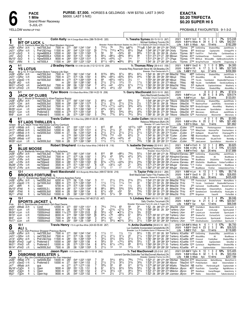PACE<br>1 Mile<br>Grand R<br>5-JUL-2<br>YELLOW WARM-UP PAD **1 Mile** Grand River Raceway 5-JUL-21

# **EXACTA \$0.20 TRIFECTA \$0.20 SUPER HI 5**

PROBABLE FAVOURITES: 9-1-3-2

|                                     | 5-2                                       | <b>BIT OF LUCK L</b>      |                                                                                        | Colin Kelly 164 A Orange-Black-White (386-76-59-45 .320)                        |                                  |                                                                                   |                      |                                          |                                     |                                                    |                                         |                                            | Tr. Teesha Symes (93-15-10-13 .267)<br>Michael Goldberg, Toronto, ON                                                                                                                                                                     | 2021           |                                                     | 1:51 <sup>2</sup> F ScD ft 15<br>2020 1:51 <sup>4</sup> S Wbsb ft 34 4 3 5           | $\overline{1}$                         | 2 <sub>1</sub>                                | \$15,248<br>7%<br>\$42,051<br>12%                                 |
|-------------------------------------|-------------------------------------------|---------------------------|----------------------------------------------------------------------------------------|---------------------------------------------------------------------------------|----------------------------------|-----------------------------------------------------------------------------------|----------------------|------------------------------------------|-------------------------------------|----------------------------------------------------|-----------------------------------------|--------------------------------------------|------------------------------------------------------------------------------------------------------------------------------------------------------------------------------------------------------------------------------------------|----------------|-----------------------------------------------------|--------------------------------------------------------------------------------------|----------------------------------------|-----------------------------------------------|-------------------------------------------------------------------|
| Red<br>Jn281<br>Jn211               | 6GRvr<br>зGRvr                            | 25 ft<br>L.<br>15 It      | B h 6, Camluck-Meet Me Out West-Western Hanover<br>nw3750L3cd<br>Pref-2&3-hcp          | 7500 m :271<br>11500 m                                                          | :26 <sup>1</sup>                 | :562 1:242 1:541<br>:54 <sup>2</sup> 1:23 <sup>4</sup> 1:531                      |                      | 7101/4<br>7113/4                         | 76<br>$7^{101/4}$                   | 751⁄4<br>$•75\frac{1}{2}$                          | $ip87\frac{3}{4}$<br>$6^{51/2}$         |                                            | Breeder: Robert Mcintosh Stables Inc, ON-C S X Stables, OH-Dave A Boyle, ON<br>721/2p8 1:543 291 282 274 291 CKelly<br>1:542 283 274 282 293 CKelly                                                                                      |                | TSymes<br>TSymes                                    | Life $1:51$ S Wbsb $4$ yo $19$ wins<br>265 ExitSmiling<br>8 <sup>20</sup> BrdsScrppr |                                        | ShadesOfBay<br>Capitanoltln                   | \$182,289<br>JackOfClubs 9<br>ChmpgnPhl 9                         |
| Jn12 <sup>1</sup><br>Jn51           | 12ScD<br>4ScD                             | ft<br>L.<br>ft<br>L.      | Hgnw6800L4<br>Hgnw6500L4                                                               | 12500 m<br>12500 m                                                              | :264<br>:26 <sup>2</sup>         | :561 1:231 1:502<br>:534 1:21 1:501                                               | [9<br>3<br>6         | 56<br>$66^{1/4}$                         | 55<br>$086\frac{1}{2}$              | $0.52\frac{3}{4}$<br>$084\frac{3}{4}$              | 65<br>$95\frac{1}{2}$                   | 56p4<br>863⁄4<br>96                        | 1:514 28 291 263 28<br>1:512 273 272 27 292 BBrown                                                                                                                                                                                       | JSutton        | TSymes                                              | 3670 FanOfTrrr<br>TSymes 43 <sup>10</sup> CaribbeanEscap                             |                                        | TheFrstStp<br>FoolsDesir                      | CaribbeanEscp 8<br>LuckyLim 9                                     |
| My15 <sup>1</sup><br>Mý21           | 1ScD<br>3Nfld                             | ft<br>L.<br>ft<br>L.      | Hgnw5000L4<br>nw7000L4                                                                 | 9000 m<br>11500 m                                                               | :26 <sup>4</sup><br>:264         | :554 1:232 1:512<br>:552 1:232 1:524                                              | 3<br>8               | $4^{43}/4$<br>$811\frac{1}{2}$           | 0.433/4<br>$08^{51/2}$              | 02 <sup>1</sup><br>$•85\frac{3}{4}$                | 1ns<br>$85\frac{1}{2}$                  | 11<br>87                                   | 1:51 <sup>2</sup> 27 <sup>4</sup> 28 <sup>4</sup> 27 27 <sup>4</sup> CPage<br>1:541 29 272 281 293 CLems                                                                                                                                 |                |                                                     | TSymes 2790 BringTheThundr                                                           |                                        | HeCanFIN                                      | TSymes 1190 BtOfLck WinwodMc HallBro(dh)myHerRn 9<br>Dragonolog & |
| $\mathbf 2$                         | 4-1                                       | <b>YS LOTUS</b>           |                                                                                        | J Bradley Harris 151 A Wh-Grn-Blk (112-12-10-16 .204)                           |                                  |                                                                                   |                      |                                          |                                     |                                                    |                                         |                                            | Tr. Thomas Riley (39-4-4-0 .159)<br>Amanda Riley, Roseneath-Steve Mc Gill, Bewdley, ON                                                                                                                                                   | 2021           |                                                     | $1:55^4$ F GeoD ft<br>2020 1:52 <sup>3</sup> HYR ft 17 3                             | 5<br>- 1                               | 0<br>$\mathbf 0$<br>3 <sub>5</sub>            | \$4,300<br>20%<br>\$37,505<br>18%                                 |
| Blue<br>Jn281                       | $6$ GRvr 25 ft                            |                           | Br g 10, If I Can Dream-Bolero Takara-Life Sign<br>nw3750L3cd                          | 7500 m 271                                                                      |                                  | :56º 1:24º 1:541                                                                  | 8                    | 9133/4                                   | 993/4                               | $97\frac{1}{4}$                                    | 981/4                                   | $62\frac{1}{4}$                            | Breeder: Paul Deslauriers, FL<br>1:543 30 282 272 284 BMacDld TRiley                                                                                                                                                                     |                | Life $1:49^3$ F PcD                                 | 4895 ExitSmiling                                                                     | 37 wins<br>4yo                         | ShadesOfBay                                   | \$456,984<br>JackOfClubs 9                                        |
| Jn211<br>Jn151                      | 11GRvr 15ft<br>6GeoD 17ft                 |                           | nw3750L3cd<br>nw1500L3cd                                                               | 7500 m :271<br>5800 m<br>m                                                      | :273<br>:291                     | :572 1:26<br>:574 1:264 1:554<br>:591 1:283 1:561                                 | 4<br>1:551<br>6      | 683/4<br>68<br>211/2                     | $066^{1/4}$<br>$06^{51/2}$<br>211/2 | $063\frac{3}{4}$<br>$04^{21}/2$<br>$12\frac{1}{4}$ | $65\frac{3}{4}$<br>$3\frac{1}{4}$<br>15 | 443/4<br>11.<br>171/2                      | 1:561 29 293 281 292 NBoyd<br>1:554 291 293 282 283 NBoyd<br>1:561 292 30 291 273 NBoyd                                                                                                                                                  |                | TRiley<br>TRiley                                    | 370 AboutABoy                                                                        |                                        | Ali                                           | BlueMoose 9<br>190 YsLots YarisSeelstr ShadowMeThemone 7          |
| My291 3KD                           | Mr211 10FlmD<br>Mr14 <sup>1</sup> 10FlmD  | 15 ft<br>-8 ft<br>-2 ft   | qua<br>nw3400L3cd<br>Preferred-3                                                       | 7500 m<br>10000 m                                                               | :28 <sup>2</sup><br>:29          | :58 1:261 1:542<br>$:58^3$ 1:27 1:55                                              | $\frac{6}{7}$<br>4   | $44\frac{1}{2}$<br>$4^{4^{1/2}}$         | 04 <sup>4</sup><br>$4^{4^{1/2}}$    | $0.54\frac{1}{4}$<br>$\circ 5^3$                   | $67^{1/4}$<br>55                        | $711\frac{1}{2}$<br>463/4                  | 1:563 291 293 281 293 BMacDld TRiley<br>1:56 <sup>2</sup> 29 <sup>4</sup> 29 <sup>3</sup> 28 <sup>1</sup> 28 <sup>4</sup> TCullen                                                                                                        |                | TRiley<br>TRiley                                    | NB YsLots<br>5 <sup>35</sup> BigMachN<br>*135 FreddyBear                             | VanillaMaltd                           | CapitanoItaliano<br>ShadesOfBay               | DavidLloydGeorg 6<br>Weatherly 8<br>AboutABoy 9                   |
| 3                                   | $3 - 1$                                   |                           |                                                                                        | Tyler Moore 170 A Black-Blue-White (158-14-22-19 .206)                          |                                  |                                                                                   |                      |                                          |                                     |                                                    |                                         |                                            | Tr. Garry MacDonald (53-5-10-10 .262)<br>Garry MacDonald, Dundas, ON                                                                                                                                                                     | 2021           |                                                     | 2020 1:54 <sup>3</sup> H Lon ft 28                                                   | 8<br>$\theta$                          | 2<br>3<br>6 3 8 21%                           | \$7,614<br>0%<br>\$39,074                                         |
| White<br>Jn28 <sup>1</sup>          | $6$ GRvr 25 ft                            |                           | <b>JACK OF CLUBS</b><br>B g 7, World Of Rocknroll-Cc Kloe-Precious Bunny<br>nw3750L3cd | 7500 m                                                                          | :271                             | :56 <sup>2</sup> 1:24 <sup>2</sup> 1:541                                          |                      | $68\frac{1}{2}$                          | ∘65                                 | ∘64                                                | 533/4                                   | 31                                         | Breeder: Chuck Campbell, MI<br>1:54 <sup>2</sup> 28 <sup>4</sup> 28 <sup>3</sup> 27 <sup>4</sup> 29 <sup>1</sup> TMoore                                                                                                                  |                | Life $1:54^3$ H Lon                                 | GMacDld 1505 ExitSmiling                                                             | 22 wins<br>6уо                         | ShadesOfBay                                   | \$133,051<br>JackOfClubs 9                                        |
| Jn201<br>Jn141                      | 7Clnt<br>9GRvr 20 ft                      | 28 ft                     | nw2500L3cd<br>nw3750L3cd                                                               | 5000 m<br>7500 m                                                                | :293<br>:271                     | :593 1:291 1:572<br>:57 1:261 1:55                                                | 3<br>5<br>4          | $21\frac{1}{2}$<br>7101/4                | 211/2<br>$07^{71/2}$                | $21\frac{1}{2}$<br>$043\frac{1}{2}$                | 213/4<br>$3^{23/4}$                     | $2\frac{1}{2}$<br>$42\frac{3}{4}$          | 1:57 <sup>2</sup> 294 30 293 28<br>1:553 291 291 282 284 TMoore                                                                                                                                                                          | TMoore         | GMacDld                                             | *70 MaximusPowr<br>GMacDld 16 <sup>55</sup> BrodysScrapper                           |                                        | JackOfClbs<br>AboutABoy                       | llovewhatid 6<br>Weatherly 9                                      |
| Mr291<br>Mr221                      | 10Lon<br>7Lon                             | зft<br>14 ft              | nw3000L3cd<br>Preferred-3                                                              | 7000 m<br>10000 m                                                               | :28<br>:274                      | :574 1:26 <sup>2</sup> 1:56 <sup>3</sup><br>:572 1:252 1:542                      | 7<br>3<br>5          | $4^{43}/4$<br>59                         | $03^{21/2}$<br>$56\frac{1}{2}$      | 033<br>$54\frac{3}{4}$                             | 54<br>491/4                             | $45\frac{1}{4}$<br>$35\frac{3}{4}$         | 1:573 29 291 284 303 SWray<br>1:553 293 29 274 291 TMoore                                                                                                                                                                                |                |                                                     | GMacDld 1130 JakeLoewen<br>GMacDld 450 Mercenary                                     |                                        | SportsNation<br>BitOfLuck                     | AdoreHim 8<br>JackOfClubs 8                                       |
| Mr81                                | 8Lon<br>$6 - 1$                           | 6 ft                      | Preferred-3                                                                            | 10000 m<br>Travis Cullen 151 A Blue-Grey (269-41-22-25 .228)                    | :28                              | :573 1:262 1:551                                                                  |                      | 793/4                                    | $7^{73}/_4$                         | $64\frac{1}{2}$                                    | 761/2                                   | $56\frac{1}{2}$                            | 1:56 <sup>2</sup> 30 29 <sup>1</sup> 28 29 <sup>1</sup> TMoore<br>Tr. Jodie Cullen (168-24-18-23 .248)                                                                                                                                   | 2021           |                                                     | GMacDld 1255 PedroHanover                                                            | 0<br>4                                 | Moonwriter<br>$\mathbf{1}$<br>$\mathbf{0}$    | Mercenary 8<br>\$3,000<br>0%                                      |
| 4<br>Green                          |                                           |                           | ST LADS THRILLER L<br>Br g 5, Mach Three-Warrawee Cammy-Camluck                        |                                                                                 |                                  |                                                                                   |                      | 812                                      | 89                                  | 87                                                 | $10^{13\frac{1}{2}}$                    | 1020                                       | Rebecca Williamson, Blyth, ON<br>Breeder: ST Lads Farm,ON<br>1:554 292 281 273 303 TCullen JCullen                                                                                                                                       |                |                                                     | 2020 1:53 <sup>1</sup> HGRvr ft 20<br>Life $1:51^3$ S Wbsb $3$ yo                    | $\overline{c}$                         | 2 1 10%<br>9 wins                             | \$21,490<br>\$81,862                                              |
| Jn191<br>Jn17 <sup>1</sup><br>Jn121 | 11Wbsb 20 ft<br>9Wbsb 20ft<br>10Wbsb 21ft |                           | L nw6000L5cd<br>L nw3300L5cd<br>L nw3200L5cd                                           | 14000 m<br>12000 m<br>12000 m                                                   | :27<br>:26<br>:27                | :554 1:234 1:514<br>:542 1:231 1:512<br>$:56$ 1:24 <sup>3</sup> 1:52 <sup>2</sup> | 4<br>6               | $2^{11/4}$<br>$2^{11/2}$                 | $2^{11/2}$<br>$2^{11/2}$            | 2 <sup>2</sup><br>$2^{11/2}$                       | 561/2<br>$2^{11/2}$                     | 819<br>$2^{11/4}$                          | 1:551 261 282 29 313 EHensley JCullen<br>1:523 271 29 283 274 TCullen JCullen                                                                                                                                                            |                |                                                     | 1770 NickleBg<br>*1 <sup>25</sup> MikeyCmdn<br>3 <sup>10</sup> HpNapoln              |                                        | Pointomygransn<br>HeismanPlar<br>StLadsThrllr | Siddharth 10<br>DrachanHanvr 8<br>ChampagnPhl 9                   |
| Jn71                                | 6Wbsb 25ft<br>My291 5Wbsb 10ft1           |                           | qua<br>qua                                                                             | m<br>m                                                                          | :274<br>:27 <sup>4</sup>         | :563 1:252 1:542<br>:56 <sup>2</sup> 1:25 <sup>4</sup> 1:54 <sup>2</sup>          | 8<br>3<br>3          | $\frac{1}{7}10\frac{3}{4}$<br>$4^{53}/4$ | 710<br>451/4                        | 055<br>$04^{33/4}$                                 | $63^{1/2}$<br>42                        | 31<br>$2\frac{1}{2}$                       | 1:543 30 283 274 281 TCullen<br>1:54 <sup>2</sup> 29 28 <sup>2</sup> 29 <sup>1</sup> 27 <sup>4</sup> TCullen                                                                                                                             |                | JCullen<br>JCullen                                  | NB BluemoonBaym<br>NB PremierJoA                                                     |                                        | Machphs<br>StLadsThrillr                      | StLadsThrllr 9<br>NickleBg &                                      |
|                                     | Mr291 10Lon<br>8-1                        | зft                       | L nw3000L3cd                                                                           | 7000 m<br>Robert Shepherd 172 A Blue-Yellow-White (149-8-6-18 .116)             | :28                              | $:57^4$ 1:26 <sup>2</sup> 1:56 <sup>3</sup>                                       |                      | $11\frac{1}{2}$                          | $11\frac{1}{2}$                     | $11\frac{1}{2}$                                    | 11                                      | 763/4                                      | 1:58 28 294 283 313 TCullen<br>Tr. Isabelle Darveau (52-9-9-5 .301)                                                                                                                                                                      | 2021           | JCullen                                             | *60<br>JakeLoewen<br>$1:54^2H$ FlmD ft                                               | 12<br>3                                | SportsNation<br>225%                          | AdoreHim ε<br>\$9,825                                             |
| 5<br>Black                          |                                           | <b>BLUE MOOSE</b>         | B g 6, Badlands Hanover-Whig Party-Artsplace                                           |                                                                                 |                                  |                                                                                   |                      |                                          |                                     |                                                    |                                         |                                            | Robert Shepherd, Flamborough, ON<br>Breeder: Docs Farm, NJ                                                                                                                                                                               |                | Life $1:54^2$ H FlmD                                | 2020 1:55 H GRvr ft 28                                                               | 26 wins<br>6yo                         | 3 0 2 11%                                     | \$13,924<br>\$137,888                                             |
| Jn281<br>Jn211                      | $6$ GRvr 25 ft<br>11GRvr 15ft             |                           | nw3750L3cd<br>nw3750L3cd                                                               | 7500 m :27 <sup>1</sup><br>7500 m                                               | :271                             | :56 <sup>2</sup> 1:24 <sup>2</sup> 1:541<br>:572 1:26<br>:563 1:253 1:551         | 6<br>1:551<br>1<br>6 | 812<br>$3^{31/2}$<br>2 <sup>1</sup>      | 8<br>43<br>$01\frac{1}{2}$          | ∘86¼<br>$5^{23}/4$<br>18                           | 431/2<br>15                             | $3^{23/4}$<br>15                           | :543 293 28 <sup>2</sup> 273 29 RShephrd IDarveau 28 <sup>50</sup> ExitSmiling<br>1:554 274 301 283 291 RShephrd IDarveau                                                                                                                |                |                                                     | 750 AboutABoy                                                                        |                                        | ShadesOfBay<br>Ali                            | JackOfClubs 9<br>BlueMoose 9                                      |
| Jn131<br>Jn61                       | 9TrRv<br>10TrRv<br>My281 8TrRv            | 24 ft<br>25 ft<br>- 13 ft | nw750pscd<br>nw750pscd<br>nw750pscd                                                    | 3500 m<br>3500 m<br>3500 m                                                      | :273<br>:28 <sup>3</sup><br>:272 | :573 1:26 <sup>2</sup> 1:553<br>:571 1:262 1:57                                   | $^{[9]}_8$           | $8^{73/4}$<br>032                        | $07^{51/2}$<br>$03^{21/4}$          | 0.433/4<br>∘22                                     | $3^{31/2}$<br>21                        | $2^{43/4}$<br>$3^{23}/4$                   | 1:551 274 284 29 293 JTurenne IDarveau<br>1:563 301 282 283 292 JTurenne IDarveau<br>1:573 274 294 291 304 MAuger IDarveau *110 FirstCar IndependenceTime                                                                                |                |                                                     | *80 BlueMoose<br>8 <sup>85</sup> DGsDeVito                                           |                                        | DGsDeVito                                     | TwinBLaker 9<br>BlueMoose OutlawTurnNBurn 9<br>BlueMoose 8        |
|                                     | My141 6TrRv<br>12-1                       | 22 ft                     | nw750pscd                                                                              | 3500 m<br><b>Brett Macdonald</b> 135 A Burgundy-White-Black (499-57-58-56 .216) | :273                             | :574 1:272 1:563                                                                  | $\overline{c}$       | $11\frac{1}{2}$                          | 11                                  | 11                                                 | 12                                      | $13\frac{1}{2}$                            | 1:563 273 301 293 291 MAuger<br>Tr. Taylor Fritz (34-6-6-1 .284)                                                                                                                                                                         |                | IDarveau                                            | *25 BlueMoose<br>2021 1:55 <sup>1</sup> HLon ft 13                                   | FirstCar<br>$\overline{c}$             | 1 1 1 5%                                      | IndependenceTime 7<br>\$9,718                                     |
| 6                                   |                                           |                           | BROCKS FORTUNE L<br>Yellow B g 11, Stonebridge Regal-Fannies Fortune-Apaches Fame      |                                                                                 |                                  |                                                                                   |                      |                                          |                                     |                                                    |                                         |                                            | Brett MacDonald-Taylor Fritz, Freelton, ON<br>Breeder: Robert B Chapple, ON                                                                                                                                                              |                |                                                     | 2020 1:54 <sup>1</sup> F GeoD ft 20<br>Life $1:51$ S Wbsb $8$ yo 36 wins             |                                        | 3 7 3 15%                                     | \$28,855<br>\$435,428                                             |
| Jn281<br>Jn15 <sup>1</sup>          | 3GRvr 25ft<br>$6GeoD$ 17 ft               | L.                        | L nw2000L3cd<br>nw1500L3cd                                                             | 6200 m :273<br>5800 m                                                           | :27 <sup>3</sup>                 | $:56$ 1:25<br>:574 1:264 1:554                                                    | 1:541<br>-1          | 11<br>$11\frac{1}{2}$                    | $2^{11/2}$<br>$11\frac{1}{2}$       | 213/4<br>$11\frac{1}{4}$                           | 213/4<br>1 <sub>ns</sub>                | $2^{2^{1/2}}$<br>42                        | 1:543 273 283 291 291 BMacDld TFritz<br>1:561 273 301 29 292 BMacDld TFritz                                                                                                                                                              |                |                                                     | 195 PremierJoyA                                                                      |                                        | BrocksFortune                                 | MontyMono 9<br>*75 YsLots YarisSeelstr ShadowMeThemone 7          |
| Jn21<br>My151                       | 8MR<br>9Fhld                              | ft<br>L.<br>ft<br>L.      | Open<br>nw6000L5-j                                                                     | 6700 m :273<br>9000 m :281                                                      |                                  | :572 1:261 1:554<br>:571 1:254 1:543                                              | 1<br>8               | $1^{23/4}$<br>881/4                      | $11\frac{1}{2}$<br>863/4            | 1ns<br>533/4                                       | $1\frac{1}{4}$<br>$5^{3/4}$<br>53       | $3\frac{3}{4}$<br>$65\frac{1}{2}$<br>753/4 | 1:56 273 294 284 294 BMacDld TFritz<br>1:553 294 284 28 29 BMacDld TFritz                                                                                                                                                                |                |                                                     | 2 <sup>50</sup> Camwood CoolBluesMan<br>80 <sup>40</sup> WesternBam                  |                                        | CheyenneRynL                                  | BrocksFortune 8<br>ArqueHnvr 8                                    |
| My8 <sup>1</sup><br>My11            | 7Fhld<br>8Fhld                            | ft<br>L.<br>ft<br>L.      | nw6000L5cd<br>nw7500L5cd                                                               | 9000 m<br>10000 m                                                               | :28<br>:29                       | :58 <sup>1</sup> 1:26 <sup>2</sup> 1:54<br>:581 1:263 1:554                       | 6<br>6               | $6^{71/2}$<br>561/2                      | $\circ 5^{6}$<br>$57\frac{1}{4}$    | $\circ 5^3$<br>56                                  | $56\frac{1}{2}$                         | 533/4                                      | 1:55 <sup>1</sup> 29 <sup>2</sup> 30 27 <sup>3</sup> 28 <sup>1</sup> BMacDld TFritz<br>1:563 301 292 281 284 BMacDld TFritz                                                                                                              |                |                                                     | 4100 SantafesCoch<br>2780 Brigadoon                                                  |                                        | OzoneBlueChp<br>VasariN                       | RockLghts &<br>PerfectBet &                                       |
| 7                                   | $15 - 1$                                  |                           | SPORTS JACKET L                                                                        | J. R. Plante A Blue-Yellow-White (187-48-37-23 .407)                            |                                  |                                                                                   |                      |                                          |                                     |                                                    |                                         |                                            | Tr. Lindsey Kerr (45-10-7-10 .382)<br>Sally Charlton, Tecumseh, ON<br>Breeder: Warrawee Farm-Dr Julie A Yager,ON                                                                                                                         | 2021           | 2020 1:53 <sup>3</sup> F Sar<br>Life $1:53^3$ F Sar |                                                                                      | 0<br>6<br>ft 21<br>4<br>13 wins<br>4yo | 1<br>4<br>2 2 19%                             | \$6,046<br>0%<br>\$20,927<br>\$66,548                             |
| Pink<br>Jn241                       | 9Wbsb 25ft<br>Mr311 9Lon                  | - 6 ft                    | B h 5, Sportswriter-Greenwich Girl-Real Desire<br>L Cond<br>15000clmcd                 | 12000 m :271<br>8000 m :28                                                      |                                  | :552 1:234 1:511<br>:581 1:272 1:58                                               | 4                    | $79\frac{1}{4}$<br>33                    | $7^{10\frac{1}{4}}$                 | 65<br>$02^{13/4}$ $02^{11/2}$                      | 56<br>2nk                               | 34<br>$3^{13/4}$                           | 1:52 29 28 <sup>2</sup> 27 <sup>2</sup> 27 <sup>1</sup> JMacDld LKerr<br>1:582 283 30 29 304 TraHenry LKerr                                                                                                                              |                |                                                     | 3810 ChiefsBech<br>170 SeaLaird                                                      |                                        | ModernWritr<br>LivinLarge                     | SportsJackt 8<br>SportsJacket 7                                   |
|                                     | Mr241 11Lon<br>Mr10 <sup>1</sup> 4Lon     | 15 ft<br>12 ft            | 15000clmcd<br>15000clmcd                                                               | 8800 11/16:272<br>8000 m :274                                                   |                                  | :554 1:254 2:03<br>:581 1:262 1:554                                               | 18<br>2<br>2         | $56\frac{1}{2}$<br>$69^{1/4}$            | $\circ 5^7$<br>078                  | $•31\frac{1}{4}$<br>$066\frac{1}{4}$               | $\frac{2^{11/4}}{6^7}$                  | $3\frac{3}{4}$<br>681/4                    | 2:031<br>1:572 293 301 274 294 TraHenry LKerr                                                                                                                                                                                            | TraHenry LKerr |                                                     | 6 <sup>20</sup> LarjonLuck<br>630 ShadowTal                                          |                                        | llovewhatid<br>CuriousCortz                   | SportsJackt 7<br>LarjonLuck 8                                     |
| Mr31                                | 4Lon<br>Fb171 2Lon                        | -1 ft<br>-8 ft            | 15000clmcd<br>15000clmcd                                                               | 7000 m :291                                                                     |                                  | 7000 m : 291 1:00 1:283 1:582<br>:593 1:29 1:593                                  |                      | $44\frac{1}{2}$<br>$56\frac{1}{4}$       | 02 <sup>1</sup><br>$5^{51}/2$       | ∘21<br>$•6^{13}/4$                                 | 21<br>$3^{21}/4$                        | $2\frac{1}{2}$<br>$3^{11/4}$               | 1:582 30 301 283 293 MStLouis LKerr<br>1:594 302 301 284 302 TraHenry LKerr                                                                                                                                                              |                |                                                     | *140 CuriousCortz<br>*195 DGsShallwednc                                              |                                        | SportsJackt<br>ComeOnBarn                     | ShadowTal 8<br>SportsJckt 7                                       |
| 8                                   | $10-1$<br>ALI L                           |                           |                                                                                        | Travis Henry 170 A Light Blue-White (424-60-55-69 .267)                         |                                  |                                                                                   |                      |                                          |                                     |                                                    |                                         |                                            | Tr. Anita Ouellette (39-8-5-10 .361)<br>Luc Ouellette Incorporated, Campbellville, ON                                                                                                                                                    |                |                                                     | 2021 Q1:54 <sup>2</sup> S Wbsb ft<br>2020 1:52 <sup>2</sup> F GeoD ft 23 2 3 2       | 6<br>$\overline{1}$                    | 1 0 17%                                       | \$6,700<br>\$26,525<br>\$118,685<br>9%                            |
| Gray<br>Jn281                       | 6GRvr 25ft<br>Jn211 11 GRvr 15 ft         |                           | B q 6, Dali-Precious Shopper-Precious Bunny<br>L nw3750L3cd<br>L nw3750L3cd            | 7500 m 271<br>7500 m :271                                                       |                                  | $:56^2$ 1:24 <sup>2</sup> 1:541<br>:572 1:26 1:551                                | $\frac{2}{5}$        | $11\frac{1}{2}$<br>211/2                 | 11<br>211/2                         | $1\frac{1}{2}$<br>$31\frac{1}{4}$                  | $\frac{11}{2^2}$                        | 941/2<br>$21\frac{7}{4}$                   | Breeder: Luc R Ouellette-Aaron D Waxman,ON<br>1:55 271 291 28 30 <sup>3</sup> TraHenry AOuelltte 400 ExitSmiling<br>1:55 <sup>2</sup> 27 <sup>2</sup> 301 28 <sup>3</sup> 291 TraHenry AOuelltte 4 <sup>50</sup> AboutABoy               |                | Life $1:50^3$ F PcD                                 |                                                                                      | 10 wins<br>Зуо                         | ShadesOfBay<br>Ali                            | JackOfClubs 9<br>BlueMoose 9                                      |
| Jn141<br>Mr281                      | 8GRvr 20ft<br>9FlmD                       | 3 gd <sup>1</sup>         | L Pref-2&3-hcp<br>L Preferred-3                                                        | 11500 m :281<br>10000 m :26 <sup>2</sup>                                        |                                  | :59 1:264 1:554<br>:56 <sup>2</sup> 1:25 <sup>2</sup> 1:56                        | 1<br>4               | $3^{31/4}$<br>581/2                      | $\frac{431}{5^5}$                   | 433/4<br>0741/2                                    | $31\frac{1}{2}$<br>$6^{23}/4$           | $5^{13}/4$<br>$5^{51}/4$                   | 1:561 284 304 28 283 TraHenry AOuelltte 3380 Crosscut<br>1:57 28 29 <sup>2</sup> 28 <sup>4</sup> 30 <sup>4</sup> TraHenry AOuelltte 11 <sup>25</sup> FreddyBr                                                                            |                |                                                     |                                                                                      |                                        | FreddyBear<br>Capitanoltalin                  | ShadesOfBay 9<br>SilverBst &                                      |
|                                     | $Mr211$ $\n 7FlmD$ $8ft$<br>Mr141 sFlmD   | -2 ft                     | L Preferred-3<br>L nw3000L3cd                                                          | 10000 m :28<br>7500 m :28                                                       |                                  | :573 1:253 1:54<br>:58 1:26 <sup>2</sup> 1:553                                    | 8<br>5               | 673/4<br>211/2                           | $67\frac{1}{4}$<br>1 <sup>2</sup>   | $075\frac{1}{2}$<br>12                             | $\tilde{8}^9$<br>$12\frac{1}{4}$        | 8131/2<br>1 <sup>2</sup>                   | 1:563 293 292 273 30 TraHenry AOuelltte 1230 CycloneJo<br>1:553 281 294 282 291 TraHenry AOuelltte 445 Al                                                                                                                                |                |                                                     |                                                                                      | CapitanoItalian                        | NightWatchmn                                  | ShadesOfBa 8<br>OsborneSeelstr 9                                  |
| 9                                   | 2-1                                       |                           | <b>OSBORNE SEELSTER L</b>                                                              | Jason Ryan 170 A Green-White (93-11-10-18 .242)                                 |                                  |                                                                                   |                      |                                          |                                     |                                                    |                                         |                                            | Tr. Ted MacDonnell (25-2-5-8 .297)<br>Leonard Gamble, Etobicoke-Ted MacDonnell, Allenford, ON                                                                                                                                            |                |                                                     | 2021 Q1:55 <sup>2</sup> F TgDn ft<br>2020 1:53 <sup>1</sup> S Wbsb ft 32 1 5 6       | 10<br>$\overline{1}$                   | 3 2 10%                                       | \$15,405<br>\$33,354<br>3%                                        |
|                                     | Jn261 1Wbsb 27ft                          |                           | Purple B g 7, Big Jim-Outofthefryingpan-No Pan Intended<br>L nw5000L5cd                | 14000 m :26 <sup>2</sup>                                                        |                                  | :544 1:222 1:502                                                                  |                      | 33                                       | $54\frac{1}{2}$                     | $65\frac{1}{2}$                                    | 783/4                                   | 7121/2                                     | Breeder: Seelster Farms Inc,ON<br>1:524 27 283 274 292 DMcNair TMacDnll 3700 MikeyCamden                                                                                                                                                 |                |                                                     | Life $1:50 \text{ S Wbsb}$ 4yo 10 wins                                               |                                        | BettorBGoing                                  | \$207,189<br>MenloPark 10                                         |
| Jn151<br>Jn71                       | 2GeoD 17ft<br>5Wbsb 25ft<br>My16110TgDn   | ft                        | L Preferred-3<br>qua<br>Open                                                           | 10000 m :27<br>m<br>9000 m :263                                                 | :271                             | :563 1:244 1:53<br>:574 1:273 1:55<br>:551 1:23 1:51                              | $\frac{2}{7}$<br>6   | $2^{11/2}$<br>563/4<br>67                | $2^{11/2}$<br>56<br>671/2           | $3^{21/4}$<br>86<br>$62\frac{1}{2}$                | $3^{13/4}$<br>911<br>$5^{3/4}$          | $3^{23}/4$<br>9113/4<br>$56\frac{1}{2}$    | 1:53 <sup>3</sup> 27 <sup>1</sup> 29 <sup>3</sup> 28 <sup>2</sup> 28 <sup>2</sup> AByron TMacDnll 10 <sup>70</sup> PrettyHandsm<br>1:572 283 302 294 283 MSaftic TMacDnll NB KwkTlkn PembrookLgcN<br>1:521 28 283 264 284 MMerton JByron |                |                                                     | 40 <sup>50</sup> PrairiPnthr                                                         |                                        | ldelJt                                        | OsborneSelstr 5<br>CapitanoItaln 9<br>NghtWtchmn 6                |
| My91                                | 2TgDn                                     | L.<br>ft                  | L Open                                                                                 | 9000 m :27                                                                      |                                  | :56 <sup>2</sup> 1:25 <sup>1</sup> 1:52                                           | $\overline{c}$       | $2^{11/4}$<br>1ns                        | $3^{21}/2$<br>$2\frac{1}{2}$        | $\circ 3^2$<br>$2^{11/4}$                          | 461/2<br>$3^{21/4}$                     | $56\frac{1}{4}$<br>2 <sup>1</sup>          | 1:53 <sup>1</sup> 27 <sup>1</sup> 29 <sup>3</sup> 28 <sup>4</sup> 27 <sup>3</sup> MMerton JByron<br>1:521 26 282 291 283 JJamiesn JByron                                                                                                 |                |                                                     | 6 <sup>90</sup> Rebellious                                                           |                                        | CaviartRgn<br>CaviartReagan                   | IdealJimmy 5                                                      |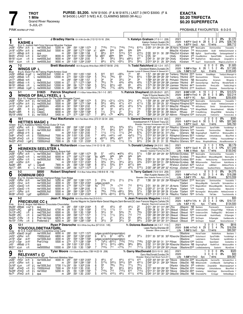**PURSE: \$5,200.** N/W \$1500. (F & M \$1875.) LAST 3 (W/O \$3000. (F & M \$4500.) LAST 5 N/E) A.E. CLAIMING \$8500 (W-ALL)

# **EXACTA**

PINK WARM-UP PAD

**TROT** 

1 Mile

5-JUL-21

**Grand River Raceway** 

PROBABLE FAVOURITES: 6-3-2-5

| Red                                                                                        | 6-1                                                                                      | <b>KASHE</b> ‡                                                                                                        | B m 5, Justice Hall-Circe Hanover-Muscles Yankee                                                                                                                                                                  |                                                                                |                                              |           | J Bradley Harris 151 A Wh-Grn-Blk (112-12-10-16 .204)                                                                                                                          |                                   |                                                                                                              |                                                                                                  |                                                                                                                                                    |                                                                                |                                                                                         | Tr. Katelyn Graham (17-3-1-1 .228)<br>Katelyn Graham.Guelph.ON<br>Breeder: Fred D Brayford, ON                                                                                                                                                                                                                                                                                                                                                                                                                                                                                       | 2021         | 2020 1:57 <sup>3</sup> F GeoD ft 28 6 3 2 21%<br>Life $1:57^3$ F GeoD $4$ yo 10 wins                                                                       |                                                   | 7000                                                                                         | 0%                         | \$1,370<br>\$38,730<br>\$88.712                                                                                 |
|--------------------------------------------------------------------------------------------|------------------------------------------------------------------------------------------|-----------------------------------------------------------------------------------------------------------------------|-------------------------------------------------------------------------------------------------------------------------------------------------------------------------------------------------------------------|--------------------------------------------------------------------------------|----------------------------------------------|-----------|--------------------------------------------------------------------------------------------------------------------------------------------------------------------------------|-----------------------------------|--------------------------------------------------------------------------------------------------------------|--------------------------------------------------------------------------------------------------|----------------------------------------------------------------------------------------------------------------------------------------------------|--------------------------------------------------------------------------------|-----------------------------------------------------------------------------------------|--------------------------------------------------------------------------------------------------------------------------------------------------------------------------------------------------------------------------------------------------------------------------------------------------------------------------------------------------------------------------------------------------------------------------------------------------------------------------------------------------------------------------------------------------------------------------------------|--------------|------------------------------------------------------------------------------------------------------------------------------------------------------------|---------------------------------------------------|----------------------------------------------------------------------------------------------|----------------------------|-----------------------------------------------------------------------------------------------------------------|
| Jn281<br>Jn181<br>Jn111<br>Mr251<br>Mr161<br>Mr91                                          | 7GRvr 25ft<br>$10$ GRvr 20 ft<br>9Wbsb 20ft<br>6FlmD<br>10Lon<br>9Lon                    | $\ddagger$<br>14 ft<br>4 ft<br>$\ddagger$<br>5 ft<br>$\ddagger$                                                       | nw1500L3cd<br>nw2000L3cd<br>qua<br>nw1r2021<br>nw4000L3cd<br>nw4000L3cd                                                                                                                                           | 5200 m :284<br>5500 m<br>m<br>8000 m<br>9000 m<br>9000 m                       | :28 <sup>2</sup><br>:284<br>:29 <sup>2</sup> |           | :591 1:282 1:574<br>:58 <sup>2</sup> 1:27 <sup>2</sup> 1:56 <sup>4</sup><br>:583 1:284 1:58<br>:294 1:001 1:293 1:593<br>:593 1:291 2:00<br>:291 1:001 1:294 2:002             | 2<br>x1<br>2<br>5x                | 7133/4<br>x6 <sup>dis</sup><br>$68\frac{1}{2}$<br>x822<br>58<br>$68\frac{1}{4}$                              | $711\frac{1}{2}$<br>6 <sup>dis</sup><br>614<br>x8dis<br>$5^{81}/2$<br>$67\frac{3}{4}$            | 7143/4<br>6 <sub>dis</sub><br>5131/2<br>8 <sub>dis</sub><br>$56\frac{1}{2}$<br>$055\frac{1}{4}$                                                    | 7141/2<br>6 <sup>dis</sup><br>515<br>7dis<br>x661/2<br>$55\frac{1}{2}$         | 6 <sup>dis</sup><br>$410\frac{1}{2}$<br>7271/4<br>$6^{21}$<br>561/4                     | 6121/4 2:001 313 294 30 284 JB.Harris KGraham 680 NeonLights<br>2:00 30 <sup>2</sup> 31 30 28 <sup>3</sup> PMacDnll KGraham NB BgRch SpunFromMgc DarkangeldesbsF 9<br>$2:05$ 341<br>2:041 31 301 291 334 CKelly<br>2:013 304 31 29 304 CKelly                                                                                                                                                                                                                                                                                                                                        | CKelly       | BMacDld KGraham 745 Wishyoudtellm AceB HettiesCommandr 6<br>KGraham 255 CloudNinHnvr SpendThtMn<br>KGraham 2 <sup>40</sup> RedHotTrch<br>KGraham *65 SuprT |                                                   | DominumDeo<br>NebraskaJck<br>OceanviewDb                                                     | MagicsLuckyChrm 8          | Yoooukilis 7<br>GuccsOffc 8<br>ZorgwijkTm 6                                                                     |
|                                                                                            | 7-2                                                                                      |                                                                                                                       |                                                                                                                                                                                                                   |                                                                                |                                              |           | <b>Brett Macdonald</b> 135 A Burgundy-White-Black (499-57-58-56 .216)                                                                                                          |                                   |                                                                                                              |                                                                                                  |                                                                                                                                                    |                                                                                |                                                                                         | Tr. Todd Ratchford (32-1-2-4 .107)                                                                                                                                                                                                                                                                                                                                                                                                                                                                                                                                                   | 2021         |                                                                                                                                                            | 6                                                 | $\Omega$<br>$\mathbf{0}$<br>0                                                                | 0%                         | \$1,920                                                                                                         |
| $\boldsymbol{2}$<br>Blue<br>Jn291<br>Jn221<br>Jn171<br>Mr251<br>Mr191<br>Mr11 <sup>1</sup> | $5Wbsb$ 25 gd <sup>1</sup><br>6Wbsb 14ft<br>6Wbsb 18ft<br>9Wbsb 11 ft<br>зWbsb<br>зWbsb  | WINGS UP L<br>2 ft<br>$9$ gd <sup>2</sup><br>L.                                                                       | B g 6, Swan For All-Taking Flight-Armbro Goal<br>L nw3250L5cd 12000 m :273<br>L nw3000L5cd<br>qua<br>L nw3000L5cd<br>L nw3000L5cd<br>nw3000L5cd                                                                   | 12000 m :27 <sup>2</sup><br>m<br>12000 m<br>12000 m<br>12000 m                 | :293<br>:27<br>:28 <sup>2</sup><br>:281      | :584 1:29 | :554 1:253 1:552<br>:56 <sup>2</sup> 1:25 <sup>3</sup> 1:544<br>:584 1:281 1:57<br>:571 1:273 1:564<br>:58 1:271 1:563<br>1:592                                                | 5<br>$\frac{2}{7}$<br>5           | 910<br>761/2<br>34<br>781/2<br>$54\frac{1}{2}$<br>793/4                                                      | 912<br>793/4<br>34<br>79<br>$64\frac{1}{2}$<br>$7^{73}/4$                                        | $0.95\frac{3}{4}$<br>65<br>$3^{31/4}$<br>443/4<br>∘65<br>$06^{33/4}$                                                                               | 77<br>$74\frac{1}{2}$<br>34<br>433/4<br>66<br>$5^{43}/4$                       | 68<br>$65\frac{1}{2}$<br>39<br>423/4<br>$45\frac{3}{4}$<br>$8^{81/2}$                   | Cleveland Walters, Dundalk, ON<br>Breeder: Lynda R Stewart-Robert A Stewart, KY<br>1:57 293 283 283 301 TreHenry TRtchfrd 2375 Sombre GreatMagic<br>1:554 283 294 281 291 TreHenry TRtchfrd 2330 StormontVntnr<br>1:584 30 <sup>2</sup> 291 291 30 PhHudon TRtchfrd<br>1:572 283 302 293 284 JJamiesn TRtchfrd<br>1:574 291 293 292 293 JJamiesn TRtchfrd 4470 Sonofamillnr<br>2:01 301 301 292 311 JJamiesn TRtchfrd 2140 BradyBunch                                                                                                                                                |              | 2020 1:58 <sup>3</sup> H Stga ft 26<br>Life 1:564S HoP                                                                                                     | 4yo<br>NB WarraweeRoo<br>865 DawsonSprngs         | 5 2<br>$\mathbf{1}$<br>8 wins<br>TtConw<br>Arcanum<br>BooThng<br>RmsLstSn<br>Sorprese        | 4%<br>TeddysLittleangel 10 | \$17,285<br>\$129,445<br>VictorInvcts 10<br>WingsUp 5<br>MorallyFlexibl 9<br>TeddsLttIngl 10<br>DawsonSprings 9 |
| 3                                                                                          | 3-1                                                                                      |                                                                                                                       | \$10625                                                                                                                                                                                                           |                                                                                |                                              |           | Patrick Shepherd 171 A Blue-Yellow-White (16-1-1-0 .097)                                                                                                                       |                                   |                                                                                                              |                                                                                                  |                                                                                                                                                    |                                                                                |                                                                                         | Tr. Patrick Shepherd (225-28-29-21 .227)                                                                                                                                                                                                                                                                                                                                                                                                                                                                                                                                             | 2021         | $2:00^1$ H BR<br>2020 2:00 <sup>2</sup> H FlmD ft 29                                                                                                       | ft 19                                             | 2<br>8<br>3 5                                                                                | 5%<br>28%                  | \$10,572<br>\$32,214                                                                                            |
| Jn281<br>Jn131<br>Jn41<br>My261 <sub>10</sub> BR<br>My191 <sub>10</sub> Nfld               | Jn181 10GRvr 20 ft<br>зClnt<br>2BR                                                       | 26 ft<br>$\ddagger$<br>ft<br>‡L.                                                                                      | <b>WINGS OF BALLYKEEL ‡ L</b><br>White B m 10, Pegasus Spur-Frost On The Gate-Wesgate Crown<br>7GRvr 25 ft $\pm$ L nw1500L3cd<br>‡L nw2000L3cd<br>op9000clm<br>ClassC<br>ft $\pm$ L ClassC<br>ft $\pm$ L nw1500L4 | 5200 m :284<br>5500 m :28 <sup>2</sup><br>4500 m<br>6600 m<br>6000 m<br>5400 m | :301<br>$:29^4$<br>:293<br>:274              |           | :591 1:28 <sup>2</sup> 1:574<br>:582 1:272 1:564<br>:594 1:303 2:02<br>$:59$ 1:29 <sup>4</sup> 2:00 <sup>1</sup><br>:593 1:293 1:584<br>:572 1:263 1:571                       | 6<br>$\frac{2}{4}$<br>7           | $3^{31/2}$<br>$59\frac{1}{2}$<br>$44\frac{1}{2}$<br>32<br>$1\frac{1}{2}$<br>$8^{8^{1}/4}$                    | $0.31\frac{1}{2}$<br>463/4<br>453/4<br>33<br>$31\frac{1}{2}$<br>076                              | 0.313/4<br>$47\frac{1}{2}$<br>$46\frac{1}{2}$<br>$4^{21}/4$<br>2 <sup>1</sup><br>$•56\frac{3}{4}$                                                  | 341⁄4<br>410<br>451/4<br>2 <sup>1</sup><br>$31\frac{1}{2}$<br>$58\frac{1}{4}$  | $4^{11}/4$<br>4111/4<br>$5^{73}/4$<br>1 <sub>nk</sub><br>22<br>47                       | Triple S Equine, Newton, ON<br>Breeder: Ballykeel Racing,ON<br>1:591 292 30 292 302 PShephrd PShephrd 1245 NeonLights<br>1:59 301 293 29 301 PShephrd PShephrd 5230 Wishyoudtellm<br>2:033 31 30 304 314 BMacDld PShephrd *20 AllOutHenry<br>2:001 301 292 303 30 SMcDngh RRusso *130 Wings0fBallkl<br>1:591 293 301 30 292 AMonti RRusso 330 FrnksWtchng<br>1:583 292 291 292 303 AMrrmn PShephrd 1020 OneFancyKd                                                                                                                                                                   |              | Life $1:57$ <sup>1</sup> F RC                                                                                                                              | 8yo                                               | 32 wins<br>DominumDeo<br>AceB<br>Sinful<br>Simonthedmnd<br>WingsOfBllkl<br>FultonsFur        | HettiesCommandr 6          | \$250,835<br>Yoooukilis 7<br>SchraderHanover 7<br>WillyMs 7<br>SeriosGrg 7<br>ForeverJess 8                     |
|                                                                                            | 10-1                                                                                     |                                                                                                                       |                                                                                                                                                                                                                   |                                                                                |                                              |           | Paul MacKenzie 160 A Red-Black-White (272-31-32-34 .220)                                                                                                                       |                                   |                                                                                                              |                                                                                                  |                                                                                                                                                    |                                                                                |                                                                                         | Tr. Gerard Demers (64-12-4-8 .263)                                                                                                                                                                                                                                                                                                                                                                                                                                                                                                                                                   | 2021         | 2020 1:57 <sup>4</sup> F GeoD ft 30                                                                                                                        | 2                                                 | $0\quad 0$<br>0<br>$3\ 5\ 2\ 10\%$                                                           | 0%                         | \$300<br>\$37,560                                                                                               |
| Jn231<br>Jn151<br>Jn5 <sup>1</sup><br>Dc60<br>Nv290<br>Nv22 <sup>0</sup>                   | 8GRvr 18ft<br>3GeoD 17ft<br>9Wbsb 27 ft<br>8FlmD<br>9FlmD<br>8FlmD                       | $\pm$<br>-4 ft<br>⇟<br>6 ft<br>$\ddagger$<br>$1$ gd <sup>2</sup> $\pm$                                                | <b>HETTIES MAGIC ‡</b><br>Green B g 5, Kadabra-Hetties Honey-Duke Of York<br>15000clmcd<br>nw1000L3cd<br>qua<br>15000clmcd<br>15000clmcd<br>15000clmcd                                                            | 6800 m<br>6000 m<br>m<br>7000 m<br>7000 m<br>7000 m                            | :283<br>:27<br>:291                          |           | :592 1:293 2:002<br>:584 1:284 2:00<br>:293 1:001 1:301 2:00<br>:291 1:001 1:30 2:00<br>:593 1:294 2:011<br>$:29$ 1:00 1:31 2:03 <sup>3</sup>                                  | 4<br>5                            | 56<br>713<br>$11\frac{1}{2}$<br>443/4<br>x9121/2<br>1 <sup>2</sup>                                           | $54\frac{1}{2}$<br>$69\frac{1}{2}$<br>$11\frac{1}{2}$<br>$04^{41}/4$<br>$9^{83/4}$<br>$1^{13}/4$ | $54\frac{3}{4}$<br>610<br>$11\frac{1}{2}$<br>o42<br>x910<br>$11\frac{1}{2}$                                                                        | $55\frac{1}{2}$<br>$6^{83/4}$<br>2hd<br>$4x^{21/2}$<br>914<br>$1\frac{1}{4}$   | 7101/4<br>$5^{113/4}$<br>$6^{73/4}$<br>$77\frac{1}{2}$<br>9141/2<br>$6^{21}/2$          | Investissement K F B, Sorel-Tracy, QC<br>Breeder: Harness Horsepower Inc,ON<br>2:022 294 302 302 314 PMacKnz GDemers 2465 Victorhsscrt<br>2:02 <sup>2</sup> 29 <sup>3</sup> 31 30 <sup>1</sup> 31 <sup>3</sup> TraHenry GDemers 12 <sup>25</sup> Yoooukilis<br>2:013 293 303 30 312 LRoy<br>2:01 <sup>2</sup> 30 <sup>1</sup> 30 <sup>4</sup> 29 <sup>2</sup> 31 RShephrd GDemers 55 <sup>10</sup> Ycldbthtgrl<br>2:04 313 294 30 <sup>2</sup> 32 <sup>1</sup> RShephrd GDemers 13 <sup>95</sup> AbrasMmntm<br>2:04 29 31 31 33 PMacKnz GDemers 16 <sup>30</sup> Alona WrapAndAHooey |              | Life $1:57^4$ F GeoD $4$ yo<br>GDemers NB Ongoing Roylt                                                                                                    |                                                   | 3 wins<br>SpndThtMn<br>DominumDeo<br>RedHtTrch<br>Unfnshdbsnss<br>YrStIIUp                   | AbrasMomentom 8            | \$46,760<br>Yocidbthtgrl 8<br>MalcolmG 7<br>Wishvoudtllm 9<br>MssvPtntl 9<br>Youcouldbthtarl 9                  |
| 5                                                                                          | 4-1                                                                                      |                                                                                                                       | HEINEKEN SEELSTER L                                                                                                                                                                                               |                                                                                |                                              |           | Bruce Richardson A Green-Yellow (114-12-13-18 .221)                                                                                                                            |                                   |                                                                                                              |                                                                                                  |                                                                                                                                                    |                                                                                |                                                                                         | Tr. Donald Lindsey (34-2-5-5 .189)<br>Glen Lindsey, Fergus, ON                                                                                                                                                                                                                                                                                                                                                                                                                                                                                                                       | 2021         | 2020 1:57 <sup>3</sup> F GeoD ft 23                                                                                                                        | 9                                                 | $0 \t1 \t11%$<br>4 0 3 17%                                                                   |                            | \$8,179<br>\$17,249                                                                                             |
| Black<br>Jn281<br>Jn221<br>Jn161<br>Jn91<br>Ap281<br>Ap171                                 | 7GRvr 25ft<br>$2GeoD$ 14 ft<br>8GRvr 12ft<br>10GRvr<br>2BR<br>1BR                        | 25 ft<br>sy <sup>2</sup><br>L.<br>ft                                                                                  | B g 8, Federal Flex-Hollywood Beauty-Angus Hall<br>L nw1500L3cd<br>L nw1000L3cd<br>L nw3500L3cd<br>qua<br>ClassB<br>L A-Open                                                                                      | 5200 m :284<br>6000 m :274<br>7400 m :29<br>m<br>7900 m<br>10500 m             | :29<br>:283                                  |           | :591 1:28 <sup>2</sup> 1:574<br>:582 1:274 1:581<br>:592 1:291 1:584<br>:294 1:001 1:311 2:004<br>:582 1:291 1:583<br>$:58$ 1:274 1:573                                        | [9<br>8x<br>6<br>5<br>8<br>3      | x9dis<br>7101/2 079<br>$3^{3/4}$<br>$42^{1/4}$<br>2 <sup>1</sup>                                             | $04^{31/2}$<br><b>gdis</b><br>$3^{4^{1}/4}$<br>533/4<br>2 <sup>1</sup>                           | $•4^{23/4}$<br><b>gdis</b><br>077<br>$3^{41/4}$<br>814<br>21                                                                                       | $45\frac{1}{4}$<br><b>9dis</b><br>56<br>$4^{21/2}$<br>8371/2<br>423/4          | $5^{7}_{2}$<br><b>gdis</b><br>563/4<br>$4^{33/4}$<br><b>8dis</b><br>$5^{13\frac{1}{2}}$ | Breeder: Seelster Farms Inc,ON<br>1:591 301 293 291 301 BcRchdsn DLindsey<br>2:001 31 301 292 293 BcRchdsn DLindsey 5540 Arrakis<br>2:01 <sup>3</sup> 30 <sup>3</sup> 30 <sup>2</sup> 31 29 <sup>3</sup> BcRchdsn DLindsey NB Willyorwonthe<br>292 294 324<br>2:001 284 292 294 321 KCmngs JGraham 1160 MrQuaker                                                                                                                                                                                                                                                                     |              | Life $1:56$ S Wbsb 6yo<br>TraHenry DLindsey 770 MagicsWizrd MissysMagicMn<br>RFisherJr JGraham 4250 TartufLnd                                              | 5 <sup>25</sup> NeonLights                        | 17 wins<br>DominumDeo<br>HerbsJourney<br>PeterCrown<br>LeMillenr<br>SouthernPalms            |                            | \$130,542<br>Yoooukilis 7<br>NeonLghts 9<br>OceanviewDeb 8<br>KatchKanna 6<br>AllAboutThchs 8<br>MajesticKat 6  |
| 6                                                                                          | 5-2                                                                                      | <b>DOMINUM DEO</b>                                                                                                    | \$8500                                                                                                                                                                                                            |                                                                                |                                              |           | Robert Shepherd 172 A Blue-Yellow-White (149-8-6-18 .116)                                                                                                                      |                                   |                                                                                                              |                                                                                                  |                                                                                                                                                    |                                                                                |                                                                                         | Tr. Terry Gallant (74-9-13-9 .259)<br>Allan Kuepfer, Newton, ON                                                                                                                                                                                                                                                                                                                                                                                                                                                                                                                      | 2021         | 2020 1:58 <sup>3</sup> H FlmD ft 32 3 3 4                                                                                                                  | 8                                                 | 3<br>0<br>0                                                                                  | 0%<br>9%                   | \$4,375<br>\$18,288                                                                                             |
| Yellow<br>Jn281<br>Jn26 <sup>1</sup><br>Jn221<br>Jn151<br>Jn111                            | 7GRvr 25ft<br>1 Hnvr 24 ft<br>$2GeoD$ 14 ft<br>3GeoD 17ft<br>7GRvr 22 ft<br>Mr281 10FlmD | 3 gd <sup>1</sup>                                                                                                     | B g 10, Donato Hanover-Highland Ridge-Tom Ridge<br>7GRvr 25 ft mw1500L3cd 5200 m :284<br>nw1500L3cd<br>nw1000L3cd<br>nw1000L3cd<br>nw2000L3cd<br>op8500clm                                                        | 4000 m :291<br>6000 m<br>6000 m :27<br>5500 m<br>6000 m                        | :274<br>:28 <sup>4</sup>                     |           | :591 1:282 1:574<br>$:59^3$ 1:30 <sup>2</sup> 2:00 <sup>3</sup><br>:582 1:274 1:581<br>:584 1:284 2:00<br>$:584$ 1:28 <sup>3</sup> 1:57 <sup>2</sup><br>:284 1:002 1:304 2:004 | 3<br>4х<br>6<br>4                 | $2^{13/4}$<br>judges scratch<br>712<br>$11\frac{1}{2}$<br>793/4                                              | $2^{11/2}$<br>79<br>$11\frac{1}{2}$<br>7103/4<br>9123/4 08121/2                                  | $2^{11/2}$<br>0710<br>1ns<br>$066\frac{1}{2}$<br>8123/4                                                                                            | $2^{13/4}$<br>712<br>11<br>563/4<br>$916\frac{1}{2}$                           | 2 <sup>1</sup><br>8141/4<br>$23^{1/4}$<br>571/4<br>$9^{331/4}$                          | Breeder: Deo Volente Farms LLC,NJ<br>1:58 291 301 291 292 RShephrd TGallant 2120 NeonLights<br>2:01 301 30 293 311 JB. Harris TGallant 1710 Magics Wizrd<br>2:003 27 314 30 314 JPlante TGallant *155 Yoooukilis<br>1:584 304 301 284 29 SCoulter TGallant 10 <sup>90</sup> NorwegnDd<br>2:07 <sup>2</sup> 31 <sup>2</sup> 31 <sup>2</sup> 30 <sup>3</sup> 34 PMacKnz TGallant 76 <sup>55</sup> OnTheSly                                                                                                                                                                             |              | Life $1:54^4$ F PPk<br>TGallant                                                                                                                            | 4yo<br>MissysMgcMn                                | 26 wins<br>DominumDeo<br>CarmnsFlk<br>MissysMagicMn<br>DominumDeo<br>Wishvodtllm<br>TikiTaka |                            | \$210,559<br>Yoooukilis 7<br>SchraderHnvr 6<br>NeonLghts 9<br>MalcolmG 7<br>HettiesCmmndr 9<br>TouchdownAs 9    |
|                                                                                            | 9-2                                                                                      |                                                                                                                       |                                                                                                                                                                                                                   |                                                                                |                                              |           | <b>Jean F. Maguire</b> 190 A Blue-White-Red (0-0-0-0-)                                                                                                                         |                                   |                                                                                                              |                                                                                                  |                                                                                                                                                    |                                                                                |                                                                                         | Tr. Jean Francois Maguire (1-0-0-0)<br>Ecuries Maguire Inc, Sainte-Marie-Gerard Maguire, Saint-Bernard, QC-Jean Francois Maguire, Carlisle, ON                                                                                                                                                                                                                                                                                                                                                                                                                                       | 2021         | 2020 1:57 <sup>3</sup> H TrRv ft 23                                                                                                                        | 0                                                 | $\Omega$<br>$\Omega$<br>0<br>3 4 3 13%                                                       |                            | \$00<br>\$19,131                                                                                                |
| Pink<br>Dc200 13RC<br>Dc13 <sup>0</sup> 14RC<br>Nv290 2RC                                  | Nv22 <sup>0</sup> 3TrRv<br>Nv15 <sup>0</sup> 1TrRv                                       | $My281$ 9Wbsb 6 sy <sup>4</sup> $\ddagger$<br>$ad1$ $\pm$<br>-3 ft<br>2 ft<br>1 ft<br>$\ddagger$<br>зft<br>$\ddagger$ | <b>PRECIEUSE CC ‡</b><br>B m 6, Angus Hall-Marion Chocolata-Chocolatier<br>qua<br>nw3250L3cd<br>nw2750L3cd<br>nw2750L3cd<br>Pref-1&2-hcp<br>Preferred-2                                                           | 6500 m<br>6500 m<br>6875 m :281<br>6250 m :281                                 | :28<br>:283                                  | :591 1:30 | m :281 :592 1:304 2:004<br>6700 m :28 1:00 1:29 1:593 2<br>1:592<br>:582 1:271 1:571<br>:592 1:29 1:591<br>:583 1:283 1:593                                                    | 5<br>$\frac{5}{3}$<br>3<br>6      | 45<br>$11\frac{1}{2}$<br>$3^{31/2}$<br>111/2<br>2 <sup>1</sup><br>$3^{21/2}$                                 | $45\frac{1}{2}$<br>$1^{11}/2$ 11<br>3 <sup>3</sup><br>$11\frac{1}{2}$<br>2 <sup>1</sup><br>32    | 45<br>$5^{23/4}$<br>$33\frac{1}{2}$<br>$3^{21}/4$<br>$3^{31/2}$                                                                                    | 441/2<br>1 nk<br>$\frac{75}{712}$<br>55<br>33                                  | 22<br>66<br>763/4<br>715<br>483/4<br>561/4                                              | Breeder: Raymond Larose, QC<br>2:011 291 311 312 292 LRoy<br>2:004 28 32 29 314 CBeausl CBeausl 10 <sup>20</sup> UndercovrStrk<br>2:004 283 311 304 301 CBeausl CBeausl 16 <sup>10</sup> UndercovrStrk<br>2:001 283 294 292 322 CBeausl CBeausl 1280 VeroAmoreBi<br>2:01 28 <sup>2</sup> 31 <sup>1</sup> 29 <sup>4</sup> 31 <sup>3</sup> CBeausl CBeausl<br>2:004 283 30 <sup>2</sup> 30 <sup>1</sup> 31 <sup>3</sup> CBeausl CBeausl                                                                                                                                                |              | Life 1:57 F RC<br>JMaguire NB Bastiano                                                                                                                     | 4yo<br>2 <sup>55</sup> SirChopin<br>585 SirChopin | 17 wins<br>PrecieuseCc<br>ChequeThMgc<br>TheMagcOfLf<br>AsalmReady<br>DrSpengler<br>Keepall  |                            | \$134,500<br>Costantino 6<br>YCBrodw 9<br>MrCntstnt 9<br>DrSpengler 7<br>EauNaturelle 6<br>SeverusHanover 7     |
| 8                                                                                          | $12-1$                                                                                   |                                                                                                                       | YOUCOULDBETHATGIRL                                                                                                                                                                                                |                                                                                |                                              |           | Ryan P Desroche 155 A White-Grey-Blue (67-5-5-6 .145)                                                                                                                          |                                   |                                                                                                              |                                                                                                  |                                                                                                                                                    |                                                                                |                                                                                         | Tr. Dolores Basilone (44-1-3-7 .113)<br>Lases Racing, Sheridan, MI                                                                                                                                                                                                                                                                                                                                                                                                                                                                                                                   | 2021         | 2020 2:00 H FlmD ft 29                                                                                                                                     | 3                                                 | 0<br>$\mathbf{0}$<br>2 3 4                                                                   | 0%<br>7%                   | \$816<br>\$16,054                                                                                               |
| Gray<br>Jn291<br>Jn231<br>Jn191<br>Jn12 <sup>1</sup><br>Jn51<br>Mr311                      | $8GeoD$ 26 gd <sup>1</sup><br>8GRvr 18ft<br>ճSar<br>11Sar<br>9Wbsb 27ft<br>8Lon          | 26 ft <sup>1</sup><br>24 ft <sup>1</sup><br>6 ft                                                                      | Br m 6, Credit Winner-Coulantine-Lindy Lane<br>nw1000L3cd<br>15000clmcd<br>nw1500L3cd<br>Pref-3-hcp<br>qua<br>nw50000lcd                                                                                          | 6000 m<br>6800 m :283<br>4000 m<br>5500 m<br>m<br>10000 m :293 1:00 1:30 1:584 | $:28^3$<br>:291<br>:27 <sup>4</sup>          |           | $:59^1$ 1:27 <sup>4</sup> 1:57 <sup>2</sup><br>:592 1:293 2:002<br>:593 1:284 1:592<br>:57 <sup>2</sup> 1:28 <sup>1</sup> 1:58 <sup>4</sup><br>:293 1:001 1:301 2:00           | 6                                 | judges scratch(transportation)<br>$6^{71}/2$<br>judges scratch(transportation)<br>$911\frac{1}{2}$<br>7103/4 | 67<br>711                                                                                        | ○65¾<br>7x <sup>91</sup> / <sub>2</sub> o8 <sup>121</sup> / <sub>4</sub> 7 <sup>123</sup> / <sub>4</sub><br>$912\frac{1}{2}$ 0993/4<br>$07^{73/4}$ | 66<br>7121/2<br>983/4<br>711                                                   | 341/4<br>7183/4<br>893/4                                                                | Breeder: Steve Jones, NY<br>2:011 30 304 30 30 <sup>2</sup> RDesrche DBasilone 22 <sup>65</sup> Victorhsscrt<br>2:023 293 301 31 314 PShaw<br>2:02 314 304 293 294 RDesrche DBasilone NB OngoingRoylt<br>7171/4 2:021 314 302 292 303 LHouse DBasilone 2045 LosBallykeelamig                                                                                                                                                                                                                                                                                                         |              | Life $1:56^3S$ VerD<br><b>DBasilone</b><br><b>DBasilone</b><br>DBasilone 13 <sup>60</sup> Sorprese                                                         | Зуо<br>HorseTrader<br>LadyCaterin                 | 13 wins<br>HoldinAces<br>SpndThtMn<br>ThorSeelstr<br>SpareSeed<br>RedHtTrch<br>Eastonly      |                            | \$90,597<br>Bastiano 7<br>Yocldbthtgrl 8<br>lamWhtlAm 6<br>Costantino 9<br>Wishyoudtllm 9<br>WyndCrek 7         |
| 9                                                                                          | 15-1                                                                                     |                                                                                                                       | RELEVANT # (L)                                                                                                                                                                                                    |                                                                                |                                              |           | Tyler Moore 170 A Black-Blue-White (158-14-22-19 .206)                                                                                                                         |                                   |                                                                                                              |                                                                                                  |                                                                                                                                                    |                                                                                |                                                                                         | Tr. Garry MacDonald (53-5-10-10 .262)<br>Garry MacDonald.Dundas.ON                                                                                                                                                                                                                                                                                                                                                                                                                                                                                                                   | 2021<br>2020 |                                                                                                                                                            | 3                                                 | $0\quad 0$<br>0<br>$0\quad 0$<br>$\mathbf{0}$                                                | 0%<br>0%                   | \$320<br>\$00                                                                                                   |
| Jn161<br>$Dc16^0$ sLon<br>Dc <sub>60</sub>                                                 | 4GRvr 18ft<br>8FlmD -4 ft<br>$Nv29^0$ <sub>2</sub> FlmD                                  | Jn26 <sup>1</sup> $1$ Hnvr $24$ ft $\pm$<br>6 ft<br>$Nv70$ 2FlmD 20ft $\ddagger$                                      | Purple B q 9, Deweycheatumnhowe-Reinvent-Malabar Man<br>nw1500L3cd<br>qua<br>$-3$ ft <sup>1</sup> $\pm$ L nw1500L3cd<br><b>‡L</b> 15000clmcd<br>‡L nw100cd<br>qua                                                 | 4000 m :291<br>5700 11/16:291<br>5200 m                                        | m :291<br>:29<br>m :284                      |           | :593 1:302 2:003<br>:592 1:284 1:581<br>:59 1:303 2:09<br>7000 m :291 1:001 1:30 2:00<br>$:59$ 1:28 <sup>1</sup> 1:59 <sup>1</sup><br>:591 1:30 2:001                          | 3<br>5<br>6<br>$\frac{2}{7}$<br>5 | $46\frac{1}{4}$<br>5173/4<br>59<br>57<br>$7^{103/4}$<br>4123/4                                               | 47<br>$5^{221/4}$<br>783/4<br>56<br>713<br>4121/4                                                | 441/2<br>$5^{24\frac{1}{2}}$<br>761/2<br>$65\frac{1}{2}$<br>7151/2<br>491/2                                                                        | 4111/2<br>$5^{25}$<br>771/4<br>$65\frac{1}{2}$<br>$6^{15}$<br>$411\frac{1}{2}$ | 415<br>$4^{311}/4$<br>761/4<br>$65\frac{3}{4}$<br>$7^{131/2}$<br>4193/4                 | Breeder: Walnut Hall Stock Farm, KY<br>2:033 302 303 301 322 TMoore GMacDld 2390 MissysMgcMn<br>2:04 <sup>2</sup> 32 <sup>4</sup> 31 29 <sup>4</sup> 30 <sup>4</sup> TMoore GMacDld NB Willyorwonth<br>2:10 <sup>1</sup><br>2:011 303 304 293 301 TMoore GMacDld 1000 Ycldbthtgrl<br>2:014 311 302 293 303 TMoore GMacDld 2925 Unabatng<br>2:041 312 301 301 322 GMacDld GMacDld NB ChocolatePie                                                                                                                                                                                     |              | Life $1:58^3$ H FlmD<br>DRankin GMacDld 585 ImWhtIAm ZorgwijkQn Massivepajamprt 8                                                                          | 6yo                                               | 7 wins<br>CarmnsFlk<br><b>LmcMassOk</b><br>Unfnshdbsnss<br>HelloChippr<br>ELSugar            |                            | \$59.067<br>SchraderHnvr 6<br>DarlingPleas 6<br>MssvPtntl 9<br>StormontDunds 7<br>HettiesMagic 5                |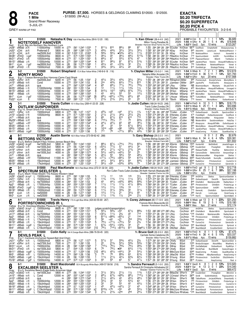

**PACE** 1 Mile **Grand River Raceway** 

**GREY WARM-UP PAD** 

5-JUL-21

| $2:00^4$ H Clnt ft<br>1 14%<br>$10 - 1$<br>2021<br>7<br>$\mathbf{1}$<br>\$10500<br>Natasha K Day 106 A Red-Blue-White (99-6-12-20 .195)<br>Tr. Ken Oliver (38-4-4-9 .242)<br>1:55 H GRvr ft 26<br>1 5 4<br>4%<br>2020<br>Milton Young, Paradise, NL<br><b>NOTETOSELF HANOVER</b><br>$1:52^3$ F GeoD 5yo<br>10 wins<br>\$123,267<br>Life<br>Breeder: Hanover Shoe Farms Inc, PA<br>B g 8, Big Jim-Northern Sky-Northern Luck<br>Red<br>810<br>881/2<br>$811\frac{1}{2}$<br>88<br>87<br>1:55 294 282 28 284 SCoulter KnOliver 6675 CoolRock<br>Jn28<br>11000clmhp<br>10000 m<br>:273<br>:561 1:243 1:533<br>8Wbsb 25ft<br>Emptythetill<br>Alwaysyourway 9<br>$3^{31/4}$<br>453/4<br>443/4<br>$3^{31}/4$<br>3<br>$3^{31/4}$<br>:29<br>:583 1:282 1:573<br>1:581 301 292 292 291 NDay<br>Jn20 <sup>1</sup><br><sub>2</sub> Clnt<br>Preferred-3<br>5800 m<br>KnOliver<br>9 <sup>25</sup> AdoreHm<br>28 ft<br>LarjonLuck<br>NotetoselfHanovr<br>561/2<br>:301 1:003 1:31 2:004<br>563/4<br>$•53\frac{3}{4}$<br>421/2<br>nw2500L3cd<br>5<br>$11\frac{1}{2}$<br>2:004 313 301 30 29 NDay<br>Jn131<br>6Clnt<br>5000 m<br>KnOliver<br>190 NotetoselfHnvr<br>26 ft<br>Ilovewhtd<br>Insincrt<br>461/4<br>45<br>$68^{1/2}$<br>:271<br>461/2<br>5113/4<br>:572 1:253 1:553<br>1<br>1:58 282 30 282 311 PMacKnz KnOliver<br>Mr281<br>3FlmD<br>10500clmhp<br>8600 m<br>710 SpectrumSelstr<br>$3$ gd <sup>1</sup><br>ArtOfFr<br>FernHillBrez<br>$6^{81}/2$<br>67<br>$55\frac{1}{4}$<br>$6^{73/4}$<br>47<br>:27 <sup>3</sup><br>5<br>$:57$ 1:25 <sup>4</sup> 1:551<br>1:563 291 291 282 294 PMacKnz KnOliver<br>Mr211<br>8FlmD<br>8 ft<br>10500clmho<br>8600 m<br>1160 PaparazziHanovr<br>MistrX<br>:271<br>811<br>$99\frac{1}{2}$<br>87<br>$8^{7^{1}/4}$<br>513/4<br>1:551<br>4Wbsb<br>:564 1:253 1:544<br>292 291 282 281 SCoulter KnOliver<br>Mr151<br>11000clmhp<br>10000 m<br>5465 JaydensPlace<br>-2 ft<br>Veneno<br>AlwaysNTheMoney 10<br>32<br>$45\frac{1}{4}$<br>44<br>$03^{13}/4$<br>$2\frac{1}{2}$<br>:28<br>:58<br>1:583 29 294 292 302 PMacKnz KnOliver<br><sub>5</sub> Lon<br>nw2850L5cd<br>7500 m<br>1:274 1:583<br>755 TuitionMone<br>Mr11<br>$-7$ gd <sup>1</sup><br>NotetoselfHanovr<br>Venen<br>$3^{3/4}$<br>$3^{31}/4$<br>$4^{31}/4$<br>44<br>$4^{5^{1/2}}$<br>Dc8 <sup>0</sup><br>8FlmD<br>:282<br>1:571 291 302 283 29 PMacKnz KnOliver<br>-1 ft<br>15000clmcd<br>7000 m<br>$:59$ 1:27 <sup>3</sup> 1:561<br>9 <sup>15</sup> DontAskLgn<br>StrategicThnkng<br>\$12,619<br>$5 - 2$<br>\$10500<br>2<br>29%<br>Robert Shepherd 172 A Blue-Yellow-White (149-8-6-18 .116)<br>2021 1:54 S Wbsb ft<br>Tr. Clayton Miller (10-0-2-1 .144)<br>$\boldsymbol{2}$<br>2020 1:55 <sup>3</sup> H FlmD ft 36<br>5 11 7 14%<br>Natasha Miller, Ancaster, ON<br><b>MONTY MONO</b><br>\$107,568<br>1:52 <sup>3</sup> H GRvr 4yo<br>20 wins<br>Life<br>Breeder: Peter Trocki,ON<br>B g 7, Caseys Bonanza-Boo Hanover-Cams Card Shark<br>Blue<br>433/4<br>2<br>$42\frac{1}{2}$<br>$3^{31/2}$<br>$3^{31/4}$<br>$35\frac{1}{2}$<br>1:551 28 283 291 292 RShephrd CMiller<br>Jn281<br>nw2000L3cd<br>6200 m :273<br>$:56$ 1:25<br>1:541<br>955 PremierJovA<br>3GRvr 25ft<br>BrocksFortune<br>MontyMono<br>8<br>2ns<br>$4^{23}/4$<br>$64\frac{1}{4}$<br>771/4<br>815<br>10000 m :27 <sup>2</sup><br>:554 1:241 1:53<br>Jn15 <sup>1</sup><br>8Wbsb 19ft<br>1.56<br>27 <sup>2</sup> 29 28 <sup>3</sup> 31 JJamiesn CMiller<br>2805 JaydnsPlc<br>Cond<br>FirstClssHrs<br>Alwaysyorw 9<br>69<br>$6^{81}/2$<br>761/2<br>753/4<br>:27 <sup>4</sup><br>:563 1:252 1:542<br>$7^{71/2}$<br>1:553 293 283 283 284 LRoy<br>4<br>Jn71<br>6Wbsb 25ft<br>CMiller<br>NB BluemoonBaym<br>Machphs<br>qua<br>m<br>StLadsThrllr 9<br>$\overline{c}$<br>12<br>133/4<br>:26 <sup>2</sup><br>:551 1:251<br>$11\frac{1}{2}$<br>$11\frac{1}{2}$<br>$1\frac{1}{2}$<br>1:54<br>Mr251<br>5Wbsb 11 ft<br>C <sub>10000</sub> clmhp<br>10000 m<br>1:54<br>26 <sup>2</sup> 284 30 284 DMcNair MStamp<br>400 MontyMono AlwaysNTheMoney<br>Uncaged 10<br>8<br>9121/2<br>$9^{73}/4$<br>1081/2<br>$10^{11}$<br>721/2<br>:271<br>Mr15 <sup>1</sup><br>4Wbsb<br>10000 m<br>:564 1:253 1:544<br>1:551 293 292 281 28 SFilion<br>MStamp 11 <sup>45</sup> JaydensPlace<br>-2 ft<br>12000clmhp<br>Veneno AlwaysNTheMoney 10<br>43<br>53<br>$1^{21/4}$<br>:272<br>:563 1:262 1:553<br>$44\frac{1}{4}$<br>53<br>1:553 28 29 <sup>2</sup> 293 283 DMcNair MStamp<br>7Wbsb<br>10000 m<br>8 <sup>35</sup> MontyMon<br>Mr8 <sup>1</sup><br>10000clmhp<br>-6 ft<br>Sportsmanshp<br>FernHillBreez 7<br>$075\frac{3}{4}$<br>681/2<br>661/4<br>[8<br>68<br>:28<br>:58 1:274 1:583<br>$065\frac{1}{2}$<br>2:001 293 292 30 311 LHouse MStamp<br>Mr11<br><sub>5</sub> Lon<br>10500clmhp<br>7500 m<br>18 <sup>15</sup> TuitionMone<br>$-7$ gd <sup>1</sup><br>NotetoselfHanovr<br>2 <sup>2</sup><br>$2^{13/4}$<br>$2^{13/4}$<br>$2^{31/2}$<br>22<br>Fb <sub>221</sub><br>$:28^3$<br>1:573 29 30 283 30 TBorth<br>4Lon<br>ft<br>10500clmhp<br>7500 m<br>:583 1:27<br>1:57'<br>MStamp<br>7 <sup>10</sup> Veneno<br>MontyMono<br>OutlawKismet 5<br>$2 - 1$<br>3<br>30%<br>\$10500<br>Travis Cullen 151 A Blue-Grey (269-41-22-25 .228)<br>Tr. Jodie Cullen (168-24-18-23 .248)<br>2021 1:56 <sup>3</sup> H FlmD ft 10<br>-1<br>-1.<br>3<br>2020 1:51 <sup>3</sup> S Wbsb ft 25 11 1 3 44%<br>\$53,696<br>Travis Cullen, Dundas, ON<br><b>OUTLAW GUNPOWDER</b><br>Life $1:51^3S$ Wbsb $9y0$<br>59 wins<br>Breeder: Outlaw Stable, AB<br>B g 10, Smart Shark-Fox Valley Cherish-Richess Hanover<br>White<br>453/4<br>045<br>о44<br>1:571 29 30 284 292 TCullen JCullen<br>15000clmcd<br>6800 m :274<br>:58 1:27 1:571<br>3<br>$3^{11/2}$<br>*155 OutlawGnpwdr<br>Jn211<br>7GRvr 15ft<br>$1\frac{3}{4}$<br>DevisPk<br>SpectrumSlstr 6<br>$\overline{c}$<br>211/2<br>211/2<br>$34\frac{1}{2}$<br>$2^{21/2}$<br>$2\frac{3}{4}$<br>$10$ GeoD $17$ ft<br>10500clmhp<br>8600 m<br>:273<br>:571 1:253 1:551<br>1:55 <sup>2</sup> 274 293 29 29 EHensley JCullen<br>470 FredsNight OutlawGunpowder<br>Jn15 <sup>1</sup><br>610<br>710<br>:281<br>:58 <sup>2</sup> 1:27 <sup>1</sup> 1:56 <sup>3</sup><br>$\frac{3}{6}$<br>69<br>$6^{71}/2$<br>610<br>1:583 30 294 292 292 TCullen<br>JCullen<br>Jn71<br>11 Wbsb 25 ft<br>NB MaintenanceMan<br>m<br>KingsJester<br>Stelios<br>qua<br>79<br>7101/4<br>77<br>$65\frac{3}{4}$<br>:274<br>:592 1:302 1:584<br>781/4<br>2:00 294 311 304 281 TCullen<br>My291 <sub>11</sub> Wbsb 10ft<br>JCullen<br>m<br>NB ModernWritr<br>HolyChp<br>qua<br>SaulsbrookKaisn<br>$44\frac{1}{2}$<br>451/2<br>65<br>68<br>4<br>$36\frac{1}{2}$<br>:271<br>Ap11 10Wbsb<br>-4 ft <sup>2</sup><br>10000clmhp<br>10000 m<br>:553 1:253 1:544<br>1.56<br>28 283 30 292 TCullen<br>JCullen<br>3 <sup>25</sup> Alwaysyrw<br>AlwaysNThMn<br>OutlwGnpwdr 9<br>35<br>33<br>54<br>:26 <sup>2</sup><br>:551<br>1:25 <sup>1</sup><br>$6^{71/2}$<br>$69\frac{1}{2}$<br>1:554 272 282 301 294 EHensley JCullen<br>10000 m<br>9 <sup>50</sup> MontyMono<br>Mr25 <sup>1</sup><br>5Wbsb 11 ft<br>10000clmhp<br>1:54<br>AlwaysNTheMoney<br>1014<br>∘89<br>$\circ 98$<br>:271<br>:564 1:253 1:544<br>9<br>1093/4<br>$10^{8\frac{1}{2}}$<br>1:56 <sup>2</sup> 30 28 <sup>3</sup> 28 <sup>3</sup> 29 <sup>1</sup> TCullen<br>Mr151<br>4Wbsb -2ft<br>12000clmhp<br>10000 m<br>575 JaydensPlace<br>JCullen<br>Veneno AlwaysNTheMoney 10<br>5<br>711<br>79<br>$077\frac{1}{4}$<br>$43\frac{3}{4}$<br>$8^{81}/4$<br>Mr111<br>5Wbsb<br>15000clmhp<br>14000 m<br>:274<br>$:57$ 1:25 <sup>4</sup> 1:56<br>1:564 30 284 282 293 TCullen<br>975 KeepComing<br>9 gd <sup>2</sup><br>JCullen<br>PLIdaho<br>QuanBlueChip 8<br>\$12500<br>9<br>2<br>$0\%$<br>8-1<br><b>Austin Sorrie</b> 163 A Blue-Yellow (373-59-62-42 .288)<br>$\Omega$<br>Tr. Gary Bishop (29-2-2-3 .141)<br>2021<br>1.<br>4<br>2020 1:54 <sup>3</sup> S Wbsb ft 34<br>6 4 12%<br>\$30,381<br>4<br>Courtney Bishop, Guelph, ON<br><b>BETTORS VICTORY</b><br>$1:524S$ HoP<br>3yo<br>6 wins<br>Life<br>Breeder: Winbak Farm, MD<br>B g 5, Bettors Delight-Fillys Victory-Jennas Beach Boy<br>Green<br>$8^{81}/2$<br>$8^{7^{1/2}}$<br>$07^{41/2}$<br>nw1500L3cd<br>:26 <sup>4</sup><br>:551<br>1:243 1:552<br>$75\frac{1}{2}$<br>$8^{31}/4$<br>28 <sup>2</sup> 28 <sup>1</sup> 28 <sup>4</sup> 30 <sup>3</sup> ASorrie<br>GBishop 1500 HunterHill<br>Jn291<br>5800 m<br>1:56<br>$10$ GeoD 26 gd <sup>1</sup><br><b>BetOnBrett</b><br>JewelsDragon 8<br>$0.53\frac{1}{2}$<br>57<br>441/2<br>34<br>6<br>771/2<br>1:54<br>10GeoD 14 ft<br>nw1500L3cd<br>5800 m<br>:273<br>:56 1:244 1:531<br>281 291 284 274 ASorrie<br>GBishop 1385 ExcalbrSistr<br>Jn221<br>PrestgSIstr<br>7<br>:284<br>:592 1:273 1:574<br>$48^{1}/_{4}$<br>$2^{11/4}$<br>$02^{11/4}$<br>$2^{13/4}$<br>3 <sub>nk</sub><br>nw1500L3cd<br>1:574 302 291 281<br>30 ASorrie<br>Jn191<br>10Hnvr 23 ft<br>4000 m<br>GBishop<br>360 ReleaseTheBb<br>BettorsVictr 8<br>RoylShp<br>25<br>:593 1:284 1:573<br>$5^{41/2}$<br>$04^{31/2}$<br>54<br>nw1500L3cd<br>:29<br>4<br>$04^{31/2}$<br>1:583 294 302 291 291 ASorrie<br>GBishop<br>5 <sup>50</sup> CarsonsShdw<br>Jn12 <sup>1</sup><br>6Hnvr<br>26 ft<br>4000 m<br>AmazonDrgn<br>BettorsVictr<br>59<br>$45\frac{1}{2}$<br>55<br>$58\frac{1}{2}$<br>481/4<br>5<br>11Wbsb 25 ft<br>:281<br>:582 1:271 1:563<br>1:581 291 301 292 292 ASorrie<br>GBishop<br>Jn71<br>NB MaintenanceMan<br>qua<br>m<br>KingsJester<br>Stelios 7<br>59<br>9<br>$077\frac{1}{4}$<br>$079\frac{1}{2}$<br>$066\frac{1}{4}$<br>6121/2<br>15000clmcd<br>:274<br>:561 1:252 1:534<br>1:561 291 284 283 293 TreHenry GBishop 3560 ReadyToRumbleN<br>4Wbsb<br>-4 ft <sup>2</sup><br>Ap11<br>11000 m<br>JustaBandit 10<br>SunnyBo<br>6 <sup>4</sup><br>643/4<br>$4^{4^{1/2}}$<br>$5^{41}/2$<br>$64\frac{1}{2}$<br>Mr251<br>7Wbsb 11 ft<br>:26 <sup>4</sup><br>:563 1:252 1:532<br>1:542 273 294 284 281 JJamiesn GBishop 6540 RadleHnvr<br>15kclmhpcd<br>12000 m<br>CurisCrtz 10<br>Prtrstwnchrslr<br>$6^{23/4}$<br>$56\frac{1}{2}$<br>$0.53\frac{3}{4}$<br>74<br>056<br>1:543 29 291 274 283 JJamiesn GBishop 2700 CuriosCrtz<br>Mr191<br>8Wbsb 2ft<br>17kclmhpcd<br>12000 m<br>:274<br>$:57$ 1:25 <sup>1</sup> 1:53 <sup>4</sup><br>Prtrstwnchrslr<br>$3 - 1$<br>\$15000<br>2<br>311%<br>Paul MacKenzie 160 A Red-Black-White (272-31-32-34 .220)<br>Tr. Jodie Cullen (168-24-18-23 .248)<br>2021 1:55 <sup>3</sup> H FlmD gd 9<br>5<br>2020 1:55 <sup>3</sup> H GRvr ft 25<br>767<br>28%<br><b>SPECTRUM SEELSTER L</b><br>Ron Cullen-Travis Cullen, Dundas, ON-Keith Hannah, Waskada, MB<br>9 wins<br>Life $1:553$ H GRvr<br>4yo<br>Breeder: Seelster Farms Inc,ON<br>B g 5, Mach Three-Stealin The Kisses-Western Ideal<br><b>Black</b><br>8600 m :27 <sup>3</sup><br>$11\frac{1}{2}$<br>11<br>1 <sub>nk</sub><br>1 nk<br>:55 273 303 281 283 EHensley JCullen<br>2 <sup>40</sup> ArtOfFire<br>Jn291<br>$5GeoD$ 26 sy <sup>2</sup><br>$:58^1$<br>1:26 <sup>2</sup> 1:55<br>$\frac{5}{6}$<br>3½<br>$L$ 15000clmhp<br><b>Stelios</b><br>SpectrumSeelster 6<br>113/4<br>$11\frac{1}{2}$<br>$11\frac{1}{2}$<br>$32\frac{1}{2}$<br>:274<br>:58 1:27 1:571<br>113/4<br>Jn211<br>7GRvr 15ft<br>L.<br>15000clmcd<br>6800 m<br>1:573 274 301 29 303 PMacKnz JCullen<br>590 OutlawGnpwdr<br>SpectrumSistr 6<br>DevisPk<br>$\frac{2}{7}$<br>43<br>$042\frac{3}{4}$<br>663/4<br>$68\frac{3}{4}$<br>nw75000lcd<br>12000 m :264<br>:551<br>1:241 1:53<br>$44\frac{1}{2}$<br>1:544 272 283 284 30 TCullen<br>Jn171<br>2Wbsb 20 ft<br>L<br>JCullen<br>840 ChiefsBch<br>RadleyHanvr 7<br>MaintenancMn<br>863/4<br>$11\frac{1}{2}$<br>$11\frac{1}{2}$<br>$11\frac{1}{2}$<br>$4^{11/2}$<br>:26 <sup>4</sup><br>$:55^4$<br>1:253 1:552<br>1:564 264 29 294 311 TCullen<br>8 <sup>25</sup> PrtrstwnchrsIr<br>Ap2 <sup>1</sup><br>1 <b>Wbsb</b><br>2 ft<br>L.<br>17000clmhp<br>12000 m<br>JCullen<br>ChifsBch<br>ProbertsLgc<br>133/4<br>16<br>17<br>8<br>$12\frac{1}{2}$<br>:271<br>111/2<br>Mr281<br>3FlmD<br>L.<br>15000clmhp<br>8600 m<br>:572 1:253 1:553<br>1:553 271 301 281 30 TCullen<br>1205 SpectrumSelstr<br>3 gd <sup>1</sup><br>JCullen<br>ArtOfFr<br>FernHillBrez 9<br>$3^{3/4}$<br>:283<br>6<br>$11\frac{1}{2}$<br>$31\frac{1}{4}$<br>33<br>$31\frac{1}{4}$<br>7Wbsb<br>2 ft<br>L<br>:59<br>1:273 1:563<br>1:564 283 303 291 282 EHensley JCullen<br>Mr181<br>15000clmcd<br>11000 m<br>710 GeneralL<br>ChiefsBch<br>SpectrumSelstr 10<br>6<br>2 <sup>1</sup><br>$3^{31/2}$<br>45<br>$1^{21/2}$<br>$11\frac{1}{2}$<br>:28<br>:58<br>1:271 1:563<br>1:573 28 30 292 301 TCullen<br>365 HarryG<br>Mr9 <sup>1</sup><br>3Lon<br>5 ft<br>L.<br>10000 m<br>JCullen<br>nw50000l<br>LivinLarge<br>$\overline{2}$<br>$1\frac{1}{2}$<br>2nk<br>$2\frac{1}{2}$<br>$11\frac{1}{2}$<br>113/4<br>1:583 29 313 283 292 TCullen<br>Mr <sub>21</sub><br><sub>5</sub> Lon<br>nw52500l<br>9000 m<br>:29<br>1:003 1:291 1:583<br><b>JCullen</b><br>*1 <sup>20</sup> HarrG<br>-2 ft<br>L.<br>SportsNatin 8<br>SpectrumSeelstr<br>23%<br>2021 1:55 S Wbsb gd 13<br>3<br>4-1<br>\$15000<br>Travis Henry 170 A Light Blue-White (424-60-55-69 .267)<br>Tr. Corey Johnson (85-17-13-9 .320)<br>4<br>6<br>2 5 1<br><b>1:50</b> <sup>4</sup> F Mea ft 19<br>11%<br>2020<br>Francois Morin, Beauceville, QC<br><b>PORTRSTOWNCHRIS IR L</b><br>Life<br><b>1:50</b> <sup>4</sup> F Mea<br>9уо<br>21 wins<br>Breeder: Porterstown Stud, IRL<br>Yellow B g 10, Doonbeg-Miladies Pleasure-Flight Messenger<br>8600 m :27 <sup>3</sup> :581 1:26 <sup>2</sup> 1:55<br>CorJhnsn<br>Jn291<br>$5 \text{Geob}$ 26 sy <sup>2</sup> L 15000clmhp<br>judges scratch(transportation)<br>ArtOfFire<br><b>Stelios</b><br>SpectrumSeelster 6<br>Jn241<br>9Wbsb 25ft<br>L<br>Cond<br>12000 m<br>:271<br>:55 <sup>2</sup><br>1:51<br>$56\frac{1}{4}$<br>$56\frac{3}{4}$<br>$\frac{654}{2\%}$<br>6<br>1/2<br>$8^{83/4}$<br>:53<br>28 <sup>2</sup> 28 <sup>2</sup> 27 <sup>4</sup> 28 <sup>2</sup> LRoy<br>CorJhnsn 630 ChiefsBech<br>SportsJackt 8<br>ModernWritr<br>$11\frac{1}{2}$<br>45<br>714<br>L<br>:264<br>:551 1:241 1:53<br>$03^{21/4}$<br>1:554 271 28 291 312 LRoy<br>nw75000lcd<br>12000 m<br>Jn171<br>2Wbsb 20 ft<br>CorJhnsn *195 ChiefsBch<br>RadleyHanvr 7<br>MaintenancMn<br>$\frac{6}{7}$<br>2 <sup>1</sup><br>:264<br>:554 1:253 1:552<br>$811\frac{1}{4}$<br>○863/4<br>1 <sub>hd</sub><br>1:552 29 281 29 291 LRoy<br>L<br>17000clmhp<br>$063\frac{1}{2}$<br>CorJhnsn *85 PrtrstwnchrsIr<br>Ap21<br>1Wbsb 2ft<br>12000 m<br>ChifsBch<br>ProbertsLgc 9<br>$\frac{2}{5}$ <sup>bd</sup><br>$2^{23/4}$<br>56<br>1:54 28 29 <sup>2</sup> 28 <sup>1</sup> 28 <sup>2</sup> LRoy<br>Mr251<br>7Wbsb 11 ft<br>17kclmhpcd<br>12000 m<br>:26 <sup>4</sup><br>:563 1:252 1:532<br>∘44<br>∘21<br>CorJhnsn *165 RadleHnvr<br>L<br>Prtrstwnchrslr<br>$2^{3/4}$<br>: 274<br>:57 1:251 1:534<br>5<br>$79\frac{1}{2}$<br>$o75\frac{1}{4}$<br>L<br>$07^{71/2}$<br>1:54 293 284 274 274 LRoy<br>8Wbsb<br>2 ft<br>15kclmhpcd<br>12000 m<br>CorJhnsn *85 CuriosCrtz<br>Mr191<br>Prtrstwnchrslr<br>673/4<br>34<br>L 15kclmhpcd<br>$0.54\frac{1}{2}$<br>$0.33\frac{3}{4}$<br>21<br>1:56 30 283 282 29 LRoy<br>$9$ gd <sup>2</sup><br>12000 m :28 <sup>2</sup><br>:574 1:261 1:554<br>1<br>4Wbsb<br>CorJhnsn 3 <sup>20</sup> BeachBabyB<br>Portrstwnchrslr<br>Mr11 <sup>1</sup><br>791/2<br>$08^{131/2}$<br>811<br>11000 m :27 <sup>3</sup><br>[10<br>$7^{14}\frac{1}{2}$<br>5be61/4 1:554 292 29 282 29 DMcNair JBako<br>9Wbsb<br>L C15kclmhpcd<br>$:55^3$ 1:24 <sup>1</sup> 1:54 <sup>3</sup><br>3 <sup>50</sup> BeachBabyB<br>Mr41<br>-9 ft<br>ExcaliberSelstr<br>- 8<br>1 0 13%<br>$8 - 1$<br>2021 1:553H FlmD ft<br>\$15000<br>Colin Kelly 164 A Orange-Black-White (386-76-59-45 .320)<br>Tr. Bruce Goit (26-3-5-3 .260)<br>2020 1:55 <sup>1</sup> H FlmD ft 36<br>4 6 5 11%<br>Carmelo Scime, Caledonia, ON<br><b>DEVILS PEAK L</b><br>Life $1:514$ S Wbsb $4VO$ 15 wins<br>Breeder: Millar Farms, ON<br>B g 7, Camluck-Unchained Speed-Ball And Chain<br>Pink<br>$55\frac{3}{4}$<br>5<br>$5^{7\frac{1}{2}}$<br>57<br>$42\frac{1}{2}$<br>$2\frac{3}{4}$<br>1:572 291 301 284 291 CKelly<br>375 OutlawGnpwdr<br>6800 m :274<br>:58 1:27 1:571<br><b>BGoit</b><br>Jn211<br>7GRvr 15ft<br>$L$ 15000clmcd<br>DevisPk<br>SpectrumSistr 6<br>2 <sup>2</sup><br>$\overline{5}^{53/4}$<br>$2^{13/4}$<br>$5^{41}/2$<br>$5^{53}/4$<br>nw3750L3cd<br>7500 m :271<br>:57<br>1:26 <sup>1</sup> 1:55<br>1:561 273 294 293 291 CKelly<br>13 <sup>55</sup> BrodysScrapper<br>9GRvr 20 ft<br>L<br><b>BGoit</b><br>Jn14 <sup>1</sup><br>AboutABoy<br>$\frac{1}{7}10\frac{1}{4}$<br>781/2<br>7<br>761/2<br>763/4<br>463/4<br>L<br>8500 m :28<br>:581 1:264 1:564<br>1:581 30 292 284 30 SWray<br>15000clmhp<br>6 ft<br><b>BGoit</b><br>5 <sup>50</sup> ZenDaBallykel<br>Mr311<br>10LON<br>OutlawKismt<br>79<br>•86<br>L<br>6<br>$79^{1/4}$<br>$63\frac{1}{2}$<br>113/4<br>nw1500L3cd<br>:27<br>:544 1:25<br>1:553 284 274 293 292 CKelly<br><b>BGoit</b><br>8 ft<br>5800 m<br>1:553<br>18 <sup>50</sup> DevilsPeak<br>Mr211<br>3FlmD<br>BushManN<br>CaseysDragon 9<br>3 <sub>5</sub><br>461/4<br>$45^{1/2}$<br>$04^{41}/4$<br>$5^{41/2}$<br>$9$ gd <sup>2</sup><br>L<br>15000clmhp<br>14000 m<br>$:27^4$<br>:57<br>1:254 1:56<br>$\begin{bmatrix} 10 \\ 3 \end{bmatrix}$<br>1:564 29 29 283 301 BMcClure BGoit<br>5Wbsb<br>30 <sup>65</sup> KeepComing<br>Mr111<br>PLIdaho<br>QuanBlueChip 8<br>$-4 \text{ }\check{H}$ <sup>1</sup><br>L<br>:274<br>79<br>78<br>$85\frac{3}{4}$<br>15000clmhp<br>$:563$ 1:26<br>64<br>613/4<br>1:562 293 283 29 291 JMacDld BGoit<br>1:56<br><sub>5</sub> Wbsb<br>14000 m<br>6785 PrintMedi ABoyNamedSuzz<br>KeepComng 10<br>Mr51<br>$2^{11/2}$<br>$6^{23/4}$<br>$11\frac{1}{2}$<br>$42^{1/4}$<br>$63\frac{1}{4}$<br>6Wbsb -1 gd <sup>2</sup> L<br>:28<br>:58 1:26 <sup>3</sup> 1:55<br>1<br>1:553 28 301 284 283 SYoung<br>15kclmhpcd<br>11000 m<br><b>BGoit</b><br>2865 PrtrstwnchrsIr<br>Fb251<br>ExclbrSistr<br>DGsShllwdnc 7<br>6 <sup>5</sup><br>59<br>57<br>3<br>56<br>$4^{7^{1}/4}$<br>$8Wbsb - 7gd2 L 15000clmhp$<br>14000 m :274<br>:57 <sup>2</sup> 1:27 1:554<br>1:571 29 301 284 291 SYoung<br>2810 PLIdaho<br>Fb18 <sup>1</sup><br><b>BGoit</b><br>KeepComing<br>$\overline{2}$<br>0.13%<br>$6 - 1$<br>\$15000<br><b>Brett Macdonald</b> 135 A Burgundy-White-Black (499-57-58-56 .216)<br>Tr. Sandra Perreault (5-1-0-0 .200)<br>2021 1:53 <sup>1</sup> F GeoD ft<br>8<br>8<br>2020 1:53 <sup>3</sup> F Sar<br>ft 13<br>3 0 1 23%<br>Sandra Perreault, St Christophe Arthabaska, QC<br><b>EXCALIBER SEELSTER L</b><br>Life $1:53^1$ F GeoD 5yo<br>Breeder: Seelster Farms Inc,ON<br>8 wins<br>B g 5, Sunshine Beach-Eagle Kelly-American Ideal |                   |               |      |                               |         |                  |                                         |   |            |       |                  |                 |                  |  |          |  |                |                               |
|------------------------------------------------------------------------------------------------------------------------------------------------------------------------------------------------------------------------------------------------------------------------------------------------------------------------------------------------------------------------------------------------------------------------------------------------------------------------------------------------------------------------------------------------------------------------------------------------------------------------------------------------------------------------------------------------------------------------------------------------------------------------------------------------------------------------------------------------------------------------------------------------------------------------------------------------------------------------------------------------------------------------------------------------------------------------------------------------------------------------------------------------------------------------------------------------------------------------------------------------------------------------------------------------------------------------------------------------------------------------------------------------------------------------------------------------------------------------------------------------------------------------------------------------------------------------------------------------------------------------------------------------------------------------------------------------------------------------------------------------------------------------------------------------------------------------------------------------------------------------------------------------------------------------------------------------------------------------------------------------------------------------------------------------------------------------------------------------------------------------------------------------------------------------------------------------------------------------------------------------------------------------------------------------------------------------------------------------------------------------------------------------------------------------------------------------------------------------------------------------------------------------------------------------------------------------------------------------------------------------------------------------------------------------------------------------------------------------------------------------------------------------------------------------------------------------------------------------------------------------------------------------------------------------------------------------------------------------------------------------------------------------------------------------------------------------------------------------------------------------------------------------------------------------------------------------------------------------------------------------------------------------------------------------------------------------------------------------------------------------------------------------------------------------------------------------------------------------------------------------------------------------------------------------------------------------------------------------------------------------------------------------------------------------------------------------------------------------------------------------------------------------------------------------------------------------------------------------------------------------------------------------------------------------------------------------------------------------------------------------------------------------------------------------------------------------------------------------------------------------------------------------------------------------------------------------------------------------------------------------------------------------------------------------------------------------------------------------------------------------------------------------------------------------------------------------------------------------------------------------------------------------------------------------------------------------------------------------------------------------------------------------------------------------------------------------------------------------------------------------------------------------------------------------------------------------------------------------------------------------------------------------------------------------------------------------------------------------------------------------------------------------------------------------------------------------------------------------------------------------------------------------------------------------------------------------------------------------------------------------------------------------------------------------------------------------------------------------------------------------------------------------------------------------------------------------------------------------------------------------------------------------------------------------------------------------------------------------------------------------------------------------------------------------------------------------------------------------------------------------------------------------------------------------------------------------------------------------------------------------------------------------------------------------------------------------------------------------------------------------------------------------------------------------------------------------------------------------------------------------------------------------------------------------------------------------------------------------------------------------------------------------------------------------------------------------------------------------------------------------------------------------------------------------------------------------------------------------------------------------------------------------------------------------------------------------------------------------------------------------------------------------------------------------------------------------------------------------------------------------------------------------------------------------------------------------------------------------------------------------------------------------------------------------------------------------------------------------------------------------------------------------------------------------------------------------------------------------------------------------------------------------------------------------------------------------------------------------------------------------------------------------------------------------------------------------------------------------------------------------------------------------------------------------------------------------------------------------------------------------------------------------------------------------------------------------------------------------------------------------------------------------------------------------------------------------------------------------------------------------------------------------------------------------------------------------------------------------------------------------------------------------------------------------------------------------------------------------------------------------------------------------------------------------------------------------------------------------------------------------------------------------------------------------------------------------------------------------------------------------------------------------------------------------------------------------------------------------------------------------------------------------------------------------------------------------------------------------------------------------------------------------------------------------------------------------------------------------------------------------------------------------------------------------------------------------------------------------------------------------------------------------------------------------------------------------------------------------------------------------------------------------------------------------------------------------------------------------------------------------------------------------------------------------------------------------------------------------------------------------------------------------------------------------------------------------------------------------------------------------------------------------------------------------------------------------------------------------------------------------------------------------------------------------------------------------------------------------------------------------------------------------------------------------------------------------------------------------------------------------------------------------------------------------------------------------------------------------------------------------------------------------------------------------------------------------------------------------------------------------------------------------------------------------------------------------------------------------------------------------------------------------------------------------------------------------------------------------------------------------------------------------------------------------------------------------------------------------------------------------------------------------------------------------------------------------------------------------------------------------------------------------------------------------------------------------------------------------------------------------------------------------------------------------------------------------------------------------------------------------------------------------------------------------------------------------------------------------------------------------------------------------------------------------------------------------------------------------------------------------------------------------------------------------------------------------------------------------------------------------------------------------------------------------------------------------------------------------------------------------------------------------------------------------------------------------------------------------------------------------------------------------------------------------------------------------------------------------------------------------------------------------------------------------------------------------------------------------------------------------------------------------------------------------------------------------------------------------------------------------------------------------------------------------------------------------------------------------------------------------------------------------------------------------------------------------------------------------------------------------------------------------------------------------------------------------------------------------------------------------------------------------------------------------------------------------------------------------------------------------------------------------------------------------------------------------------------------------------------------------------------------------------------------------------------------------------------------------------------------------------------------------------------------------------------------------------------------------------------------------------------------------------------------------------------------------------------------------------------------------------------------------------------------------------------------------------------------------------------------------------------------------------------------------------------------------------------------------------------------------------------------------------------------------------------------------------------------------------------------------------------------------------------------------------------------------------------------------------------------------------------------------------------------------------------------------------------------------------------------------------------------------------------------------------------------------------------------------------------------------------------------------------------------------------------------------------------------------------------------------------------------------------------------------------------------------------------------------------------------------------------------------------------------------------------------------------------------------------------------------------------------------------------------------------------------------------------------------------------------------------------------------------------------------------------------------------------------------------------------------------------------------------------------------------------------------------------------------------------------------------------------------------------------------------------------------------------------------------------------------------------------------------------------------------------------------------------------------------------------------------------------------------------------------------------------------------------------------------------------------------------------------------------------------------------------------------------------------------------------------------------------------------------------------------------------------------------------------------------------------------------------------------------------------------------------------------------------------------------------------------------------------------------------------------------------------------------------------------------------------------------------------------------------------------------------------------------------------------------------------------------------------------------------------------------------------------------------------------------------------------------------------------------------------------------------------------------------------------------------------------------------------------------------------------------------------------------------------------------------------------------------------------------------------------------------------------------------------------------------------------------------------------------------------------------------------------------------------------------------------------------------------------------------------------------------------------------------------------------------------------------------------------------------------------------------------------------------------------------------------------------------------------------------------------------------------------------------------------------------------------------------------------------------------------------------------------------------------------------------------------------------------------------------------------------------------------------------------------------------------------------------------------------------------------------------------------------------------------------------------------------------------------------------------------------------------------------------------------------------------------------------------------------------------------------------------------------------------------------------------------------------------------------------------------------------------------------------------------------------------------------------------------------------------------------------------------------------------------------------------------------------------------------------------------------------------------------------------------------------------------------------------------------------------------------------------------------------------------------------------------------------------------------------------------------------------------------------------------------------------------------------------------------------------------------------------------------------------------------------------------------------------------------------------------------------------------------------------------------------------------------------------------------------------------------------------------------------------------------------------------------------------------------------------------------------------------------------------------------------------------------------------------------------------------------------------------------------------------------------------------------------------------------------------------------------------------------------------------------------------------------------------------------------------------------------------------------------------------------------------------------------------------------------------------------------------------------------------------------------------------------------------------------------------------------------------------------------------------------------------------------------------------------------------------------------------------------------------------------------------------------------------------------------|-------------------|---------------|------|-------------------------------|---------|------------------|-----------------------------------------|---|------------|-------|------------------|-----------------|------------------|--|----------|--|----------------|-------------------------------|
|                                                                                                                                                                                                                                                                                                                                                                                                                                                                                                                                                                                                                                                                                                                                                                                                                                                                                                                                                                                                                                                                                                                                                                                                                                                                                                                                                                                                                                                                                                                                                                                                                                                                                                                                                                                                                                                                                                                                                                                                                                                                                                                                                                                                                                                                                                                                                                                                                                                                                                                                                                                                                                                                                                                                                                                                                                                                                                                                                                                                                                                                                                                                                                                                                                                                                                                                                                                                                                                                                                                                                                                                                                                                                                                                                                                                                                                                                                                                                                                                                                                                                                                                                                                                                                                                                                                                                                                                                                                                                                                                                                                                                                                                                                                                                                                                                                                                                                                                                                                                                                                                                                                                                                                                                                                                                                                                                                                                                                                                                                                                                                                                                                                                                                                                                                                                                                                                                                                                                                                                                                                                                                                                                                                                                                                                                                                                                                                                                                                                                                                                                                                                                                                                                                                                                                                                                                                                                                                                                                                                                                                                                                                                                                                                                                                                                                                                                                                                                                                                                                                                                                                                                                                                                                                                                                                                                                                                                                                                                                                                                                                                                                                                                                                                                                                                                                                                                                                                                                                                                                                                                                                                                                                                                                                                                                                                                                                                                                                                                                                                                                                                                                                                                                                                                                                                                                                                                                                                                                                                                                                                                                                                                                                                                                                                                                                                                                                                                                                                                                                                                                                                                                                                                                                                                                                                                                                                                                                                                                                                                                                                                                                                                                                                                                                                                                                                                                                                                                                                                                                                                                                                                                                                                                                                                                                                                                                                                                                                                                                                                                                                                                                                                                                                                                                                                                                                                                                                                                                                                                                                                                                                                                                                                                                                                                                                                                                                                                                                                                                                                                                                                                                                                                                                                                                                                                                                                                                                                                                                                                                                                                                                                                                                                                                                                                                                                                                                                                                                                                                                                                                                                                                                                                                                                                                                                                                                                                                                                                                                                                                                                                                                                                                                                                                                                                                                                                                                                                                                                                                                                                                                                                                                                                                                                                                                                                                                                                                                                                                                                                                                                                                                                                                                                                                                                                                                                                                                                                                                                                                                                                                                                                                                                                                                                                                                                                                                                                                                                                                                                                                                                                                                                                                                                                                                                                                                                                                                                                                                                                                                                                                                                                                                                                                                                                                                                                                                                                                                                                                                                                                                                                                                                                                                                                                                                                                                                                                                                                                                                                                                                                                                                                                                                                                                                                                                                                                                                                                                                                                                                                                                                                                                                                                                                                                                                                                                                                                                                                                                                                                                                                                                                                                                                                                                  |                   |               |      |                               |         |                  |                                         |   |            |       |                  |                 |                  |  |          |  |                | \$6,689<br>\$18,848           |
|                                                                                                                                                                                                                                                                                                                                                                                                                                                                                                                                                                                                                                                                                                                                                                                                                                                                                                                                                                                                                                                                                                                                                                                                                                                                                                                                                                                                                                                                                                                                                                                                                                                                                                                                                                                                                                                                                                                                                                                                                                                                                                                                                                                                                                                                                                                                                                                                                                                                                                                                                                                                                                                                                                                                                                                                                                                                                                                                                                                                                                                                                                                                                                                                                                                                                                                                                                                                                                                                                                                                                                                                                                                                                                                                                                                                                                                                                                                                                                                                                                                                                                                                                                                                                                                                                                                                                                                                                                                                                                                                                                                                                                                                                                                                                                                                                                                                                                                                                                                                                                                                                                                                                                                                                                                                                                                                                                                                                                                                                                                                                                                                                                                                                                                                                                                                                                                                                                                                                                                                                                                                                                                                                                                                                                                                                                                                                                                                                                                                                                                                                                                                                                                                                                                                                                                                                                                                                                                                                                                                                                                                                                                                                                                                                                                                                                                                                                                                                                                                                                                                                                                                                                                                                                                                                                                                                                                                                                                                                                                                                                                                                                                                                                                                                                                                                                                                                                                                                                                                                                                                                                                                                                                                                                                                                                                                                                                                                                                                                                                                                                                                                                                                                                                                                                                                                                                                                                                                                                                                                                                                                                                                                                                                                                                                                                                                                                                                                                                                                                                                                                                                                                                                                                                                                                                                                                                                                                                                                                                                                                                                                                                                                                                                                                                                                                                                                                                                                                                                                                                                                                                                                                                                                                                                                                                                                                                                                                                                                                                                                                                                                                                                                                                                                                                                                                                                                                                                                                                                                                                                                                                                                                                                                                                                                                                                                                                                                                                                                                                                                                                                                                                                                                                                                                                                                                                                                                                                                                                                                                                                                                                                                                                                                                                                                                                                                                                                                                                                                                                                                                                                                                                                                                                                                                                                                                                                                                                                                                                                                                                                                                                                                                                                                                                                                                                                                                                                                                                                                                                                                                                                                                                                                                                                                                                                                                                                                                                                                                                                                                                                                                                                                                                                                                                                                                                                                                                                                                                                                                                                                                                                                                                                                                                                                                                                                                                                                                                                                                                                                                                                                                                                                                                                                                                                                                                                                                                                                                                                                                                                                                                                                                                                                                                                                                                                                                                                                                                                                                                                                                                                                                                                                                                                                                                                                                                                                                                                                                                                                                                                                                                                                                                                                                                                                                                                                                                                                                                                                                                                                                                                                                                                                                                                                                                                                                                                                                                                                                                                                                                                                                                                                                                                                                                                  |                   |               |      |                               |         |                  |                                         |   |            |       |                  |                 |                  |  |          |  |                |                               |
|                                                                                                                                                                                                                                                                                                                                                                                                                                                                                                                                                                                                                                                                                                                                                                                                                                                                                                                                                                                                                                                                                                                                                                                                                                                                                                                                                                                                                                                                                                                                                                                                                                                                                                                                                                                                                                                                                                                                                                                                                                                                                                                                                                                                                                                                                                                                                                                                                                                                                                                                                                                                                                                                                                                                                                                                                                                                                                                                                                                                                                                                                                                                                                                                                                                                                                                                                                                                                                                                                                                                                                                                                                                                                                                                                                                                                                                                                                                                                                                                                                                                                                                                                                                                                                                                                                                                                                                                                                                                                                                                                                                                                                                                                                                                                                                                                                                                                                                                                                                                                                                                                                                                                                                                                                                                                                                                                                                                                                                                                                                                                                                                                                                                                                                                                                                                                                                                                                                                                                                                                                                                                                                                                                                                                                                                                                                                                                                                                                                                                                                                                                                                                                                                                                                                                                                                                                                                                                                                                                                                                                                                                                                                                                                                                                                                                                                                                                                                                                                                                                                                                                                                                                                                                                                                                                                                                                                                                                                                                                                                                                                                                                                                                                                                                                                                                                                                                                                                                                                                                                                                                                                                                                                                                                                                                                                                                                                                                                                                                                                                                                                                                                                                                                                                                                                                                                                                                                                                                                                                                                                                                                                                                                                                                                                                                                                                                                                                                                                                                                                                                                                                                                                                                                                                                                                                                                                                                                                                                                                                                                                                                                                                                                                                                                                                                                                                                                                                                                                                                                                                                                                                                                                                                                                                                                                                                                                                                                                                                                                                                                                                                                                                                                                                                                                                                                                                                                                                                                                                                                                                                                                                                                                                                                                                                                                                                                                                                                                                                                                                                                                                                                                                                                                                                                                                                                                                                                                                                                                                                                                                                                                                                                                                                                                                                                                                                                                                                                                                                                                                                                                                                                                                                                                                                                                                                                                                                                                                                                                                                                                                                                                                                                                                                                                                                                                                                                                                                                                                                                                                                                                                                                                                                                                                                                                                                                                                                                                                                                                                                                                                                                                                                                                                                                                                                                                                                                                                                                                                                                                                                                                                                                                                                                                                                                                                                                                                                                                                                                                                                                                                                                                                                                                                                                                                                                                                                                                                                                                                                                                                                                                                                                                                                                                                                                                                                                                                                                                                                                                                                                                                                                                                                                                                                                                                                                                                                                                                                                                                                                                                                                                                                                                                                                                                                                                                                                                                                                                                                                                                                                                                                                                                                                                                                                                                                                                                                                                                                                                                                                                                                                                                                                                                                                                                  |                   |               |      |                               |         |                  |                                         |   |            |       |                  |                 |                  |  |          |  |                |                               |
|                                                                                                                                                                                                                                                                                                                                                                                                                                                                                                                                                                                                                                                                                                                                                                                                                                                                                                                                                                                                                                                                                                                                                                                                                                                                                                                                                                                                                                                                                                                                                                                                                                                                                                                                                                                                                                                                                                                                                                                                                                                                                                                                                                                                                                                                                                                                                                                                                                                                                                                                                                                                                                                                                                                                                                                                                                                                                                                                                                                                                                                                                                                                                                                                                                                                                                                                                                                                                                                                                                                                                                                                                                                                                                                                                                                                                                                                                                                                                                                                                                                                                                                                                                                                                                                                                                                                                                                                                                                                                                                                                                                                                                                                                                                                                                                                                                                                                                                                                                                                                                                                                                                                                                                                                                                                                                                                                                                                                                                                                                                                                                                                                                                                                                                                                                                                                                                                                                                                                                                                                                                                                                                                                                                                                                                                                                                                                                                                                                                                                                                                                                                                                                                                                                                                                                                                                                                                                                                                                                                                                                                                                                                                                                                                                                                                                                                                                                                                                                                                                                                                                                                                                                                                                                                                                                                                                                                                                                                                                                                                                                                                                                                                                                                                                                                                                                                                                                                                                                                                                                                                                                                                                                                                                                                                                                                                                                                                                                                                                                                                                                                                                                                                                                                                                                                                                                                                                                                                                                                                                                                                                                                                                                                                                                                                                                                                                                                                                                                                                                                                                                                                                                                                                                                                                                                                                                                                                                                                                                                                                                                                                                                                                                                                                                                                                                                                                                                                                                                                                                                                                                                                                                                                                                                                                                                                                                                                                                                                                                                                                                                                                                                                                                                                                                                                                                                                                                                                                                                                                                                                                                                                                                                                                                                                                                                                                                                                                                                                                                                                                                                                                                                                                                                                                                                                                                                                                                                                                                                                                                                                                                                                                                                                                                                                                                                                                                                                                                                                                                                                                                                                                                                                                                                                                                                                                                                                                                                                                                                                                                                                                                                                                                                                                                                                                                                                                                                                                                                                                                                                                                                                                                                                                                                                                                                                                                                                                                                                                                                                                                                                                                                                                                                                                                                                                                                                                                                                                                                                                                                                                                                                                                                                                                                                                                                                                                                                                                                                                                                                                                                                                                                                                                                                                                                                                                                                                                                                                                                                                                                                                                                                                                                                                                                                                                                                                                                                                                                                                                                                                                                                                                                                                                                                                                                                                                                                                                                                                                                                                                                                                                                                                                                                                                                                                                                                                                                                                                                                                                                                                                                                                                                                                                                                                                                                                                                                                                                                                                                                                                                                                                                                                                                                                                                                  |                   |               |      |                               |         |                  |                                         |   |            |       |                  |                 |                  |  |          |  |                | TwiliteZon 6                  |
|                                                                                                                                                                                                                                                                                                                                                                                                                                                                                                                                                                                                                                                                                                                                                                                                                                                                                                                                                                                                                                                                                                                                                                                                                                                                                                                                                                                                                                                                                                                                                                                                                                                                                                                                                                                                                                                                                                                                                                                                                                                                                                                                                                                                                                                                                                                                                                                                                                                                                                                                                                                                                                                                                                                                                                                                                                                                                                                                                                                                                                                                                                                                                                                                                                                                                                                                                                                                                                                                                                                                                                                                                                                                                                                                                                                                                                                                                                                                                                                                                                                                                                                                                                                                                                                                                                                                                                                                                                                                                                                                                                                                                                                                                                                                                                                                                                                                                                                                                                                                                                                                                                                                                                                                                                                                                                                                                                                                                                                                                                                                                                                                                                                                                                                                                                                                                                                                                                                                                                                                                                                                                                                                                                                                                                                                                                                                                                                                                                                                                                                                                                                                                                                                                                                                                                                                                                                                                                                                                                                                                                                                                                                                                                                                                                                                                                                                                                                                                                                                                                                                                                                                                                                                                                                                                                                                                                                                                                                                                                                                                                                                                                                                                                                                                                                                                                                                                                                                                                                                                                                                                                                                                                                                                                                                                                                                                                                                                                                                                                                                                                                                                                                                                                                                                                                                                                                                                                                                                                                                                                                                                                                                                                                                                                                                                                                                                                                                                                                                                                                                                                                                                                                                                                                                                                                                                                                                                                                                                                                                                                                                                                                                                                                                                                                                                                                                                                                                                                                                                                                                                                                                                                                                                                                                                                                                                                                                                                                                                                                                                                                                                                                                                                                                                                                                                                                                                                                                                                                                                                                                                                                                                                                                                                                                                                                                                                                                                                                                                                                                                                                                                                                                                                                                                                                                                                                                                                                                                                                                                                                                                                                                                                                                                                                                                                                                                                                                                                                                                                                                                                                                                                                                                                                                                                                                                                                                                                                                                                                                                                                                                                                                                                                                                                                                                                                                                                                                                                                                                                                                                                                                                                                                                                                                                                                                                                                                                                                                                                                                                                                                                                                                                                                                                                                                                                                                                                                                                                                                                                                                                                                                                                                                                                                                                                                                                                                                                                                                                                                                                                                                                                                                                                                                                                                                                                                                                                                                                                                                                                                                                                                                                                                                                                                                                                                                                                                                                                                                                                                                                                                                                                                                                                                                                                                                                                                                                                                                                                                                                                                                                                                                                                                                                                                                                                                                                                                                                                                                                                                                                                                                                                                                                                                                                                                                                                                                                                                                                                                                                                                                                                                                                                                                                                                                  |                   |               |      |                               |         |                  |                                         |   |            |       |                  |                 |                  |  |          |  |                |                               |
|                                                                                                                                                                                                                                                                                                                                                                                                                                                                                                                                                                                                                                                                                                                                                                                                                                                                                                                                                                                                                                                                                                                                                                                                                                                                                                                                                                                                                                                                                                                                                                                                                                                                                                                                                                                                                                                                                                                                                                                                                                                                                                                                                                                                                                                                                                                                                                                                                                                                                                                                                                                                                                                                                                                                                                                                                                                                                                                                                                                                                                                                                                                                                                                                                                                                                                                                                                                                                                                                                                                                                                                                                                                                                                                                                                                                                                                                                                                                                                                                                                                                                                                                                                                                                                                                                                                                                                                                                                                                                                                                                                                                                                                                                                                                                                                                                                                                                                                                                                                                                                                                                                                                                                                                                                                                                                                                                                                                                                                                                                                                                                                                                                                                                                                                                                                                                                                                                                                                                                                                                                                                                                                                                                                                                                                                                                                                                                                                                                                                                                                                                                                                                                                                                                                                                                                                                                                                                                                                                                                                                                                                                                                                                                                                                                                                                                                                                                                                                                                                                                                                                                                                                                                                                                                                                                                                                                                                                                                                                                                                                                                                                                                                                                                                                                                                                                                                                                                                                                                                                                                                                                                                                                                                                                                                                                                                                                                                                                                                                                                                                                                                                                                                                                                                                                                                                                                                                                                                                                                                                                                                                                                                                                                                                                                                                                                                                                                                                                                                                                                                                                                                                                                                                                                                                                                                                                                                                                                                                                                                                                                                                                                                                                                                                                                                                                                                                                                                                                                                                                                                                                                                                                                                                                                                                                                                                                                                                                                                                                                                                                                                                                                                                                                                                                                                                                                                                                                                                                                                                                                                                                                                                                                                                                                                                                                                                                                                                                                                                                                                                                                                                                                                                                                                                                                                                                                                                                                                                                                                                                                                                                                                                                                                                                                                                                                                                                                                                                                                                                                                                                                                                                                                                                                                                                                                                                                                                                                                                                                                                                                                                                                                                                                                                                                                                                                                                                                                                                                                                                                                                                                                                                                                                                                                                                                                                                                                                                                                                                                                                                                                                                                                                                                                                                                                                                                                                                                                                                                                                                                                                                                                                                                                                                                                                                                                                                                                                                                                                                                                                                                                                                                                                                                                                                                                                                                                                                                                                                                                                                                                                                                                                                                                                                                                                                                                                                                                                                                                                                                                                                                                                                                                                                                                                                                                                                                                                                                                                                                                                                                                                                                                                                                                                                                                                                                                                                                                                                                                                                                                                                                                                                                                                                                                                                                                                                                                                                                                                                                                                                                                                                                                                                                                                                                                  |                   |               |      |                               |         |                  |                                         |   |            |       |                  |                 |                  |  |          |  |                | Bnkrll 5                      |
|                                                                                                                                                                                                                                                                                                                                                                                                                                                                                                                                                                                                                                                                                                                                                                                                                                                                                                                                                                                                                                                                                                                                                                                                                                                                                                                                                                                                                                                                                                                                                                                                                                                                                                                                                                                                                                                                                                                                                                                                                                                                                                                                                                                                                                                                                                                                                                                                                                                                                                                                                                                                                                                                                                                                                                                                                                                                                                                                                                                                                                                                                                                                                                                                                                                                                                                                                                                                                                                                                                                                                                                                                                                                                                                                                                                                                                                                                                                                                                                                                                                                                                                                                                                                                                                                                                                                                                                                                                                                                                                                                                                                                                                                                                                                                                                                                                                                                                                                                                                                                                                                                                                                                                                                                                                                                                                                                                                                                                                                                                                                                                                                                                                                                                                                                                                                                                                                                                                                                                                                                                                                                                                                                                                                                                                                                                                                                                                                                                                                                                                                                                                                                                                                                                                                                                                                                                                                                                                                                                                                                                                                                                                                                                                                                                                                                                                                                                                                                                                                                                                                                                                                                                                                                                                                                                                                                                                                                                                                                                                                                                                                                                                                                                                                                                                                                                                                                                                                                                                                                                                                                                                                                                                                                                                                                                                                                                                                                                                                                                                                                                                                                                                                                                                                                                                                                                                                                                                                                                                                                                                                                                                                                                                                                                                                                                                                                                                                                                                                                                                                                                                                                                                                                                                                                                                                                                                                                                                                                                                                                                                                                                                                                                                                                                                                                                                                                                                                                                                                                                                                                                                                                                                                                                                                                                                                                                                                                                                                                                                                                                                                                                                                                                                                                                                                                                                                                                                                                                                                                                                                                                                                                                                                                                                                                                                                                                                                                                                                                                                                                                                                                                                                                                                                                                                                                                                                                                                                                                                                                                                                                                                                                                                                                                                                                                                                                                                                                                                                                                                                                                                                                                                                                                                                                                                                                                                                                                                                                                                                                                                                                                                                                                                                                                                                                                                                                                                                                                                                                                                                                                                                                                                                                                                                                                                                                                                                                                                                                                                                                                                                                                                                                                                                                                                                                                                                                                                                                                                                                                                                                                                                                                                                                                                                                                                                                                                                                                                                                                                                                                                                                                                                                                                                                                                                                                                                                                                                                                                                                                                                                                                                                                                                                                                                                                                                                                                                                                                                                                                                                                                                                                                                                                                                                                                                                                                                                                                                                                                                                                                                                                                                                                                                                                                                                                                                                                                                                                                                                                                                                                                                                                                                                                                                                                                                                                                                                                                                                                                                                                                                                                                                                                                                                                                                  |                   |               |      |                               |         |                  |                                         |   |            |       |                  |                 |                  |  |          |  |                | \$31,793                      |
|                                                                                                                                                                                                                                                                                                                                                                                                                                                                                                                                                                                                                                                                                                                                                                                                                                                                                                                                                                                                                                                                                                                                                                                                                                                                                                                                                                                                                                                                                                                                                                                                                                                                                                                                                                                                                                                                                                                                                                                                                                                                                                                                                                                                                                                                                                                                                                                                                                                                                                                                                                                                                                                                                                                                                                                                                                                                                                                                                                                                                                                                                                                                                                                                                                                                                                                                                                                                                                                                                                                                                                                                                                                                                                                                                                                                                                                                                                                                                                                                                                                                                                                                                                                                                                                                                                                                                                                                                                                                                                                                                                                                                                                                                                                                                                                                                                                                                                                                                                                                                                                                                                                                                                                                                                                                                                                                                                                                                                                                                                                                                                                                                                                                                                                                                                                                                                                                                                                                                                                                                                                                                                                                                                                                                                                                                                                                                                                                                                                                                                                                                                                                                                                                                                                                                                                                                                                                                                                                                                                                                                                                                                                                                                                                                                                                                                                                                                                                                                                                                                                                                                                                                                                                                                                                                                                                                                                                                                                                                                                                                                                                                                                                                                                                                                                                                                                                                                                                                                                                                                                                                                                                                                                                                                                                                                                                                                                                                                                                                                                                                                                                                                                                                                                                                                                                                                                                                                                                                                                                                                                                                                                                                                                                                                                                                                                                                                                                                                                                                                                                                                                                                                                                                                                                                                                                                                                                                                                                                                                                                                                                                                                                                                                                                                                                                                                                                                                                                                                                                                                                                                                                                                                                                                                                                                                                                                                                                                                                                                                                                                                                                                                                                                                                                                                                                                                                                                                                                                                                                                                                                                                                                                                                                                                                                                                                                                                                                                                                                                                                                                                                                                                                                                                                                                                                                                                                                                                                                                                                                                                                                                                                                                                                                                                                                                                                                                                                                                                                                                                                                                                                                                                                                                                                                                                                                                                                                                                                                                                                                                                                                                                                                                                                                                                                                                                                                                                                                                                                                                                                                                                                                                                                                                                                                                                                                                                                                                                                                                                                                                                                                                                                                                                                                                                                                                                                                                                                                                                                                                                                                                                                                                                                                                                                                                                                                                                                                                                                                                                                                                                                                                                                                                                                                                                                                                                                                                                                                                                                                                                                                                                                                                                                                                                                                                                                                                                                                                                                                                                                                                                                                                                                                                                                                                                                                                                                                                                                                                                                                                                                                                                                                                                                                                                                                                                                                                                                                                                                                                                                                                                                                                                                                                                                                                                                                                                                                                                                                                                                                                                                                                                                                                                                                                                                  |                   |               |      |                               |         |                  |                                         |   |            |       |                  |                 |                  |  |          |  |                |                               |
|                                                                                                                                                                                                                                                                                                                                                                                                                                                                                                                                                                                                                                                                                                                                                                                                                                                                                                                                                                                                                                                                                                                                                                                                                                                                                                                                                                                                                                                                                                                                                                                                                                                                                                                                                                                                                                                                                                                                                                                                                                                                                                                                                                                                                                                                                                                                                                                                                                                                                                                                                                                                                                                                                                                                                                                                                                                                                                                                                                                                                                                                                                                                                                                                                                                                                                                                                                                                                                                                                                                                                                                                                                                                                                                                                                                                                                                                                                                                                                                                                                                                                                                                                                                                                                                                                                                                                                                                                                                                                                                                                                                                                                                                                                                                                                                                                                                                                                                                                                                                                                                                                                                                                                                                                                                                                                                                                                                                                                                                                                                                                                                                                                                                                                                                                                                                                                                                                                                                                                                                                                                                                                                                                                                                                                                                                                                                                                                                                                                                                                                                                                                                                                                                                                                                                                                                                                                                                                                                                                                                                                                                                                                                                                                                                                                                                                                                                                                                                                                                                                                                                                                                                                                                                                                                                                                                                                                                                                                                                                                                                                                                                                                                                                                                                                                                                                                                                                                                                                                                                                                                                                                                                                                                                                                                                                                                                                                                                                                                                                                                                                                                                                                                                                                                                                                                                                                                                                                                                                                                                                                                                                                                                                                                                                                                                                                                                                                                                                                                                                                                                                                                                                                                                                                                                                                                                                                                                                                                                                                                                                                                                                                                                                                                                                                                                                                                                                                                                                                                                                                                                                                                                                                                                                                                                                                                                                                                                                                                                                                                                                                                                                                                                                                                                                                                                                                                                                                                                                                                                                                                                                                                                                                                                                                                                                                                                                                                                                                                                                                                                                                                                                                                                                                                                                                                                                                                                                                                                                                                                                                                                                                                                                                                                                                                                                                                                                                                                                                                                                                                                                                                                                                                                                                                                                                                                                                                                                                                                                                                                                                                                                                                                                                                                                                                                                                                                                                                                                                                                                                                                                                                                                                                                                                                                                                                                                                                                                                                                                                                                                                                                                                                                                                                                                                                                                                                                                                                                                                                                                                                                                                                                                                                                                                                                                                                                                                                                                                                                                                                                                                                                                                                                                                                                                                                                                                                                                                                                                                                                                                                                                                                                                                                                                                                                                                                                                                                                                                                                                                                                                                                                                                                                                                                                                                                                                                                                                                                                                                                                                                                                                                                                                                                                                                                                                                                                                                                                                                                                                                                                                                                                                                                                                                                                                                                                                                                                                                                                                                                                                                                                                                                                                                                                                                                  |                   |               |      |                               |         |                  |                                         |   |            |       |                  |                 |                  |  |          |  |                |                               |
|                                                                                                                                                                                                                                                                                                                                                                                                                                                                                                                                                                                                                                                                                                                                                                                                                                                                                                                                                                                                                                                                                                                                                                                                                                                                                                                                                                                                                                                                                                                                                                                                                                                                                                                                                                                                                                                                                                                                                                                                                                                                                                                                                                                                                                                                                                                                                                                                                                                                                                                                                                                                                                                                                                                                                                                                                                                                                                                                                                                                                                                                                                                                                                                                                                                                                                                                                                                                                                                                                                                                                                                                                                                                                                                                                                                                                                                                                                                                                                                                                                                                                                                                                                                                                                                                                                                                                                                                                                                                                                                                                                                                                                                                                                                                                                                                                                                                                                                                                                                                                                                                                                                                                                                                                                                                                                                                                                                                                                                                                                                                                                                                                                                                                                                                                                                                                                                                                                                                                                                                                                                                                                                                                                                                                                                                                                                                                                                                                                                                                                                                                                                                                                                                                                                                                                                                                                                                                                                                                                                                                                                                                                                                                                                                                                                                                                                                                                                                                                                                                                                                                                                                                                                                                                                                                                                                                                                                                                                                                                                                                                                                                                                                                                                                                                                                                                                                                                                                                                                                                                                                                                                                                                                                                                                                                                                                                                                                                                                                                                                                                                                                                                                                                                                                                                                                                                                                                                                                                                                                                                                                                                                                                                                                                                                                                                                                                                                                                                                                                                                                                                                                                                                                                                                                                                                                                                                                                                                                                                                                                                                                                                                                                                                                                                                                                                                                                                                                                                                                                                                                                                                                                                                                                                                                                                                                                                                                                                                                                                                                                                                                                                                                                                                                                                                                                                                                                                                                                                                                                                                                                                                                                                                                                                                                                                                                                                                                                                                                                                                                                                                                                                                                                                                                                                                                                                                                                                                                                                                                                                                                                                                                                                                                                                                                                                                                                                                                                                                                                                                                                                                                                                                                                                                                                                                                                                                                                                                                                                                                                                                                                                                                                                                                                                                                                                                                                                                                                                                                                                                                                                                                                                                                                                                                                                                                                                                                                                                                                                                                                                                                                                                                                                                                                                                                                                                                                                                                                                                                                                                                                                                                                                                                                                                                                                                                                                                                                                                                                                                                                                                                                                                                                                                                                                                                                                                                                                                                                                                                                                                                                                                                                                                                                                                                                                                                                                                                                                                                                                                                                                                                                                                                                                                                                                                                                                                                                                                                                                                                                                                                                                                                                                                                                                                                                                                                                                                                                                                                                                                                                                                                                                                                                                                                                                                                                                                                                                                                                                                                                                                                                                                                                                                                                                                                  |                   |               |      |                               |         |                  |                                         |   |            |       |                  |                 |                  |  |          |  |                |                               |
|                                                                                                                                                                                                                                                                                                                                                                                                                                                                                                                                                                                                                                                                                                                                                                                                                                                                                                                                                                                                                                                                                                                                                                                                                                                                                                                                                                                                                                                                                                                                                                                                                                                                                                                                                                                                                                                                                                                                                                                                                                                                                                                                                                                                                                                                                                                                                                                                                                                                                                                                                                                                                                                                                                                                                                                                                                                                                                                                                                                                                                                                                                                                                                                                                                                                                                                                                                                                                                                                                                                                                                                                                                                                                                                                                                                                                                                                                                                                                                                                                                                                                                                                                                                                                                                                                                                                                                                                                                                                                                                                                                                                                                                                                                                                                                                                                                                                                                                                                                                                                                                                                                                                                                                                                                                                                                                                                                                                                                                                                                                                                                                                                                                                                                                                                                                                                                                                                                                                                                                                                                                                                                                                                                                                                                                                                                                                                                                                                                                                                                                                                                                                                                                                                                                                                                                                                                                                                                                                                                                                                                                                                                                                                                                                                                                                                                                                                                                                                                                                                                                                                                                                                                                                                                                                                                                                                                                                                                                                                                                                                                                                                                                                                                                                                                                                                                                                                                                                                                                                                                                                                                                                                                                                                                                                                                                                                                                                                                                                                                                                                                                                                                                                                                                                                                                                                                                                                                                                                                                                                                                                                                                                                                                                                                                                                                                                                                                                                                                                                                                                                                                                                                                                                                                                                                                                                                                                                                                                                                                                                                                                                                                                                                                                                                                                                                                                                                                                                                                                                                                                                                                                                                                                                                                                                                                                                                                                                                                                                                                                                                                                                                                                                                                                                                                                                                                                                                                                                                                                                                                                                                                                                                                                                                                                                                                                                                                                                                                                                                                                                                                                                                                                                                                                                                                                                                                                                                                                                                                                                                                                                                                                                                                                                                                                                                                                                                                                                                                                                                                                                                                                                                                                                                                                                                                                                                                                                                                                                                                                                                                                                                                                                                                                                                                                                                                                                                                                                                                                                                                                                                                                                                                                                                                                                                                                                                                                                                                                                                                                                                                                                                                                                                                                                                                                                                                                                                                                                                                                                                                                                                                                                                                                                                                                                                                                                                                                                                                                                                                                                                                                                                                                                                                                                                                                                                                                                                                                                                                                                                                                                                                                                                                                                                                                                                                                                                                                                                                                                                                                                                                                                                                                                                                                                                                                                                                                                                                                                                                                                                                                                                                                                                                                                                                                                                                                                                                                                                                                                                                                                                                                                                                                                                                                                                                                                                                                                                                                                                                                                                                                                                                                                                                                                                                                  |                   |               |      |                               |         |                  |                                         |   |            |       |                  |                 |                  |  |          |  |                | Venen 8                       |
|                                                                                                                                                                                                                                                                                                                                                                                                                                                                                                                                                                                                                                                                                                                                                                                                                                                                                                                                                                                                                                                                                                                                                                                                                                                                                                                                                                                                                                                                                                                                                                                                                                                                                                                                                                                                                                                                                                                                                                                                                                                                                                                                                                                                                                                                                                                                                                                                                                                                                                                                                                                                                                                                                                                                                                                                                                                                                                                                                                                                                                                                                                                                                                                                                                                                                                                                                                                                                                                                                                                                                                                                                                                                                                                                                                                                                                                                                                                                                                                                                                                                                                                                                                                                                                                                                                                                                                                                                                                                                                                                                                                                                                                                                                                                                                                                                                                                                                                                                                                                                                                                                                                                                                                                                                                                                                                                                                                                                                                                                                                                                                                                                                                                                                                                                                                                                                                                                                                                                                                                                                                                                                                                                                                                                                                                                                                                                                                                                                                                                                                                                                                                                                                                                                                                                                                                                                                                                                                                                                                                                                                                                                                                                                                                                                                                                                                                                                                                                                                                                                                                                                                                                                                                                                                                                                                                                                                                                                                                                                                                                                                                                                                                                                                                                                                                                                                                                                                                                                                                                                                                                                                                                                                                                                                                                                                                                                                                                                                                                                                                                                                                                                                                                                                                                                                                                                                                                                                                                                                                                                                                                                                                                                                                                                                                                                                                                                                                                                                                                                                                                                                                                                                                                                                                                                                                                                                                                                                                                                                                                                                                                                                                                                                                                                                                                                                                                                                                                                                                                                                                                                                                                                                                                                                                                                                                                                                                                                                                                                                                                                                                                                                                                                                                                                                                                                                                                                                                                                                                                                                                                                                                                                                                                                                                                                                                                                                                                                                                                                                                                                                                                                                                                                                                                                                                                                                                                                                                                                                                                                                                                                                                                                                                                                                                                                                                                                                                                                                                                                                                                                                                                                                                                                                                                                                                                                                                                                                                                                                                                                                                                                                                                                                                                                                                                                                                                                                                                                                                                                                                                                                                                                                                                                                                                                                                                                                                                                                                                                                                                                                                                                                                                                                                                                                                                                                                                                                                                                                                                                                                                                                                                                                                                                                                                                                                                                                                                                                                                                                                                                                                                                                                                                                                                                                                                                                                                                                                                                                                                                                                                                                                                                                                                                                                                                                                                                                                                                                                                                                                                                                                                                                                                                                                                                                                                                                                                                                                                                                                                                                                                                                                                                                                                                                                                                                                                                                                                                                                                                                                                                                                                                                                                                                                                                                                                                                                                                                                                                                                                                                                                                                                                                                                                                                                  |                   |               |      |                               |         |                  |                                         |   |            |       |                  |                 |                  |  |          |  |                | \$18,170                      |
|                                                                                                                                                                                                                                                                                                                                                                                                                                                                                                                                                                                                                                                                                                                                                                                                                                                                                                                                                                                                                                                                                                                                                                                                                                                                                                                                                                                                                                                                                                                                                                                                                                                                                                                                                                                                                                                                                                                                                                                                                                                                                                                                                                                                                                                                                                                                                                                                                                                                                                                                                                                                                                                                                                                                                                                                                                                                                                                                                                                                                                                                                                                                                                                                                                                                                                                                                                                                                                                                                                                                                                                                                                                                                                                                                                                                                                                                                                                                                                                                                                                                                                                                                                                                                                                                                                                                                                                                                                                                                                                                                                                                                                                                                                                                                                                                                                                                                                                                                                                                                                                                                                                                                                                                                                                                                                                                                                                                                                                                                                                                                                                                                                                                                                                                                                                                                                                                                                                                                                                                                                                                                                                                                                                                                                                                                                                                                                                                                                                                                                                                                                                                                                                                                                                                                                                                                                                                                                                                                                                                                                                                                                                                                                                                                                                                                                                                                                                                                                                                                                                                                                                                                                                                                                                                                                                                                                                                                                                                                                                                                                                                                                                                                                                                                                                                                                                                                                                                                                                                                                                                                                                                                                                                                                                                                                                                                                                                                                                                                                                                                                                                                                                                                                                                                                                                                                                                                                                                                                                                                                                                                                                                                                                                                                                                                                                                                                                                                                                                                                                                                                                                                                                                                                                                                                                                                                                                                                                                                                                                                                                                                                                                                                                                                                                                                                                                                                                                                                                                                                                                                                                                                                                                                                                                                                                                                                                                                                                                                                                                                                                                                                                                                                                                                                                                                                                                                                                                                                                                                                                                                                                                                                                                                                                                                                                                                                                                                                                                                                                                                                                                                                                                                                                                                                                                                                                                                                                                                                                                                                                                                                                                                                                                                                                                                                                                                                                                                                                                                                                                                                                                                                                                                                                                                                                                                                                                                                                                                                                                                                                                                                                                                                                                                                                                                                                                                                                                                                                                                                                                                                                                                                                                                                                                                                                                                                                                                                                                                                                                                                                                                                                                                                                                                                                                                                                                                                                                                                                                                                                                                                                                                                                                                                                                                                                                                                                                                                                                                                                                                                                                                                                                                                                                                                                                                                                                                                                                                                                                                                                                                                                                                                                                                                                                                                                                                                                                                                                                                                                                                                                                                                                                                                                                                                                                                                                                                                                                                                                                                                                                                                                                                                                                                                                                                                                                                                                                                                                                                                                                                                                                                                                                                                                                                                                                                                                                                                                                                                                                                                                                                                                                                                                                                                                                  |                   |               |      |                               |         |                  |                                         |   |            |       |                  |                 |                  |  |          |  |                | \$416,674                     |
|                                                                                                                                                                                                                                                                                                                                                                                                                                                                                                                                                                                                                                                                                                                                                                                                                                                                                                                                                                                                                                                                                                                                                                                                                                                                                                                                                                                                                                                                                                                                                                                                                                                                                                                                                                                                                                                                                                                                                                                                                                                                                                                                                                                                                                                                                                                                                                                                                                                                                                                                                                                                                                                                                                                                                                                                                                                                                                                                                                                                                                                                                                                                                                                                                                                                                                                                                                                                                                                                                                                                                                                                                                                                                                                                                                                                                                                                                                                                                                                                                                                                                                                                                                                                                                                                                                                                                                                                                                                                                                                                                                                                                                                                                                                                                                                                                                                                                                                                                                                                                                                                                                                                                                                                                                                                                                                                                                                                                                                                                                                                                                                                                                                                                                                                                                                                                                                                                                                                                                                                                                                                                                                                                                                                                                                                                                                                                                                                                                                                                                                                                                                                                                                                                                                                                                                                                                                                                                                                                                                                                                                                                                                                                                                                                                                                                                                                                                                                                                                                                                                                                                                                                                                                                                                                                                                                                                                                                                                                                                                                                                                                                                                                                                                                                                                                                                                                                                                                                                                                                                                                                                                                                                                                                                                                                                                                                                                                                                                                                                                                                                                                                                                                                                                                                                                                                                                                                                                                                                                                                                                                                                                                                                                                                                                                                                                                                                                                                                                                                                                                                                                                                                                                                                                                                                                                                                                                                                                                                                                                                                                                                                                                                                                                                                                                                                                                                                                                                                                                                                                                                                                                                                                                                                                                                                                                                                                                                                                                                                                                                                                                                                                                                                                                                                                                                                                                                                                                                                                                                                                                                                                                                                                                                                                                                                                                                                                                                                                                                                                                                                                                                                                                                                                                                                                                                                                                                                                                                                                                                                                                                                                                                                                                                                                                                                                                                                                                                                                                                                                                                                                                                                                                                                                                                                                                                                                                                                                                                                                                                                                                                                                                                                                                                                                                                                                                                                                                                                                                                                                                                                                                                                                                                                                                                                                                                                                                                                                                                                                                                                                                                                                                                                                                                                                                                                                                                                                                                                                                                                                                                                                                                                                                                                                                                                                                                                                                                                                                                                                                                                                                                                                                                                                                                                                                                                                                                                                                                                                                                                                                                                                                                                                                                                                                                                                                                                                                                                                                                                                                                                                                                                                                                                                                                                                                                                                                                                                                                                                                                                                                                                                                                                                                                                                                                                                                                                                                                                                                                                                                                                                                                                                                                                                                                                                                                                                                                                                                                                                                                                                                                                                                                                                                                                                                  |                   |               |      |                               |         |                  |                                         |   |            |       |                  |                 |                  |  |          |  |                | CoolRock 9                    |
|                                                                                                                                                                                                                                                                                                                                                                                                                                                                                                                                                                                                                                                                                                                                                                                                                                                                                                                                                                                                                                                                                                                                                                                                                                                                                                                                                                                                                                                                                                                                                                                                                                                                                                                                                                                                                                                                                                                                                                                                                                                                                                                                                                                                                                                                                                                                                                                                                                                                                                                                                                                                                                                                                                                                                                                                                                                                                                                                                                                                                                                                                                                                                                                                                                                                                                                                                                                                                                                                                                                                                                                                                                                                                                                                                                                                                                                                                                                                                                                                                                                                                                                                                                                                                                                                                                                                                                                                                                                                                                                                                                                                                                                                                                                                                                                                                                                                                                                                                                                                                                                                                                                                                                                                                                                                                                                                                                                                                                                                                                                                                                                                                                                                                                                                                                                                                                                                                                                                                                                                                                                                                                                                                                                                                                                                                                                                                                                                                                                                                                                                                                                                                                                                                                                                                                                                                                                                                                                                                                                                                                                                                                                                                                                                                                                                                                                                                                                                                                                                                                                                                                                                                                                                                                                                                                                                                                                                                                                                                                                                                                                                                                                                                                                                                                                                                                                                                                                                                                                                                                                                                                                                                                                                                                                                                                                                                                                                                                                                                                                                                                                                                                                                                                                                                                                                                                                                                                                                                                                                                                                                                                                                                                                                                                                                                                                                                                                                                                                                                                                                                                                                                                                                                                                                                                                                                                                                                                                                                                                                                                                                                                                                                                                                                                                                                                                                                                                                                                                                                                                                                                                                                                                                                                                                                                                                                                                                                                                                                                                                                                                                                                                                                                                                                                                                                                                                                                                                                                                                                                                                                                                                                                                                                                                                                                                                                                                                                                                                                                                                                                                                                                                                                                                                                                                                                                                                                                                                                                                                                                                                                                                                                                                                                                                                                                                                                                                                                                                                                                                                                                                                                                                                                                                                                                                                                                                                                                                                                                                                                                                                                                                                                                                                                                                                                                                                                                                                                                                                                                                                                                                                                                                                                                                                                                                                                                                                                                                                                                                                                                                                                                                                                                                                                                                                                                                                                                                                                                                                                                                                                                                                                                                                                                                                                                                                                                                                                                                                                                                                                                                                                                                                                                                                                                                                                                                                                                                                                                                                                                                                                                                                                                                                                                                                                                                                                                                                                                                                                                                                                                                                                                                                                                                                                                                                                                                                                                                                                                                                                                                                                                                                                                                                                                                                                                                                                                                                                                                                                                                                                                                                                                                                                                                                                                                                                                                                                                                                                                                                                                                                                                                                                                                                                                                                  |                   |               |      |                               |         |                  |                                         |   |            |       |                  |                 |                  |  |          |  |                |                               |
|                                                                                                                                                                                                                                                                                                                                                                                                                                                                                                                                                                                                                                                                                                                                                                                                                                                                                                                                                                                                                                                                                                                                                                                                                                                                                                                                                                                                                                                                                                                                                                                                                                                                                                                                                                                                                                                                                                                                                                                                                                                                                                                                                                                                                                                                                                                                                                                                                                                                                                                                                                                                                                                                                                                                                                                                                                                                                                                                                                                                                                                                                                                                                                                                                                                                                                                                                                                                                                                                                                                                                                                                                                                                                                                                                                                                                                                                                                                                                                                                                                                                                                                                                                                                                                                                                                                                                                                                                                                                                                                                                                                                                                                                                                                                                                                                                                                                                                                                                                                                                                                                                                                                                                                                                                                                                                                                                                                                                                                                                                                                                                                                                                                                                                                                                                                                                                                                                                                                                                                                                                                                                                                                                                                                                                                                                                                                                                                                                                                                                                                                                                                                                                                                                                                                                                                                                                                                                                                                                                                                                                                                                                                                                                                                                                                                                                                                                                                                                                                                                                                                                                                                                                                                                                                                                                                                                                                                                                                                                                                                                                                                                                                                                                                                                                                                                                                                                                                                                                                                                                                                                                                                                                                                                                                                                                                                                                                                                                                                                                                                                                                                                                                                                                                                                                                                                                                                                                                                                                                                                                                                                                                                                                                                                                                                                                                                                                                                                                                                                                                                                                                                                                                                                                                                                                                                                                                                                                                                                                                                                                                                                                                                                                                                                                                                                                                                                                                                                                                                                                                                                                                                                                                                                                                                                                                                                                                                                                                                                                                                                                                                                                                                                                                                                                                                                                                                                                                                                                                                                                                                                                                                                                                                                                                                                                                                                                                                                                                                                                                                                                                                                                                                                                                                                                                                                                                                                                                                                                                                                                                                                                                                                                                                                                                                                                                                                                                                                                                                                                                                                                                                                                                                                                                                                                                                                                                                                                                                                                                                                                                                                                                                                                                                                                                                                                                                                                                                                                                                                                                                                                                                                                                                                                                                                                                                                                                                                                                                                                                                                                                                                                                                                                                                                                                                                                                                                                                                                                                                                                                                                                                                                                                                                                                                                                                                                                                                                                                                                                                                                                                                                                                                                                                                                                                                                                                                                                                                                                                                                                                                                                                                                                                                                                                                                                                                                                                                                                                                                                                                                                                                                                                                                                                                                                                                                                                                                                                                                                                                                                                                                                                                                                                                                                                                                                                                                                                                                                                                                                                                                                                                                                                                                                                                                                                                                                                                                                                                                                                                                                                                                                                                                                                                                                                                  |                   |               |      |                               |         |                  |                                         |   |            |       |                  |                 |                  |  |          |  |                | Uncaged 10                    |
|                                                                                                                                                                                                                                                                                                                                                                                                                                                                                                                                                                                                                                                                                                                                                                                                                                                                                                                                                                                                                                                                                                                                                                                                                                                                                                                                                                                                                                                                                                                                                                                                                                                                                                                                                                                                                                                                                                                                                                                                                                                                                                                                                                                                                                                                                                                                                                                                                                                                                                                                                                                                                                                                                                                                                                                                                                                                                                                                                                                                                                                                                                                                                                                                                                                                                                                                                                                                                                                                                                                                                                                                                                                                                                                                                                                                                                                                                                                                                                                                                                                                                                                                                                                                                                                                                                                                                                                                                                                                                                                                                                                                                                                                                                                                                                                                                                                                                                                                                                                                                                                                                                                                                                                                                                                                                                                                                                                                                                                                                                                                                                                                                                                                                                                                                                                                                                                                                                                                                                                                                                                                                                                                                                                                                                                                                                                                                                                                                                                                                                                                                                                                                                                                                                                                                                                                                                                                                                                                                                                                                                                                                                                                                                                                                                                                                                                                                                                                                                                                                                                                                                                                                                                                                                                                                                                                                                                                                                                                                                                                                                                                                                                                                                                                                                                                                                                                                                                                                                                                                                                                                                                                                                                                                                                                                                                                                                                                                                                                                                                                                                                                                                                                                                                                                                                                                                                                                                                                                                                                                                                                                                                                                                                                                                                                                                                                                                                                                                                                                                                                                                                                                                                                                                                                                                                                                                                                                                                                                                                                                                                                                                                                                                                                                                                                                                                                                                                                                                                                                                                                                                                                                                                                                                                                                                                                                                                                                                                                                                                                                                                                                                                                                                                                                                                                                                                                                                                                                                                                                                                                                                                                                                                                                                                                                                                                                                                                                                                                                                                                                                                                                                                                                                                                                                                                                                                                                                                                                                                                                                                                                                                                                                                                                                                                                                                                                                                                                                                                                                                                                                                                                                                                                                                                                                                                                                                                                                                                                                                                                                                                                                                                                                                                                                                                                                                                                                                                                                                                                                                                                                                                                                                                                                                                                                                                                                                                                                                                                                                                                                                                                                                                                                                                                                                                                                                                                                                                                                                                                                                                                                                                                                                                                                                                                                                                                                                                                                                                                                                                                                                                                                                                                                                                                                                                                                                                                                                                                                                                                                                                                                                                                                                                                                                                                                                                                                                                                                                                                                                                                                                                                                                                                                                                                                                                                                                                                                                                                                                                                                                                                                                                                                                                                                                                                                                                                                                                                                                                                                                                                                                                                                                                                                                                                                                                                                                                                                                                                                                                                                                                                                                                                                                                                                                                  |                   |               |      |                               |         |                  |                                         |   |            |       |                  |                 |                  |  |          |  |                |                               |
|                                                                                                                                                                                                                                                                                                                                                                                                                                                                                                                                                                                                                                                                                                                                                                                                                                                                                                                                                                                                                                                                                                                                                                                                                                                                                                                                                                                                                                                                                                                                                                                                                                                                                                                                                                                                                                                                                                                                                                                                                                                                                                                                                                                                                                                                                                                                                                                                                                                                                                                                                                                                                                                                                                                                                                                                                                                                                                                                                                                                                                                                                                                                                                                                                                                                                                                                                                                                                                                                                                                                                                                                                                                                                                                                                                                                                                                                                                                                                                                                                                                                                                                                                                                                                                                                                                                                                                                                                                                                                                                                                                                                                                                                                                                                                                                                                                                                                                                                                                                                                                                                                                                                                                                                                                                                                                                                                                                                                                                                                                                                                                                                                                                                                                                                                                                                                                                                                                                                                                                                                                                                                                                                                                                                                                                                                                                                                                                                                                                                                                                                                                                                                                                                                                                                                                                                                                                                                                                                                                                                                                                                                                                                                                                                                                                                                                                                                                                                                                                                                                                                                                                                                                                                                                                                                                                                                                                                                                                                                                                                                                                                                                                                                                                                                                                                                                                                                                                                                                                                                                                                                                                                                                                                                                                                                                                                                                                                                                                                                                                                                                                                                                                                                                                                                                                                                                                                                                                                                                                                                                                                                                                                                                                                                                                                                                                                                                                                                                                                                                                                                                                                                                                                                                                                                                                                                                                                                                                                                                                                                                                                                                                                                                                                                                                                                                                                                                                                                                                                                                                                                                                                                                                                                                                                                                                                                                                                                                                                                                                                                                                                                                                                                                                                                                                                                                                                                                                                                                                                                                                                                                                                                                                                                                                                                                                                                                                                                                                                                                                                                                                                                                                                                                                                                                                                                                                                                                                                                                                                                                                                                                                                                                                                                                                                                                                                                                                                                                                                                                                                                                                                                                                                                                                                                                                                                                                                                                                                                                                                                                                                                                                                                                                                                                                                                                                                                                                                                                                                                                                                                                                                                                                                                                                                                                                                                                                                                                                                                                                                                                                                                                                                                                                                                                                                                                                                                                                                                                                                                                                                                                                                                                                                                                                                                                                                                                                                                                                                                                                                                                                                                                                                                                                                                                                                                                                                                                                                                                                                                                                                                                                                                                                                                                                                                                                                                                                                                                                                                                                                                                                                                                                                                                                                                                                                                                                                                                                                                                                                                                                                                                                                                                                                                                                                                                                                                                                                                                                                                                                                                                                                                                                                                                                                                                                                                                                                                                                                                                                                                                                                                                                                                                                                                                                                  |                   |               |      |                               |         |                  |                                         |   |            |       |                  |                 |                  |  |          |  |                | \$2,676                       |
|                                                                                                                                                                                                                                                                                                                                                                                                                                                                                                                                                                                                                                                                                                                                                                                                                                                                                                                                                                                                                                                                                                                                                                                                                                                                                                                                                                                                                                                                                                                                                                                                                                                                                                                                                                                                                                                                                                                                                                                                                                                                                                                                                                                                                                                                                                                                                                                                                                                                                                                                                                                                                                                                                                                                                                                                                                                                                                                                                                                                                                                                                                                                                                                                                                                                                                                                                                                                                                                                                                                                                                                                                                                                                                                                                                                                                                                                                                                                                                                                                                                                                                                                                                                                                                                                                                                                                                                                                                                                                                                                                                                                                                                                                                                                                                                                                                                                                                                                                                                                                                                                                                                                                                                                                                                                                                                                                                                                                                                                                                                                                                                                                                                                                                                                                                                                                                                                                                                                                                                                                                                                                                                                                                                                                                                                                                                                                                                                                                                                                                                                                                                                                                                                                                                                                                                                                                                                                                                                                                                                                                                                                                                                                                                                                                                                                                                                                                                                                                                                                                                                                                                                                                                                                                                                                                                                                                                                                                                                                                                                                                                                                                                                                                                                                                                                                                                                                                                                                                                                                                                                                                                                                                                                                                                                                                                                                                                                                                                                                                                                                                                                                                                                                                                                                                                                                                                                                                                                                                                                                                                                                                                                                                                                                                                                                                                                                                                                                                                                                                                                                                                                                                                                                                                                                                                                                                                                                                                                                                                                                                                                                                                                                                                                                                                                                                                                                                                                                                                                                                                                                                                                                                                                                                                                                                                                                                                                                                                                                                                                                                                                                                                                                                                                                                                                                                                                                                                                                                                                                                                                                                                                                                                                                                                                                                                                                                                                                                                                                                                                                                                                                                                                                                                                                                                                                                                                                                                                                                                                                                                                                                                                                                                                                                                                                                                                                                                                                                                                                                                                                                                                                                                                                                                                                                                                                                                                                                                                                                                                                                                                                                                                                                                                                                                                                                                                                                                                                                                                                                                                                                                                                                                                                                                                                                                                                                                                                                                                                                                                                                                                                                                                                                                                                                                                                                                                                                                                                                                                                                                                                                                                                                                                                                                                                                                                                                                                                                                                                                                                                                                                                                                                                                                                                                                                                                                                                                                                                                                                                                                                                                                                                                                                                                                                                                                                                                                                                                                                                                                                                                                                                                                                                                                                                                                                                                                                                                                                                                                                                                                                                                                                                                                                                                                                                                                                                                                                                                                                                                                                                                                                                                                                                                                                                                                                                                                                                                                                                                                                                                                                                                                                                                                                                                                                  |                   |               |      |                               |         |                  |                                         |   |            |       |                  |                 |                  |  |          |  |                | \$51,602                      |
|                                                                                                                                                                                                                                                                                                                                                                                                                                                                                                                                                                                                                                                                                                                                                                                                                                                                                                                                                                                                                                                                                                                                                                                                                                                                                                                                                                                                                                                                                                                                                                                                                                                                                                                                                                                                                                                                                                                                                                                                                                                                                                                                                                                                                                                                                                                                                                                                                                                                                                                                                                                                                                                                                                                                                                                                                                                                                                                                                                                                                                                                                                                                                                                                                                                                                                                                                                                                                                                                                                                                                                                                                                                                                                                                                                                                                                                                                                                                                                                                                                                                                                                                                                                                                                                                                                                                                                                                                                                                                                                                                                                                                                                                                                                                                                                                                                                                                                                                                                                                                                                                                                                                                                                                                                                                                                                                                                                                                                                                                                                                                                                                                                                                                                                                                                                                                                                                                                                                                                                                                                                                                                                                                                                                                                                                                                                                                                                                                                                                                                                                                                                                                                                                                                                                                                                                                                                                                                                                                                                                                                                                                                                                                                                                                                                                                                                                                                                                                                                                                                                                                                                                                                                                                                                                                                                                                                                                                                                                                                                                                                                                                                                                                                                                                                                                                                                                                                                                                                                                                                                                                                                                                                                                                                                                                                                                                                                                                                                                                                                                                                                                                                                                                                                                                                                                                                                                                                                                                                                                                                                                                                                                                                                                                                                                                                                                                                                                                                                                                                                                                                                                                                                                                                                                                                                                                                                                                                                                                                                                                                                                                                                                                                                                                                                                                                                                                                                                                                                                                                                                                                                                                                                                                                                                                                                                                                                                                                                                                                                                                                                                                                                                                                                                                                                                                                                                                                                                                                                                                                                                                                                                                                                                                                                                                                                                                                                                                                                                                                                                                                                                                                                                                                                                                                                                                                                                                                                                                                                                                                                                                                                                                                                                                                                                                                                                                                                                                                                                                                                                                                                                                                                                                                                                                                                                                                                                                                                                                                                                                                                                                                                                                                                                                                                                                                                                                                                                                                                                                                                                                                                                                                                                                                                                                                                                                                                                                                                                                                                                                                                                                                                                                                                                                                                                                                                                                                                                                                                                                                                                                                                                                                                                                                                                                                                                                                                                                                                                                                                                                                                                                                                                                                                                                                                                                                                                                                                                                                                                                                                                                                                                                                                                                                                                                                                                                                                                                                                                                                                                                                                                                                                                                                                                                                                                                                                                                                                                                                                                                                                                                                                                                                                                                                                                                                                                                                                                                                                                                                                                                                                                                                                                                                                                                                                                                                                                                                                                                                                                                                                                                                                                                                                                                                                                  |                   |               |      |                               |         |                  |                                         |   |            |       |                  |                 |                  |  |          |  |                | BttrsVctr 8                   |
|                                                                                                                                                                                                                                                                                                                                                                                                                                                                                                                                                                                                                                                                                                                                                                                                                                                                                                                                                                                                                                                                                                                                                                                                                                                                                                                                                                                                                                                                                                                                                                                                                                                                                                                                                                                                                                                                                                                                                                                                                                                                                                                                                                                                                                                                                                                                                                                                                                                                                                                                                                                                                                                                                                                                                                                                                                                                                                                                                                                                                                                                                                                                                                                                                                                                                                                                                                                                                                                                                                                                                                                                                                                                                                                                                                                                                                                                                                                                                                                                                                                                                                                                                                                                                                                                                                                                                                                                                                                                                                                                                                                                                                                                                                                                                                                                                                                                                                                                                                                                                                                                                                                                                                                                                                                                                                                                                                                                                                                                                                                                                                                                                                                                                                                                                                                                                                                                                                                                                                                                                                                                                                                                                                                                                                                                                                                                                                                                                                                                                                                                                                                                                                                                                                                                                                                                                                                                                                                                                                                                                                                                                                                                                                                                                                                                                                                                                                                                                                                                                                                                                                                                                                                                                                                                                                                                                                                                                                                                                                                                                                                                                                                                                                                                                                                                                                                                                                                                                                                                                                                                                                                                                                                                                                                                                                                                                                                                                                                                                                                                                                                                                                                                                                                                                                                                                                                                                                                                                                                                                                                                                                                                                                                                                                                                                                                                                                                                                                                                                                                                                                                                                                                                                                                                                                                                                                                                                                                                                                                                                                                                                                                                                                                                                                                                                                                                                                                                                                                                                                                                                                                                                                                                                                                                                                                                                                                                                                                                                                                                                                                                                                                                                                                                                                                                                                                                                                                                                                                                                                                                                                                                                                                                                                                                                                                                                                                                                                                                                                                                                                                                                                                                                                                                                                                                                                                                                                                                                                                                                                                                                                                                                                                                                                                                                                                                                                                                                                                                                                                                                                                                                                                                                                                                                                                                                                                                                                                                                                                                                                                                                                                                                                                                                                                                                                                                                                                                                                                                                                                                                                                                                                                                                                                                                                                                                                                                                                                                                                                                                                                                                                                                                                                                                                                                                                                                                                                                                                                                                                                                                                                                                                                                                                                                                                                                                                                                                                                                                                                                                                                                                                                                                                                                                                                                                                                                                                                                                                                                                                                                                                                                                                                                                                                                                                                                                                                                                                                                                                                                                                                                                                                                                                                                                                                                                                                                                                                                                                                                                                                                                                                                                                                                                                                                                                                                                                                                                                                                                                                                                                                                                                                                                                                                                                                                                                                                                                                                                                                                                                                                                                                                                                                                                                                                  |                   |               |      |                               |         |                  |                                         |   |            |       |                  |                 |                  |  |          |  |                |                               |
|                                                                                                                                                                                                                                                                                                                                                                                                                                                                                                                                                                                                                                                                                                                                                                                                                                                                                                                                                                                                                                                                                                                                                                                                                                                                                                                                                                                                                                                                                                                                                                                                                                                                                                                                                                                                                                                                                                                                                                                                                                                                                                                                                                                                                                                                                                                                                                                                                                                                                                                                                                                                                                                                                                                                                                                                                                                                                                                                                                                                                                                                                                                                                                                                                                                                                                                                                                                                                                                                                                                                                                                                                                                                                                                                                                                                                                                                                                                                                                                                                                                                                                                                                                                                                                                                                                                                                                                                                                                                                                                                                                                                                                                                                                                                                                                                                                                                                                                                                                                                                                                                                                                                                                                                                                                                                                                                                                                                                                                                                                                                                                                                                                                                                                                                                                                                                                                                                                                                                                                                                                                                                                                                                                                                                                                                                                                                                                                                                                                                                                                                                                                                                                                                                                                                                                                                                                                                                                                                                                                                                                                                                                                                                                                                                                                                                                                                                                                                                                                                                                                                                                                                                                                                                                                                                                                                                                                                                                                                                                                                                                                                                                                                                                                                                                                                                                                                                                                                                                                                                                                                                                                                                                                                                                                                                                                                                                                                                                                                                                                                                                                                                                                                                                                                                                                                                                                                                                                                                                                                                                                                                                                                                                                                                                                                                                                                                                                                                                                                                                                                                                                                                                                                                                                                                                                                                                                                                                                                                                                                                                                                                                                                                                                                                                                                                                                                                                                                                                                                                                                                                                                                                                                                                                                                                                                                                                                                                                                                                                                                                                                                                                                                                                                                                                                                                                                                                                                                                                                                                                                                                                                                                                                                                                                                                                                                                                                                                                                                                                                                                                                                                                                                                                                                                                                                                                                                                                                                                                                                                                                                                                                                                                                                                                                                                                                                                                                                                                                                                                                                                                                                                                                                                                                                                                                                                                                                                                                                                                                                                                                                                                                                                                                                                                                                                                                                                                                                                                                                                                                                                                                                                                                                                                                                                                                                                                                                                                                                                                                                                                                                                                                                                                                                                                                                                                                                                                                                                                                                                                                                                                                                                                                                                                                                                                                                                                                                                                                                                                                                                                                                                                                                                                                                                                                                                                                                                                                                                                                                                                                                                                                                                                                                                                                                                                                                                                                                                                                                                                                                                                                                                                                                                                                                                                                                                                                                                                                                                                                                                                                                                                                                                                                                                                                                                                                                                                                                                                                                                                                                                                                                                                                                                                                                                                                                                                                                                                                                                                                                                                                                                                                                                                                                                                                                  |                   |               |      |                               |         |                  |                                         |   |            |       |                  |                 |                  |  |          |  |                |                               |
|                                                                                                                                                                                                                                                                                                                                                                                                                                                                                                                                                                                                                                                                                                                                                                                                                                                                                                                                                                                                                                                                                                                                                                                                                                                                                                                                                                                                                                                                                                                                                                                                                                                                                                                                                                                                                                                                                                                                                                                                                                                                                                                                                                                                                                                                                                                                                                                                                                                                                                                                                                                                                                                                                                                                                                                                                                                                                                                                                                                                                                                                                                                                                                                                                                                                                                                                                                                                                                                                                                                                                                                                                                                                                                                                                                                                                                                                                                                                                                                                                                                                                                                                                                                                                                                                                                                                                                                                                                                                                                                                                                                                                                                                                                                                                                                                                                                                                                                                                                                                                                                                                                                                                                                                                                                                                                                                                                                                                                                                                                                                                                                                                                                                                                                                                                                                                                                                                                                                                                                                                                                                                                                                                                                                                                                                                                                                                                                                                                                                                                                                                                                                                                                                                                                                                                                                                                                                                                                                                                                                                                                                                                                                                                                                                                                                                                                                                                                                                                                                                                                                                                                                                                                                                                                                                                                                                                                                                                                                                                                                                                                                                                                                                                                                                                                                                                                                                                                                                                                                                                                                                                                                                                                                                                                                                                                                                                                                                                                                                                                                                                                                                                                                                                                                                                                                                                                                                                                                                                                                                                                                                                                                                                                                                                                                                                                                                                                                                                                                                                                                                                                                                                                                                                                                                                                                                                                                                                                                                                                                                                                                                                                                                                                                                                                                                                                                                                                                                                                                                                                                                                                                                                                                                                                                                                                                                                                                                                                                                                                                                                                                                                                                                                                                                                                                                                                                                                                                                                                                                                                                                                                                                                                                                                                                                                                                                                                                                                                                                                                                                                                                                                                                                                                                                                                                                                                                                                                                                                                                                                                                                                                                                                                                                                                                                                                                                                                                                                                                                                                                                                                                                                                                                                                                                                                                                                                                                                                                                                                                                                                                                                                                                                                                                                                                                                                                                                                                                                                                                                                                                                                                                                                                                                                                                                                                                                                                                                                                                                                                                                                                                                                                                                                                                                                                                                                                                                                                                                                                                                                                                                                                                                                                                                                                                                                                                                                                                                                                                                                                                                                                                                                                                                                                                                                                                                                                                                                                                                                                                                                                                                                                                                                                                                                                                                                                                                                                                                                                                                                                                                                                                                                                                                                                                                                                                                                                                                                                                                                                                                                                                                                                                                                                                                                                                                                                                                                                                                                                                                                                                                                                                                                                                                                                                                                                                                                                                                                                                                                                                                                                                                                                                                                                                                                                  |                   |               |      |                               |         |                  |                                         |   |            |       |                  |                 |                  |  |          |  |                |                               |
|                                                                                                                                                                                                                                                                                                                                                                                                                                                                                                                                                                                                                                                                                                                                                                                                                                                                                                                                                                                                                                                                                                                                                                                                                                                                                                                                                                                                                                                                                                                                                                                                                                                                                                                                                                                                                                                                                                                                                                                                                                                                                                                                                                                                                                                                                                                                                                                                                                                                                                                                                                                                                                                                                                                                                                                                                                                                                                                                                                                                                                                                                                                                                                                                                                                                                                                                                                                                                                                                                                                                                                                                                                                                                                                                                                                                                                                                                                                                                                                                                                                                                                                                                                                                                                                                                                                                                                                                                                                                                                                                                                                                                                                                                                                                                                                                                                                                                                                                                                                                                                                                                                                                                                                                                                                                                                                                                                                                                                                                                                                                                                                                                                                                                                                                                                                                                                                                                                                                                                                                                                                                                                                                                                                                                                                                                                                                                                                                                                                                                                                                                                                                                                                                                                                                                                                                                                                                                                                                                                                                                                                                                                                                                                                                                                                                                                                                                                                                                                                                                                                                                                                                                                                                                                                                                                                                                                                                                                                                                                                                                                                                                                                                                                                                                                                                                                                                                                                                                                                                                                                                                                                                                                                                                                                                                                                                                                                                                                                                                                                                                                                                                                                                                                                                                                                                                                                                                                                                                                                                                                                                                                                                                                                                                                                                                                                                                                                                                                                                                                                                                                                                                                                                                                                                                                                                                                                                                                                                                                                                                                                                                                                                                                                                                                                                                                                                                                                                                                                                                                                                                                                                                                                                                                                                                                                                                                                                                                                                                                                                                                                                                                                                                                                                                                                                                                                                                                                                                                                                                                                                                                                                                                                                                                                                                                                                                                                                                                                                                                                                                                                                                                                                                                                                                                                                                                                                                                                                                                                                                                                                                                                                                                                                                                                                                                                                                                                                                                                                                                                                                                                                                                                                                                                                                                                                                                                                                                                                                                                                                                                                                                                                                                                                                                                                                                                                                                                                                                                                                                                                                                                                                                                                                                                                                                                                                                                                                                                                                                                                                                                                                                                                                                                                                                                                                                                                                                                                                                                                                                                                                                                                                                                                                                                                                                                                                                                                                                                                                                                                                                                                                                                                                                                                                                                                                                                                                                                                                                                                                                                                                                                                                                                                                                                                                                                                                                                                                                                                                                                                                                                                                                                                                                                                                                                                                                                                                                                                                                                                                                                                                                                                                                                                                                                                                                                                                                                                                                                                                                                                                                                                                                                                                                                                                                                                                                                                                                                                                                                                                                                                                                                                                                                                                                                                  |                   |               |      |                               |         |                  |                                         |   |            |       |                  |                 |                  |  |          |  |                | SalvdrsSn 8                   |
|                                                                                                                                                                                                                                                                                                                                                                                                                                                                                                                                                                                                                                                                                                                                                                                                                                                                                                                                                                                                                                                                                                                                                                                                                                                                                                                                                                                                                                                                                                                                                                                                                                                                                                                                                                                                                                                                                                                                                                                                                                                                                                                                                                                                                                                                                                                                                                                                                                                                                                                                                                                                                                                                                                                                                                                                                                                                                                                                                                                                                                                                                                                                                                                                                                                                                                                                                                                                                                                                                                                                                                                                                                                                                                                                                                                                                                                                                                                                                                                                                                                                                                                                                                                                                                                                                                                                                                                                                                                                                                                                                                                                                                                                                                                                                                                                                                                                                                                                                                                                                                                                                                                                                                                                                                                                                                                                                                                                                                                                                                                                                                                                                                                                                                                                                                                                                                                                                                                                                                                                                                                                                                                                                                                                                                                                                                                                                                                                                                                                                                                                                                                                                                                                                                                                                                                                                                                                                                                                                                                                                                                                                                                                                                                                                                                                                                                                                                                                                                                                                                                                                                                                                                                                                                                                                                                                                                                                                                                                                                                                                                                                                                                                                                                                                                                                                                                                                                                                                                                                                                                                                                                                                                                                                                                                                                                                                                                                                                                                                                                                                                                                                                                                                                                                                                                                                                                                                                                                                                                                                                                                                                                                                                                                                                                                                                                                                                                                                                                                                                                                                                                                                                                                                                                                                                                                                                                                                                                                                                                                                                                                                                                                                                                                                                                                                                                                                                                                                                                                                                                                                                                                                                                                                                                                                                                                                                                                                                                                                                                                                                                                                                                                                                                                                                                                                                                                                                                                                                                                                                                                                                                                                                                                                                                                                                                                                                                                                                                                                                                                                                                                                                                                                                                                                                                                                                                                                                                                                                                                                                                                                                                                                                                                                                                                                                                                                                                                                                                                                                                                                                                                                                                                                                                                                                                                                                                                                                                                                                                                                                                                                                                                                                                                                                                                                                                                                                                                                                                                                                                                                                                                                                                                                                                                                                                                                                                                                                                                                                                                                                                                                                                                                                                                                                                                                                                                                                                                                                                                                                                                                                                                                                                                                                                                                                                                                                                                                                                                                                                                                                                                                                                                                                                                                                                                                                                                                                                                                                                                                                                                                                                                                                                                                                                                                                                                                                                                                                                                                                                                                                                                                                                                                                                                                                                                                                                                                                                                                                                                                                                                                                                                                                                                                                                                                                                                                                                                                                                                                                                                                                                                                                                                                                                                                                                                                                                                                                                                                                                                                                                                                                                                                                                                                                                                  |                   |               |      |                               |         |                  |                                         |   |            |       |                  |                 |                  |  |          |  |                | \$12,718<br>\$37,198          |
|                                                                                                                                                                                                                                                                                                                                                                                                                                                                                                                                                                                                                                                                                                                                                                                                                                                                                                                                                                                                                                                                                                                                                                                                                                                                                                                                                                                                                                                                                                                                                                                                                                                                                                                                                                                                                                                                                                                                                                                                                                                                                                                                                                                                                                                                                                                                                                                                                                                                                                                                                                                                                                                                                                                                                                                                                                                                                                                                                                                                                                                                                                                                                                                                                                                                                                                                                                                                                                                                                                                                                                                                                                                                                                                                                                                                                                                                                                                                                                                                                                                                                                                                                                                                                                                                                                                                                                                                                                                                                                                                                                                                                                                                                                                                                                                                                                                                                                                                                                                                                                                                                                                                                                                                                                                                                                                                                                                                                                                                                                                                                                                                                                                                                                                                                                                                                                                                                                                                                                                                                                                                                                                                                                                                                                                                                                                                                                                                                                                                                                                                                                                                                                                                                                                                                                                                                                                                                                                                                                                                                                                                                                                                                                                                                                                                                                                                                                                                                                                                                                                                                                                                                                                                                                                                                                                                                                                                                                                                                                                                                                                                                                                                                                                                                                                                                                                                                                                                                                                                                                                                                                                                                                                                                                                                                                                                                                                                                                                                                                                                                                                                                                                                                                                                                                                                                                                                                                                                                                                                                                                                                                                                                                                                                                                                                                                                                                                                                                                                                                                                                                                                                                                                                                                                                                                                                                                                                                                                                                                                                                                                                                                                                                                                                                                                                                                                                                                                                                                                                                                                                                                                                                                                                                                                                                                                                                                                                                                                                                                                                                                                                                                                                                                                                                                                                                                                                                                                                                                                                                                                                                                                                                                                                                                                                                                                                                                                                                                                                                                                                                                                                                                                                                                                                                                                                                                                                                                                                                                                                                                                                                                                                                                                                                                                                                                                                                                                                                                                                                                                                                                                                                                                                                                                                                                                                                                                                                                                                                                                                                                                                                                                                                                                                                                                                                                                                                                                                                                                                                                                                                                                                                                                                                                                                                                                                                                                                                                                                                                                                                                                                                                                                                                                                                                                                                                                                                                                                                                                                                                                                                                                                                                                                                                                                                                                                                                                                                                                                                                                                                                                                                                                                                                                                                                                                                                                                                                                                                                                                                                                                                                                                                                                                                                                                                                                                                                                                                                                                                                                                                                                                                                                                                                                                                                                                                                                                                                                                                                                                                                                                                                                                                                                                                                                                                                                                                                                                                                                                                                                                                                                                                                                                                                                                                                                                                                                                                                                                                                                                                                                                                                                                                                                                                                                  |                   |               |      |                               |         |                  |                                         |   |            |       |                  |                 |                  |  |          |  |                | \$57,093                      |
|                                                                                                                                                                                                                                                                                                                                                                                                                                                                                                                                                                                                                                                                                                                                                                                                                                                                                                                                                                                                                                                                                                                                                                                                                                                                                                                                                                                                                                                                                                                                                                                                                                                                                                                                                                                                                                                                                                                                                                                                                                                                                                                                                                                                                                                                                                                                                                                                                                                                                                                                                                                                                                                                                                                                                                                                                                                                                                                                                                                                                                                                                                                                                                                                                                                                                                                                                                                                                                                                                                                                                                                                                                                                                                                                                                                                                                                                                                                                                                                                                                                                                                                                                                                                                                                                                                                                                                                                                                                                                                                                                                                                                                                                                                                                                                                                                                                                                                                                                                                                                                                                                                                                                                                                                                                                                                                                                                                                                                                                                                                                                                                                                                                                                                                                                                                                                                                                                                                                                                                                                                                                                                                                                                                                                                                                                                                                                                                                                                                                                                                                                                                                                                                                                                                                                                                                                                                                                                                                                                                                                                                                                                                                                                                                                                                                                                                                                                                                                                                                                                                                                                                                                                                                                                                                                                                                                                                                                                                                                                                                                                                                                                                                                                                                                                                                                                                                                                                                                                                                                                                                                                                                                                                                                                                                                                                                                                                                                                                                                                                                                                                                                                                                                                                                                                                                                                                                                                                                                                                                                                                                                                                                                                                                                                                                                                                                                                                                                                                                                                                                                                                                                                                                                                                                                                                                                                                                                                                                                                                                                                                                                                                                                                                                                                                                                                                                                                                                                                                                                                                                                                                                                                                                                                                                                                                                                                                                                                                                                                                                                                                                                                                                                                                                                                                                                                                                                                                                                                                                                                                                                                                                                                                                                                                                                                                                                                                                                                                                                                                                                                                                                                                                                                                                                                                                                                                                                                                                                                                                                                                                                                                                                                                                                                                                                                                                                                                                                                                                                                                                                                                                                                                                                                                                                                                                                                                                                                                                                                                                                                                                                                                                                                                                                                                                                                                                                                                                                                                                                                                                                                                                                                                                                                                                                                                                                                                                                                                                                                                                                                                                                                                                                                                                                                                                                                                                                                                                                                                                                                                                                                                                                                                                                                                                                                                                                                                                                                                                                                                                                                                                                                                                                                                                                                                                                                                                                                                                                                                                                                                                                                                                                                                                                                                                                                                                                                                                                                                                                                                                                                                                                                                                                                                                                                                                                                                                                                                                                                                                                                                                                                                                                                                                                                                                                                                                                                                                                                                                                                                                                                                                                                                                                                                                                                                                                                                                                                                                                                                                                                                                                                                                                                                                                                                                  |                   |               |      |                               |         |                  |                                         |   |            |       |                  |                 |                  |  |          |  |                |                               |
|                                                                                                                                                                                                                                                                                                                                                                                                                                                                                                                                                                                                                                                                                                                                                                                                                                                                                                                                                                                                                                                                                                                                                                                                                                                                                                                                                                                                                                                                                                                                                                                                                                                                                                                                                                                                                                                                                                                                                                                                                                                                                                                                                                                                                                                                                                                                                                                                                                                                                                                                                                                                                                                                                                                                                                                                                                                                                                                                                                                                                                                                                                                                                                                                                                                                                                                                                                                                                                                                                                                                                                                                                                                                                                                                                                                                                                                                                                                                                                                                                                                                                                                                                                                                                                                                                                                                                                                                                                                                                                                                                                                                                                                                                                                                                                                                                                                                                                                                                                                                                                                                                                                                                                                                                                                                                                                                                                                                                                                                                                                                                                                                                                                                                                                                                                                                                                                                                                                                                                                                                                                                                                                                                                                                                                                                                                                                                                                                                                                                                                                                                                                                                                                                                                                                                                                                                                                                                                                                                                                                                                                                                                                                                                                                                                                                                                                                                                                                                                                                                                                                                                                                                                                                                                                                                                                                                                                                                                                                                                                                                                                                                                                                                                                                                                                                                                                                                                                                                                                                                                                                                                                                                                                                                                                                                                                                                                                                                                                                                                                                                                                                                                                                                                                                                                                                                                                                                                                                                                                                                                                                                                                                                                                                                                                                                                                                                                                                                                                                                                                                                                                                                                                                                                                                                                                                                                                                                                                                                                                                                                                                                                                                                                                                                                                                                                                                                                                                                                                                                                                                                                                                                                                                                                                                                                                                                                                                                                                                                                                                                                                                                                                                                                                                                                                                                                                                                                                                                                                                                                                                                                                                                                                                                                                                                                                                                                                                                                                                                                                                                                                                                                                                                                                                                                                                                                                                                                                                                                                                                                                                                                                                                                                                                                                                                                                                                                                                                                                                                                                                                                                                                                                                                                                                                                                                                                                                                                                                                                                                                                                                                                                                                                                                                                                                                                                                                                                                                                                                                                                                                                                                                                                                                                                                                                                                                                                                                                                                                                                                                                                                                                                                                                                                                                                                                                                                                                                                                                                                                                                                                                                                                                                                                                                                                                                                                                                                                                                                                                                                                                                                                                                                                                                                                                                                                                                                                                                                                                                                                                                                                                                                                                                                                                                                                                                                                                                                                                                                                                                                                                                                                                                                                                                                                                                                                                                                                                                                                                                                                                                                                                                                                                                                                                                                                                                                                                                                                                                                                                                                                                                                                                                                                                                                                                                                                                                                                                                                                                                                                                                                                                                                                                                                                                                                  |                   |               |      |                               |         |                  |                                         |   |            |       |                  |                 |                  |  |          |  |                |                               |
|                                                                                                                                                                                                                                                                                                                                                                                                                                                                                                                                                                                                                                                                                                                                                                                                                                                                                                                                                                                                                                                                                                                                                                                                                                                                                                                                                                                                                                                                                                                                                                                                                                                                                                                                                                                                                                                                                                                                                                                                                                                                                                                                                                                                                                                                                                                                                                                                                                                                                                                                                                                                                                                                                                                                                                                                                                                                                                                                                                                                                                                                                                                                                                                                                                                                                                                                                                                                                                                                                                                                                                                                                                                                                                                                                                                                                                                                                                                                                                                                                                                                                                                                                                                                                                                                                                                                                                                                                                                                                                                                                                                                                                                                                                                                                                                                                                                                                                                                                                                                                                                                                                                                                                                                                                                                                                                                                                                                                                                                                                                                                                                                                                                                                                                                                                                                                                                                                                                                                                                                                                                                                                                                                                                                                                                                                                                                                                                                                                                                                                                                                                                                                                                                                                                                                                                                                                                                                                                                                                                                                                                                                                                                                                                                                                                                                                                                                                                                                                                                                                                                                                                                                                                                                                                                                                                                                                                                                                                                                                                                                                                                                                                                                                                                                                                                                                                                                                                                                                                                                                                                                                                                                                                                                                                                                                                                                                                                                                                                                                                                                                                                                                                                                                                                                                                                                                                                                                                                                                                                                                                                                                                                                                                                                                                                                                                                                                                                                                                                                                                                                                                                                                                                                                                                                                                                                                                                                                                                                                                                                                                                                                                                                                                                                                                                                                                                                                                                                                                                                                                                                                                                                                                                                                                                                                                                                                                                                                                                                                                                                                                                                                                                                                                                                                                                                                                                                                                                                                                                                                                                                                                                                                                                                                                                                                                                                                                                                                                                                                                                                                                                                                                                                                                                                                                                                                                                                                                                                                                                                                                                                                                                                                                                                                                                                                                                                                                                                                                                                                                                                                                                                                                                                                                                                                                                                                                                                                                                                                                                                                                                                                                                                                                                                                                                                                                                                                                                                                                                                                                                                                                                                                                                                                                                                                                                                                                                                                                                                                                                                                                                                                                                                                                                                                                                                                                                                                                                                                                                                                                                                                                                                                                                                                                                                                                                                                                                                                                                                                                                                                                                                                                                                                                                                                                                                                                                                                                                                                                                                                                                                                                                                                                                                                                                                                                                                                                                                                                                                                                                                                                                                                                                                                                                                                                                                                                                                                                                                                                                                                                                                                                                                                                                                                                                                                                                                                                                                                                                                                                                                                                                                                                                                                                                                                                                                                                                                                                                                                                                                                                                                                                                                                                                                                                                  |                   |               |      |                               |         |                  |                                         |   |            |       |                  |                 |                  |  |          |  |                | OzzieYoung 8                  |
|                                                                                                                                                                                                                                                                                                                                                                                                                                                                                                                                                                                                                                                                                                                                                                                                                                                                                                                                                                                                                                                                                                                                                                                                                                                                                                                                                                                                                                                                                                                                                                                                                                                                                                                                                                                                                                                                                                                                                                                                                                                                                                                                                                                                                                                                                                                                                                                                                                                                                                                                                                                                                                                                                                                                                                                                                                                                                                                                                                                                                                                                                                                                                                                                                                                                                                                                                                                                                                                                                                                                                                                                                                                                                                                                                                                                                                                                                                                                                                                                                                                                                                                                                                                                                                                                                                                                                                                                                                                                                                                                                                                                                                                                                                                                                                                                                                                                                                                                                                                                                                                                                                                                                                                                                                                                                                                                                                                                                                                                                                                                                                                                                                                                                                                                                                                                                                                                                                                                                                                                                                                                                                                                                                                                                                                                                                                                                                                                                                                                                                                                                                                                                                                                                                                                                                                                                                                                                                                                                                                                                                                                                                                                                                                                                                                                                                                                                                                                                                                                                                                                                                                                                                                                                                                                                                                                                                                                                                                                                                                                                                                                                                                                                                                                                                                                                                                                                                                                                                                                                                                                                                                                                                                                                                                                                                                                                                                                                                                                                                                                                                                                                                                                                                                                                                                                                                                                                                                                                                                                                                                                                                                                                                                                                                                                                                                                                                                                                                                                                                                                                                                                                                                                                                                                                                                                                                                                                                                                                                                                                                                                                                                                                                                                                                                                                                                                                                                                                                                                                                                                                                                                                                                                                                                                                                                                                                                                                                                                                                                                                                                                                                                                                                                                                                                                                                                                                                                                                                                                                                                                                                                                                                                                                                                                                                                                                                                                                                                                                                                                                                                                                                                                                                                                                                                                                                                                                                                                                                                                                                                                                                                                                                                                                                                                                                                                                                                                                                                                                                                                                                                                                                                                                                                                                                                                                                                                                                                                                                                                                                                                                                                                                                                                                                                                                                                                                                                                                                                                                                                                                                                                                                                                                                                                                                                                                                                                                                                                                                                                                                                                                                                                                                                                                                                                                                                                                                                                                                                                                                                                                                                                                                                                                                                                                                                                                                                                                                                                                                                                                                                                                                                                                                                                                                                                                                                                                                                                                                                                                                                                                                                                                                                                                                                                                                                                                                                                                                                                                                                                                                                                                                                                                                                                                                                                                                                                                                                                                                                                                                                                                                                                                                                                                                                                                                                                                                                                                                                                                                                                                                                                                                                                                                                                                                                                                                                                                                                                                                                                                                                                                                                                                                                                                                                                  |                   |               |      |                               |         |                  |                                         |   |            |       |                  |                 |                  |  |          |  |                | \$31,250                      |
|                                                                                                                                                                                                                                                                                                                                                                                                                                                                                                                                                                                                                                                                                                                                                                                                                                                                                                                                                                                                                                                                                                                                                                                                                                                                                                                                                                                                                                                                                                                                                                                                                                                                                                                                                                                                                                                                                                                                                                                                                                                                                                                                                                                                                                                                                                                                                                                                                                                                                                                                                                                                                                                                                                                                                                                                                                                                                                                                                                                                                                                                                                                                                                                                                                                                                                                                                                                                                                                                                                                                                                                                                                                                                                                                                                                                                                                                                                                                                                                                                                                                                                                                                                                                                                                                                                                                                                                                                                                                                                                                                                                                                                                                                                                                                                                                                                                                                                                                                                                                                                                                                                                                                                                                                                                                                                                                                                                                                                                                                                                                                                                                                                                                                                                                                                                                                                                                                                                                                                                                                                                                                                                                                                                                                                                                                                                                                                                                                                                                                                                                                                                                                                                                                                                                                                                                                                                                                                                                                                                                                                                                                                                                                                                                                                                                                                                                                                                                                                                                                                                                                                                                                                                                                                                                                                                                                                                                                                                                                                                                                                                                                                                                                                                                                                                                                                                                                                                                                                                                                                                                                                                                                                                                                                                                                                                                                                                                                                                                                                                                                                                                                                                                                                                                                                                                                                                                                                                                                                                                                                                                                                                                                                                                                                                                                                                                                                                                                                                                                                                                                                                                                                                                                                                                                                                                                                                                                                                                                                                                                                                                                                                                                                                                                                                                                                                                                                                                                                                                                                                                                                                                                                                                                                                                                                                                                                                                                                                                                                                                                                                                                                                                                                                                                                                                                                                                                                                                                                                                                                                                                                                                                                                                                                                                                                                                                                                                                                                                                                                                                                                                                                                                                                                                                                                                                                                                                                                                                                                                                                                                                                                                                                                                                                                                                                                                                                                                                                                                                                                                                                                                                                                                                                                                                                                                                                                                                                                                                                                                                                                                                                                                                                                                                                                                                                                                                                                                                                                                                                                                                                                                                                                                                                                                                                                                                                                                                                                                                                                                                                                                                                                                                                                                                                                                                                                                                                                                                                                                                                                                                                                                                                                                                                                                                                                                                                                                                                                                                                                                                                                                                                                                                                                                                                                                                                                                                                                                                                                                                                                                                                                                                                                                                                                                                                                                                                                                                                                                                                                                                                                                                                                                                                                                                                                                                                                                                                                                                                                                                                                                                                                                                                                                                                                                                                                                                                                                                                                                                                                                                                                                                                                                                                                                                                                                                                                                                                                                                                                                                                                                                                                                                                                                                                                                  |                   |               |      |                               |         |                  |                                         |   |            |       |                  |                 |                  |  |          |  |                | \$19,180<br>\$72,174          |
|                                                                                                                                                                                                                                                                                                                                                                                                                                                                                                                                                                                                                                                                                                                                                                                                                                                                                                                                                                                                                                                                                                                                                                                                                                                                                                                                                                                                                                                                                                                                                                                                                                                                                                                                                                                                                                                                                                                                                                                                                                                                                                                                                                                                                                                                                                                                                                                                                                                                                                                                                                                                                                                                                                                                                                                                                                                                                                                                                                                                                                                                                                                                                                                                                                                                                                                                                                                                                                                                                                                                                                                                                                                                                                                                                                                                                                                                                                                                                                                                                                                                                                                                                                                                                                                                                                                                                                                                                                                                                                                                                                                                                                                                                                                                                                                                                                                                                                                                                                                                                                                                                                                                                                                                                                                                                                                                                                                                                                                                                                                                                                                                                                                                                                                                                                                                                                                                                                                                                                                                                                                                                                                                                                                                                                                                                                                                                                                                                                                                                                                                                                                                                                                                                                                                                                                                                                                                                                                                                                                                                                                                                                                                                                                                                                                                                                                                                                                                                                                                                                                                                                                                                                                                                                                                                                                                                                                                                                                                                                                                                                                                                                                                                                                                                                                                                                                                                                                                                                                                                                                                                                                                                                                                                                                                                                                                                                                                                                                                                                                                                                                                                                                                                                                                                                                                                                                                                                                                                                                                                                                                                                                                                                                                                                                                                                                                                                                                                                                                                                                                                                                                                                                                                                                                                                                                                                                                                                                                                                                                                                                                                                                                                                                                                                                                                                                                                                                                                                                                                                                                                                                                                                                                                                                                                                                                                                                                                                                                                                                                                                                                                                                                                                                                                                                                                                                                                                                                                                                                                                                                                                                                                                                                                                                                                                                                                                                                                                                                                                                                                                                                                                                                                                                                                                                                                                                                                                                                                                                                                                                                                                                                                                                                                                                                                                                                                                                                                                                                                                                                                                                                                                                                                                                                                                                                                                                                                                                                                                                                                                                                                                                                                                                                                                                                                                                                                                                                                                                                                                                                                                                                                                                                                                                                                                                                                                                                                                                                                                                                                                                                                                                                                                                                                                                                                                                                                                                                                                                                                                                                                                                                                                                                                                                                                                                                                                                                                                                                                                                                                                                                                                                                                                                                                                                                                                                                                                                                                                                                                                                                                                                                                                                                                                                                                                                                                                                                                                                                                                                                                                                                                                                                                                                                                                                                                                                                                                                                                                                                                                                                                                                                                                                                                                                                                                                                                                                                                                                                                                                                                                                                                                                                                                                                                                                                                                                                                                                                                                                                                                                                                                                                                                                                                                                                  |                   |               |      |                               |         |                  |                                         |   |            |       |                  |                 |                  |  |          |  |                |                               |
|                                                                                                                                                                                                                                                                                                                                                                                                                                                                                                                                                                                                                                                                                                                                                                                                                                                                                                                                                                                                                                                                                                                                                                                                                                                                                                                                                                                                                                                                                                                                                                                                                                                                                                                                                                                                                                                                                                                                                                                                                                                                                                                                                                                                                                                                                                                                                                                                                                                                                                                                                                                                                                                                                                                                                                                                                                                                                                                                                                                                                                                                                                                                                                                                                                                                                                                                                                                                                                                                                                                                                                                                                                                                                                                                                                                                                                                                                                                                                                                                                                                                                                                                                                                                                                                                                                                                                                                                                                                                                                                                                                                                                                                                                                                                                                                                                                                                                                                                                                                                                                                                                                                                                                                                                                                                                                                                                                                                                                                                                                                                                                                                                                                                                                                                                                                                                                                                                                                                                                                                                                                                                                                                                                                                                                                                                                                                                                                                                                                                                                                                                                                                                                                                                                                                                                                                                                                                                                                                                                                                                                                                                                                                                                                                                                                                                                                                                                                                                                                                                                                                                                                                                                                                                                                                                                                                                                                                                                                                                                                                                                                                                                                                                                                                                                                                                                                                                                                                                                                                                                                                                                                                                                                                                                                                                                                                                                                                                                                                                                                                                                                                                                                                                                                                                                                                                                                                                                                                                                                                                                                                                                                                                                                                                                                                                                                                                                                                                                                                                                                                                                                                                                                                                                                                                                                                                                                                                                                                                                                                                                                                                                                                                                                                                                                                                                                                                                                                                                                                                                                                                                                                                                                                                                                                                                                                                                                                                                                                                                                                                                                                                                                                                                                                                                                                                                                                                                                                                                                                                                                                                                                                                                                                                                                                                                                                                                                                                                                                                                                                                                                                                                                                                                                                                                                                                                                                                                                                                                                                                                                                                                                                                                                                                                                                                                                                                                                                                                                                                                                                                                                                                                                                                                                                                                                                                                                                                                                                                                                                                                                                                                                                                                                                                                                                                                                                                                                                                                                                                                                                                                                                                                                                                                                                                                                                                                                                                                                                                                                                                                                                                                                                                                                                                                                                                                                                                                                                                                                                                                                                                                                                                                                                                                                                                                                                                                                                                                                                                                                                                                                                                                                                                                                                                                                                                                                                                                                                                                                                                                                                                                                                                                                                                                                                                                                                                                                                                                                                                                                                                                                                                                                                                                                                                                                                                                                                                                                                                                                                                                                                                                                                                                                                                                                                                                                                                                                                                                                                                                                                                                                                                                                                                                                                                                                                                                                                                                                                                                                                                                                                                                                                                                                                                                                                  |                   |               |      |                               |         |                  |                                         |   |            |       |                  |                 |                  |  |          |  |                |                               |
|                                                                                                                                                                                                                                                                                                                                                                                                                                                                                                                                                                                                                                                                                                                                                                                                                                                                                                                                                                                                                                                                                                                                                                                                                                                                                                                                                                                                                                                                                                                                                                                                                                                                                                                                                                                                                                                                                                                                                                                                                                                                                                                                                                                                                                                                                                                                                                                                                                                                                                                                                                                                                                                                                                                                                                                                                                                                                                                                                                                                                                                                                                                                                                                                                                                                                                                                                                                                                                                                                                                                                                                                                                                                                                                                                                                                                                                                                                                                                                                                                                                                                                                                                                                                                                                                                                                                                                                                                                                                                                                                                                                                                                                                                                                                                                                                                                                                                                                                                                                                                                                                                                                                                                                                                                                                                                                                                                                                                                                                                                                                                                                                                                                                                                                                                                                                                                                                                                                                                                                                                                                                                                                                                                                                                                                                                                                                                                                                                                                                                                                                                                                                                                                                                                                                                                                                                                                                                                                                                                                                                                                                                                                                                                                                                                                                                                                                                                                                                                                                                                                                                                                                                                                                                                                                                                                                                                                                                                                                                                                                                                                                                                                                                                                                                                                                                                                                                                                                                                                                                                                                                                                                                                                                                                                                                                                                                                                                                                                                                                                                                                                                                                                                                                                                                                                                                                                                                                                                                                                                                                                                                                                                                                                                                                                                                                                                                                                                                                                                                                                                                                                                                                                                                                                                                                                                                                                                                                                                                                                                                                                                                                                                                                                                                                                                                                                                                                                                                                                                                                                                                                                                                                                                                                                                                                                                                                                                                                                                                                                                                                                                                                                                                                                                                                                                                                                                                                                                                                                                                                                                                                                                                                                                                                                                                                                                                                                                                                                                                                                                                                                                                                                                                                                                                                                                                                                                                                                                                                                                                                                                                                                                                                                                                                                                                                                                                                                                                                                                                                                                                                                                                                                                                                                                                                                                                                                                                                                                                                                                                                                                                                                                                                                                                                                                                                                                                                                                                                                                                                                                                                                                                                                                                                                                                                                                                                                                                                                                                                                                                                                                                                                                                                                                                                                                                                                                                                                                                                                                                                                                                                                                                                                                                                                                                                                                                                                                                                                                                                                                                                                                                                                                                                                                                                                                                                                                                                                                                                                                                                                                                                                                                                                                                                                                                                                                                                                                                                                                                                                                                                                                                                                                                                                                                                                                                                                                                                                                                                                                                                                                                                                                                                                                                                                                                                                                                                                                                                                                                                                                                                                                                                                                                                                                                                                                                                                                                                                                                                                                                                                                                                                                                                                                                                                                  |                   |               |      |                               |         |                  |                                         |   |            |       |                  |                 |                  |  |          |  |                | CurisCrtz 10<br>SalvdrsSn 8   |
|                                                                                                                                                                                                                                                                                                                                                                                                                                                                                                                                                                                                                                                                                                                                                                                                                                                                                                                                                                                                                                                                                                                                                                                                                                                                                                                                                                                                                                                                                                                                                                                                                                                                                                                                                                                                                                                                                                                                                                                                                                                                                                                                                                                                                                                                                                                                                                                                                                                                                                                                                                                                                                                                                                                                                                                                                                                                                                                                                                                                                                                                                                                                                                                                                                                                                                                                                                                                                                                                                                                                                                                                                                                                                                                                                                                                                                                                                                                                                                                                                                                                                                                                                                                                                                                                                                                                                                                                                                                                                                                                                                                                                                                                                                                                                                                                                                                                                                                                                                                                                                                                                                                                                                                                                                                                                                                                                                                                                                                                                                                                                                                                                                                                                                                                                                                                                                                                                                                                                                                                                                                                                                                                                                                                                                                                                                                                                                                                                                                                                                                                                                                                                                                                                                                                                                                                                                                                                                                                                                                                                                                                                                                                                                                                                                                                                                                                                                                                                                                                                                                                                                                                                                                                                                                                                                                                                                                                                                                                                                                                                                                                                                                                                                                                                                                                                                                                                                                                                                                                                                                                                                                                                                                                                                                                                                                                                                                                                                                                                                                                                                                                                                                                                                                                                                                                                                                                                                                                                                                                                                                                                                                                                                                                                                                                                                                                                                                                                                                                                                                                                                                                                                                                                                                                                                                                                                                                                                                                                                                                                                                                                                                                                                                                                                                                                                                                                                                                                                                                                                                                                                                                                                                                                                                                                                                                                                                                                                                                                                                                                                                                                                                                                                                                                                                                                                                                                                                                                                                                                                                                                                                                                                                                                                                                                                                                                                                                                                                                                                                                                                                                                                                                                                                                                                                                                                                                                                                                                                                                                                                                                                                                                                                                                                                                                                                                                                                                                                                                                                                                                                                                                                                                                                                                                                                                                                                                                                                                                                                                                                                                                                                                                                                                                                                                                                                                                                                                                                                                                                                                                                                                                                                                                                                                                                                                                                                                                                                                                                                                                                                                                                                                                                                                                                                                                                                                                                                                                                                                                                                                                                                                                                                                                                                                                                                                                                                                                                                                                                                                                                                                                                                                                                                                                                                                                                                                                                                                                                                                                                                                                                                                                                                                                                                                                                                                                                                                                                                                                                                                                                                                                                                                                                                                                                                                                                                                                                                                                                                                                                                                                                                                                                                                                                                                                                                                                                                                                                                                                                                                                                                                                                                                                                                                                                                                                                                                                                                                                                                                                                                                                                                                                                                                                                                                  |                   |               |      |                               |         |                  |                                         |   |            |       |                  |                 |                  |  |          |  |                | Sprtsnst 8<br>Sprtsnst 10     |
|                                                                                                                                                                                                                                                                                                                                                                                                                                                                                                                                                                                                                                                                                                                                                                                                                                                                                                                                                                                                                                                                                                                                                                                                                                                                                                                                                                                                                                                                                                                                                                                                                                                                                                                                                                                                                                                                                                                                                                                                                                                                                                                                                                                                                                                                                                                                                                                                                                                                                                                                                                                                                                                                                                                                                                                                                                                                                                                                                                                                                                                                                                                                                                                                                                                                                                                                                                                                                                                                                                                                                                                                                                                                                                                                                                                                                                                                                                                                                                                                                                                                                                                                                                                                                                                                                                                                                                                                                                                                                                                                                                                                                                                                                                                                                                                                                                                                                                                                                                                                                                                                                                                                                                                                                                                                                                                                                                                                                                                                                                                                                                                                                                                                                                                                                                                                                                                                                                                                                                                                                                                                                                                                                                                                                                                                                                                                                                                                                                                                                                                                                                                                                                                                                                                                                                                                                                                                                                                                                                                                                                                                                                                                                                                                                                                                                                                                                                                                                                                                                                                                                                                                                                                                                                                                                                                                                                                                                                                                                                                                                                                                                                                                                                                                                                                                                                                                                                                                                                                                                                                                                                                                                                                                                                                                                                                                                                                                                                                                                                                                                                                                                                                                                                                                                                                                                                                                                                                                                                                                                                                                                                                                                                                                                                                                                                                                                                                                                                                                                                                                                                                                                                                                                                                                                                                                                                                                                                                                                                                                                                                                                                                                                                                                                                                                                                                                                                                                                                                                                                                                                                                                                                                                                                                                                                                                                                                                                                                                                                                                                                                                                                                                                                                                                                                                                                                                                                                                                                                                                                                                                                                                                                                                                                                                                                                                                                                                                                                                                                                                                                                                                                                                                                                                                                                                                                                                                                                                                                                                                                                                                                                                                                                                                                                                                                                                                                                                                                                                                                                                                                                                                                                                                                                                                                                                                                                                                                                                                                                                                                                                                                                                                                                                                                                                                                                                                                                                                                                                                                                                                                                                                                                                                                                                                                                                                                                                                                                                                                                                                                                                                                                                                                                                                                                                                                                                                                                                                                                                                                                                                                                                                                                                                                                                                                                                                                                                                                                                                                                                                                                                                                                                                                                                                                                                                                                                                                                                                                                                                                                                                                                                                                                                                                                                                                                                                                                                                                                                                                                                                                                                                                                                                                                                                                                                                                                                                                                                                                                                                                                                                                                                                                                                                                                                                                                                                                                                                                                                                                                                                                                                                                                                                                                                                                                                                                                                                                                                                                                                                                                                                                                                                                                                                                                                  |                   |               |      |                               |         |                  |                                         |   |            |       |                  |                 |                  |  |          |  |                | \$7,475<br>\$33,337           |
|                                                                                                                                                                                                                                                                                                                                                                                                                                                                                                                                                                                                                                                                                                                                                                                                                                                                                                                                                                                                                                                                                                                                                                                                                                                                                                                                                                                                                                                                                                                                                                                                                                                                                                                                                                                                                                                                                                                                                                                                                                                                                                                                                                                                                                                                                                                                                                                                                                                                                                                                                                                                                                                                                                                                                                                                                                                                                                                                                                                                                                                                                                                                                                                                                                                                                                                                                                                                                                                                                                                                                                                                                                                                                                                                                                                                                                                                                                                                                                                                                                                                                                                                                                                                                                                                                                                                                                                                                                                                                                                                                                                                                                                                                                                                                                                                                                                                                                                                                                                                                                                                                                                                                                                                                                                                                                                                                                                                                                                                                                                                                                                                                                                                                                                                                                                                                                                                                                                                                                                                                                                                                                                                                                                                                                                                                                                                                                                                                                                                                                                                                                                                                                                                                                                                                                                                                                                                                                                                                                                                                                                                                                                                                                                                                                                                                                                                                                                                                                                                                                                                                                                                                                                                                                                                                                                                                                                                                                                                                                                                                                                                                                                                                                                                                                                                                                                                                                                                                                                                                                                                                                                                                                                                                                                                                                                                                                                                                                                                                                                                                                                                                                                                                                                                                                                                                                                                                                                                                                                                                                                                                                                                                                                                                                                                                                                                                                                                                                                                                                                                                                                                                                                                                                                                                                                                                                                                                                                                                                                                                                                                                                                                                                                                                                                                                                                                                                                                                                                                                                                                                                                                                                                                                                                                                                                                                                                                                                                                                                                                                                                                                                                                                                                                                                                                                                                                                                                                                                                                                                                                                                                                                                                                                                                                                                                                                                                                                                                                                                                                                                                                                                                                                                                                                                                                                                                                                                                                                                                                                                                                                                                                                                                                                                                                                                                                                                                                                                                                                                                                                                                                                                                                                                                                                                                                                                                                                                                                                                                                                                                                                                                                                                                                                                                                                                                                                                                                                                                                                                                                                                                                                                                                                                                                                                                                                                                                                                                                                                                                                                                                                                                                                                                                                                                                                                                                                                                                                                                                                                                                                                                                                                                                                                                                                                                                                                                                                                                                                                                                                                                                                                                                                                                                                                                                                                                                                                                                                                                                                                                                                                                                                                                                                                                                                                                                                                                                                                                                                                                                                                                                                                                                                                                                                                                                                                                                                                                                                                                                                                                                                                                                                                                                                                                                                                                                                                                                                                                                                                                                                                                                                                                                                                                                                                                                                                                                                                                                                                                                                                                                                                                                                                                                                                                                  |                   |               |      |                               |         |                  |                                         |   |            |       |                  |                 |                  |  |          |  |                | \$159,882                     |
|                                                                                                                                                                                                                                                                                                                                                                                                                                                                                                                                                                                                                                                                                                                                                                                                                                                                                                                                                                                                                                                                                                                                                                                                                                                                                                                                                                                                                                                                                                                                                                                                                                                                                                                                                                                                                                                                                                                                                                                                                                                                                                                                                                                                                                                                                                                                                                                                                                                                                                                                                                                                                                                                                                                                                                                                                                                                                                                                                                                                                                                                                                                                                                                                                                                                                                                                                                                                                                                                                                                                                                                                                                                                                                                                                                                                                                                                                                                                                                                                                                                                                                                                                                                                                                                                                                                                                                                                                                                                                                                                                                                                                                                                                                                                                                                                                                                                                                                                                                                                                                                                                                                                                                                                                                                                                                                                                                                                                                                                                                                                                                                                                                                                                                                                                                                                                                                                                                                                                                                                                                                                                                                                                                                                                                                                                                                                                                                                                                                                                                                                                                                                                                                                                                                                                                                                                                                                                                                                                                                                                                                                                                                                                                                                                                                                                                                                                                                                                                                                                                                                                                                                                                                                                                                                                                                                                                                                                                                                                                                                                                                                                                                                                                                                                                                                                                                                                                                                                                                                                                                                                                                                                                                                                                                                                                                                                                                                                                                                                                                                                                                                                                                                                                                                                                                                                                                                                                                                                                                                                                                                                                                                                                                                                                                                                                                                                                                                                                                                                                                                                                                                                                                                                                                                                                                                                                                                                                                                                                                                                                                                                                                                                                                                                                                                                                                                                                                                                                                                                                                                                                                                                                                                                                                                                                                                                                                                                                                                                                                                                                                                                                                                                                                                                                                                                                                                                                                                                                                                                                                                                                                                                                                                                                                                                                                                                                                                                                                                                                                                                                                                                                                                                                                                                                                                                                                                                                                                                                                                                                                                                                                                                                                                                                                                                                                                                                                                                                                                                                                                                                                                                                                                                                                                                                                                                                                                                                                                                                                                                                                                                                                                                                                                                                                                                                                                                                                                                                                                                                                                                                                                                                                                                                                                                                                                                                                                                                                                                                                                                                                                                                                                                                                                                                                                                                                                                                                                                                                                                                                                                                                                                                                                                                                                                                                                                                                                                                                                                                                                                                                                                                                                                                                                                                                                                                                                                                                                                                                                                                                                                                                                                                                                                                                                                                                                                                                                                                                                                                                                                                                                                                                                                                                                                                                                                                                                                                                                                                                                                                                                                                                                                                                                                                                                                                                                                                                                                                                                                                                                                                                                                                                                                                                                                                                                                                                                                                                                                                                                                                                                                                                                                                                                                                                                  |                   |               |      |                               |         |                  |                                         |   |            |       |                  |                 |                  |  |          |  |                | Weatherly 9<br>RyeNClyn 7     |
|                                                                                                                                                                                                                                                                                                                                                                                                                                                                                                                                                                                                                                                                                                                                                                                                                                                                                                                                                                                                                                                                                                                                                                                                                                                                                                                                                                                                                                                                                                                                                                                                                                                                                                                                                                                                                                                                                                                                                                                                                                                                                                                                                                                                                                                                                                                                                                                                                                                                                                                                                                                                                                                                                                                                                                                                                                                                                                                                                                                                                                                                                                                                                                                                                                                                                                                                                                                                                                                                                                                                                                                                                                                                                                                                                                                                                                                                                                                                                                                                                                                                                                                                                                                                                                                                                                                                                                                                                                                                                                                                                                                                                                                                                                                                                                                                                                                                                                                                                                                                                                                                                                                                                                                                                                                                                                                                                                                                                                                                                                                                                                                                                                                                                                                                                                                                                                                                                                                                                                                                                                                                                                                                                                                                                                                                                                                                                                                                                                                                                                                                                                                                                                                                                                                                                                                                                                                                                                                                                                                                                                                                                                                                                                                                                                                                                                                                                                                                                                                                                                                                                                                                                                                                                                                                                                                                                                                                                                                                                                                                                                                                                                                                                                                                                                                                                                                                                                                                                                                                                                                                                                                                                                                                                                                                                                                                                                                                                                                                                                                                                                                                                                                                                                                                                                                                                                                                                                                                                                                                                                                                                                                                                                                                                                                                                                                                                                                                                                                                                                                                                                                                                                                                                                                                                                                                                                                                                                                                                                                                                                                                                                                                                                                                                                                                                                                                                                                                                                                                                                                                                                                                                                                                                                                                                                                                                                                                                                                                                                                                                                                                                                                                                                                                                                                                                                                                                                                                                                                                                                                                                                                                                                                                                                                                                                                                                                                                                                                                                                                                                                                                                                                                                                                                                                                                                                                                                                                                                                                                                                                                                                                                                                                                                                                                                                                                                                                                                                                                                                                                                                                                                                                                                                                                                                                                                                                                                                                                                                                                                                                                                                                                                                                                                                                                                                                                                                                                                                                                                                                                                                                                                                                                                                                                                                                                                                                                                                                                                                                                                                                                                                                                                                                                                                                                                                                                                                                                                                                                                                                                                                                                                                                                                                                                                                                                                                                                                                                                                                                                                                                                                                                                                                                                                                                                                                                                                                                                                                                                                                                                                                                                                                                                                                                                                                                                                                                                                                                                                                                                                                                                                                                                                                                                                                                                                                                                                                                                                                                                                                                                                                                                                                                                                                                                                                                                                                                                                                                                                                                                                                                                                                                                                                                                                                                                                                                                                                                                                                                                                                                                                                                                                                                                                                                                  |                   |               |      |                               |         |                  |                                         |   |            |       |                  |                 |                  |  |          |  |                |                               |
|                                                                                                                                                                                                                                                                                                                                                                                                                                                                                                                                                                                                                                                                                                                                                                                                                                                                                                                                                                                                                                                                                                                                                                                                                                                                                                                                                                                                                                                                                                                                                                                                                                                                                                                                                                                                                                                                                                                                                                                                                                                                                                                                                                                                                                                                                                                                                                                                                                                                                                                                                                                                                                                                                                                                                                                                                                                                                                                                                                                                                                                                                                                                                                                                                                                                                                                                                                                                                                                                                                                                                                                                                                                                                                                                                                                                                                                                                                                                                                                                                                                                                                                                                                                                                                                                                                                                                                                                                                                                                                                                                                                                                                                                                                                                                                                                                                                                                                                                                                                                                                                                                                                                                                                                                                                                                                                                                                                                                                                                                                                                                                                                                                                                                                                                                                                                                                                                                                                                                                                                                                                                                                                                                                                                                                                                                                                                                                                                                                                                                                                                                                                                                                                                                                                                                                                                                                                                                                                                                                                                                                                                                                                                                                                                                                                                                                                                                                                                                                                                                                                                                                                                                                                                                                                                                                                                                                                                                                                                                                                                                                                                                                                                                                                                                                                                                                                                                                                                                                                                                                                                                                                                                                                                                                                                                                                                                                                                                                                                                                                                                                                                                                                                                                                                                                                                                                                                                                                                                                                                                                                                                                                                                                                                                                                                                                                                                                                                                                                                                                                                                                                                                                                                                                                                                                                                                                                                                                                                                                                                                                                                                                                                                                                                                                                                                                                                                                                                                                                                                                                                                                                                                                                                                                                                                                                                                                                                                                                                                                                                                                                                                                                                                                                                                                                                                                                                                                                                                                                                                                                                                                                                                                                                                                                                                                                                                                                                                                                                                                                                                                                                                                                                                                                                                                                                                                                                                                                                                                                                                                                                                                                                                                                                                                                                                                                                                                                                                                                                                                                                                                                                                                                                                                                                                                                                                                                                                                                                                                                                                                                                                                                                                                                                                                                                                                                                                                                                                                                                                                                                                                                                                                                                                                                                                                                                                                                                                                                                                                                                                                                                                                                                                                                                                                                                                                                                                                                                                                                                                                                                                                                                                                                                                                                                                                                                                                                                                                                                                                                                                                                                                                                                                                                                                                                                                                                                                                                                                                                                                                                                                                                                                                                                                                                                                                                                                                                                                                                                                                                                                                                                                                                                                                                                                                                                                                                                                                                                                                                                                                                                                                                                                                                                                                                                                                                                                                                                                                                                                                                                                                                                                                                                                                                                                                                                                                                                                                                                                                                                                                                                                                                                                                                                                                                                  |                   |               |      |                               |         |                  |                                         |   |            |       |                  |                 |                  |  |          |  |                |                               |
|                                                                                                                                                                                                                                                                                                                                                                                                                                                                                                                                                                                                                                                                                                                                                                                                                                                                                                                                                                                                                                                                                                                                                                                                                                                                                                                                                                                                                                                                                                                                                                                                                                                                                                                                                                                                                                                                                                                                                                                                                                                                                                                                                                                                                                                                                                                                                                                                                                                                                                                                                                                                                                                                                                                                                                                                                                                                                                                                                                                                                                                                                                                                                                                                                                                                                                                                                                                                                                                                                                                                                                                                                                                                                                                                                                                                                                                                                                                                                                                                                                                                                                                                                                                                                                                                                                                                                                                                                                                                                                                                                                                                                                                                                                                                                                                                                                                                                                                                                                                                                                                                                                                                                                                                                                                                                                                                                                                                                                                                                                                                                                                                                                                                                                                                                                                                                                                                                                                                                                                                                                                                                                                                                                                                                                                                                                                                                                                                                                                                                                                                                                                                                                                                                                                                                                                                                                                                                                                                                                                                                                                                                                                                                                                                                                                                                                                                                                                                                                                                                                                                                                                                                                                                                                                                                                                                                                                                                                                                                                                                                                                                                                                                                                                                                                                                                                                                                                                                                                                                                                                                                                                                                                                                                                                                                                                                                                                                                                                                                                                                                                                                                                                                                                                                                                                                                                                                                                                                                                                                                                                                                                                                                                                                                                                                                                                                                                                                                                                                                                                                                                                                                                                                                                                                                                                                                                                                                                                                                                                                                                                                                                                                                                                                                                                                                                                                                                                                                                                                                                                                                                                                                                                                                                                                                                                                                                                                                                                                                                                                                                                                                                                                                                                                                                                                                                                                                                                                                                                                                                                                                                                                                                                                                                                                                                                                                                                                                                                                                                                                                                                                                                                                                                                                                                                                                                                                                                                                                                                                                                                                                                                                                                                                                                                                                                                                                                                                                                                                                                                                                                                                                                                                                                                                                                                                                                                                                                                                                                                                                                                                                                                                                                                                                                                                                                                                                                                                                                                                                                                                                                                                                                                                                                                                                                                                                                                                                                                                                                                                                                                                                                                                                                                                                                                                                                                                                                                                                                                                                                                                                                                                                                                                                                                                                                                                                                                                                                                                                                                                                                                                                                                                                                                                                                                                                                                                                                                                                                                                                                                                                                                                                                                                                                                                                                                                                                                                                                                                                                                                                                                                                                                                                                                                                                                                                                                                                                                                                                                                                                                                                                                                                                                                                                                                                                                                                                                                                                                                                                                                                                                                                                                                                                                                                                                                                                                                                                                                                                                                                                                                                                                                                                                                                                                                  |                   |               |      |                               |         |                  |                                         |   |            |       |                  |                 |                  |  |          |  |                | Reel 6                        |
| 5800 m :273<br>L nw1500L3cd<br>$3^{11/2}$<br>$3^{2^{1/2}}$<br>$21\frac{1}{2}$<br>113/4<br>1:531 274 283 283 281 BMacDld SPerr'lt<br>395 ExcalbrSistr<br>:56 1:244 1:531<br>$1\frac{1}{2}$<br>Jn22 <sup>1</sup><br>10GeoD 14 ft<br>PrestgSlstr<br>12000 m :263<br>:553 1:243 1:534<br>1:563 281 29 284 303 CChristof SPerr'lt<br>1Wbsb 19ft<br>3855 SnnB<br>GoldinthbdInds                                                                                                                                                                                                                                                                                                                                                                                                                                                                                                                                                                                                                                                                                                                                                                                                                                                                                                                                                                                                                                                                                                                                                                                                                                                                                                                                                                                                                                                                                                                                                                                                                                                                                                                                                                                                                                                                                                                                                                                                                                                                                                                                                                                                                                                                                                                                                                                                                                                                                                                                                                                                                                                                                                                                                                                                                                                                                                                                                                                                                                                                                                                                                                                                                                                                                                                                                                                                                                                                                                                                                                                                                                                                                                                                                                                                                                                                                                                                                                                                                                                                                                                                                                                                                                                                                                                                                                                                                                                                                                                                                                                                                                                                                                                                                                                                                                                                                                                                                                                                                                                                                                                                                                                                                                                                                                                                                                                                                                                                                                                                                                                                                                                                                                                                                                                                                                                                                                                                                                                                                                                                                                                                                                                                                                                                                                                                                                                                                                                                                                                                                                                                                                                                                                                                                                                                                                                                                                                                                                                                                                                                                                                                                                                                                                                                                                                                                                                                                                                                                                                                                                                                                                                                                                                                                                                                                                                                                                                                                                                                                                                                                                                                                                                                                                                                                                                                                                                                                                                                                                                                                                                                                                                                                                                                                                                                                                                                                                                                                                                                                                                                                                                                                                                                                                                                                                                                                                                                                                                                                                                                                                                                                                                                                                                                                                                                                                                                                                                                                                                                                                                                                                                                                                                                                                                                                                                                                                                                                                                                                                                                                                                                                                                                                                                                                                                                                                                                                                                                                                                                                                                                                                                                                                                                                                                                                                                                                                                                                                                                                                                                                                                                                                                                                                                                                                                                                                                                                                                                                                                                                                                                                                                                                                                                                                                                                                                                                                                                                                                                                                                                                                                                                                                                                                                                                                                                                                                                                                                                                                                                                                                                                                                                                                                                                                                                                                                                                                                                                                                                                                                                                                                                                                                                                                                                                                                                                                                                                                                                                                                                                                                                                                                                                                                                                                                                                                                                                                                                                                                                                                                                                                                                                                                                                                                                                                                                                                                                                                                                                                                                                                                                                                                                                                                                                                                                                                                                                                                                                                                                                                                                                                                                                                                                                                                                                                                                                                                                                                                                                                                                                                                                                                                                                                                                                                                                                                                                                                                                                                                                                                                                                                                                                                                                                                                                                                                                                                                                                                                                                                                                                                                                                                                                                                                                                                                                                                                                                                                                                                                                                                                                                                                                                                                                                                                                                                                                                                                                                                                                                                                                                                                                                                                                                                                                                                                                                        |                   |               |      |                               |         |                  |                                         |   |            |       |                  |                 |                  |  |          |  |                | \$10,920<br>\$14,340          |
| $2^{11/2}$<br>$4^{31}/4$<br>$\frac{43}{1}$<br>$4^{5^{1}/2}$<br>481/2<br>:28 <sup>3</sup><br>:58 <sup>2</sup> 1:27 <sup>3</sup> 1:54 <sup>4</sup><br>1:56 <sup>2</sup> 28 <sup>4</sup> 30 <sup>1</sup> 29 <sup>1</sup> 28 <sup>1</sup> SFilion<br>13Wbsb 20ft<br>SPerr'lt<br>NB TalbotRome<br>Jn10 <sup>1</sup><br><b>JmJackOfHerts</b><br>DreamfarBJ 5<br>qua<br>m<br>:554 1:253 1:552<br>1:56 272 29 294 294 SFilion<br>L<br>755 PrtrstwnchrsIr<br>ChifsBch                                                                                                                                                                                                                                                                                                                                                                                                                                                                                                                                                                                                                                                                                                                                                                                                                                                                                                                                                                                                                                                                                                                                                                                                                                                                                                                                                                                                                                                                                                                                                                                                                                                                                                                                                                                                                                                                                                                                                                                                                                                                                                                                                                                                                                                                                                                                                                                                                                                                                                                                                                                                                                                                                                                                                                                                                                                                                                                                                                                                                                                                                                                                                                                                                                                                                                                                                                                                                                                                                                                                                                                                                                                                                                                                                                                                                                                                                                                                                                                                                                                                                                                                                                                                                                                                                                                                                                                                                                                                                                                                                                                                                                                                                                                                                                                                                                                                                                                                                                                                                                                                                                                                                                                                                                                                                                                                                                                                                                                                                                                                                                                                                                                                                                                                                                                                                                                                                                                                                                                                                                                                                                                                                                                                                                                                                                                                                                                                                                                                                                                                                                                                                                                                                                                                                                                                                                                                                                                                                                                                                                                                                                                                                                                                                                                                                                                                                                                                                                                                                                                                                                                                                                                                                                                                                                                                                                                                                                                                                                                                                                                                                                                                                                                                                                                                                                                                                                                                                                                                                                                                                                                                                                                                                                                                                                                                                                                                                                                                                                                                                                                                                                                                                                                                                                                                                                                                                                                                                                                                                                                                                                                                                                                                                                                                                                                                                                                                                                                                                                                                                                                                                                                                                                                                                                                                                                                                                                                                                                                                                                                                                                                                                                                                                                                                                                                                                                                                                                                                                                                                                                                                                                                                                                                                                                                                                                                                                                                                                                                                                                                                                                                                                                                                                                                                                                                                                                                                                                                                                                                                                                                                                                                                                                                                                                                                                                                                                                                                                                                                                                                                                                                                                                                                                                                                                                                                                                                                                                                                                                                                                                                                                                                                                                                                                                                                                                                                                                                                                                                                                                                                                                                                                                                                                                                                                                                                                                                                                                                                                                                                                                                                                                                                                                                                                                                                                                                                                                                                                                                                                                                                                                                                                                                                                                                                                                                                                                                                                                                                                                                                                                                                                                                                                                                                                                                                                                                                                                                                                                                                                                                                                                                                                                                                                                                                                                                                                                                                                                                                                                                                                                                                                                                                                                                                                                                                                                                                                                                                                                                                                                                                                                                                                                                                                                                                                                                                                                                                                                                                                                                                                                                                                                                                                                                                                                                                                                                                                                                                                                                                                                                                                                                                                                                                                                                                                                                                                                                                                                                                                                                                                                                                                                                                                                                                     | Gray              |               |      |                               |         |                  |                                         |   |            |       |                  |                 |                  |  |          |  |                | \$69,472<br>BttrsVctr 8       |
| 53<br>33<br>33<br>42<br>2<br>$43\frac{1}{2}$<br>15kclmhpcd<br>:264<br>:563 1:252 1:532<br>1:54 272 294 284 28 SFilion<br>Mr251<br>7Wbsb 11 ft<br>L<br>12000 m<br>SPerr'lt<br>6 <sup>15</sup> RadleHnvr<br>Prtrstwnchrslr<br>1:54 <sup>2</sup> 28 <sup>4</sup> 29 27 <sup>4</sup> 28 <sup>4</sup> SFilion<br>445 CuriosCrtz                                                                                                                                                                                                                                                                                                                                                                                                                                                                                                                                                                                                                                                                                                                                                                                                                                                                                                                                                                                                                                                                                                                                                                                                                                                                                                                                                                                                                                                                                                                                                                                                                                                                                                                                                                                                                                                                                                                                                                                                                                                                                                                                                                                                                                                                                                                                                                                                                                                                                                                                                                                                                                                                                                                                                                                                                                                                                                                                                                                                                                                                                                                                                                                                                                                                                                                                                                                                                                                                                                                                                                                                                                                                                                                                                                                                                                                                                                                                                                                                                                                                                                                                                                                                                                                                                                                                                                                                                                                                                                                                                                                                                                                                                                                                                                                                                                                                                                                                                                                                                                                                                                                                                                                                                                                                                                                                                                                                                                                                                                                                                                                                                                                                                                                                                                                                                                                                                                                                                                                                                                                                                                                                                                                                                                                                                                                                                                                                                                                                                                                                                                                                                                                                                                                                                                                                                                                                                                                                                                                                                                                                                                                                                                                                                                                                                                                                                                                                                                                                                                                                                                                                                                                                                                                                                                                                                                                                                                                                                                                                                                                                                                                                                                                                                                                                                                                                                                                                                                                                                                                                                                                                                                                                                                                                                                                                                                                                                                                                                                                                                                                                                                                                                                                                                                                                                                                                                                                                                                                                                                                                                                                                                                                                                                                                                                                                                                                                                                                                                                                                                                                                                                                                                                                                                                                                                                                                                                                                                                                                                                                                                                                                                                                                                                                                                                                                                                                                                                                                                                                                                                                                                                                                                                                                                                                                                                                                                                                                                                                                                                                                                                                                                                                                                                                                                                                                                                                                                                                                                                                                                                                                                                                                                                                                                                                                                                                                                                                                                                                                                                                                                                                                                                                                                                                                                                                                                                                                                                                                                                                                                                                                                                                                                                                                                                                                                                                                                                                                                                                                                                                                                                                                                                                                                                                                                                                                                                                                                                                                                                                                                                                                                                                                                                                                                                                                                                                                                                                                                                                                                                                                                                                                                                                                                                                                                                                                                                                                                                                                                                                                                                                                                                                                                                                                                                                                                                                                                                                                                                                                                                                                                                                                                                                                                                                                                                                                                                                                                                                                                                                                                                                                                                                                                                                                                                                                                                                                                                                                                                                                                                                                                                                                                                                                                                                                                                                                                                                                                                                                                                                                                                                                                                                                                                                                                                                                                                                                                                                                                                                                                                                                                                                                                                                                                                                                                                                                                                                                                                                                                                                                                                                                                                                                                                                                                                                                                                                                       | Jn15 <sup>1</sup> |               |      | L Cond                        |         |                  |                                         | 2 | 681/2      | 673/4 | $066\frac{3}{4}$ | $8^{81/2}$      | $714\frac{1}{2}$ |  |          |  |                | PaparazziHnvr 8               |
|                                                                                                                                                                                                                                                                                                                                                                                                                                                                                                                                                                                                                                                                                                                                                                                                                                                                                                                                                                                                                                                                                                                                                                                                                                                                                                                                                                                                                                                                                                                                                                                                                                                                                                                                                                                                                                                                                                                                                                                                                                                                                                                                                                                                                                                                                                                                                                                                                                                                                                                                                                                                                                                                                                                                                                                                                                                                                                                                                                                                                                                                                                                                                                                                                                                                                                                                                                                                                                                                                                                                                                                                                                                                                                                                                                                                                                                                                                                                                                                                                                                                                                                                                                                                                                                                                                                                                                                                                                                                                                                                                                                                                                                                                                                                                                                                                                                                                                                                                                                                                                                                                                                                                                                                                                                                                                                                                                                                                                                                                                                                                                                                                                                                                                                                                                                                                                                                                                                                                                                                                                                                                                                                                                                                                                                                                                                                                                                                                                                                                                                                                                                                                                                                                                                                                                                                                                                                                                                                                                                                                                                                                                                                                                                                                                                                                                                                                                                                                                                                                                                                                                                                                                                                                                                                                                                                                                                                                                                                                                                                                                                                                                                                                                                                                                                                                                                                                                                                                                                                                                                                                                                                                                                                                                                                                                                                                                                                                                                                                                                                                                                                                                                                                                                                                                                                                                                                                                                                                                                                                                                                                                                                                                                                                                                                                                                                                                                                                                                                                                                                                                                                                                                                                                                                                                                                                                                                                                                                                                                                                                                                                                                                                                                                                                                                                                                                                                                                                                                                                                                                                                                                                                                                                                                                                                                                                                                                                                                                                                                                                                                                                                                                                                                                                                                                                                                                                                                                                                                                                                                                                                                                                                                                                                                                                                                                                                                                                                                                                                                                                                                                                                                                                                                                                                                                                                                                                                                                                                                                                                                                                                                                                                                                                                                                                                                                                                                                                                                                                                                                                                                                                                                                                                                                                                                                                                                                                                                                                                                                                                                                                                                                                                                                                                                                                                                                                                                                                                                                                                                                                                                                                                                                                                                                                                                                                                                                                                                                                                                                                                                                                                                                                                                                                                                                                                                                                                                                                                                                                                                                                                                                                                                                                                                                                                                                                                                                                                                                                                                                                                                                                                                                                                                                                                                                                                                                                                                                                                                                                                                                                                                                                                                                                                                                                                                                                                                                                                                                                                                                                                                                                                                                                                                                                                                                                                                                                                                                                                                                                                                                                                                                                                                                                                                                                                                                                                                                                                                                                                                                                                                                                                                                                                                                                                                                                                                                                                                                                                                                                                                                                                                                                                                                                                                                  | Ap2 <sup>1</sup>  | 1 <b>Wbsb</b> | 2 ft | 15000clmhp                    | 12000 m | :264             |                                         |   | $3^{31/2}$ | 33    | 53               | $53\frac{1}{2}$ | 63               |  | SPerr'lt |  |                | ProbertsLgc 9<br>CurisCrtz 10 |
| 8103/4<br>:282<br>:574 1:261 1:554<br>∘76<br>055<br>$55\frac{1}{4}$<br>$x_3^2$<br>1:564 303 282 281 293 BMcClure RFellows<br>4Wbsb<br>$9$ gd <sup>2</sup><br>12000 m<br>505 BeachBabyB<br>Portrstwnchrslr<br>Mr111<br>Sprtsnst 8                                                                                                                                                                                                                                                                                                                                                                                                                                                                                                                                                                                                                                                                                                                                                                                                                                                                                                                                                                                                                                                                                                                                                                                                                                                                                                                                                                                                                                                                                                                                                                                                                                                                                                                                                                                                                                                                                                                                                                                                                                                                                                                                                                                                                                                                                                                                                                                                                                                                                                                                                                                                                                                                                                                                                                                                                                                                                                                                                                                                                                                                                                                                                                                                                                                                                                                                                                                                                                                                                                                                                                                                                                                                                                                                                                                                                                                                                                                                                                                                                                                                                                                                                                                                                                                                                                                                                                                                                                                                                                                                                                                                                                                                                                                                                                                                                                                                                                                                                                                                                                                                                                                                                                                                                                                                                                                                                                                                                                                                                                                                                                                                                                                                                                                                                                                                                                                                                                                                                                                                                                                                                                                                                                                                                                                                                                                                                                                                                                                                                                                                                                                                                                                                                                                                                                                                                                                                                                                                                                                                                                                                                                                                                                                                                                                                                                                                                                                                                                                                                                                                                                                                                                                                                                                                                                                                                                                                                                                                                                                                                                                                                                                                                                                                                                                                                                                                                                                                                                                                                                                                                                                                                                                                                                                                                                                                                                                                                                                                                                                                                                                                                                                                                                                                                                                                                                                                                                                                                                                                                                                                                                                                                                                                                                                                                                                                                                                                                                                                                                                                                                                                                                                                                                                                                                                                                                                                                                                                                                                                                                                                                                                                                                                                                                                                                                                                                                                                                                                                                                                                                                                                                                                                                                                                                                                                                                                                                                                                                                                                                                                                                                                                                                                                                                                                                                                                                                                                                                                                                                                                                                                                                                                                                                                                                                                                                                                                                                                                                                                                                                                                                                                                                                                                                                                                                                                                                                                                                                                                                                                                                                                                                                                                                                                                                                                                                                                                                                                                                                                                                                                                                                                                                                                                                                                                                                                                                                                                                                                                                                                                                                                                                                                                                                                                                                                                                                                                                                                                                                                                                                                                                                                                                                                                                                                                                                                                                                                                                                                                                                                                                                                                                                                                                                                                                                                                                                                                                                                                                                                                                                                                                                                                                                                                                                                                                                                                                                                                                                                                                                                                                                                                                                                                                                                                                                                                                                                                                                                                                                                                                                                                                                                                                                                                                                                                                                                                                                                                                                                                                                                                                                                                                                                                                                                                                                                                                                                                                                                                                                                                                                                                                                                                                                                                                                                                                                                                                                                                                                                                                                                                                                                                                                                                                                                                                                                                                                                                                                                                                                 | Mr19 <sup>1</sup> | 8Wbsb         | 2 ft | L 15kclmhpcd<br>L C15kclmhpcd | 12000 m | :27 <sup>4</sup> | :57 1:25 <sup>1</sup> 1:53 <sup>4</sup> |   | 45         | 441/2 | $04^{21/4}$      | $\frac{31}{45}$ | 43               |  | SPerr'lt |  | Prtrstwnchrslr | SalvdrsSn 8                   |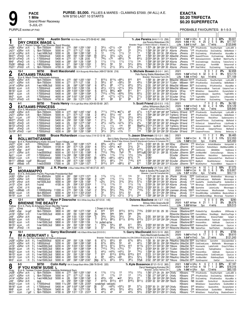

# **EXACTA** \$0.20 TRIFECTA \$0.20 SUPERFECTA

PURPLE WARM-UP PAD

PROBABLE FAVOURITES: 8-1-5-3

|                                                                                                                            | 2-1<br>\$8750<br><b>Austin Sorrie</b> 163 A Blue-Yellow (373-59-62-42 .288)<br><b>DRY CREEK IMAGE L</b>                                                                                                                                                                                                                                                                                                                                                                                                                                                                                                                                                                                                                                                                                                                                                                                                                                                                                                                                                                                                     | Tr. Joe Pereira (64-6-11-13 .256)<br>Joe Pereira.Waterdown.ON                                                                                                                                                                                                                                                                                                                                                                                                                                                                                                                                                                                    | \$9,601<br>$\overline{9}$<br>$\frac{2}{5}$<br>3<br>22%<br>$1:58^1$ H GRvr ft<br>$^{\circ}$<br>2021<br>ft 25 2<br>5 5<br>\$17,707<br>8%<br>2020 1:55 F RC<br>17 wins<br>\$120,646<br>Life $1:54^{\circ}$ S HoP<br>3vo                                                                                                                                                                                                                                                                                                                                                                                                                                                                                                                                                          |  |  |  |  |  |  |
|----------------------------------------------------------------------------------------------------------------------------|-------------------------------------------------------------------------------------------------------------------------------------------------------------------------------------------------------------------------------------------------------------------------------------------------------------------------------------------------------------------------------------------------------------------------------------------------------------------------------------------------------------------------------------------------------------------------------------------------------------------------------------------------------------------------------------------------------------------------------------------------------------------------------------------------------------------------------------------------------------------------------------------------------------------------------------------------------------------------------------------------------------------------------------------------------------------------------------------------------------|--------------------------------------------------------------------------------------------------------------------------------------------------------------------------------------------------------------------------------------------------------------------------------------------------------------------------------------------------------------------------------------------------------------------------------------------------------------------------------------------------------------------------------------------------------------------------------------------------------------------------------------------------|-------------------------------------------------------------------------------------------------------------------------------------------------------------------------------------------------------------------------------------------------------------------------------------------------------------------------------------------------------------------------------------------------------------------------------------------------------------------------------------------------------------------------------------------------------------------------------------------------------------------------------------------------------------------------------------------------------------------------------------------------------------------------------|--|--|--|--|--|--|
| Red<br>Jn281<br>Jn211<br>Jn141<br>Mr271<br>Mr131<br>Mr61<br>Fb261<br>Fb21 <sup>1</sup>                                     | B m 7, Rockin Image-True Shooter-Sand Shooter<br>$3^{31/4}$<br>$02^{11/2}$<br>:562 1:252 1:561<br>2<br>∘34<br>5000 m :27 <sup>2</sup><br>5GRvr 25ft<br>f&m-7000clm<br>L.<br>$6^{101}/2$<br>$04^{41}/2$<br>0 <sup>24</sup><br>8GRvr<br>:271<br>$:57^3$ 1:27 1:58<br>6<br>f&m-7000clm<br>5000 m<br>15 ft<br>L<br>3<br>12<br>113/4<br>:28<br>L<br>:583 1:283 1:581<br>$11\frac{1}{2}$<br>10GRvr<br>f-wo1499L5cd<br>5000 m<br>20 ft<br>$33^{1/4}$<br>:293<br>:591 1:281 1:583<br>[9<br>7<br>$3^{31/2}$<br>$02\frac{3}{4}$<br>3FlmD<br>-5 ft<br>L<br>f-7000clmcd<br>5400 m<br>793/4<br>$\circ 78$<br>$08^{51/2}$<br>10FlmD<br>f-7000clmcd<br>:273<br>:57<br>1:28<br>2:00<br>2 ft<br>L<br>5400 m<br>:283<br>3<br>:591<br>$11\frac{1}{2}$<br>$11\frac{1}{2}$<br>L<br>1:29<br>1:592<br>9FlmD<br>f-7000clmcd<br>5400 m<br>$11\frac{1}{2}$<br>-3 ft<br>561/2<br>56<br>53<br>9000 m :27<br>:563 1:261 1:552<br>1Wbsb<br>-1 ft<br>L<br>f-8000clmhp<br>$3^{21/4}$<br>$2^{11/2}$<br>5FlmD<br>f&m-7000clm<br>4700 m<br>$:28^2$<br>$:59$ 1:27 <sup>3</sup> 1:57 <sup>3</sup><br>7<br>$11\frac{1}{2}$<br>-6 ft<br>L          | Breeder: Roger S Welch-Steven L Walden, IL<br>57<br>581/4<br>1:574 28 283 293 313 ASorrie<br>24<br>241/4<br>1:584 291 291 292 31 ASorrie<br>12<br>14<br>1:581 28 303 30 293 ASorrie<br>21<br>2hd<br>1:583 301 293 283 301 AMacDld JPereira<br>76<br>$64\frac{1}{4}$<br>2:004 293 29 30 <sup>2</sup> 314 ASorrie<br>111/2<br>1 nk<br>1:592 283 303 294 302 ASorrie<br>$65\frac{3}{4}$<br>$53\frac{1}{4}$<br>1:563 281 293 29 294 SFilion<br>$2^{13/4}$<br>$2^{13/4}$<br>1:58 28 <sup>2</sup> 30 <sup>4</sup> 28 <sup>4</sup> 30 ASorrie                                                                                                           | 230 IfYouKnewSs<br>JPereira<br>RoseRunVgInt<br>LydiLulBII 8<br>*195 IfYouKnewSus<br>JPereira<br>DryCreekImg<br>BeNotNobd 7<br>JPereira<br>235 DryCreekImg<br>IfYouKnewSus<br>AlyssaMar 8<br>22 <sup>90</sup> QueenOfThrons<br>DryCreekImag<br>MaRebell 9<br>JPereira<br>400 Asbraveasmmmm AprlBndt<br>MarkYourPa 9<br>JPereira<br>*35 DryCreekImage<br>DovsSong<br>TobinsTerror 6<br>JPereira<br>1765 JessicasLgc<br>FernHIIBII<br>Behavnmslf 8<br>800 RideThWnd<br>JPereira<br>DryCreekImg<br>TragicallHp 9                                                                                                                                                                                                                                                                  |  |  |  |  |  |  |
| $\boldsymbol{2}$                                                                                                           | $15 - 1$<br>\$8750<br><b>Brett Macdonald</b> 135 A Burgundy-White-Black (499-57-58-56 .216)<br><b>EATAAMS TRAUMA</b>                                                                                                                                                                                                                                                                                                                                                                                                                                                                                                                                                                                                                                                                                                                                                                                                                                                                                                                                                                                        | Tr. Michele Bowen (8-0-0-1 .041)<br>Felix Racing Stable, Waterdown, ON                                                                                                                                                                                                                                                                                                                                                                                                                                                                                                                                                                           | \$2,658<br>q<br>2<br>2021<br><sup>0</sup><br>0%<br>3 <sub>3</sub><br>1:58 <sup>1</sup> H FlmD ft 32<br>\$13,170<br>3<br>9%<br>2020                                                                                                                                                                                                                                                                                                                                                                                                                                                                                                                                                                                                                                            |  |  |  |  |  |  |
| Blue<br>Jn281<br>Jn211<br>Jn14 <sup>1</sup><br>Mr301<br>Mr16 <sup>1</sup><br>Mr9 <sup>1</sup><br>Mr21<br>Fb21 <sup>1</sup> | B m 6, Mach Three-Astrmowin-Astreos<br>8131/2<br>8113/4<br>$089\frac{1}{4}$<br>5GRvr 25ft<br>5000 m :27 <sup>2</sup><br>:562 1:252 1:561<br>f&m-7000clm<br>$5^{81/2}$<br>67<br>$0.58\frac{1}{2}$<br>5000 m<br>:271<br>:573 1:27<br>3<br>8GRvr<br>f&m-7000clm<br>1:58<br>15 ft<br>6<br>$69^{1}/4$<br>88<br>f-wo1499L5cd<br>5000 m<br>:28<br>:583 1:283 1:581<br>$07^{71/2}$<br>10GRvr<br>20 ft<br>451/2<br>$0.31\frac{1}{2}$<br>$02^{11/4}$<br>:283 1:001 1:292 1:59<br>6<br>6Lon<br>4400 m<br>15 ft<br>f-7000clmcd<br>$8^{121/4}$<br>863/4<br>$•6^6$<br>:283 1:002 1:292 1:591<br>6<br><sub>5</sub> Lon<br>4 ft<br>f-7000clmcd<br>5400 m<br>7101/2<br>$06^{33/4}$<br>:28 <sup>2</sup><br>3<br>0.753/4<br>:591<br>1:284 1:594<br>4Lon<br>5 ft<br>f-7000clmcd<br>5400 m<br>$\overline{2}$<br>45<br>$02^{11/2}$<br>$02^{11/2}$<br>:292 1:001 1:291 2:003<br>f-7000clmcd<br>4000 m<br>9Lon<br>-2 ft<br>6<br>811<br>88<br>87<br>5FlmD<br>f&m-7000clm<br>:282<br>:59 1:27 <sup>3</sup> 1:57 <sup>3</sup><br>-6 ft<br>4700 m                                                                                       | Breeder: Warrawee Farm,ON<br>810<br>810<br>59<br>$49^{1/4}$<br>1:594 284 301 293 311 TCullen<br>$66^{1/2}$<br>$59\frac{1}{2}$<br>$3^{23/4}$<br>$35\frac{3}{4}$<br>2:001 293 304 291 303 BMacDld MBowen<br>811<br>811<br>2:01 <sup>2</sup> 31 30 <sup>4</sup> 28 <sup>4</sup> 30 <sup>4</sup> ASorrie<br>$5^{33/4}$<br>$6^{21}/2$<br>2:001 302 30 291 303 SCoulter DFrey<br>$2^{13/4}$<br>$2^{11/2}$<br>2:004 302 30 29 312 SCoulter DFrey<br>88<br>811<br>1:594 303 30 28 <sup>2</sup> 304 SCoulter DFrey                                                                                                                                        | \$71.109<br>Life $1:58$ H FlmD<br>4yo<br>14 wins<br>1:581 30 284 282 31 BMacDld MBowen 10130 IfYouKnewSs<br>LydiLulBII 8<br>RoseRunVgInt<br>MBowen 1905 IfYouKnewSus<br>BeNotNobd 7<br>DryCreekImg<br>$2:00$ 29 <sup>4</sup> 30 <sup>2</sup> 29 <sup>4</sup> 30 BMacDld MBowen 30 <sup>70</sup> DryCreekImg<br><b>IfYouKnewSus</b><br>AlyssaMar 8<br>450 WindemereMcsk TeamLedr<br>EataamsTram 8<br>1740 WhiteDncr<br><b>DFrey</b><br>Queenofhrts<br>DynastySelstr 8<br>5 <sup>60</sup> Misstwnklnsjns<br>Quenfhrts<br>TogthrWRn 8<br>*175 TogthrWRn<br>EatamsTrm<br>Littleanniekl 8<br>3085 RideThWnd<br>DryCreekImg<br>TragicallHp 9                                                                                                                                        |  |  |  |  |  |  |
| 3                                                                                                                          | \$8750<br>4-1<br>Travis Henry 170 A Light Blue-White (424-60-55-69 .267)<br><b>EATAAMS PRINCESS</b>                                                                                                                                                                                                                                                                                                                                                                                                                                                                                                                                                                                                                                                                                                                                                                                                                                                                                                                                                                                                         | Tr. Scott Friend (23-0-3-3 .115)<br>Jeffrey Williamson, Blyth, ON                                                                                                                                                                                                                                                                                                                                                                                                                                                                                                                                                                                | 2<br>\$4,182<br>0<br>$\mathbf{0}$<br>2021<br>0%<br>$2\overline{6}$<br>2020 1:58 <sup>1</sup> H FlmD ft 30<br>\$18,129<br>13%<br>4                                                                                                                                                                                                                                                                                                                                                                                                                                                                                                                                                                                                                                             |  |  |  |  |  |  |
| White<br>Jn28 <sup>1</sup><br>Jn211<br>Ap11<br>Mr271<br>Mr201<br>Mr131<br>Mr61<br>Dc19 <sup>0</sup> 9FlmD                  | B m 5, Mcaracas-Cambest Princess-Cambest<br>7101/4 • 671/2<br>7111/2<br>f&m-7000clm<br>5000 m :27 <sup>2</sup><br>:562 1:252 1:561<br>6<br>5GRvr 25ft<br>$46\frac{1}{2}$<br>$55\frac{1}{2}$<br>8GRvr<br>5000 m :271<br>:573 1:27 1:58<br>047<br>f&m-7000clm<br>15 ft<br>$2^{13/4}$<br>$2^{11/2}$<br>5000 11/16:283<br>$1^{13/4}$<br>:581 1:282 2:061<br>-2 ft'<br>f-7000clmcd<br>11Lon<br>2 <sup>2</sup><br>32<br>5400 m :293<br>211/2<br>:591 1:281 1:583<br>f-7000clmcd<br>3FlmD<br>-5 ft<br>441/2<br>0.433/4<br>$04^{13}/4$<br>4FlmD<br>f-7000clmcd<br>:29<br>:591 1:274 1:581<br>8 ft<br>5400 m<br>:273<br>:57<br>1:28<br>2:00<br>$1\frac{1}{4}$<br>$1\frac{1}{4}$<br>1 <sub>ns</sub><br>10FlmD<br>2 ft<br>f-7000clmcd<br>5400 m<br>211/2<br>$3^{11/2}$<br>$043\frac{1}{2}$<br>:291 1:01<br>1:292 1:593<br>4FlmD<br>-3 ft<br>f-7000clmcd<br>5400 m<br>$32\frac{1}{4}$<br>$3^{31}/4$<br>$01\frac{3}{4}$<br>:284<br>:591 1:291 1:582<br>f-7000clmcd<br>4200 m<br>-1 sn1                                                                                                                                   | Breeder: Jeffrey Williamson, ON<br>68<br>471/2<br>1:573 293 284 282 304 TraHenry SFriend<br>48<br>$59\frac{1}{2}$<br>1:594 282 301 294 312 TraHenry SFriend<br>$2^{21/2}$<br>$4^{31/2}$<br>2:064<br>321/2<br>411/2<br>1:584 294 294 29 301 AHaughn SFriend<br>$3^{21}/4$<br>$2\frac{3}{4}$<br>1:58 <sup>2</sup> 294 30 <sup>1</sup> 28 <sup>1</sup> 30 <sup>1</sup> AHaughn SFriend<br>66<br>8be <sup>91</sup><br>/4 2:014 273 292 31 334 TraHenry SFriend<br>32<br>213/4<br>2:00 292 314 284 30 NSteward SFriend<br>11<br>1 <sub>hd</sub><br>1:58 <sup>2</sup> 29 <sup>1</sup> 30 <sup>3</sup> 29 <sup>2</sup> 29 <sup>1</sup> SCoulter SFriend | \$39,840<br>Life $1:58^1$ H FlmD<br>7 wins<br>4 <sub>VO</sub><br>5730 IfYouKnewSs<br>RoseRunVgInt<br>LydiLulBII 8<br>640 IfYouKnewSus<br>DryCreekImg<br>BeNotNobd 7<br>6 <sup>10</sup> Rollwthtnn<br><b>NSteward SFriend</b><br>RetcntHnvr<br>Sadiemasnhrw 9<br>930 QueenOfThrons<br>DryCreekImag<br>MaRebell 9<br>715 HrOwnLnd<br><b>EataamsPrncss</b><br>LilysPenelp 9<br>475 Asbraveasmmmm AprlBndt<br>MarkYourPg 9<br>735 KiwiFocsN<br><b>EataamsPrincss</b><br>MaRebell 6<br>3 <sup>55</sup> EataamsPrincess<br>Siboney<br>BetterJoy 9                                                                                                                                                                                                                                   |  |  |  |  |  |  |
| 4                                                                                                                          | $8 - 1$<br>\$10500<br>Bruce Richardson A Green-Yellow (114-12-13-18 .221)<br><b>ROLLWITHITANNIE</b>                                                                                                                                                                                                                                                                                                                                                                                                                                                                                                                                                                                                                                                                                                                                                                                                                                                                                                                                                                                                         | Tr. Jason Sherman (13-1-2-1 .188)<br>Bert & Betty Sherman, Dorchester-Jason Sherman, Beachville, ON                                                                                                                                                                                                                                                                                                                                                                                                                                                                                                                                              | \$6,465<br>2<br>$\mathbf{1}$<br>9%<br>2021<br>11<br>-1<br>1:58 <sup>3</sup> H Chrt ft 19 2 2 3 11%<br>\$12,053<br>2020                                                                                                                                                                                                                                                                                                                                                                                                                                                                                                                                                                                                                                                        |  |  |  |  |  |  |
| Green<br>Jn271<br>Jn201<br>Jn191<br>Jn111<br>Ap11<br>Mr221<br>Mr11 <sup>1</sup><br>Mr41                                    | Rollwithitharry-Katie Around Town-Village Jolt<br>B m 4,<br>683⁄4<br>$0.32\frac{1}{2}$<br>:59 <sup>2</sup> 1:28 <sup>4</sup> 1:57 <sup>4</sup><br>04 <sup>5</sup><br>зClnt<br>7000clmcd<br>3800 m<br>:29<br>28 ft<br>:573 1:29<br>:281<br>6<br>551⁄2<br>$0.54\frac{1}{2}$<br>•31<br>зClnt<br>f&m-7000clm<br>2:001<br>28 ft<br>4100 m<br>673/4<br>$57\frac{1}{4}$<br>3800 m :29<br>:59<br>1:284 2:00<br>9<br>∘54<br>8Sar<br>$26$ ft <sup>1</sup><br>f-cond<br>6<br>7101/2<br>783/4<br>6000 m :30 <sup>1</sup> 1:01 <sup>2</sup> 1:30 1:58 <sup>3</sup><br>7ix <sup>8</sup><br>2GRvr<br>f-nw35000lcd<br>22 ft<br>$03^{23}/4$<br>113/4<br>5000 11/16:283<br>:581 1:282 2:061<br>$11\frac{1}{2}$<br>-2 ft1<br>f-7000clmcd<br>11Lon<br>681/2<br>:574 1:281 2:052<br>[8<br>$066^{1/4}$<br>$064\frac{1}{4}$<br>$11$ Lon<br>f-15000clmcd<br>6900 11/16:28<br>14 ft<br>710<br>$55\frac{1}{4}$<br>$66^{1/4}$<br>6Wbsb<br>17000 m :28 <sup>2</sup><br>$9$ gd <sup>2</sup><br>Blizzard<br>:573 1:261 1:553<br>9131/2<br>910<br>$086\frac{1}{2}$<br>5Wbsb<br>:28<br>:572 1:264 1:571<br>f-nw2r25500l<br>17000 m<br>-9 ft | Breeder: Brian F Mac Kinnon-David R Macdonald-Darlene A Compton, PE<br>510<br>$5^{121/4}$<br>2:001 304 29 30 30 <sup>2</sup> NDay<br>$3^{13}/4$<br>22<br>2:003 291 291 304 312 ASorrie<br>8101/2<br>$915\frac{1}{4}$<br>2:03 30 <sup>2</sup> 29 <sup>2</sup> 30 <sup>3</sup> 32 <sup>3</sup> MStLouis JShermn<br>78<br>9401/2p82:063 321 31 282 35 SCoulter<br>$12\frac{1}{2}$<br>$1^{23/4}$<br>2:06 <sup>1</sup><br>873/4<br>75<br>2:062<br>7143/4<br>616<br>1:584 292 292 292 303 SCoulter<br>67<br>611                                                                                                                                        | \$25,493<br>Life $1:58^3$ H Chrt<br>3yo<br>4 wins<br>JShermn<br>7 <sup>70</sup> WineTyme<br>ArtisticMeadow<br>Kempenfelt 8<br>JShermn<br>870 ComOnOvr<br>Rollwithitann WattMachsMWn 8<br>285 CafeSociety<br>ABitABillie<br>VeeBreeze 9<br>JShermn 3565 JmrMachMel<br>CenturyGeorgia<br>Siboney 9<br>SCoulter JShermn<br>3 <sup>90</sup> Rollwthtnn<br>RetcntHnvr<br>Sadiemasnhrw 9<br>JShermn<br>845 BeautIsBInd<br>CKelly<br>DiamondsOrTwn<br>WarDimnd 9<br>JShermn 107 <sup>10</sup> BigMyrtl<br>NiceKittyHanovr<br>PatriciaMa 7<br>1:592 303 284 283 312 SCoulter JShermn 7815 NiceKittyHnvr<br>PowerdBMch<br>HappyLkr 10                                                                                                                                                  |  |  |  |  |  |  |
| 5                                                                                                                          | $3-1$<br>\$8750<br>$J. R.$ Plante A Blue-Yellow-White (187-48-37-23<br>.407)<br><b>MORAMAPPO</b>                                                                                                                                                                                                                                                                                                                                                                                                                                                                                                                                                                                                                                                                                                                                                                                                                                                                                                                                                                                                            | Tr. John Kennedy (31-7-6-6 .397)<br>Ralph & Sandra Pitt, Cargill, ON                                                                                                                                                                                                                                                                                                                                                                                                                                                                                                                                                                             | \$7,073<br>2021<br>$2:004$ H Clnt<br>ft 10<br>$\overline{2}$<br>3 10%<br>-1<br>3 6 3<br>\$18,807<br>2020 1:58 <sup>3</sup> H Clnt<br>ft 33<br>9%                                                                                                                                                                                                                                                                                                                                                                                                                                                                                                                                                                                                                              |  |  |  |  |  |  |
| <b>Black</b><br>Jn30 <sup>1</sup>                                                                                          | B m 6, Articulator-Pacific Playmate-Presidential Ball<br>113/4<br>$11\frac{1}{2}$<br>:58 <sup>2</sup> 1:27 <sup>2</sup> 1:571<br>11<br>7GRvr 22 ft<br>f7m-8500clm<br>5200 m<br>:281<br>6<br>$\overline{\mathbf{c}}$<br>o2nk<br>113/4<br>:281<br>:582 1:282 1:582<br>$11\frac{1}{4}$<br>9GRvr<br>f-8500clmcd<br>5200 m<br>18 ft                                                                                                                                                                                                                                                                                                                                                                                                                                                                                                                                                                                                                                                                                                                                                                              | Breeder: Carol M Campbell, NS<br>31<br>1ns<br>1:572 281 301 29<br>$31\frac{1}{4}$<br>1ns<br>1:583 281 301 30                                                                                                                                                                                                                                                                                                                                                                                                                                                                                                                                     | 12 wins<br>\$53,113<br>Life 1:57 H GRvr 4yo<br>30 JPlante<br>JKnndy<br>22 <sup>50</sup> ColdCreekLace<br>BlinkAndGon<br>Moramapp 8                                                                                                                                                                                                                                                                                                                                                                                                                                                                                                                                                                                                                                            |  |  |  |  |  |  |
| Jn231<br>Jn191<br>Jn131<br>Jn61<br>Ap21<br>Mr261<br>Mr191                                                                  | $02\frac{3}{4}$<br>313/4<br>$3^{13/4}$<br>:283<br>:594 1:29 1:581<br>8Hnvr<br>nw1500L3cd<br>4000 m<br>23 ft<br>$11\frac{1}{2}$<br>113/4<br>:29<br>11<br><sub>2</sub> Clnt<br>4100 m<br>:592 1:301 2:004<br>26 ft<br>f-cond<br>:294<br>34<br>35<br><sub>5</sub> Clnt<br>1:00<br>1:303 1:58<br>$3^{31/2}$<br>27 ft<br>qua<br>m<br>561/4<br>763/4<br>$\overline{2}$<br>$56\frac{1}{2}$<br>11000 m<br>:272<br>:564 1:26<br>10Wbsb<br>2 ft<br>f-10000clmhp<br>1:542<br>33<br>$5^{31/2}$<br>$5^{31/2}$<br>$:29^3$ 1:01 <sup>2</sup> 1:30 <sup>3</sup> 2:00 <sup>3</sup><br>10Lon<br>f&m-8500clm<br>6000 m<br>- 5 ft<br>$3^{11/2}$<br>f&m-7000clm<br>5500 m<br>:282<br>:584 1:274 1:591<br>5<br>$21\frac{1}{2}$<br>$03^{11/2}$<br>зLon<br>5ft                                                                                                                                                                                                                                                                                                                                                                      | $3^{31/2}$<br>$5^{7}_{/2}$<br>1:593 284 312 291 301 ASorrie<br>111/4<br>$1\frac{3}{4}$<br>2:00 <sup>4</sup> 29 30 <sup>2</sup> 30 <sup>4</sup> 30 <sup>3</sup> ASorrie<br>381/2<br>3121/4<br>2:00 <sup>2</sup> 30 <sup>3</sup> 30 31<br>710<br>7123/4<br>1:57<br>53<br>42<br>2:01<br>301 314 291 294 SWray<br>$31\frac{1}{2}$<br>2hd<br>1:591 283 302 29 311 SWray                                                                                                                                                                                                                                                                               | 30 <sup>1</sup> JPlante<br>365 ColdCreekLacey<br><b>JKnndy</b><br>MaRebelle<br>Moramappo 6<br>JKnndy<br>1100 SaublePla<br>AnotherGreatPck<br>GoldenSnd 8<br>JKnndy<br>*100 Morampp<br>ScottshMch<br>Dreamadreamfrm 6<br>284 DNeill<br>JKnndy<br>NB Sportsline<br>LarjonLucky<br>Moramappo 6<br>283 292 292 293 JJamiesn JKnndy 10035 VinesToHeaven<br>MissRockadali<br>Furiosa 9<br>JKnndy<br>11 <sup>10</sup> ShowMSmMgc LoHIdAMnbn BlackcrkRsbd 8<br>JKnndy<br>2500 ShowMeSomeMagc Moramapp Flysantann 6                                                                                                                                                                                                                                                                    |  |  |  |  |  |  |
| 6                                                                                                                          | $12 - 1$<br>\$8750<br>Ryan P Desroche 155 A White-Grey-Blue (67-5-5-6 .145)<br><b>BRIENNE THE BEAUTY</b>                                                                                                                                                                                                                                                                                                                                                                                                                                                                                                                                                                                                                                                                                                                                                                                                                                                                                                                                                                                                    | Tr. Dolores Basilone (44-1-3-7 .113)<br>Britney Dillon, Greenville, MI                                                                                                                                                                                                                                                                                                                                                                                                                                                                                                                                                                           | \$290<br>2021<br>5<br>$^{\circ}$<br>0<br>0<br>0%<br>21<br>$\overline{c}$<br>5%<br>\$6,676<br>2020<br><b>1:57 MHaw</b> ft<br>$\mathbf{1}$<br>$\overline{1}$                                                                                                                                                                                                                                                                                                                                                                                                                                                                                                                                                                                                                    |  |  |  |  |  |  |
| Yellow<br>Jy11<br>Jn261<br>Jn161<br>Jn91<br>Mr30 <sup>1</sup><br>Mr221<br>Mr151<br>Mr6 <sup>1</sup>                        | B m 5, Party At Artsplace-Nicen Big-Big Towner<br>3Dres<br>f-7000clmcd<br>1 Drawn in to start<br>3400 m<br>f&m-7000clm<br>3800 m<br>:28 <sup>1</sup><br>:581<br>1:27 <sup>2</sup> 1:581<br>916<br>916<br>$9^{15\frac{1}{2}}$<br>6Sar<br>$24$ gd <sup>1</sup><br><b>9dis</b><br><b>9dis</b><br><b>gdis</b><br>f-nw1500L5cd<br>:282<br>:59<br>1:283 1:594<br>$\frac{19x}{5}$<br>7GRvr 12 ft<br>4000 m<br>33%<br>$3^{3/4}$<br>$3^{31/2}$<br>6GRvr 25ft<br>:293 1:00 1:301 1:594<br>m<br>qua<br>$8^{141/4}$<br>881/2<br>$8^{111}/4$<br>:283 1:001 1:292 1:59<br>6Lon<br>15 ft<br>f-7000clmcd<br>4400 m<br>:291 1:001 1:283 1:59<br>8Lon<br>f-nw1500L3cd<br>5800 m<br>1x pulled up be<br>14 ft<br>$59\frac{1}{4}$<br>69<br>5800 m :291<br>:591 1:281 1:591<br>563/4<br>9Lon<br>-3 ft<br>f-nw1500L3cd<br>57<br>$56\frac{1}{2}$<br>$6^{103/4}$<br>m :294 1:00 <sup>1</sup> 1:29 1:58 <sup>2</sup><br>3<br>2FlmD<br>-1 ft<br>qua                                                                                                                                                                                    | Breeder: Mary L Jeffers-Adele J Everett, IL<br>$9^{131/2}$<br>7103/4<br><b>g</b> dis<br><b>g</b> dis<br>33<br>$2\frac{3}{4}$<br>8123/4<br>6121/4<br>dnf<br>611<br>581/4<br>$6^{181}/2$<br>$6^{211}/4$                                                                                                                                                                                                                                                                                                                                                                                                                                            | \$39.515<br>Life<br>$1:55^3$ M $Haw$<br>3vo<br>4 wins<br>LHouse<br>DBasilone<br>2:00 <sup>2</sup> 31 <sup>2</sup> 30 29 30 LHouse DBasilone 25 <sup>95</sup> Pickles On Top<br>AlyssaMarie<br>ERRhonda 9<br>RDesrche DBasilone 1090 CamcoWillow<br>ShesMagic MarkYourPaige 9<br>2:00 302 302 30 291 RDesrche DBasilone NB FastNRIntlss<br>BrienneTheBet<br>SxSprt 6<br>2:012 312 302 294 294 LHouse  DBasilone 13 <sup>15</sup> WindemereMcsk<br>TeamLedr EataamsTram 8<br>LHouse DBasilone 3870 InnocentKiss<br>Additude<br>CayoLoco 8<br>2:004 303 302 29 304 LHouse DBasilone 6325 RideAwayShrk<br>ColdCreekLace<br>CayoLoc 8<br>2:023 311 301 294 312 RDesrche DBasilone NB SabinePass<br>SeelTheDark<br>DanaSalaam 6                                                     |  |  |  |  |  |  |
|                                                                                                                            | $10-1$<br>Garry MacDonald 148 A Black-White-Gold (0-0-0-0-)<br>IM A DEBUTANT † L                                                                                                                                                                                                                                                                                                                                                                                                                                                                                                                                                                                                                                                                                                                                                                                                                                                                                                                                                                                                                            | Tr. Garry MacDonald (53-5-10-10 .262)<br>Garry MacDonald, Dundas, ON                                                                                                                                                                                                                                                                                                                                                                                                                                                                                                                                                                             | \$706<br>0<br>$0\quad 0$<br>0%<br>2021<br>8<br>2020 1:563H FlmD ft 17<br>2 1 1 1 2%<br>\$9,610                                                                                                                                                                                                                                                                                                                                                                                                                                                                                                                                                                                                                                                                                |  |  |  |  |  |  |
| Pink<br>Jn23 <sup>1</sup><br>Jn161<br>Mr291<br>Mr221<br>Mr151<br>$Mr101$ 7 Lon<br>Mr3 <sup>1</sup>                         | B m 11, No Pan Intended-Art Debut-Artiscape<br>6<br>$67\frac{1}{2}$<br>$65\frac{1}{2}$<br>65<br>Jn281 10GRvr 25 ft +L f-nw25000lcd<br>8200 m :283<br>:591 1:28 1:562<br>$6^{63/4}$<br>55<br>:28 <sup>1</sup><br>6<br>$6^{73}/4$<br>†L f-8500clmcd<br>5200 m<br>:58 <sup>2</sup> 1:28 <sup>2</sup> 1:58 <sup>2</sup><br>9GRvr 18 ft<br>8<br>9101/4<br>$97\frac{1}{2}$<br>†L f-nw2000L3cd<br>:291 1:003 1:301 1:592<br>$911\frac{1}{2}$<br>9GRvr<br>6200 m<br>12 ft<br>6<br>7101/4<br>$075\frac{1}{2}$<br>$78\frac{1}{2}$<br>:284<br>6Lon<br>зft<br>tL f-nw1600L3cd<br>5800 m<br>:591 1:282 1:594<br>$\frac{5}{7}$<br>$4^{41/2}$<br>$04^{23}/4$<br>$04^{31/4}$<br>†L f-nw1500L3cd<br>5800 m :291<br>1:001 1:283 1:59<br>14 ft<br>8Lon<br>812<br>8141/2<br>5800 m :291<br>8163/4<br>†L f-nw1500L3cd<br>:591 1:281 1:591<br>9Lon<br>-3 ft<br>68<br>$064\frac{1}{4}$<br>4<br>∘66<br>12 ft +L f-nw1550L3cd<br>5800 m :283<br>:593 1:283 1:59<br>$6^{71/4}$<br>[8ip<br>$6^{51}/2$<br>$5^{41}/2$<br>1ft +L f-nw1500L3cd<br>5000 m $:28^2$<br>:58 <sup>2</sup> 1:28 <sup>4</sup> 2:001<br>8Lon                       | Breeder: Robert Mcintosh Stables Inc, ON-Clifford N Grundy, MI-C S X Stables, OH<br>$6^{73}/4$<br>$68^{1/4}$<br>43<br>$4^{21/2}$<br>913<br>9113/4<br>77<br>$64\frac{1}{2}$<br>54<br>741/2<br>8191/4<br>819<br>$66^{1}/4$<br>$52\frac{1}{4}$<br>$3^{81/2}$<br>5 <sup>9</sup> p6                                                                                                                                                                                                                                                                                                                                                                   | \$121,243<br>Life $1:54^4$ H FlmD<br>7yo 21 wins<br>1:58 30 301 284 29 PMacKnz GMacDld 5590 SharThMmnt<br>CarnvlHrt<br>Chocolatmiktst 6<br>1:584 294 30 293 292 PMacKnz GMacDld 3595 ColdCreekLacey<br>MaRebelle<br>Moramappo 6<br>2:014 312 303 301 293 TMoore GMacDld 7670 Howmacfst<br>LadisFrmHII<br>DressToThNns 9<br>2:003 304 30 283 311 TCullen GMacDld 3230 Insincerity<br>FadingShadow<br>CayoLoco 7<br>1:594 30 304 282 303 TMoore GMacDld 2740 InnocentKiss<br>Additude<br>CayoLoco 8<br>2:03 313 302 293 312 TMoore GMacDld 2245 RideAwayShrk<br>ColdCreekLace<br>CayoLoc <sub>8</sub><br>1:592 301 301 292 293 PMacKnz GMacDld 1080 JmrMachMel<br>RideAwayShark<br>DaliCat 8<br>2:02 294 293 301 322 TMoore GMacDld 2585 StyleSnapshot<br>DaliCat<br>CayoLoco 8 |  |  |  |  |  |  |
| 8                                                                                                                          | $8 - 5$<br>\$8750<br>Colin Kelly 164 A Orange-Black-White (386-76-59-45 .320)<br><b>IF YOU KNEW SUSIE L</b>                                                                                                                                                                                                                                                                                                                                                                                                                                                                                                                                                                                                                                                                                                                                                                                                                                                                                                                                                                                                 | Tr. Kyle Bossence (87-21-15-12 .383)<br>Darryl Newbigging, Komoka, ON                                                                                                                                                                                                                                                                                                                                                                                                                                                                                                                                                                            | \$7,187<br>$\overline{c}$<br>0.33%<br>2021<br>1:56 <sup>1</sup> H GRvr ft<br>- 6<br>7 1 2 39%<br>\$18,316<br>1:57 H FlmD ft 18<br>2020                                                                                                                                                                                                                                                                                                                                                                                                                                                                                                                                                                                                                                        |  |  |  |  |  |  |
| Gray<br>Jn281<br>Jn211<br>$Jn14$ <sup>1</sup><br>Jn91<br>Mr231<br>Mr161                                                    | B m 6, Yankee Cruiser-Simply Irrestible-Nobleland Sam<br>5GRvr 25 ft L f&m-7000clm 5000 m :27 <sup>2</sup> :56<br>113/4<br>$11\frac{1}{2}$<br>13<br>:562 1:252 1:561<br>5GRvr 25 ft<br>4<br>1 <sup>2</sup><br>5000 m :271<br>:573 1:27 1:58<br>5<br>113/4<br>14<br>L<br>8GRvr 15ft<br>f&m-7000clm<br>$4^{53}/4$<br>$\circ 5^5$<br>4<br>•4 <sup>4</sup><br>L f-wo1499L5cd<br>5000 m :28<br>:583 1:283 1:581<br>$10$ GRvr 20 ft<br>8123/4<br>8121/2<br>813<br>7<br>:292<br>:594 1:281 1:562<br>7GRvr<br>25 ft<br>qua<br>m<br>:582 1:29 2:053<br>5900 11/16:282<br>14 ft<br>f-7000clmcd<br>scratched - vet(sick)<br>11Lon<br>L<br>5400 m :28 <sup>3</sup> 1:00 <sup>2</sup> 1:29 <sup>2</sup> 1:59 <sup>1</sup><br>57<br>$04^{23}/4$<br>5Lon<br>f-7000clmcd<br>[8<br>6<br>$0.54\frac{1}{4}$<br>4 ft<br>L                                                                                                                                                                                                                                                                                                       | Breeder: James Hefner, OH<br>$12\frac{1}{2}$<br>$12\frac{1}{2}$<br>1:561 272 29 29 304 CKelly<br>14<br>$14^{1/4}$<br>1:58 271 302 292 31 CKelly<br>$3^{21/2}$<br>24<br>1:59 291 302 294 293 CKelly<br>$\overline{8}$ <sup>21</sup> <sup>/2</sup><br>8191/2<br>2:003 32 301 283 294 TBorth<br>56<br>571⁄2<br>2:003 30 31 291 302 CKelly                                                                                                                                                                                                                                                                                                           | \$60,105<br>Life $1:56^1$ H GRvr 6yo<br>13 wins<br>KBossnc<br>*75 IfYouKnewSs<br>LydiLulBII 8<br>RoseRunVgInt<br>KBossnc<br>230 IfYouKnewSus<br>DryCreekImg<br>BeNotNobd 7<br>2 <sup>40</sup> DryCreekImg<br>KBossnc<br>IfYouKnewSus<br>AlyssaMar 8<br>KBossnc<br>NB StLdsBtIt<br>CenturGrzzl<br>BrydownRIArt 8<br>KBossnc<br>ScottishMch 8<br>WhiteDancr<br>Queenofherts<br>540 WhiteDncr<br>KBossnc<br>DynastySelstr 8<br>Queenofhrts                                                                                                                                                                                                                                                                                                                                       |  |  |  |  |  |  |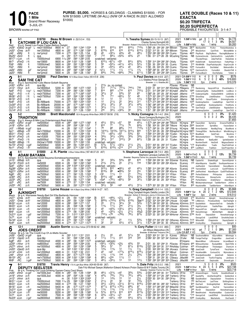PURSE: \$5,000. HORSES & GELDINGS - CLAIMING \$15000. - FOR N/W \$15000. LIFETIME (W-ALL) (N/W OF A RACE IN 2021 ALLOWED \$1000)

**PACE** 1 Mile

5-JUL-21

BROWN WARM-UP PAD

**Grand River Raceway** 

LATE DOUBLE (Races 10 & 11) **EXACTA** \$0.20 TRIFECTA \$0.20 SUPERFECTA<br>PROBABLE FAVOURITES: 3-1-4-7

| 1<br>Red                                          | $3 - 1$                                                     |                                                  | \$18750<br><b>CATCHME IF LOU CAN L</b><br>B g 4, Sweet Lou-Faster Faster-Bettors Delight |                                                    |                                              |             | Beau M Brown B (52-5-3-4 .153)                                                                                                                        |                          |                                                            |                                                                  |                                                      |                                                 |                                                 | Tr. Teesha Symes (93-15-10-13 .267)<br>Charles Symes, Springhill, NS<br>Breeder: Robert I Horowitz, NJ-Brandon Horowitz, PA                                                                                                  |                                                                         | 2021<br>2020                                                                                 | Life $1:58^3$ H Nfld                                | $1:58^3H$ Nfld              | -9<br>qd<br>17 0<br>4yo                                                                                   | 0<br>-1<br>-3<br>$\mathbf{1}$<br>1 wins                          | 1 11%<br>0% | \$4,776<br>\$4,507<br>\$9,283                                          |
|---------------------------------------------------|-------------------------------------------------------------|--------------------------------------------------|------------------------------------------------------------------------------------------|----------------------------------------------------|----------------------------------------------|-------------|-------------------------------------------------------------------------------------------------------------------------------------------------------|--------------------------|------------------------------------------------------------|------------------------------------------------------------------|------------------------------------------------------|-------------------------------------------------|-------------------------------------------------|------------------------------------------------------------------------------------------------------------------------------------------------------------------------------------------------------------------------------|-------------------------------------------------------------------------|----------------------------------------------------------------------------------------------|-----------------------------------------------------|-----------------------------|-----------------------------------------------------------------------------------------------------------|------------------------------------------------------------------|-------------|------------------------------------------------------------------------|
| Jn291<br>Jn201<br>Jn81                            | 4Dres<br>8Nfld                                              | 28 ft <sup>1</sup><br>ft                         | 9GeoD 26 gd <sup>1</sup> L nw2r15000lcd<br>nw12000lcd<br>nw1pmcd                         | 8600 m <sup>-</sup> :27<br>4800 m<br>7200 m        | :281<br>:274                                 |             | :563 1:244 1:534<br>:574 1:281 1:593<br>:564 1:25<br>1:54                                                                                             | 8<br>3<br>[9<br>7        | 810<br>6153/4<br>45                                        | 8101/2<br>618<br>$03^{21/4}$                                     | 810<br>616<br>$43\frac{3}{4}$                        | $810\frac{1}{2}$<br>6141/2<br>45                | 7123/4<br>6131/2<br>481/2                       | :562 29 293 281 293 BBrown TSymes 2615 MarlbankRd<br>2:021 312 30 30 304 BBrown<br>1:553 284 282 283 294 CLems                                                                                                               |                                                                         |                                                                                              | TSymes                                              |                             | 2 <sup>45</sup> MissSinfoni<br>TSymes 46 <sup>40</sup> PlayRock BigCityNews                               | PLOIvr<br>CantThnk                                               |             | Partyintheshdws 8<br>MinnieMillin 8<br>RacingMyBeamer 9                |
| My251<br>Mr171<br>Mr71                            | 4ScD<br>11Lon<br>8FlmD                                      | ft<br>L.<br>4 ft<br>-7 ft                        | qua<br>15000clmcd<br>nw15900l                                                            | m<br>6900 11/16:282<br>8600 m                      | :291<br>:294                                 | 1:001 1:29  | :572 1:262 1:552<br>$:58^3$ 1:28 <sup>3</sup> 2:05<br>1:583                                                                                           | 5                        | 710<br>scratched<br>$610^{1/4}$                            | 681/2<br>- vet(lame)<br>$06^{71/4}$                              | $05^{23/4}$<br>055                                   | 423/4<br>$64\frac{1}{4}$                        | 23<br>$6^{23/4}$                                | 1:56<br>1:591                                                                                                                                                                                                                | 314 294 282 291 CKelly                                                  | 311 274 28 29 MCushing TSymes                                                                | TSymes<br>TSymes                                    |                             | NB CycloneUnnJck CatchmelfLCn<br>ThunderRmps<br>10 <sup>20</sup> HsGtAVndtt                               | ZekeTheFrek<br>Somewhrntscn                                      |             | LadySsWn 7<br>HokieDoki 8<br>FstAsPhips 7                              |
| Fb91<br>Fb2 <sup>1</sup><br>Ja261                 | 1Nfld<br>1Nfld<br>зNfld                                     | ft<br>ft<br>gd <sup>1</sup>                      | 10000clnw2<br>nw1pmcd<br>nw1pmcd                                                         | 5600 m<br>5600 m<br>5600 m                         | :284<br>:28 <sup>1</sup><br>:283             |             | :591 1:284 1:582<br>:583 1:273 1:562<br>:583 1:282 1:583                                                                                              | 3<br>4<br>$\overline{c}$ | 56<br>44<br>$02\frac{1}{2}$                                | $0.53\frac{1}{4}$<br>$05^{41}/2$<br>$11\frac{1}{2}$              | $04^{11}/4$<br>$44\frac{1}{4}$<br>$1\frac{1}{2}$     | 431/2<br>45<br>$11\frac{1}{4}$                  | $53\frac{1}{4}$<br>$48^{1/4}$<br>$1\frac{3}{4}$ | 1:59<br>1:58<br>1:583 283 30 294 301 CLems                                                                                                                                                                                   | 30 294 291 30 CLems<br>29 30 <sup>2</sup> 29 29 <sup>3</sup> CLems      |                                                                                              | TSymes<br>TSymes<br>TSymes                          |                             | 3 <sup>10</sup> RiinWthBk DrgnPrpichps(dh)<br>10 <sup>40</sup> FuriousBch<br>1270 CatchmelfLCn            | DocHallad<br>FuriosBch                                           |             | VrgnCrsr(dh 9<br>BelievelnBrn 9<br>SharkInThB 9                        |
| Ja20 <sup>1</sup>                                 | 7Nfld<br>$8 - 1$                                            | ft                                               | nw1pmcd<br>\$22500                                                                       | 5600 m                                             | :29                                          |             | :583 1:28<br>1:561<br>Paul Davies 157 A Blue-Green-Yellow (40-4-5-8 .236)                                                                             | [9                       | 643/4                                                      | 743/4                                                            | $08^{43/4}$                                          | 781/2                                           | $611\frac{1}{4}$                                | 1:58 <sup>2</sup> 30 29 <sup>3</sup> 29 <sup>2</sup> 29 <sup>2</sup> CLems<br>Tr. Paul Davies (44-4-6-8 .227)                                                                                                                |                                                                         |                                                                                              | TSymes<br>2021 Q1:59 <sup>3</sup> F FrD             |                             | 300 FuriousBeach<br>4<br>ft                                                                               | DocHalladay<br>0<br>0<br>$\mathbf{0}$                            | 0%          | Tellem 8<br>\$576                                                      |
| $\boldsymbol{2}$<br>Blue<br>Jn301                 | 6GRvr 24 ft                                                 | <b>SAM THE CAT</b>                               | B g 3, Sportswriter-Cats Meow-Goliath Bayama<br>qua-t&p                                  | m                                                  | :291                                         |             |                                                                                                                                                       |                          | $2^{13/4}$                                                 | pu no contest                                                    |                                                      |                                                 |                                                 | J J J Stables, Prince George, BC<br>Breeder: J J J Stables, BC<br>293                                                                                                                                                        |                                                                         | PDavies PDavies                                                                              | 2020 1:56 <sup>4</sup> F FrD<br>Life $1:56^4$ F FrD | ΝB                          | 5<br>ft<br>2yo                                                                                            | 2 0 2 40%<br>2 wins                                              |             | \$18,800<br>\$19,376                                                   |
| Jn121<br>Ap91                                     | 7Hnvr<br>7FrD                                               | 26 ft<br>$9 \text{ SV}^1$                        | nw18000lcd<br>L nw2r7500lcd                                                              | 5200 m<br>7200 m                                   | :283<br>:28 <sup>4</sup><br>:281             |             | :582 1:272 1:553<br>$:56^3$ 1:26 <sup>1</sup><br>1:562                                                                                                | $\frac{3}{7}$<br>3       | 512<br>814<br>$34\frac{1}{2}$                              | 7171/4<br>822<br>33                                              | 7311/4<br>$07^{16}$<br>533/4                         | 7441/2<br>$6^{15}$<br>54                        | 738<br>7231/2<br>65                             | 2:031 31 304 314 293 RHolliday PMegens<br>2:01                                                                                                                                                                               | 31 <sup>3</sup> 29 <sup>2</sup> 28 <sup>2</sup> 31 <sup>3</sup> BCmpbll |                                                                                              | JMarino                                             |                             | 775 Randomirg HarprsHtTrck<br>1995 CodenamCgrBx OutlawDkWrth                                              |                                                                  |             | ChuckHeatnLv 7<br>LcsMccn 9                                            |
| Ap <sub>21</sub><br>Mr261<br>Mr19 <sup>1</sup>    | 7FrD<br>8FrD<br>4FrD                                        | 11 ft<br>L.<br>7 ft<br>L.<br>10 ft               | nw2r7500lcd<br>nw2r7500lcd<br>qua                                                        | 7200 m<br>7200 m<br>m                              | :30 <sup>2</sup><br>:30 <sup>4</sup>         |             | :573 1:262 1:552<br>:594 1:281 1:563<br>1:02 1:30 <sup>4</sup> 1:59 <sup>3</sup>                                                                      | 7<br>4                   | 79<br>12                                                   | 711<br>12                                                        | $065\frac{1}{2}$<br>1 <sup>2</sup>                   | 57<br>13                                        | 46<br>$1^{21/2}$                                | 1:56 <sup>2</sup> 29 291 29 291 BCmpbll<br>1:574 321 294 271 283 BCmpbll<br>1:593 304 311 284 284 BCmpbll                                                                                                                    |                                                                         |                                                                                              | JMarino<br>JMarino<br>JMarino                       |                             | 135 CodenamCgrBx OutlawDkWrth<br>2790 ShowStop<br>NB SmThCt                                               | LikeAShadow<br>OscarPColtrn                                      |             | LkAShdw 8<br>TrustInMe 7<br>Grinningfromby 4                           |
| Nv6 <sup>0</sup><br>Oc30 <sup>0</sup><br>Oc210    | 3FrD<br>5FrD<br>2FrD                                        | 6 ft<br>9 ft<br>12 ft                            | Bc-rMilbank<br>Bc-rMilbank<br>Bc-rMilbank                                                | 75000 m<br>20000 m<br>10000 m                      | :272<br>:281<br>:28                          |             | :563 1:254 1:552<br>:574 1:264 1:551<br>:584 1:284 1:573                                                                                              |                          | 12<br>$3^{31/2}$<br>$3^{21/2}$                             | 211/2<br>$3^{31/2}$<br>111/2                                     | 22<br>33<br>$11\frac{1}{2}$                          | $34\frac{1}{2}$<br>$3^{21/2}$<br>1 <sup>2</sup> | 311<br>443/4<br>$1^{13/4}$                      | 1:573 272 292 292 312 BCmpbll<br>1:561 284 293 29 284 BCmpbll<br>1:573 282 302 30 284 BCmpbll                                                                                                                                |                                                                         |                                                                                              | JMarino<br>JMarino<br>JMarino                       |                             | 1025 KootenaySantnn LoadedDrgn<br>2 <sup>50</sup> LoadedDrgn<br>*65 SamTheCat                             | KootenaySantnn<br>LikeAShadow                                    |             | SamThCt 8<br>Ynotthshs 8<br>RapidoDom 6                                |
| Oc14 <sup>0</sup> 3FrD<br>3                       | 5-2                                                         | 14 ft                                            | Bc-rMilbank<br>\$22500                                                                   | 10000 m                                            | :281                                         |             | :571 1:26<br>1:552<br>Brett Macdonald 135 A Burgundy-White-Black (499-57-58-56 .216)                                                                  | 3                        | 2nk                                                        | $3^{31/2}$                                                       | $03^{23/4}$                                          | 34                                              | 373/4                                           | 1:57 281 293 284 302 BCmpbll<br>Tr. Nicky Comegna (19-1-4-2 .204)                                                                                                                                                            |                                                                         | 2021                                                                                         | JMarino                                             |                             | 3 <sup>55</sup> KootenaySantnn<br>6                                                                       | LoadedDrgn<br>0<br>0                                             | 0%          | SamThCt 6<br>\$1,420                                                   |
| White<br>Jn251                                    | 2GRvr 20 gd <sup>1</sup>                                    | TRADITION                                        | B g 3, Always B Miki-Live Entertainment-Real Artist<br>nw5000lcd                         | 6500 m :284                                        |                                              |             | :583 1:273 1:563                                                                                                                                      | 4                        | $45\frac{1}{2}$                                            | $55\frac{1}{2}$                                                  | $\circ 5^7$                                          | 58                                              | 451/4                                           | Bruno Comegna, Burlington, ON<br>Breeder: Diamond Creek Farm LLC,PA<br>1:573 294 294 292 283 TMoore NCmgna                                                                                                                   |                                                                         | 2020<br>Life                                                                                 |                                                     |                             | 5<br>835 FavaroSistr                                                                                      | 2<br>0<br>3<br>SprtsCrp                                          | 0%          | \$6,435<br>\$7,855<br>DrownsTheWhsk 9                                  |
| Jn18 <sup>1</sup><br>Jn31<br>Ap11                 | 4GRvr 20 ft<br>11 Wbsb 16 gd <sup>1</sup><br>9Wbsb          | -4 ft <sup>2</sup>                               | nw5000lcd<br>qua<br>nw1r7000lcd                                                          | 6500 m<br>m<br>15000 m                             | $:28^2$<br>:28<br>:28                        | :581        | :592 1:281 1:57<br>1:27 1:543<br>$:57$ 1:253 1:533                                                                                                    | 9                        | 812<br>79                                                  | 77<br>88<br>10141/2 10133/4                                      | 771/4<br>883/4<br>$10^{111}/_4$                      | 76<br>713<br>$915\frac{1}{2}$                   | 643/4<br>7123/4<br>820                          | 1:58<br>1:571 294 30 29<br>1:573 304 29 28 294 RShephrd NCmgna 13840 Thnkng0fSlm                                                                                                                                             |                                                                         | 30 <sup>4</sup> 30 28 <sup>4</sup> 28 <sup>2</sup> TMoore NCmgna 29 <sup>35</sup> SeizeCntrl |                                                     |                             | 282 SYoung NCmgna NB ArmorSeelster                                                                        | SprtsBlss<br>NextBigThing<br>NorthernBccrt                       |             | FavaroSelstr 9<br>BlueMonk 8<br>WhsWtchng 10                           |
| Mr211<br>Mr141<br>Mr71                            | <sub>1</sub> FlmD<br><sub>2</sub> FlmD<br><sub>1</sub> FlmD | 8 ft<br>-2 ft<br>-7 ft                           | nw1r5600l<br>nw1r5300l<br>nw5000lcd                                                      | 7500 m<br>7500 m<br>7500 m                         | :292<br>:284<br>:271                         |             | 1:00 <sup>2</sup> 1:29 <sup>4</sup> 1:59<br>:591 1:283 2:004<br>:553 1:26<br>1:583                                                                    | 6<br>4<br>6              | 712<br>$3^{3/4}$<br>$39\frac{1}{2}$                        | $06^{51/2}$<br>$34\frac{1}{2}$<br>317                            | $\circ 5^3$<br>$0.33\frac{3}{4}$<br>$310\frac{1}{2}$ | 533/4<br>$3^{23}/4$<br>35                       | 63<br>$3^{3/4}$<br>$62\frac{1}{2}$              | 1:593 314 293 29 291 TCullen NCmgna 1070 BlueMonk<br>2:013 293 302 292 321 TCullen<br>1:59                                                                                                                                   | 29 30 29 31 TCullen                                                     |                                                                                              | NCmgna                                              |                             | NCmgna 285 NelsoneddyHanvr<br>585 BlueMonk                                                                | GoldTrain<br>BadEyeBill                                          | TheYingng   | Nicotime 7<br>Traditn 6                                                |
| Nv26 <sup>0</sup><br>Nv150                        | 3Wbsb<br>6FlmD                                              | 7 ft<br>$3$ gd <sup>2</sup>                      | 2&3nw1r7000l 15000 m<br>nw5000lcd                                                        | 6500 m                                             | $:28^3$<br>:284                              | :59         | :574 1:26 <sup>2</sup> 1:55<br>1:292 2:01                                                                                                             | [9<br>5                  | scratched - vet(sick)<br>$5^{73/4}$<br>$610\frac{3}{4}$    | $5^{71/2}$<br>6123/4                                             | $03^{21/2}$<br>o214                                  | $21\frac{1}{2}$<br>212                          | 2121/4                                          | 2:011 302 30 292 312 TCullen                                                                                                                                                                                                 |                                                                         |                                                                                              | NCmgna                                              |                             | <b>NumberOneHt</b><br>NCmgna *130 BrightsidKlvn                                                           | HesSwft<br>Tradtn                                                |             | IgniteSeelster 9<br>MagnusSeelstr 9<br>FlashTothFnsh 8                 |
| Nv10<br>4                                         | 5FlmD<br>4-1                                                | 1 ft1<br>ADAM BAYAMA                             | nw5000lcd<br>\$15000                                                                     | 6500 m                                             | $:28^3$                                      |             | :574 1:262 1:574<br>J. R. Plante A Blue-Yellow-White (187-48-37-23 .407)                                                                              |                          |                                                            |                                                                  |                                                      |                                                 |                                                 | 2:001 304 293 284 31 TCullen<br>Tr. Stephane Larocque (38-7-5-3 .283)<br>Stephane Larocque, Carlisle, ON                                                                                                                     |                                                                         | 2021<br>2020                                                                                 | NCmgna                                              | 1:56 <sup>3</sup> H FlmD ft | 6 <sup>55</sup> LastMach<br>0<br>8                                                                        | Tradition<br>$\Omega$<br>$\mathbf{0}$<br>0<br>$\mathbf{1}$<br>-1 | 2 13%       | EpicProportion 8<br>\$00<br>\$6.739                                    |
| Green<br>Jn151<br>Sp130                           | 5Wbsb 18ft<br>7FlmD 20 ft                                   |                                                  | B h 5, Sportswriter-Violet Bayama-Somebeachsomewhere<br>qua<br>nw5000l                   | m<br>6500 m                                        | :29<br>:28                                   |             | :581 1:28<br>1:562<br>:581 1:264 1:563                                                                                                                | 3                        | 33<br>213/4                                                | $3^{3/4}$<br>213/4                                               | 543/4<br>22                                          | 69<br>$21\frac{1}{2}$                           | 616<br>1 <sub>hd</sub>                          | Breeder: Bayama Farms Inc-Jacques Damours, QC<br>1:593 293 292 30 303 SGrenier SLarocq<br>1:563 282 301 283 292 ASorrie                                                                                                      |                                                                         |                                                                                              | Life $1:56^3$ H FlmD<br>SLarocq                     |                             | 4yo<br>NB CaptanVd                                                                                        | 1 wins<br>Shakeitifygtt                                          |             | \$6,739<br>SavnnhSpIndr 6<br>160 AdamBayama GaudiKir SouthpawHanover 9 |
| Sp4 <sup>0</sup><br>Ag28 <sup>0</sup>             | 6GRvr 18ft<br>4GRvr 20 ft                                   |                                                  | nw5000lcd<br>nw5000lcd                                                                   | 6500 m<br>6500 m                                   | :29 <sup>4</sup><br>:291<br>:28 <sup>2</sup> |             | 1:004 1:303 2:001<br>:59 1:28 <sup>2</sup> 1:573<br>:592 1:29<br>1:583                                                                                | 8<br>7                   | scratched - vet(sick)<br>9131/2<br>8133/4                  | 812<br>88                                                        | $•66\frac{1}{2}$<br>$•85\frac{3}{4}$                 | 43<br>53                                        | $43^{1/4}$<br>2ns                               | 1:581 314 293 281 283 ASorrie                                                                                                                                                                                                |                                                                         |                                                                                              | SLarocq<br>SLarocq                                  |                             | JoeRockhd<br>190 YannickSIstr                                                                             | YannickSelstr<br>LunrLnch                                        |             | DanceMachn 8<br>EyeOfThShdw 9                                          |
| Ag210<br>Ag6 <sup>0</sup><br>Jy30 <sup>0</sup>    | зGRvr<br>зRС<br>5RC                                         | 24 ft<br>25 ft<br>25 ft                          | nw5000lcd<br>nw7500lcd<br>nw7500l                                                        | 6500 m<br>5600 m<br>5600 m                         | :271<br>:273                                 | :561<br>:59 | 1:25<br>1:554<br>1:274 1:573                                                                                                                          | 3<br>[9<br>5             | $\circ$ 32<br>8101/2                                       | $11\frac{1}{2}$<br>∘97                                           | 11<br>•64                                            | 2 <sup>1</sup><br>$\bar{5}^{31/2}$              | 741/2<br>$63\frac{3}{4}$                        | 1:583 311 294 291 282 ASorrie<br>1:563 273 283 284 313 YFilion<br>1:582 293 304 281 294 YFilion                                                                                                                              |                                                                         |                                                                                              | SLarocq<br>YFilion<br>YFilion                       |                             | 885 PerfectDaliance<br>13 <sup>20</sup> PHImpulse                                                         | PHImpulse<br>StoneyCurtis                                        |             | 890 JoeRockhed AdamBayam EyeOfTheShadw 9<br>JonSnow 9<br>JonSnow 9     |
| Jy230<br>Jý2 <sup>0</sup><br>Jn250                | 6RC<br>6 <sub>RC</sub><br><sub>1</sub> RC                   | 23 ft<br>28 ft<br>23 ft                          | nw7500lcd<br>nw7500l<br>nw7500lcd                                                        | 5600 m<br>5600 m<br>5600 m                         | :28<br>:27 <sup>3</sup><br>:29               | :58<br>:57  | 1:271 1:581<br>1:25 <sup>2</sup> 1:54<br>:591 1:273 1:572                                                                                             |                          | $\circ$ 5x $6$<br>$56\frac{1}{2}$                          | $076\frac{1}{2}$<br>scratched - vet(sick)<br>56                  | $065\frac{1}{2}$<br>044                              | 56<br>$43\frac{1}{2}$                           | $3^{21}/4$<br>$3^{11/4}$                        | 1:583 291 30 29 302 YFilion<br>1:573 301 301 28 291 YFilion                                                                                                                                                                  |                                                                         |                                                                                              | YFilion<br>YFilion<br>YFilion                       |                             | 230 PerfectDalinc<br>840 KeystoneNIn                                                                      | ArielleHanvr<br>TaskBarHanvr                                     |             | AdamBaym 9<br>RE Mickeymaksomespd TaskBarHanvr JnSnw 8<br>AdamBaym 8   |
| 5                                                 | $10 - 1$                                                    | AJKNIGHT                                         | \$18750                                                                                  |                                                    |                                              |             | Lorne House 164 A Black-Grey-White (148-8-14-27 .167)                                                                                                 |                          |                                                            |                                                                  |                                                      |                                                 |                                                 | Tr. Greg Campbell (15-0-1-4 .125)<br>Greg Campbell-Angelo Delellis, London, ON<br>Breeder: Adrian E Dimmers-Janny A Dimmers, ON                                                                                              |                                                                         | 2021                                                                                         | 2020 1:58 <sup>4</sup> F Sar<br>Life $1:58^4$ F Sar |                             | 6<br>ft 20<br>Зуо                                                                                         | $\overline{2}$<br>2<br>0<br>2 1<br>2 wins                        | 0%<br>2 10% | \$5,868<br>\$12,644<br>\$18,512                                        |
| Black<br>Jn27 <sup>1</sup><br>Jn201               | $8Dres$ 29 ft <sup>1</sup><br>7Dres                         | 28 ft <sup>1</sup>                               | Br q 4, Warrawee Needy-Bad Girl Ella-Badlands Hanover<br>nw12000lcd<br>nw12000lcd        | 4800 m :29<br>4800 m                               | $:28^3$                                      |             | :59 1:29 <sup>2</sup> 1:59 <sup>4</sup><br>:59 1:291 1:594                                                                                            | $\frac{18}{5}$           | 612<br>8203/4                                              | 0.463/4<br>07223/4                                               | $02\frac{1}{2}$<br>$6^{153/4}$                       | 21<br>$6^{123/4}$                               | $2^{21/2}$<br>5be <sup>12</sup>                 | 2:001 312 29 29 304 LHouse<br>2:02 <sup>1</sup> 32 <sup>4</sup> 30 <sup>4</sup> 28 <sup>4</sup> 29 <sup>4</sup> LHouse GCmpbll                                                                                               |                                                                         |                                                                                              | GCmpbll                                             |                             | 270 MissSinfon<br>*80 LilMemors                                                                           | Ajknght<br>PricelessShdw                                         |             | Heresthatmanagn 8<br>SeeTheDlaht 8                                     |
| Mr301<br>Mr23 <sup>1</sup><br>Mr161               | 10LON<br>8Lon<br>2Lon                                       | 15 ft<br>14 ft<br>4 ft                           | nw12000l<br>nw12000<br>nw12000lcd                                                        | 8200 m<br>8200 m<br>8200 m                         | :28 <sup>2</sup><br>:28                      |             | :584 1:271 1:57<br>:59 <sup>2</sup> 1:28 1:581<br>:293 1:011 1:292 1:583                                                                              | 3<br>$\overline{2}$      | 22<br>$1^{13}/4$<br>45                                     | 211/2<br>$11\frac{1}{2}$<br>0.423/4                              | $3^{21}/4$<br>2 <sup>nk</sup><br>$03^{21/4}$         | 33<br>$2^{11/2}$<br>441/2                       | 523/4<br>$3\frac{3}{4}$<br>$2^{5^{1}/2}$        | 1:573 284 301 283 30 GRooney ADimmrs 2150 SaubleAttck<br>1:58 <sup>2</sup> 28 31 <sup>2</sup> 28 <sup>3</sup> 30 <sup>2</sup> LHouse ADimmrs $2^{75}$ HighFlyinJami<br>1:593 303 311 28 294 LHouse ADimmrs 1535 HarprsHtTrck |                                                                         |                                                                                              |                                                     |                             |                                                                                                           | HarpersHatTrck<br>FastAsPhips                                    |             | DellasBo 7<br>Ajknght 7<br>Ajknght Heresthatmangn 6                    |
| Mr91<br>$Dc21^0$ $3Lon$<br>Dc70                   | 10LON<br>9Lon                                               | 5 ft<br>1 gd <sup>1</sup><br>-2 ft               | nw12000lcd<br>nw12000lcd<br>nw15000l                                                     | 8200 m<br>7200 m<br>7500 m                         | :274<br>:28 <sup>4</sup>                     | :58         | 1:283 2:00<br>$:31$ 1:01 <sup>3</sup> 1:30 <sup>3</sup> 2:011<br>:592 1:281 1:592                                                                     | 7                        | 45                                                         | $03^{31/4}$<br>7101/ <sub>4</sub> o78                            | $02\frac{1}{2}$<br>$076\frac{3}{4}$                  | $\frac{2^{11/4}}{7^{81/2}}$                     | 42 <sub>p</sub> 3<br>$8^{73/4}$                 | 2:00 <sup>2</sup> 284 294 30 314 LHouse ADimmrs 5 <sup>20</sup> Heresthtmngn<br>2:024 33 301 284 304 MiHorner ADimmrs 3785 RivrDI                                                                                            |                                                                         |                                                                                              | <b>ADimmrs</b>                                      |                             | GeorgsCrdt LandOfRolt                                                                                     | Minttsfrflght<br>DeputySistr                                     |             | Ajknght 6<br>Heresthatmangn 8<br>SmothAsChddr 6                        |
| Nv16 <sup>0</sup> 4Lon<br>Nv90                    | 2Lon                                                        | 1 ft<br>18 ft                                    | nw25000l<br>nw25000lcd                                                                   | 8000 m<br>8000 m :274                              | :274                                         |             | :581 1:271 1:584<br>:571 1:271 1:573                                                                                                                  | 6<br>1                   | 32                                                         | scratched - vet(sick)<br>6   1 <sup>3</sup> 1 <sup>1</sup><br>33 | 21<br>$4^{31/2}$                                     | $1\frac{1}{2}$<br>$4^{11}/2$                    | 533/4<br>$3^{11/2}$                             | 1:593 274 302 291 321 GRooney ADimmrs 7130 WilsonWII<br>1:574 281 293 30 30 GRooney ADimmrs 3935 CrankysBoy                                                                                                                  |                                                                         |                                                                                              |                                                     |                             |                                                                                                           | Chappiesbo<br>Chappiesboy                                        |             | DeputySeelstr 8<br>Ajknight 8                                          |
| ხ                                                 | $12-1$                                                      | <b>JOES CREDIT</b>                               | \$15000<br>Yellow Br q 5, Up The Credit-Cup Of Jo-Matts Scooter                          |                                                    |                                              |             | <b>Austin Sorrie</b> 163 A Blue-Yellow (373-59-62-42 .288)                                                                                            |                          |                                                            |                                                                  |                                                      |                                                 |                                                 | Tr. Cory Fuller (12-1-0-0 .083)<br>Jim Wilson, Melancthon, ON<br>Breeder: B Michael Timpano, ON                                                                                                                              |                                                                         | 2021                                                                                         | 2020 1:59 <sup>1</sup> F RC<br>Life Q1:57 F KD      |                             | 0<br>$gd$ 7<br>3yo                                                                                        | $\mathbf 0$<br>$\Omega$<br>0<br>2 1 0 29%<br>2 wins              |             | \$00<br>\$7,300<br>\$9,594                                             |
| Jn261<br>Jn191<br>Ag8º                            | 1GeoD 24 ft<br>зKD                                          | 1GeoD 24 gd <sup>2</sup><br>26 ft                | qua<br>qua-t&p<br>10000clmcd                                                             | m<br>4000 m                                        | :301<br>:28 <sup>2</sup>                     |             | m :30 <sup>2</sup> 1:01 <sup>1</sup> 1:31 <sup>1</sup> 2:01<br>:592 1:294 2:00<br>$:58$ 1:26 <sup>3</sup> 1:57 <sup>2</sup>                           | 6<br>2                   | $2\frac{1}{2}$<br>$11\frac{1}{2}$<br>scratched - vet(sick) | 22<br>111/2                                                      | 43<br>312                                            | 571⁄4<br>318                                    | 59<br>332                                       | 2:024 302 311 301 31 KJones<br>2:06 <sup>2</sup> 30 <sup>1</sup> 29 <sup>1</sup> 32 <sup>4</sup> 34 <sup>1</sup> DJohnsn CFuller                                                                                             |                                                                         |                                                                                              | JWilson<br><b>BTimpano</b>                          |                             | NB SouthwindMrtm<br>NB ForegoTheCigr<br>MaximMiser                                                        | ASurrelMrtn<br>DragonWav<br>LilScreamer                          |             | MilnAngls 6<br>JoesCredt 4<br>InLandBeach 6                            |
| Jn270                                             | Jy250 11Hnvr 27 ft<br>$6$ Hnvr 24 ft                        |                                                  | nw8000lcd<br>nw15000lcd                                                                  | 4400 m<br>4800 m                                   | :284<br>:281                                 |             | :593 1:294 2:00<br>:591 1:291 1:592                                                                                                                   | 6<br>5                   | $0.56\frac{1}{4}$<br>$58\frac{1}{4}$<br>$1^{23/4}$         | $03^{23/4}$<br>$5^7\,$<br>$1^{13/4}$                             | $02\frac{3}{4}$<br>7 <sup>7</sup><br>1 <sup>2</sup>  | $4^{23/4}$<br>$87^{1/4}$                        | 55<br>8133/4<br>$1\frac{1}{2}$                  | 2:01<br>2:021 294 304 30 313 RHolliday DJohnsn                                                                                                                                                                               |                                                                         |                                                                                              |                                                     |                             | 30 30 <sup>1</sup> 29 <sup>4</sup> 31 PDavies BTimpano 6 <sup>60</sup> Witnssnthshdw<br>425 RThinkngMnstr | RockabllBrb<br>Thisbeatgsn                                       |             | DpInThRd 8<br>DramLlm 8                                                |
| $Jn20^0$<br>Jn140<br>Jn6º                         | 2GeoD29ft<br>6Clnt<br>6Hnvr                                 | 19 ft<br>21 ft                                   | qua-t&p<br>nw12000lcd<br>nw6000lcd                                                       | m<br>4600 m<br>4800 m                              | :31<br>:281                                  |             | :30 <sup>2</sup> 1:00 <sup>1</sup> 1:30 <sup>1</sup> 2:00<br>1:023 1:32 2:01<br>:573 1:272 1:58                                                       | $\frac{3}{7}$<br>4       | 45<br>113/4                                                | ⊙43<br>113/4                                                     | 0773/4<br>1hd                                        | $1\frac{1}{2}$<br>8141/2<br>$2\frac{1}{4}$      | 8191/2<br>$25\frac{3}{4}$                       | 2:00 30 <sup>2</sup> 29 <sup>4</sup> 30 29 <sup>4</sup> JKovacs DJohnsn<br>2:044 32 311 302 311 NBoyd<br>1:591 281 292 294 314 ASorrie DJohnsn                                                                               |                                                                         |                                                                                              | DJohnsn                                             |                             | NB JoesCredit<br>370 HezaHandMn<br>455 GrandpeKnowsBst JoesCredt                                          | TymalTarot<br>CuriousCrtz                                        |             | FieryFellow 4<br>Myinsidevoc 8<br>Selenim <sub>8</sub>                 |
| Mr15 <sup>0</sup><br>Mr80                         | зRС<br>1RC<br>6-1                                           | -3 ft<br>$5$ gd <sup>2</sup>                     | nw1r7500lcd<br>nw1r7500lcd<br>\$18750                                                    | 5600 m<br>5600 m                                   | :281                                         |             | :29 <sup>2</sup> 1:00 <sup>1</sup> 1:29 <sup>2</sup> 1:59 <sup>2</sup><br>:593 1:284 1:591<br>Travis Henry 170 A Light Blue-White (424-60-55-69 .267) | $\frac{6}{3}$            | $6^{81}/2$<br>461/2                                        | o2 <sup>nk</sup><br>$03^{31/2}$                                  | $11\frac{1}{2}$<br>13                                | 11<br>1 <sup>3</sup>                            | 11<br>$12\frac{1}{2}$                           | 1:59 <sup>2</sup> 31 29 <sup>1</sup> 29 <sup>1</sup> 30 CSteacy JMacMill<br>1:591 292 304 283 302 CSteacy JMacMill<br>Tr. Dale Fritz (19-2-2-2 .198)                                                                         |                                                                         | 2021                                                                                         |                                                     |                             | *30 JoesCredit<br>3 <sup>90</sup> JoesCredit<br>5                                                         | TwoForTripping<br>Deplorable<br>$\mathbf{0}$<br>$0\quad 0$       | 0%          | JonSnow 9<br>ShineALight 7<br>\$520                                    |
| Pink                                              |                                                             |                                                  | <b>DEPUTY SEELSTER</b><br>Br g 4, Thinking Out Loud-Drinking Games-Cams Card Shark       |                                                    |                                              |             |                                                                                                                                                       |                          |                                                            |                                                                  |                                                      |                                                 | 533/4                                           | Dale Fritz-Michael Sawyer, Walkerton-Edward Acheson, Proton Station-B W P Stable, Toronto, ON<br>Breeder: Seelster Farms Inc,ON                                                                                              |                                                                         |                                                                                              |                                                     |                             | 2020 1:58 <sup>4</sup> H Hnvr ft 24 5 5 3 21%<br>Life $1:58^4$ H Hnvr $3y$ o                              | 5 wins                                                           |             | \$23,198<br>\$23,718                                                   |
| Jn26 <sup>1</sup><br>Jn191<br>Jn121               | 8Hnvr<br>3Hnvr 26 ft                                        | $8$ Hnvr 24 gd <sup>1</sup><br>23 ft             | nw1500L3cd<br>nw1500L3cd<br>qua                                                          | 4000 m :28 <sup>3</sup><br>4000 m :28 <sup>3</sup> | :30<br>m                                     |             | :59 1:29 1:594<br>:594 1:29 1:581<br>1:004 1:304 2:002                                                                                                | [8<br>4                  | $46\frac{1}{2}$<br>$4^{23}/4$<br>14                        | $0.31\frac{3}{4}$<br>753/4<br>123/4                              | 24ه<br>$75\frac{1}{2}$<br>15                         | 323/4<br>761/4<br>12                            | 463/4<br>$2\frac{1}{2}$                         | 2:003 294 293 30 311 TraHenry DFritz<br>1:593 291 314 29 293 TraHenry DFritz<br>2:00 <sup>2</sup> 30 30 <sup>4</sup> 30 29 <sup>3</sup> DFritz                                                                               |                                                                         |                                                                                              | DFritz                                              |                             | 1705 AmazonDragon Toxicity<br>3 <sup>25</sup> SaublePla AnotherGreatPck<br>NB GoodAndSwt                  | DeputySelstr                                                     |             | GoodAndSweet 8<br>GoldenSnd 8<br>ThreeSmls 6                           |
| $Mr311$ 11 Lon<br>Mr23 <sup>1</sup><br>Mr161      | 2Lon<br>6Lon                                                | 6 ft<br>14 ft<br>4 ft                            | 15000clmcd<br>nw25000lcd<br>nw25000lcd                                                   | 7000 11/16:29<br>9400 m :274<br>9400 m :28         |                                              |             | :583 1:283 2:064<br>:58 1:27 1:563<br>:573 1:272 1:574                                                                                                | 2<br>2<br>3<br>7         | $2^{11/2}$<br>441/2<br>8171/2                              | $2^2$<br>$03^{31/2}$<br>8131/2                                   | 32<br>$0.31\frac{1}{2}$<br>$076\frac{1}{2}$          | 32<br>$8^{111}/4$<br>893/4                      | $7^{23/4}$<br>8191/2<br>87                      | 2:07 <sup>2</sup><br>2:00 <sup>2</sup> 28 <sup>3</sup> 30 28 <sup>3</sup> 33 <sup>1</sup> TraHenry DFritz<br>1:591 312 284 282 303 BMacDId DFritz                                                                            |                                                                         | TraHenry DFritz                                                                              |                                                     |                             | 780 BetTheLimit<br>9 <sup>20</sup> DocFanll Smilingbillythkd<br>5465 SamMckeeHnvr                         | LastThree<br>DocFnII                                             |             | ShiftingViews 9<br>MrCheesmn 8<br>YannickSlstr 8                       |
| $Dc21^0$ $3Lon$<br>Dc14 <sup>0</sup> 2Lon<br>Dc7º | 9Lon                                                        | 1 gd <sup>1</sup><br>-3 ft <sup>1</sup><br>-2 ft | nw12000lcd<br>nw30000l<br>nw15000l                                                       | 7200 m :31<br>8200 m<br>7500 m                     | $^{1281}_{1284}$                             |             | 1:013 1:303 2:011<br>$:58^2$ 1:28 1:58 <sup>3</sup><br>:592 1:281 1:592                                                                               | 2<br>1х<br>6             | $1^{13/4}$<br>$5^{73/4}$<br>433/4                          | 113/4<br>$6^{14\frac{1}{4}}$<br>$03^{21}/4$                      | $1^{13}/_4$<br>$6^{12}$<br>∘21                       | $11\frac{1}{4}$<br>616<br>44                    | $2^{21/4}$<br>$6^{173/4}$<br>$44\frac{1}{4}$    | 2:013 31 303 29 31 TraHenry DFritz<br>2:021 294 312 291 314 TraHenry DFritz<br>2:001 293 301 283 314 TraHenry DFritz                                                                                                         |                                                                         |                                                                                              |                                                     |                             | 2 <sup>65</sup> RivrDI<br>585 NeedArocket HezaHandyMan<br>*140 GeorgsCrdt                                 | DeputySistr                                                      |             | Heresthatmangn 8<br>CustomCut 6<br>LandOfRolt SmothAsChddr 6           |
| Nv23 <sup>0</sup> 6Lon                            |                                                             | $2$ gd <sup>1</sup>                              | nw28000lcd                                                                               | 8000 m                                             | :28                                          |             | :581 1:273 1:584                                                                                                                                      | $\overline{c}$           | 45                                                         | $04^{31}/4$                                                      | $\circ 5^4$                                          | $5^{41/2}$                                      | $5^{21}/2$                                      | 1:591 29 294 293 304 TraHenry DFritz                                                                                                                                                                                         |                                                                         |                                                                                              |                                                     |                             | 1095 CrankysBoy                                                                                           | Machaholic                                                       |             | DocFanelli 7                                                           |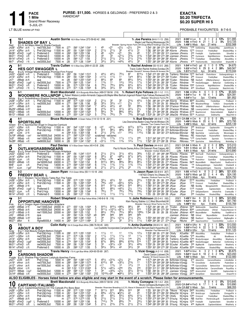

# **EXACTA** \$0.20 TRIFECTA \$0.20 SUPER HI 5

PROBABLE FAVOURITES: 8-7-6-5

| Red                                                                               | 10-1                                                                                                                         |                                                        |                    | <b>SHADES OF BAY L</b><br>B h 9, Art Major-Maid In Shade-Camluck                                                                                                       |                                                                                |                                                                        |                                                | <b>Austin Sorrie</b> 163 A Blue-Yellow (373-59-62-42 .288)                                                                                                                                                                       |                                           |                                                                                                 |                                                                                         |                                                                                         |                                                                                      |                                                                            | Tr. Joe Pereira (64-6-11-13 .256)<br>Maple Leaf Racing, Mississauga, ON<br>Breeder: Spring Haven Farm, OH-Doug Millard Holdings Usa, ON                                                                                                                                                                                                                                                                                                  |                                                                                                                       | 2021<br>2020<br>Life                                                  |                                                                                            | $2:00^1$ H Lonft<br>$1:49^2S$ Wbsb | - 8<br>1:56 H FlmD ft 21<br>6yo                                                                                                                                                    | 2 4 13%<br>$\overline{1}$<br>3 2<br>1<br>21 wins                                                            | 5%           | \$11,995<br>\$13,725<br>\$332,568                                                                                    |
|-----------------------------------------------------------------------------------|------------------------------------------------------------------------------------------------------------------------------|--------------------------------------------------------|--------------------|------------------------------------------------------------------------------------------------------------------------------------------------------------------------|--------------------------------------------------------------------------------|------------------------------------------------------------------------|------------------------------------------------|----------------------------------------------------------------------------------------------------------------------------------------------------------------------------------------------------------------------------------|-------------------------------------------|-------------------------------------------------------------------------------------------------|-----------------------------------------------------------------------------------------|-----------------------------------------------------------------------------------------|--------------------------------------------------------------------------------------|----------------------------------------------------------------------------|------------------------------------------------------------------------------------------------------------------------------------------------------------------------------------------------------------------------------------------------------------------------------------------------------------------------------------------------------------------------------------------------------------------------------------------|-----------------------------------------------------------------------------------------------------------------------|-----------------------------------------------------------------------|--------------------------------------------------------------------------------------------|------------------------------------|------------------------------------------------------------------------------------------------------------------------------------------------------------------------------------|-------------------------------------------------------------------------------------------------------------|--------------|----------------------------------------------------------------------------------------------------------------------|
| Jn281<br>Jn141<br>Mr281<br>Mr211<br>Mr14 <sup>1</sup><br>Mr71                     | $6$ GRvr 25 ft<br>8GRvr<br>9FlmD<br>7FlmD<br>10FlmD<br>6FlmD                                                                 | 20 ft<br>$3$ gd <sup>1</sup><br>8 ft<br>-2 ft<br>-7 ft | L.<br>L<br>L.<br>L | nw3750L3cd<br>Pref-2&3-hcp<br>Preferred-3<br>L Preferred-3<br>Preferred-3<br>L nw3350L3cd                                                                              | 7500 m :271<br>11500 m<br>10000 m<br>10000 m<br>10000 m<br>7500 m              | :28 <sup>1</sup><br>:26 <sup>2</sup><br>:28<br>:29<br>:28              | :572 1:26                                      | :562 1:242 1:541<br>:59 1:264 1:554<br>:562 1:252 1:56<br>:573 1:253 1:54<br>:583 1:27<br>1:55<br>1:544                                                                                                                          | $\frac{2}{2}$<br>3<br>$\frac{2}{2}$       | 45<br>$2^{11/2}$<br>46<br>33<br>$2^{11/2}$<br>$3^{3/2}$                                         | o21<br>$2^{11/2}$<br>o2ns<br>33<br>$2^{11/2}$<br>$3^{31}/4$                             | $02\frac{1}{2}$<br>32<br>∘21<br>$02^{11/4}$<br>$2^{11/2}$<br>$04^{23}/4$                | $02\frac{1}{2}$<br>$4^{11/2}$<br>$3\frac{3}{4}$<br>$3^{13}/4$<br>$2^{11/2}$<br>421/2 | 2nk<br>31<br>45<br>313/4<br>$2^{13/4}$<br>32                               | 1:541 281 282 274 294 ASorrie<br>1:56<br>1:57 273 284 291 312 JJamiesn JPereira<br>1:542 283 293 273 283 JJamiesn JPereira<br>1:55 <sup>2</sup> 29 <sup>1</sup> 29 <sup>3</sup> 28 <sup>2</sup> 28 <sup>1</sup> ASorrie<br>1:551 283 292 283 283 ASorrie                                                                                                                                                                                 | 28 <sup>2</sup> 30 <sup>4</sup> 28 28 <sup>4</sup> ASorrie                                                            |                                                                       | JPereira<br>JPereira 1270 Crosscut<br>JPereira<br>JPereira                                 |                                    | *155 ExitSmiling<br>230 FreddyBr<br>245 CycloneJo<br>770 FreddyBear<br>4 <sup>15</sup> TheDwntwnBs                                                                                 | ShadesOfBay<br>FreddyBear<br>Capitanoltalin<br>NightWatchmn<br>ShadesOfBay<br>OsborneSIstr                  |              | JackOfClubs 9<br>ShadesOfBay 9<br>SilverBst 8<br>ShadesOfBa 8<br>AboutABoy 9<br>ShadsOfB 9                           |
| $\boldsymbol{2}$                                                                  | 8-1                                                                                                                          |                                                        |                    | <b>HES GOT SWAGGER L</b>                                                                                                                                               |                                                                                |                                                                        |                                                | Travis Cullen 151 A Blue-Grey (269-41-22-25 .228)                                                                                                                                                                                |                                           |                                                                                                 |                                                                                         |                                                                                         |                                                                                      |                                                                            | Tr. Rachel Andrew (50-10-3-5 .266)<br>Travis Cullen-Rachel Andrew, Dundas, ON                                                                                                                                                                                                                                                                                                                                                            |                                                                                                                       | 2021<br>2020                                                          |                                                                                            | $1:54^1$ H FlmD                    | - 6<br>gd<br>1:53 <sup>1</sup> H FlmD $ft$ 29                                                                                                                                      | 0<br>4 2<br>8                                                                                               | 0.17%<br>28% | $\sqrt{$4,670}$<br>\$49,567                                                                                          |
| Blue<br>Jn221<br>Jn141<br>Jn71<br>Mr281<br>Mr211<br>Mr71                          | B g 6,<br>4GeoD 14 ft<br>8GRvr 20ft<br>4Wbsb 25 ft<br>8FlmD<br>7FlmD<br>10FlmD                                               | $3$ gd <sup>1</sup><br>8 ft<br>-7 ft                   | L.<br>L.           | Vintage Master-Bubbles Promise-Firm Friend<br>L Preferred-3<br>L Pref-2&3-hcp<br>qua<br>nw3300L3cd<br>Preferred-3<br>L Preferred-3                                     | 10000 m :264<br>11500 m<br>m<br>7500 m<br>10000 m<br>10000 m                   | :281<br>:28<br>:274<br>:28<br>:27 <sup>2</sup>                         | :56<br>:59<br>:571 1:26                        | 1:242 1:513<br>1:264 1:554<br>$:56^3$ 1:25 <sup>3</sup> 1:54 <sup>3</sup><br>:564 1:25<br>1:541<br>:573 1:253 1:54<br>1:554                                                                                                      | 3<br>2<br>6<br>6                          | $44\frac{1}{2}$<br>$01^{11/2}$<br>$66^{1/4}$<br>113/4<br>791/2<br>$3^{3/4}$                     | $44\frac{1}{2}$<br>$11\frac{1}{2}$<br>68<br>11<br>$79^{1/4}$<br>$3^{31/4}$              | $75\frac{1}{2}$<br>11<br>66<br>$14\frac{1}{2}$<br>643/4<br>54                           | 87<br>1xns<br>$66^{1/4}$<br>$16\frac{1}{2}$<br>$64\frac{1}{4}$<br>$65\frac{1}{2}$    | 8141/4<br>$8^{21/2}$<br>541/4<br>171/2<br>$63\frac{1}{4}$<br>$6^{31/2}$    | Breeder: Donald F Anness-Sheila M Anness, ON<br>1:542 273 291 283 29 TraHenry RAndrew 1270 BeeTwoB<br>1:561 281 304 274 292 TCullen RAndrew 295 Crosscut<br>1:55 <sup>2</sup> 29 <sup>1</sup> 29 28 <sup>3</sup> 28 <sup>3</sup> TCullen<br>1:541 274 29 281 291 TCullen<br>1:543 294 293 271 28 TCullen<br>1:56 <sup>2</sup> 28 <sup>1</sup> 29 <sup>3</sup> 29 29 <sup>3</sup> TCullen                                                 |                                                                                                                       |                                                                       | Life $1:51^4$ H FlmD<br>RAndrew NB HesSwft<br>RAndrew<br>RAndrew 1580 CycloneJo<br>RAndrew |                                    | 4yo<br>*80 HesGotSwagger<br>4 <sup>25</sup> SilverBeast                                                                                                                            | 34 wins<br>PedroHanvr<br>FreddyBear<br>UfBettorsHanovr<br><b>BettorCat</b><br>NightWatchmn<br>CycloneJoe    |              | \$170.044<br>Outlawgrabbingrs 9<br>ShadesOfBay 9<br>MachinATrck 8<br>ExitSmiling 9<br>ShadesOfBa 8<br>BeachinLindy 7 |
| 3                                                                                 | 6-1                                                                                                                          |                                                        |                    |                                                                                                                                                                        |                                                                                |                                                                        |                                                | <b>Brett Macdonald</b> 135 A Burgundy-White-Black (499-57-58-56 .216)                                                                                                                                                            |                                           |                                                                                                 |                                                                                         |                                                                                         |                                                                                      |                                                                            | Tr. Robert Kyle Fellows (20-1-1-2 .111)<br>WOODMERE ROLLNPOP L Robert Watson, London-Armando Cappuccitti, Maple-Mike Bartram, Ingersoll-Robert Kyle Fellows, Rockwood, ON                                                                                                                                                                                                                                                                |                                                                                                                       | 2021                                                                  |                                                                                            | $1:56$ H GRvr ft                   | 6<br>2020 1:54 <sup>2</sup> H Trur ft 18                                                                                                                                           | 0<br>4 1<br>3                                                                                               | 0.17%<br>22% | \$5,920<br>\$24,391                                                                                                  |
| White<br>Jn281<br>Jn71                                                            | 11 GR vr 25 ft<br>Jn141 11GRvr 20 ft<br>4Wbsb 25ft<br>My291 <sub>12</sub> Wbsb 10ft<br>$Mr221_{11}W$ bsb<br>Mr131 11Wbsb 2ft | - 9 ft                                                 |                    | B g 4, Rollwithitharry-Shadow Dancer-Western Paradise<br>L Pref-2&3-hcp<br>L nw2000L3cd<br>qua<br>qua<br>nw3000L5cd<br>nw5000L5cd                                      | 11500 m :28 <sup>2</sup><br>6200 m<br>m<br>m<br>12000 m<br>14000 m             | :271<br>:28<br>$:28^3$<br>:26 <sup>3</sup><br>:272                     | $:56^2$ 1:26                                   | :572 1:251 1:532<br>1:56<br>:563 1:253 1:543<br>:594 1:30<br>1:582<br>:552 1:243 1:522<br>:553 1:241 1:524                                                                                                                       | 2<br>[9<br>7<br>$\frac{8}{7}$<br>5        | $2^{11/2}$<br>$33^{1/4}$<br>$43^{1}/4$<br>$2^{13/4}$<br>$56\frac{1}{2}$<br>773/4                | $3^{31/4}$<br>431/2<br>$3^{11/2}$<br>76<br>$79\frac{1}{2}$                              | 32<br>o11<br>43<br>$3^{11/2}$<br>863/4<br>75                                            | 213/4<br>$2\frac{1}{2}$<br>56<br>421/4<br>561/4<br>733/4                             | 431/2<br>12<br>863/4<br>$2\frac{1}{2}$<br>58                               | Breeder: Woodmere Farms, PE<br>:54 283 291 274 282 ASorrie<br>1.56<br>1:56 283 283 29 294 DTackoor RFellows NB HesSwft UfBettorsHanovr<br>1:58 <sup>2</sup> 29 31 30 <sup>1</sup> 28 <sup>1</sup> DTackoor RFellows NB Lovemyrcknbrd<br>1:54 274 284 292 28 JMacDld RFellows 2730 BeachinLind<br>641/4p5 1:533 29 282 274 282 JMacDld RFellows 5570 PLJackson                                                                            |                                                                                                                       | Life                                                                  | RFellows 4640 AboutABoy                                                                    | <b>1:54</b> <sup>2</sup> H Trur    | Зуо<br>274 291 29 30 BMacDld RFellows 650 WoodmerRilnpp                                                                                                                            | 13 wins<br>FreddyBear<br>TwilitZn<br>WoodmerRllnpp<br>OsborneSeelstr<br>Siddhartha                          |              | \$81,952<br>ProBeach 9<br>DreamfarMx 9<br>MachinATrck 8<br>CaptanR 9<br>BigBull 10<br>MajorHill 10                   |
| 4                                                                                 | 4-1                                                                                                                          | <b>SPORTSLINE</b>                                      |                    |                                                                                                                                                                        |                                                                                |                                                                        |                                                | Bruce Richardson A Green-Yellow (114-12-13-18 .221)                                                                                                                                                                              |                                           |                                                                                                 |                                                                                         |                                                                                         |                                                                                      |                                                                            | Tr. Bud Sinclair (38-0-8-7 .178)<br>Lisa Desroches, Baden-Craig Parrott, Windsor, ON                                                                                                                                                                                                                                                                                                                                                     |                                                                                                                       |                                                                       | 2021 Q1:58 H Clnt ft                                                                       |                                    | - 2<br>2020 1:49 <sup>3</sup> S Wbsb ft 20                                                                                                                                         | $\overline{0}$<br>$0\quad 0$<br>5 1 20%<br>4                                                                | 0%           | \$00<br>\$73,795                                                                                                     |
| Green<br>Jn211<br>Jn141<br>Jn61<br>Dc19 <sup>0</sup><br>Dc5 <sup>0</sup><br>Nv280 | 3GRvr 15ft<br>8GRvr 20 ft<br>5Clnt<br>9Wbsb<br>7Wbsb<br>1Wbsb                                                                | 27 ft<br>1 sni<br>-4 ft<br>- 4 ft                      |                    | B h 5, Sportswriter-Angel In Disguise-Camluck<br>Pref-2&3-hcp 11500 m<br>Pref-2&3-hcp<br>qua<br>nw16000L5cd 24000 m<br>nw11000L5cd<br>nw9000L5cd                       | 11500 m<br>m<br>20000 m<br>16000 m                                             | :261<br>:281<br>:271<br>:26 <sup>4</sup><br>:28                        | :294 1:00                                      | :542 1:234 1:531<br>$:59$ 1:26 <sup>4</sup> 1:55 <sup>4</sup><br>$1:30^3$ 1:58<br>:563 1:234 1:521<br>$:56^1$ 1:24 1:51 <sup>3</sup><br>:554 1:241 1:521                                                                         | 6<br>4<br>8                               | 021<br>913<br>$2^{11/2}$<br>$1^{13/4}$<br>$03^{11/2}$                                           | $02^{11/4}$<br>981/2<br>$2^{13/4}$<br>scratched - vet(lame)<br>$1^{13}/4$<br>$1^{13}/4$ | $043\frac{1}{4}$<br>983/4<br>01 <sup>1</sup><br>$11\frac{1}{4}$<br>113/4                | 9121/4<br>$8^{5^{1/2}}$<br>$16^{1/2}$<br>$11\frac{1}{4}$<br>$1^{21}/4$               | 9121/4<br>$6^{21}/4$<br>$1^{101/2}$<br>2nk<br>111/2                        | Breeder: Two Creeks Farm,ON<br>1:553 262 281 294 311 BcRchdsn BSinclair<br>1:56 <sup>1</sup> 30 <sup>4</sup> 29 <sup>4</sup> 28 27 <sup>3</sup> BcRchdsn BSinclair<br>1:58<br>1:513 264 292 274 273 SFilion<br>1:521 281 273 282 28 SFilion                                                                                                                                                                                              |                                                                                                                       | 30 30 <sup>2</sup> 30 <sup>1</sup> 27 <sup>2</sup> BcRchdsn BSinclair | RMoreau<br>RMoreau                                                                         |                                    | Life $1:49^3$ S Wbsb $4y0$<br>2 <sup>25</sup> BrdsScrppr<br>2 <sup>40</sup> Crosscut<br>NB Sportsline<br>RE HiddenDlght<br>RMoreau *130 CortezTheKllr<br>*180 Sportsline           | 22 wins<br>CapitanoltIn<br>FreddyBear<br>LarjonLucky<br>RockmeRllm<br>Sportsin<br>BettorBGoing              |              | \$205,139<br>ChmpgnPhl 9<br>ShadesOfBay 9<br>Moramappo 6<br>Bettorbucklp 9<br>TorrinHanvr 10<br>NickleBag 9          |
| 5                                                                                 | 3-1                                                                                                                          |                                                        |                    |                                                                                                                                                                        |                                                                                |                                                                        |                                                | Paul Davies 157 A Blue-Green-Yellow (40-4-5-8 .236)                                                                                                                                                                              |                                           |                                                                                                 |                                                                                         |                                                                                         |                                                                                      |                                                                            | Tr. Paul Davies (44-4-6-8 .227)<br>Paul & Nicole Davies, Arthur, ON-Deborah Pinel, Calgary, AB                                                                                                                                                                                                                                                                                                                                           |                                                                                                                       |                                                                       | 2021 Q1:54 S Wbsb ft                                                                       |                                    | -6<br>2020 1:51 S Wbsb sn 22                                                                                                                                                       | 2<br>2<br>$\mathbf 0$<br>6 4 1                                                                              | 33%<br>27%   | \$15,010<br>\$49,545                                                                                                 |
| <b>Black</b><br>Jn221<br>Jn141<br>Mr291<br>Mr20 <sup>1</sup><br>Mr81<br>Mr11      | 4GeoD 14 ft<br>8GRvr 20ft<br>4Lon<br>8Wbsb<br>4Lon<br>9Lon                                                                   | 3 ft<br>-5 ft<br>6 ft<br>$-7$ gd <sup>1</sup>          |                    | <b>OUTLAWGRABBINGEARS</b><br>B g 5, Smart Shark-Grand Slam Woman-Artsplace<br>Preferred-3<br>Pref-2&3-hcp<br>Pref-2-hcp<br>nw16000L5cd<br>Pref-2-hcp<br>Pref-2-hcp     | 10000 m<br>11500 m<br>13000 m<br>24000 m<br>13000 m<br>11500 m                 | :26 <sup>4</sup><br>:281<br>:28<br>:271<br>:273<br>:281                | :56<br>:59                                     | 1:24 <sup>2</sup> 1:51 <sup>3</sup><br>1:264 1:554<br>:571 1:27 1:564<br>:561 1:243 1:52<br>:564 1:253 1:542<br>:59 1:281 1:563                                                                                                  | 8<br>8<br>$\overline{7}$<br>8<br>6<br>6   | $2^{11/2}$<br>$56\frac{1}{2}$<br>$078\frac{3}{4}$<br>9121/2<br>113/4<br>$2^{11/2}$              | $2^{11/2}$<br>87<br>079<br>$9^{9^{1/2}}$<br>113/4<br>$21\frac{1}{2}$                    | $3^{11/2}$<br>∘88½<br>∙64<br>963/4<br>$11\frac{1}{2}$<br>$2^{13/4}$                     | $4^{21}/2$<br>$97\frac{1}{2}$<br>55<br>$96^{1/2}$<br>113/4<br>22                     | 923/4<br>$34\frac{1}{2}$<br>$86^{1/4}$<br>$15\frac{1}{4}$<br>1%            | Breeder: Outlaw Stable, AB<br>1:53<br>1:56 <sup>2</sup> 29 <sup>2</sup> 31 28 28 PDavies<br>1:573 294 291 284 294 PDavies<br>1:53 <sup>1</sup> 29 <sup>3</sup> 28 <sup>2</sup> 28 27 <sup>1</sup> PDavies<br>1:54 <sup>2</sup> 273 291 284 284 PDavies<br>1:563 282 304 292 28 PDavies                                                                                                                                                   | 27 291 28 <sup>2</sup> 28 <sup>2</sup> PDavies                                                                        |                                                                       | Life $1:51$ S Wbsb<br>PDavies<br>PDavies<br>PDavies<br>PDavies<br>PDavies<br>PDavies       |                                    | 4yo<br>930 BeeTwoB<br>1195 Crosscut<br>*40 PedroHnvr<br>5405 BeyondBettr<br>*30 Outlawgrabbingrs<br>*95 Outlawgrabbingers                                                          | 24 wins<br>PedroHanvr<br>FreddyBear<br>EastnBch<br>MajorCustrd<br>EastonBch<br>Racemp                       |              | \$310,890<br>Outlawgrabbingrs 9<br>ShadesOfBay 9<br>Outlawgrabbngrs 8<br>RealSurrel 10<br>CheddarB 6<br>EastonBech 6 |
| 6                                                                                 | $5-2$                                                                                                                        |                                                        |                    |                                                                                                                                                                        |                                                                                |                                                                        |                                                | Jason Ryan 170 A Green-White (93-11-10-18 .242)                                                                                                                                                                                  |                                           |                                                                                                 |                                                                                         |                                                                                         |                                                                                      |                                                                            | Tr. <b>Jason Ryan</b> (52-8-9-9 .307)                                                                                                                                                                                                                                                                                                                                                                                                    |                                                                                                                       | 2021                                                                  |                                                                                            | $1:55$ H FlmD ft                   | 8<br>2020 1:52 <sup>3</sup> S Wbsb gd 32                                                                                                                                           | 2<br>3<br>2<br>2 4 4                                                                                        | 38%<br>6%    | \$21,630<br>\$24,195                                                                                                 |
| Yellow<br>Jn141<br>Jn51<br>Mr281<br>Mr221                                         | Jn281 11GRvr 25 ft<br>8GRvr 20ft<br>8Wbsb<br>9FlmD<br>3Lon<br>Mr141 10FlmD                                                   | 27 ft<br>3 gd <sup>1</sup><br>14 ft<br>-2 ft           | L.<br>L.<br>L.     | <b>FREDDY BEAR L</b><br>B h 7, Western Terror-Macks Table-Run The Table<br>L Pref-2&3-hcp<br>L Pref-2&3-hcp<br>qua<br>Preferred-3<br>Pref-2-hcp<br>Preferred-3         | 11500 m :28 <sup>2</sup><br>11500 m<br>m<br>10000 m<br>13000 m<br>10000 m      | :28 <sup>1</sup><br>:29<br>:26 <sup>2</sup><br>:28 <sup>3</sup><br>:29 | :58 <sup>2</sup> 1:26<br>:58 <sup>3</sup> 1:27 | :572 1:251 1:532<br>$:59$ 1:26 <sup>4</sup> 1:55 <sup>4</sup><br>:571 1:261 1:544<br>:562 1:252 1:56<br>1:54 <sup>3</sup><br>1:55                                                                                                | $\frac{5}{5}$<br>6<br>5<br>6              | $33^{1/4}$<br>793/4<br>912<br>612<br>791/2<br>$11\frac{1}{2}$                                   | 431/2<br>$\circ 5^5$<br>$911\frac{1}{2}$<br>$66\frac{1}{2}$<br>77<br>$11\frac{1}{2}$    | 54<br>$065\frac{1}{2}$<br>$0.99\%$<br>$042\frac{1}{2}$<br>$79^{1/4}$<br>$11\frac{1}{2}$ | 433/4<br>$5^{23}/4$<br>910<br>$2\frac{1}{4}$<br>793/4<br>$11\frac{1}{2}$             | $2^{21/4}$<br>2 <sup>1</sup><br>881/4<br>$13\frac{1}{2}$<br>783/4<br>113/4 | 1187422 Ontario Inc, Ottawa, ON<br>Breeder: Flintlock Farm Inc,PA<br>1:534 29 29 28 274 JRyan<br>1:56<br>1:56 <sup>2</sup> 31 <sup>2</sup> 28 28 <sup>3</sup> 28 <sup>2</sup> JRyan<br>1:56<br>1:56 <sup>2</sup> 30 <sup>2</sup> 29 <sup>2</sup> 28 28 <sup>3</sup> SCoulter<br>1:55                                                                                                                                                     | 30 <sup>1</sup> 29 <sup>4</sup> 27 <sup>4</sup> 28 <sup>1</sup> JRyan<br>284 284 281 301 JRyan<br>29 293 282 28 JRyan |                                                                       | JRyan<br>JRyan<br>JRyan<br>JRyan<br>JRyan<br>JRyan                                         |                                    | Life $1:51^3$ S Wbsb $4$ yo<br>2170 AboutABoy<br>17 <sup>10</sup> Crosscut<br>NB NicklBg<br>11 <sup>25</sup> FreddyBr<br>2 <sup>15</sup> GASpeedSamm<br>3 <sup>55</sup> FreddyBear | 16 wins<br>FreddyBear<br>FreddyBear<br>MongolianHrN<br>Capitanoltalin<br>ArtisticPck<br>ShadesOfBay         |              | \$224,750<br>ProBeach 9<br>ShadesOfBay 9<br>WestsluckyTrrr 9<br>SilverBst 8<br>CrankysBo 7<br>AboutABoy 9            |
|                                                                                   | $2 - 1$                                                                                                                      |                                                        |                    | <b>OPPORTUNE HANOVER</b>                                                                                                                                               |                                                                                |                                                                        |                                                | Robert Shepherd 172 A Blue-Yellow-White (149-8-6-18 .116)                                                                                                                                                                        |                                           |                                                                                                 |                                                                                         |                                                                                         |                                                                                      |                                                                            | Tr. <b>Julie Robinson</b> (23-2-4-0 .183)<br>Klein Racing Stables LLC, West Bloomfield, MI                                                                                                                                                                                                                                                                                                                                               |                                                                                                                       | 2021                                                                  | <b>1:49</b> 4F Mvr<br>2020 1:52 <sup>3</sup> F Mea                                         |                                    | ft 10<br>ft 20                                                                                                                                                                     | 3<br>0<br>5<br>3 0                                                                                          | 30%<br>25%   | \$23,892<br>\$41,790                                                                                                 |
| Pink<br>Jn261<br>Jn191<br>Jn51<br>Mr271 9Mvr                                      | 5Wbsb 27ft<br>4Wbsb 20ft<br>Jn12 <sup>1</sup> 11Wbsb 21 ft<br>5Wbsb 27ft<br>My291 2Wbsb 10 ft1                               | ft                                                     |                    | B g 4, Dragon Again-Ozmopolitan-Artsplace<br>nw11000L5cd 20000 m<br>nw16500L5cd 24000 m<br>nw11500L5cd 22000 m<br>qua<br>qua<br>Hgnw8000L4 14400 m :263                | m<br>m                                                                         | :271<br>:261<br>:26 <sup>4</sup><br>:281<br>:284                       | :551                                           | :552 1:24 1:504<br>1:224 1:502<br>:56 <sup>4</sup> 1:25 1:52<br>:56 <sup>1</sup> 1:24 1:52 <sup>3</sup><br>:583 1:281 1:553<br>:544 1:213 1:494                                                                                  | 5<br>х9<br>2                              | 9101/2<br>$911\frac{1}{2}$<br>$66^{1/2}$<br><b>9dis</b><br>34<br>2 <sup>1</sup>                 | ∘107½<br>$76\frac{1}{2}$<br><b>g</b> dis<br>$3^{31/4}$<br>2 <sup>1</sup>                | 9101/4 0963/4<br>o971⁄4<br>751⁄4<br><b>9dis</b><br>$02^{11/2}$<br>32                    | 981/4<br>1013<br>$98\frac{1}{2}$<br><b>gdis</b><br>$2^{11/2}$<br>$3^{11/4}$          | 98<br>915<br>$10^{93/4}$<br><b>gdis</b><br>$2\frac{3}{4}$<br>$1^{11}/4$    | Breeder: Hanover Shoe Farms Inc, PA<br>1:52 291 281 28 27 TCullen<br>1:53 <sup>2</sup> 28 <sup>2</sup> 28 <sup>1</sup> 27 <sup>3</sup> 29 <sup>1</sup> TreHenry JRobnsn 90 <sup>65</sup> LawlessShadow<br>1:54 28 30 28 28 SCoulter JRobnsn 40 <sup>00</sup> BeyondBetter<br>1:554 293 293 291 272 LSmall<br>1:494 264 281 27 274 CPage                                                                                                  |                                                                                                                       | Life<br>JJamiesn JRobnsn NB Uhtred                                    | JRobnsn<br>RBurke                                                                          | 1:49 <sup>4</sup> F Mvr            | 4yo<br>JRobnsn 5200 MatticulsGb<br>3 <sup>60</sup> OpportuneHnvr                                                                                                                   | 9 wins<br>SweetDesl<br>Uhtred<br>RealWilley<br>BeyondBetter<br>NB RealSurrl OpportuneHanvr<br>TownlinAllGd  |              | \$155,769<br>MayhemHanvr 10<br>TraceurHanover 10<br>FastNFirst 10<br>GrandPoobah 9<br>BigBangBm 8<br>LuckLm 8        |
| 8                                                                                 | 7-5                                                                                                                          | <b>ABOUT A BOY</b>                                     |                    |                                                                                                                                                                        |                                                                                |                                                                        |                                                | Colin Kelly 164 A Orange-Black-White (386-76-59-45 .320)                                                                                                                                                                         |                                           |                                                                                                 |                                                                                         |                                                                                         |                                                                                      |                                                                            | Tr. Anita Ouellette (39-8-5-10 .361)<br>Luc Ouellette Incorporated, Campbellville, ON-Paul Bernard, Saint-Hyacinthe, QC                                                                                                                                                                                                                                                                                                                  |                                                                                                                       |                                                                       | 2021 1:53 <sup>2</sup> H GRvr ft                                                           |                                    | - 6<br>2020 1:55 <sup>2</sup> H FlmD ft 22                                                                                                                                         | $\overline{c}$<br>-1<br>3 3 3 14%                                                                           | 33%          | \$13,550<br>\$19,550                                                                                                 |
| Gray<br>Jn28 <sup>1</sup><br>Jn141                                                | Jn211 11GRvr 15ft<br>9GRvr 20ft<br>$Mr281$ $_8FlmD$<br>Mr211 10FlmD<br>$Mr141_{10}F$ $mD$                                    | $3$ gd <sup>1</sup><br>8Ť<br>-2 ft                     |                    | B g 7, Dali-Beauty Delight-Bettors Delight<br>11GRvr 25 ft Pref-2&3-hcp 11500<br>nw3750L3cd<br>nw3750L3cd<br>nw3300L3cd<br>nw3400L3cd<br>Preferred-3                   | 11500 m<br>7500 m<br>7500 m<br>7500 m :274<br>7500 m :282<br>10000 m :29       | $^{+282}_{+271}$<br>:271                                               |                                                | :57 <sup>2</sup> 1:25 <sup>1</sup><br>:57 <sup>2</sup> 1:26<br>1:532<br>1:551<br>:57 1:261 1:55<br>$:56^4$ 1:25<br>1:541<br>:58 1:261 1:542<br>:583 1:27 1:55                                                                    | $rac{2}{3}$<br>$\bar{8}$<br>$\frac{3}{5}$ | $1^{11/2}$<br>111/2<br>$45\frac{1}{4}$<br>$8^{73/4}$<br>33<br>$56\frac{1}{4}$                   | 111/2<br>$03^{31}/4$<br>$8^{63/4}$<br>$03^{21/4}$<br>561/4                              | $11\frac{1}{4}$<br>$11\frac{1}{2}$<br>$8^{93/4}$<br>$\circ 3^2$<br>43                   | $1^{13/4}$<br>12<br>1nk<br>$6^{123/4}$<br>$3^{21/2}$<br>$3^{31/2}$                   | $1^{21/4}$<br>111/4<br>$2\frac{3}{4}$<br>$\bar{5}^{14}$<br>443/4<br>34     | Breeder: Paul Bernard, QC<br>1:53 <sup>2</sup> 28 <sup>2</sup> 29 27 <sup>4</sup> 28 <sup>1</sup> CKelly<br>1:551 271 301 283 291 CKelly<br>1:551 281 292 283 29 TraHenry AOuelltte 1240 BrodysScrapper<br>1:57 29 <sup>2</sup> 28 <sup>4</sup> 28 <sup>4</sup> 30 TraHenry AOuelltte 48 <sup>75</sup> HesGotSwagger<br>1:552 29 292 281 284 SCoulter AOuelltte 395 BigMachN<br>1:554 301 293 274 281 SCoulter AOuelltte 3355 FreddyBear |                                                                                                                       |                                                                       | AOuelltte 385 AboutABoy<br>AOuelltte *235 AboutABoy                                        |                                    | Life 1:53 <sup>2</sup> H GRvr 7yo                                                                                                                                                  | 19 wins<br>FreddyBear<br>Ali<br>AboutABoy<br>BettorCat<br>CapitanoItaliano<br>ShadesOfBay                   |              | \$151,125<br>ProBeach 9<br>BlueMoose 9<br>Weatherly 9<br>ExitSmiling 9<br>Weatherly 8<br>AboutABoy 9                 |
| 9                                                                                 | 9-2                                                                                                                          |                                                        |                    | <b>CARSONS SHADOW</b>                                                                                                                                                  |                                                                                |                                                                        |                                                | Travis Henry 170 A Light Blue-White (424-60-55-69 .267)                                                                                                                                                                          |                                           |                                                                                                 |                                                                                         |                                                                                         |                                                                                      |                                                                            | Tr. Vicki Gregg (4-2-1-0 .638)<br>David Carson, Listowel, ON                                                                                                                                                                                                                                                                                                                                                                             |                                                                                                                       | 2021                                                                  |                                                                                            | $1:573$ H Hnvr ft                  | 3<br>2020 1:52 <sup>3</sup> F GeoD ft 18                                                                                                                                           | $\overline{c}$<br>2 3 2 11%                                                                                 | 0.67%        | \$5,875<br>\$23,450                                                                                                  |
| Jn191                                                                             | 9Hnvr 23 ft<br>Jn121 6Hnvr 26ft<br>My291 3Hnvr 12 ft<br>$Dc21^0$ 7Wbsb $3sv^2$<br>$Dc14^0$ sWbsb $-5$ ft                     |                                                        |                    | Purple B g 5, Shadow Play-Carsons Ladyluck-Apaches Fame<br>Jn271 4Clnt 28 ft Pref-3-hcp 5500 m :284 :59<br>nw3750L3cd<br>nw1500L3cd<br>qua<br>nw3000L5cd<br>nw3000L5cd | 5000 m<br>4000 m<br>m<br>12000 m<br>12000 m :274                               | :28 <sup>2</sup><br>:29<br>$:28^3$                                     |                                                | :591 1:283 1:573<br>:584 1:282 1:573<br>:593 1:284 1:573<br>:30 <sup>2</sup> 1:02 1:31 <sup>2</sup> 2:00 <sup>4</sup><br>:584 1:27 1:554<br>:564 1:261 1:552                                                                     | 5<br>6<br>$\overline{2}$<br>6<br>[10      | $45\frac{1}{2}$<br>$6^{12\frac{1}{4}}$<br>011<br>$5^{7^{1}/2}$<br>34<br>$10^{133/4}$ $\circ$ 99 | $0.31\frac{3}{4}$<br>68<br>113/4<br>$045\frac{1}{4}$<br>0.323/4                         | $02\frac{1}{2}$<br>$03^{21/4}$<br>12<br>o2nk<br>$02\frac{1}{2}$<br>$•84\frac{1}{4}$     | 21<br>$2^{13/4}$<br>121/4<br>$2\frac{3}{4}$<br>$4^{21}/2$<br>$53\frac{1}{4}$         | 11<br>15<br>2nk<br>$911\frac{1}{2}$<br>41                                  | Breeder: W David Carson, ON<br>1:573 294 294 29 29 BcRchdsn VGregg<br>1:573 304 293 282 284 BcRchdsn VGregg<br>1:573 29 303 291 284 BcRchdsn VGregg<br>2:004 314 311 282 292 BcRchdsn VGregg<br>1:58 292 30 273 31 JJamiesn VGregg<br>1:553 303 28 282 283 JJamiesn VGregg                                                                                                                                                               |                                                                                                                       |                                                                       |                                                                                            |                                    | Life $1:50^1$ S Wbsb $3y$ o<br>270 AdoreHim<br>*50 CrsnsShdw<br>*35 CarsonsShdw<br>NB HighRollerDuk<br>10 <sup>60</sup> AmericnHstl<br>2470 DenaliSistr                            | 11 wins<br>CarsonsShadow<br>Acefortyfrtln<br>BettorsVictr<br>CarsonsShadw<br><b>BrnOfFr</b><br>OsborneSistr |              | \$122,583<br>LifelsBetter 8<br>PodimSlstr 6<br>AmazonDrgn 6<br>RoyalShp 6<br>Capitanoltaln 10<br>DreamFII 10         |
|                                                                                   |                                                                                                                              |                                                        |                    |                                                                                                                                                                        |                                                                                |                                                                        |                                                | <b>Brett Macdonald</b> 135 A Burgundy-White-Black (499-57-58-56 .216)                                                                                                                                                            |                                           |                                                                                                 |                                                                                         |                                                                                         |                                                                                      |                                                                            | ALSO ELIGIBLES - Horses listed below are also eligible and may start in the event of a scratch. Please listen for announcements.<br>Tr. Nicky Comegna (19-1-4-2 .204)                                                                                                                                                                                                                                                                    |                                                                                                                       | 2021                                                                  |                                                                                            |                                    | 8                                                                                                                                                                                  | 0<br>0<br>4                                                                                                 | 0%           | \$10,645                                                                                                             |
| U                                                                                 |                                                                                                                              |                                                        |                    | <b>CAPITANO ITALIANO</b><br>Blu/Rd B g 5, Captaintreacherous-On The Catwalk-Pro Bono Best<br>Jn281 11GRvr 25 ft Pref-2&3-hcp 11500 m :282 :572 1                       |                                                                                |                                                                        |                                                |                                                                                                                                                                                                                                  |                                           |                                                                                                 |                                                                                         |                                                                                         |                                                                                      |                                                                            | Bruno Comegna, Burlington, ON<br>Breeder: Riverview Breeding LLC, FL-Steve H Stewart, KY-The Bays Stable LLC, CO                                                                                                                                                                                                                                                                                                                         |                                                                                                                       |                                                                       | Life $Q1:52^1S$ Wbsb $3y0$                                                                 |                                    | 2020 Q1:543H FlmD ft 17                                                                                                                                                            | $1 \t1 \t4$<br>5 wins                                                                                       | 6%           | \$10,890<br>\$68,355                                                                                                 |
| Jn21<br>Jn141<br>Jn71<br>Mr281                                                    | 3GRvr 15ft<br>8GRvr 20ft<br>5Wbsb 25ft<br>9FlmD<br>$Mr21110F$ ImD                                                            | $3$ gd <sup>1</sup><br>8 ft                            | L.                 | Pref-2&3-hcp<br>Pref-2&3-hcp<br>qua<br>Preferred-3<br>L nw3400L3cd                                                                                                     | 11500 m :26 <sup>1</sup><br>11500 m<br>m<br>10000 m :26 <sup>2</sup><br>7500 m | :28 <sup>1</sup><br>:271<br>:28 <sup>2</sup>                           |                                                | :572 1:251 1:532<br>:54 <sup>2</sup> 1:23 <sup>4</sup> 1:53 <sup>1</sup><br>$:59$ 1:26 <sup>4</sup> 1:55 <sup>4</sup><br>:574 1:273 1:55<br>:56 <sup>2</sup> 1:25 <sup>2</sup> 1:56<br>$:58$ 1:26 <sup>1</sup> 1:54 <sup>2</sup> | 4<br>$^{[9}_{8}$<br>6<br>5                | $911\frac{1}{4}$<br>$6^{93}/4$<br>45<br>$2^{11/2}$<br>$7^{141/2}$<br>$2^{11/2}$                 | 910<br>$0.5^{71}/2$<br>$65\frac{1}{4}$<br>$2^{11/2}$<br>78<br>$2^{13/4}$                | 983/4<br>$•5^{31}/2$<br>$55\frac{1}{2}$<br>$21\frac{1}{2}$<br>$8^{53/4}$<br>$2^{13/4}$  | 912<br>43<br>$6^{33/4}$<br>$\frac{2^{11/2}}{7^4}$<br>$2^{11/2}$                      | 98<br>22<br>$4^{11/4}$<br>$3^{2^{j}}/2$<br>$2^{31/2}$<br>$2^{11/4}$        | 1:55 303 284 273 28 TMoore NCmgna 2405 AboutABoy<br>1:533 281 273 283 291 BMacDld NCmgna 555 BrdsScrppr<br>1:56 291 304 274 281 CKelly<br>1:552 272 303 294 273 SYoung NCmgna NB KwkTlkn<br>1:563 291 284 283 30 SYoung NCmgna 1235 FreddyBr<br>1:543 283 294 281 28 SYoung NCmgna 455 BigMachN                                                                                                                                          |                                                                                                                       |                                                                       | NCmgna 13 <sup>60</sup> Crosscut                                                           |                                    |                                                                                                                                                                                    | FreddyBear<br>Capitanoltln<br>FreddyBear<br>PembrookLgcN<br>CapitanoItalin<br>CapitanoItaliano              |              | ProBeach 9<br>ChmpgnPhl 9<br>ShadesOfBay 9<br>CapitanoItaln 9<br>SilverBst 8<br>Weatherly 8                          |